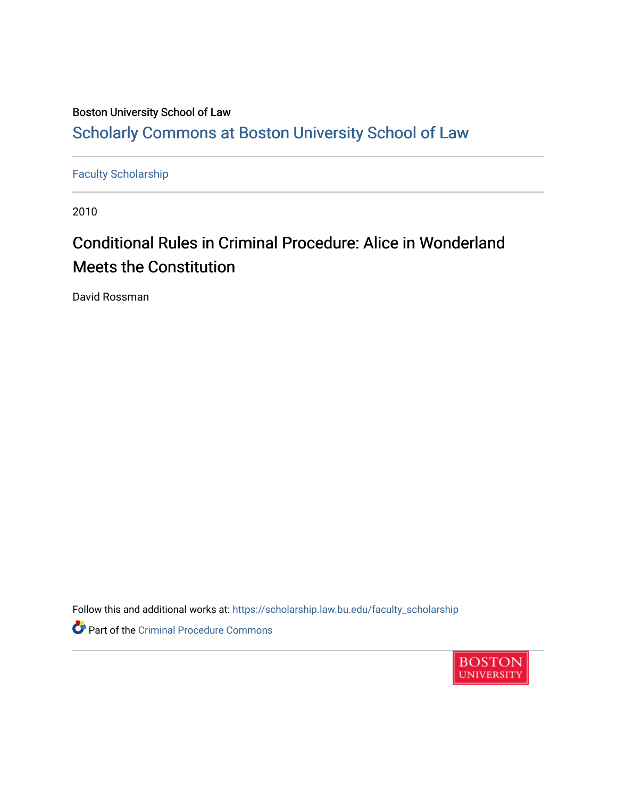## Boston University School of Law [Scholarly Commons at Boston University School of Law](https://scholarship.law.bu.edu/)

[Faculty Scholarship](https://scholarship.law.bu.edu/faculty_scholarship)

2010

# Conditional Rules in Criminal Procedure: Alice in Wonderland Meets the Constitution

David Rossman

Follow this and additional works at: [https://scholarship.law.bu.edu/faculty\\_scholarship](https://scholarship.law.bu.edu/faculty_scholarship?utm_source=scholarship.law.bu.edu%2Ffaculty_scholarship%2F682&utm_medium=PDF&utm_campaign=PDFCoverPages) Part of the [Criminal Procedure Commons](http://network.bepress.com/hgg/discipline/1073?utm_source=scholarship.law.bu.edu%2Ffaculty_scholarship%2F682&utm_medium=PDF&utm_campaign=PDFCoverPages) 

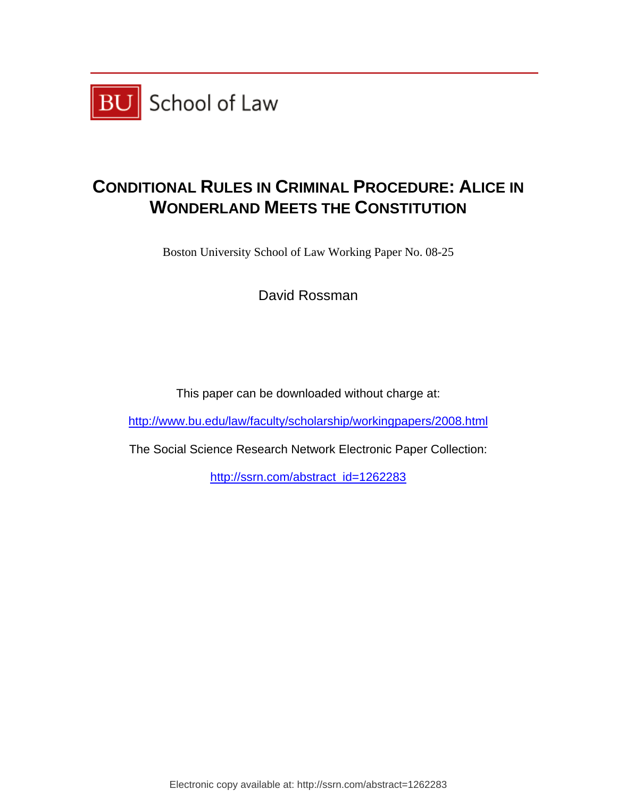

## **CONDITIONAL RULES IN CRIMINAL PROCEDURE: ALICE IN WONDERLAND MEETS THE CONSTITUTION**

Boston University School of Law Working Paper No. 08-25

David Rossman

This paper can be downloaded without charge at:

<http://www.bu.edu/law/faculty/scholarship/workingpapers/2008.html>

The Social Science Research Network Electronic Paper Collection:

[http://ssrn.com/abstract\\_id=1262283](http://ssrn.com/abstract_id=1262283)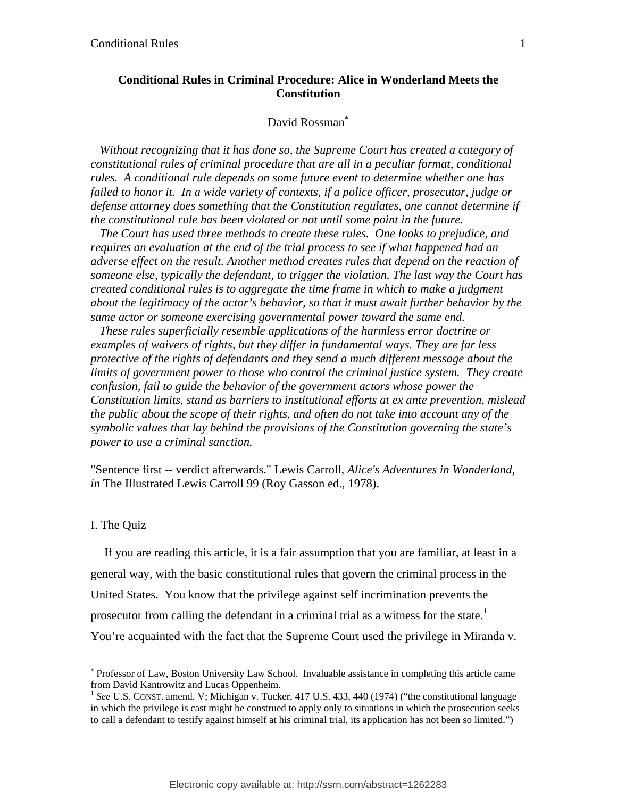#### **Conditional Rules in Criminal Procedure: Alice in Wonderland Meets the Constitution**

#### David Rossman<sup>\*</sup>

 *Without recognizing that it has done so, the Supreme Court has created a category of constitutional rules of criminal procedure that are all in a peculiar format, conditional rules. A conditional rule depends on some future event to determine whether one has failed to honor it. In a wide variety of contexts, if a police officer, prosecutor, judge or defense attorney does something that the Constitution regulates, one cannot determine if the constitutional rule has been violated or not until some point in the future.* 

 *The Court has used three methods to create these rules. One looks to prejudice, and requires an evaluation at the end of the trial process to see if what happened had an adverse effect on the result. Another method creates rules that depend on the reaction of someone else, typically the defendant, to trigger the violation. The last way the Court has created conditional rules is to aggregate the time frame in which to make a judgment about the legitimacy of the actor's behavior, so that it must await further behavior by the same actor or someone exercising governmental power toward the same end.* 

 *These rules superficially resemble applications of the harmless error doctrine or examples of waivers of rights, but they differ in fundamental ways. They are far less protective of the rights of defendants and they send a much different message about the limits of government power to those who control the criminal justice system. They create confusion, fail to guide the behavior of the government actors whose power the Constitution limits, stand as barriers to institutional efforts at ex ante prevention, mislead the public about the scope of their rights, and often do not take into account any of the symbolic values that lay behind the provisions of the Constitution governing the state's power to use a criminal sanction.*

"Sentence first -- verdict afterwards." Lewis Carroll, *Alice's Adventures in Wonderland, in* The Illustrated Lewis Carroll 99 (Roy Gasson ed., 1978).

#### I. The Quiz

 $\overline{a}$ 

If you are reading this article, it is a fair assumption that you are familiar, at least in a general way, with the basic constitutional rules that govern the criminal process in the United States. You know that the privilege against self incrimination prevents the prosecutor from calling the defendant in a criminal trial as a witness for the state.<sup>1</sup> You're acquainted with the fact that the Supreme Court used the privilege in Miranda v.

Electronic copy available at: http://ssrn.com/abstract=1262283

<sup>∗</sup> Professor of Law, Boston University Law School. Invaluable assistance in completing this article came from David Kantrowitz and Lucas Oppenheim.

<sup>&</sup>lt;sup>1</sup> See U.S. CONST. amend. V; Michigan v. Tucker, 417 U.S. 433, 440 (1974) ("the constitutional language in which the privilege is cast might be construed to apply only to situations in which the prosecution seeks to call a defendant to testify against himself at his criminal trial, its application has not been so limited.")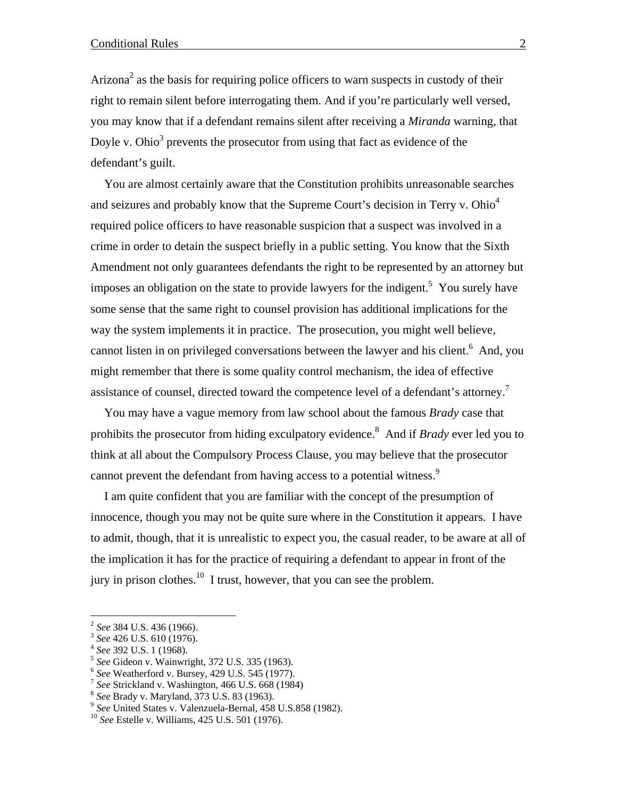Arizona<sup>2</sup> as the basis for requiring police officers to warn suspects in custody of their right to remain silent before interrogating them. And if you're particularly well versed, you may know that if a defendant remains silent after receiving a *Miranda* warning, that Doyle v. Ohio<sup>3</sup> prevents the prosecutor from using that fact as evidence of the defendant's guilt.

You are almost certainly aware that the Constitution prohibits unreasonable searches and seizures and probably know that the Supreme Court's decision in Terry v. Ohio<sup>4</sup> required police officers to have reasonable suspicion that a suspect was involved in a crime in order to detain the suspect briefly in a public setting. You know that the Sixth Amendment not only guarantees defendants the right to be represented by an attorney but imposes an obligation on the state to provide lawyers for the indigent.<sup>5</sup> You surely have some sense that the same right to counsel provision has additional implications for the way the system implements it in practice. The prosecution, you might well believe, cannot listen in on privileged conversations between the lawyer and his client.<sup>6</sup> And, you might remember that there is some quality control mechanism, the idea of effective assistance of counsel, directed toward the competence level of a defendant's attorney.<sup>7</sup>

You may have a vague memory from law school about the famous *Brady* case that prohibits the prosecutor from hiding exculpatory evidence.<sup>8</sup> And if *Brady* ever led you to think at all about the Compulsory Process Clause, you may believe that the prosecutor cannot prevent the defendant from having access to a potential witness.<sup>9</sup>

I am quite confident that you are familiar with the concept of the presumption of innocence, though you may not be quite sure where in the Constitution it appears. I have to admit, though, that it is unrealistic to expect you, the casual reader, to be aware at all of the implication it has for the practice of requiring a defendant to appear in front of the jury in prison clothes. $^{10}$  I trust, however, that you can see the problem.

<u>.</u>

<sup>&</sup>lt;sup>2</sup> See 384 U.S. 436 (1966).<br>
<sup>3</sup> See 426 U.S. 610 (1976).<br>
<sup>4</sup> See 392 U.S. 1 (1968).<br>
<sup>5</sup> See Gideon v. Wainwright, 372 U.S. 335 (1963).<br>
<sup>6</sup> See Weatherford v. Bursey, 429 U.S. 545 (1977).<br>
<sup>7</sup> See Strickland v. Washin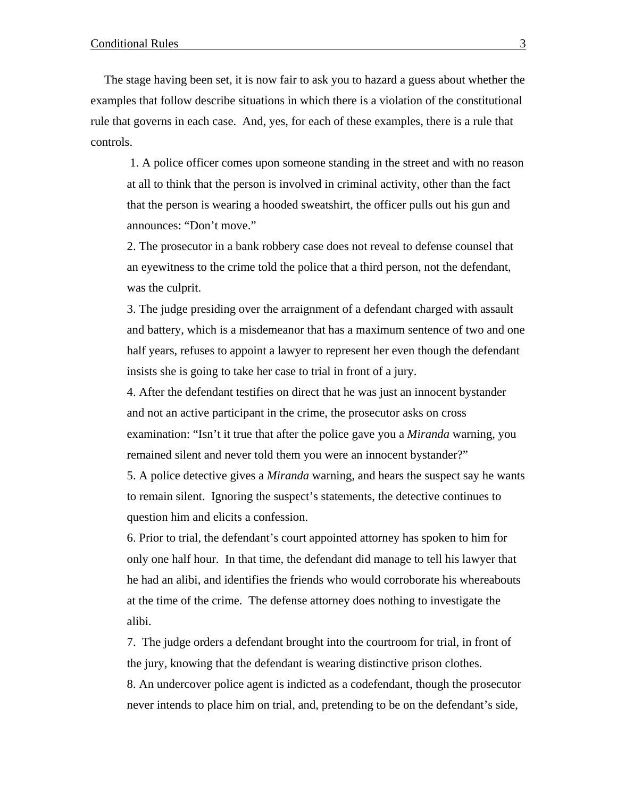The stage having been set, it is now fair to ask you to hazard a guess about whether the examples that follow describe situations in which there is a violation of the constitutional rule that governs in each case. And, yes, for each of these examples, there is a rule that controls.

 1. A police officer comes upon someone standing in the street and with no reason at all to think that the person is involved in criminal activity, other than the fact that the person is wearing a hooded sweatshirt, the officer pulls out his gun and announces: "Don't move."

2. The prosecutor in a bank robbery case does not reveal to defense counsel that an eyewitness to the crime told the police that a third person, not the defendant, was the culprit.

3. The judge presiding over the arraignment of a defendant charged with assault and battery, which is a misdemeanor that has a maximum sentence of two and one half years, refuses to appoint a lawyer to represent her even though the defendant insists she is going to take her case to trial in front of a jury.

4. After the defendant testifies on direct that he was just an innocent bystander and not an active participant in the crime, the prosecutor asks on cross examination: "Isn't it true that after the police gave you a *Miranda* warning, you remained silent and never told them you were an innocent bystander?"

5. A police detective gives a *Miranda* warning, and hears the suspect say he wants to remain silent. Ignoring the suspect's statements, the detective continues to question him and elicits a confession.

6. Prior to trial, the defendant's court appointed attorney has spoken to him for only one half hour. In that time, the defendant did manage to tell his lawyer that he had an alibi, and identifies the friends who would corroborate his whereabouts at the time of the crime. The defense attorney does nothing to investigate the alibi.

7. The judge orders a defendant brought into the courtroom for trial, in front of the jury, knowing that the defendant is wearing distinctive prison clothes. 8. An undercover police agent is indicted as a codefendant, though the prosecutor never intends to place him on trial, and, pretending to be on the defendant's side,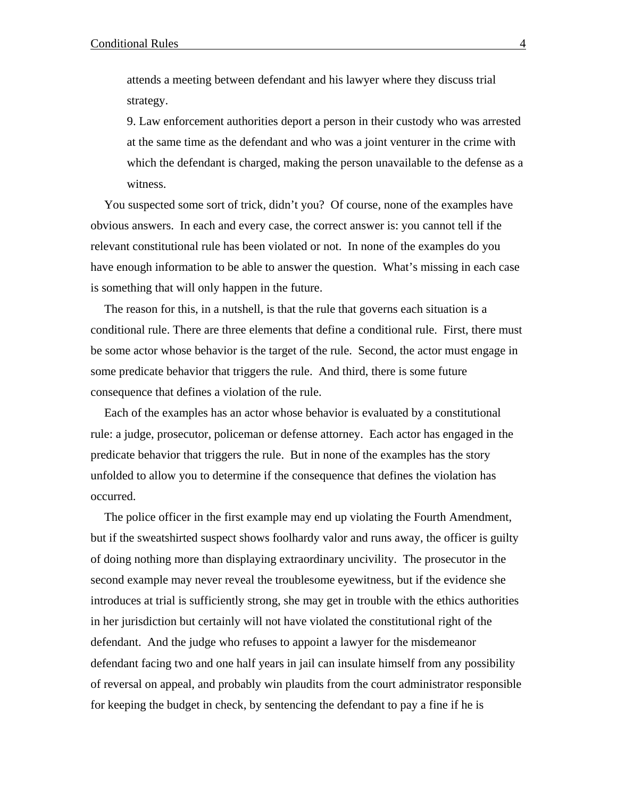attends a meeting between defendant and his lawyer where they discuss trial strategy.

9. Law enforcement authorities deport a person in their custody who was arrested at the same time as the defendant and who was a joint venturer in the crime with which the defendant is charged, making the person unavailable to the defense as a witness.

You suspected some sort of trick, didn't you? Of course, none of the examples have obvious answers. In each and every case, the correct answer is: you cannot tell if the relevant constitutional rule has been violated or not. In none of the examples do you have enough information to be able to answer the question. What's missing in each case is something that will only happen in the future.

The reason for this, in a nutshell, is that the rule that governs each situation is a conditional rule. There are three elements that define a conditional rule. First, there must be some actor whose behavior is the target of the rule. Second, the actor must engage in some predicate behavior that triggers the rule. And third, there is some future consequence that defines a violation of the rule.

Each of the examples has an actor whose behavior is evaluated by a constitutional rule: a judge, prosecutor, policeman or defense attorney. Each actor has engaged in the predicate behavior that triggers the rule. But in none of the examples has the story unfolded to allow you to determine if the consequence that defines the violation has occurred.

The police officer in the first example may end up violating the Fourth Amendment, but if the sweatshirted suspect shows foolhardy valor and runs away, the officer is guilty of doing nothing more than displaying extraordinary uncivility. The prosecutor in the second example may never reveal the troublesome eyewitness, but if the evidence she introduces at trial is sufficiently strong, she may get in trouble with the ethics authorities in her jurisdiction but certainly will not have violated the constitutional right of the defendant. And the judge who refuses to appoint a lawyer for the misdemeanor defendant facing two and one half years in jail can insulate himself from any possibility of reversal on appeal, and probably win plaudits from the court administrator responsible for keeping the budget in check, by sentencing the defendant to pay a fine if he is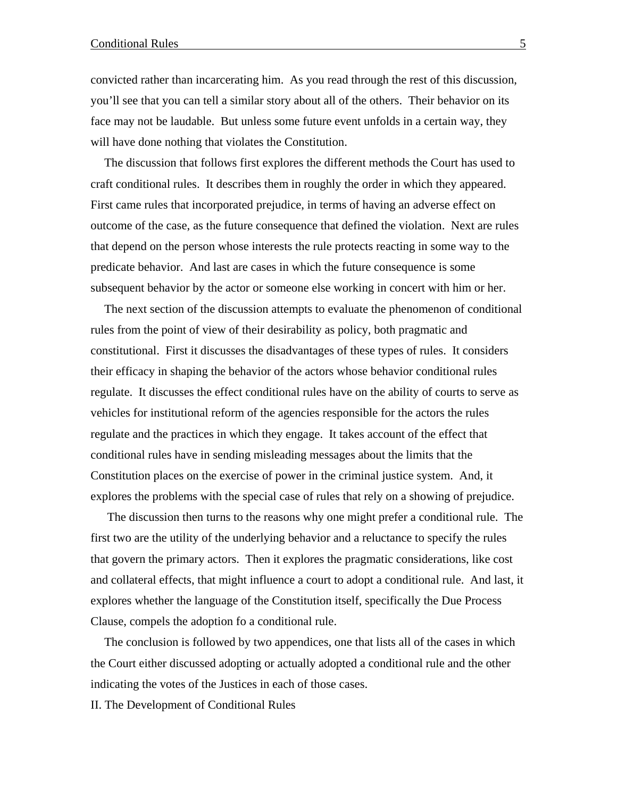convicted rather than incarcerating him. As you read through the rest of this discussion, you'll see that you can tell a similar story about all of the others. Their behavior on its face may not be laudable. But unless some future event unfolds in a certain way, they will have done nothing that violates the Constitution.

The discussion that follows first explores the different methods the Court has used to craft conditional rules. It describes them in roughly the order in which they appeared. First came rules that incorporated prejudice, in terms of having an adverse effect on outcome of the case, as the future consequence that defined the violation. Next are rules that depend on the person whose interests the rule protects reacting in some way to the predicate behavior. And last are cases in which the future consequence is some subsequent behavior by the actor or someone else working in concert with him or her.

The next section of the discussion attempts to evaluate the phenomenon of conditional rules from the point of view of their desirability as policy, both pragmatic and constitutional. First it discusses the disadvantages of these types of rules. It considers their efficacy in shaping the behavior of the actors whose behavior conditional rules regulate. It discusses the effect conditional rules have on the ability of courts to serve as vehicles for institutional reform of the agencies responsible for the actors the rules regulate and the practices in which they engage. It takes account of the effect that conditional rules have in sending misleading messages about the limits that the Constitution places on the exercise of power in the criminal justice system. And, it explores the problems with the special case of rules that rely on a showing of prejudice.

 The discussion then turns to the reasons why one might prefer a conditional rule. The first two are the utility of the underlying behavior and a reluctance to specify the rules that govern the primary actors. Then it explores the pragmatic considerations, like cost and collateral effects, that might influence a court to adopt a conditional rule. And last, it explores whether the language of the Constitution itself, specifically the Due Process Clause, compels the adoption fo a conditional rule.

The conclusion is followed by two appendices, one that lists all of the cases in which the Court either discussed adopting or actually adopted a conditional rule and the other indicating the votes of the Justices in each of those cases.

II. The Development of Conditional Rules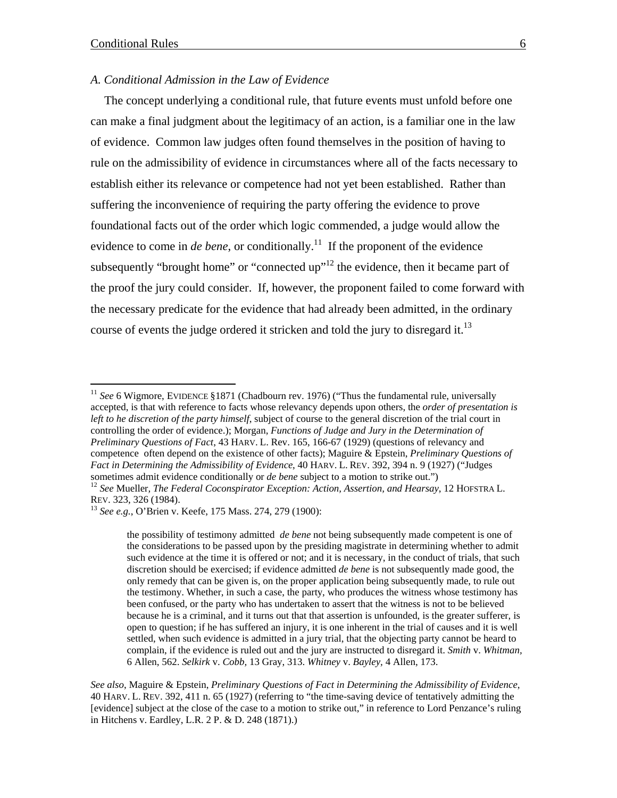$\overline{a}$ 

#### *A. Conditional Admission in the Law of Evidence*

The concept underlying a conditional rule, that future events must unfold before one can make a final judgment about the legitimacy of an action, is a familiar one in the law of evidence. Common law judges often found themselves in the position of having to rule on the admissibility of evidence in circumstances where all of the facts necessary to establish either its relevance or competence had not yet been established. Rather than suffering the inconvenience of requiring the party offering the evidence to prove foundational facts out of the order which logic commended, a judge would allow the evidence to come in *de bene*, or conditionally.<sup>11</sup> If the proponent of the evidence subsequently "brought home" or "connected  $up$ "<sup>12</sup> the evidence, then it became part of the proof the jury could consider. If, however, the proponent failed to come forward with the necessary predicate for the evidence that had already been admitted, in the ordinary course of events the judge ordered it stricken and told the jury to disregard it.<sup>13</sup>

<sup>&</sup>lt;sup>11</sup> *See* 6 Wigmore, EVIDENCE §1871 (Chadbourn rev. 1976) ("Thus the fundamental rule, universally accepted, is that with reference to facts whose relevancy depends upon others, the *order of presentation is left to he discretion of the party himself*, subject of course to the general discretion of the trial court in controlling the order of evidence.); Morgan, *Functions of Judge and Jury in the Determination of Preliminary Questions of Fact*, 43 HARV. L. Rev. 165, 166-67 (1929) (questions of relevancy and competence often depend on the existence of other facts); Maguire & Epstein, *Preliminary Questions of Fact in Determining the Admissibility of Evidence*, 40 HARV. L. REV. 392, 394 n. 9 (1927) ("Judges

sometimes admit evidence conditionally or *de bene* subject to a motion to strike out.")<br><sup>12</sup> *See* Mueller, *The Federal Coconspirator Exception: Action, Assertion, and Hearsay*, 12 HOFSTRA L.<br>REV. 323, 326 (1984).

<sup>&</sup>lt;sup>13</sup> *See e.g.*, O'Brien v. Keefe, 175 Mass. 274, 279 (1900):

the possibility of testimony admitted *de bene* not being subsequently made competent is one of the considerations to be passed upon by the presiding magistrate in determining whether to admit such evidence at the time it is offered or not; and it is necessary, in the conduct of trials, that such discretion should be exercised; if evidence admitted *de bene* is not subsequently made good, the only remedy that can be given is, on the proper application being subsequently made, to rule out the testimony. Whether, in such a case, the party, who produces the witness whose testimony has been confused, or the party who has undertaken to assert that the witness is not to be believed because he is a criminal, and it turns out that that assertion is unfounded, is the greater sufferer, is open to question; if he has suffered an injury, it is one inherent in the trial of causes and it is well settled, when such evidence is admitted in a jury trial, that the objecting party cannot be heard to complain, if the evidence is ruled out and the jury are instructed to disregard it. *Smith* v. *Whitman,* 6 Allen, 562. *Selkirk* v. *Cobb,* 13 Gray, 313. *Whitney* v. *Bayley,* 4 Allen, 173.

*See also*, Maguire & Epstein, *Preliminary Questions of Fact in Determining the Admissibility of Evidence*, 40 HARV. L. REV. 392, 411 n. 65 (1927) (referring to "the time-saving device of tentatively admitting the [evidence] subject at the close of the case to a motion to strike out," in reference to Lord Penzance's ruling in Hitchens v. Eardley, L.R. 2 P. & D. 248 (1871).)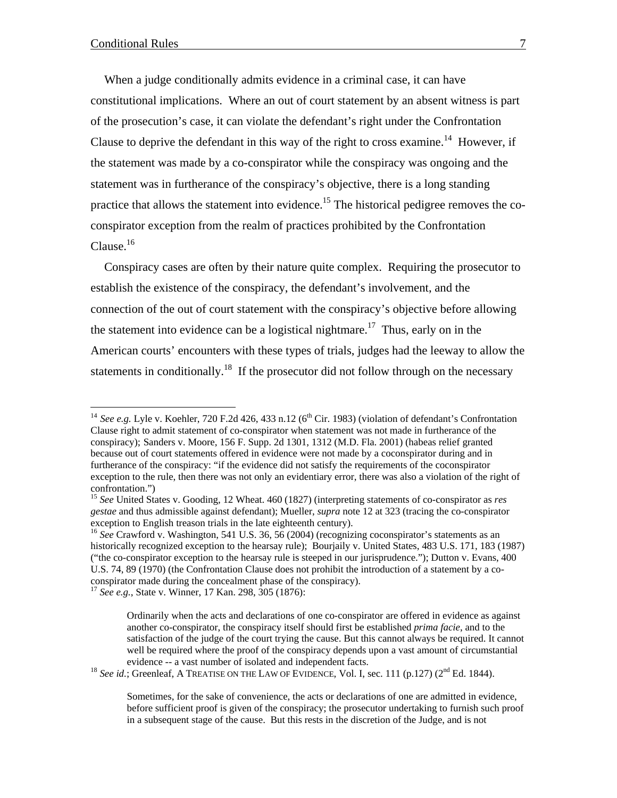1

When a judge conditionally admits evidence in a criminal case, it can have constitutional implications. Where an out of court statement by an absent witness is part of the prosecution's case, it can violate the defendant's right under the Confrontation Clause to deprive the defendant in this way of the right to cross examine.<sup>14</sup> However, if the statement was made by a co-conspirator while the conspiracy was ongoing and the statement was in furtherance of the conspiracy's objective, there is a long standing practice that allows the statement into evidence.<sup>15</sup> The historical pedigree removes the coconspirator exception from the realm of practices prohibited by the Confrontation  $Clause.<sup>16</sup>$ 

Conspiracy cases are often by their nature quite complex. Requiring the prosecutor to establish the existence of the conspiracy, the defendant's involvement, and the connection of the out of court statement with the conspiracy's objective before allowing the statement into evidence can be a logistical nightmare.<sup>17</sup> Thus, early on in the American courts' encounters with these types of trials, judges had the leeway to allow the statements in conditionally.<sup>18</sup> If the prosecutor did not follow through on the necessary

<sup>&</sup>lt;sup>14</sup> *See e.g.* Lyle v. Koehler, 720 F.2d 426, 433 n.12 (6<sup>th</sup> Cir. 1983) (violation of defendant's Confrontation Clause right to admit statement of co-conspirator when statement was not made in furtherance of the conspiracy); Sanders v. Moore, 156 F. Supp. 2d 1301, 1312 (M.D. Fla. 2001) (habeas relief granted because out of court statements offered in evidence were not made by a coconspirator during and in furtherance of the conspiracy: "if the evidence did not satisfy the requirements of the coconspirator exception to the rule, then there was not only an evidentiary error, there was also a violation of the right of confrontation.")

<sup>15</sup> *See* United States v. Gooding, 12 Wheat. 460 (1827) (interpreting statements of co-conspirator as *res gestae* and thus admissible against defendant); Mueller, *supra* note 12 at 323 (tracing the co-conspirator exception to English treason trials in the late eighteenth century). 16 *See* Crawford v. Washington, 541 U.S. 36, 56 (2004) (recognizing coconspirator's statements as an

historically recognized exception to the hearsay rule); Bourjaily v. United States, 483 U.S. 171, 183 (1987) ("the co-conspirator exception to the hearsay rule is steeped in our jurisprudence."); Dutton v. Evans, 400 U.S. 74, 89 (1970) (the Confrontation Clause does not prohibit the introduction of a statement by a coconspirator made during the concealment phase of the conspiracy). 17 *See e.g.*, State v. Winner, 17 Kan. 298, 305 (1876):

Ordinarily when the acts and declarations of one co-conspirator are offered in evidence as against another co-conspirator, the conspiracy itself should first be established *prima facie*, and to the satisfaction of the judge of the court trying the cause. But this cannot always be required. It cannot well be required where the proof of the conspiracy depends upon a vast amount of circumstantial evidence -- a vast number of isolated and independent facts.<br><sup>18</sup> *See id.*; Greenleaf, A TREATISE ON THE LAW OF EVIDENCE, Vol. I, sec. 111 (p.127) (2<sup>nd</sup> Ed. 1844).

Sometimes, for the sake of convenience, the acts or declarations of one are admitted in evidence, before sufficient proof is given of the conspiracy; the prosecutor undertaking to furnish such proof in a subsequent stage of the cause. But this rests in the discretion of the Judge, and is not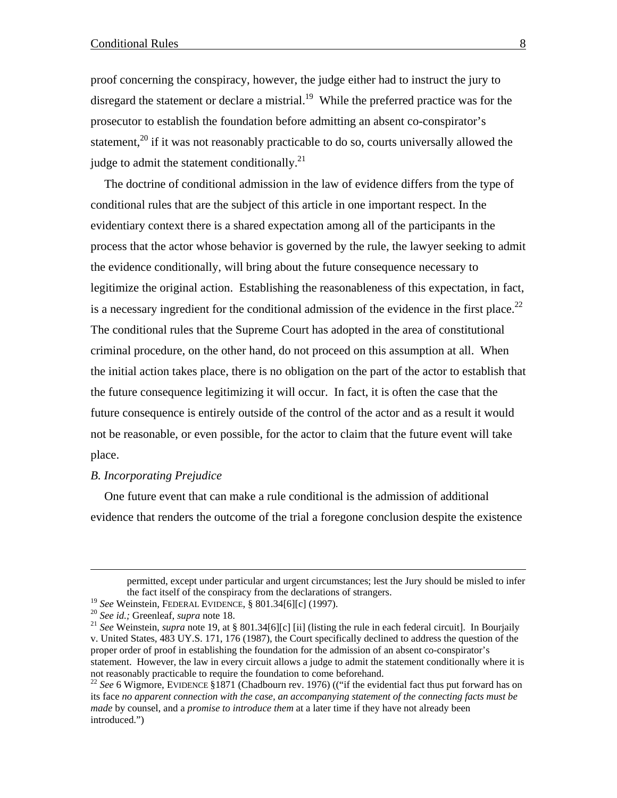proof concerning the conspiracy, however, the judge either had to instruct the jury to disregard the statement or declare a mistrial.<sup>19</sup> While the preferred practice was for the prosecutor to establish the foundation before admitting an absent co-conspirator's statement,<sup>20</sup> if it was not reasonably practicable to do so, courts universally allowed the judge to admit the statement conditionally. $^{21}$ 

The doctrine of conditional admission in the law of evidence differs from the type of conditional rules that are the subject of this article in one important respect. In the evidentiary context there is a shared expectation among all of the participants in the process that the actor whose behavior is governed by the rule, the lawyer seeking to admit the evidence conditionally, will bring about the future consequence necessary to legitimize the original action. Establishing the reasonableness of this expectation, in fact, is a necessary ingredient for the conditional admission of the evidence in the first place.<sup>22</sup> The conditional rules that the Supreme Court has adopted in the area of constitutional criminal procedure, on the other hand, do not proceed on this assumption at all. When the initial action takes place, there is no obligation on the part of the actor to establish that the future consequence legitimizing it will occur. In fact, it is often the case that the future consequence is entirely outside of the control of the actor and as a result it would not be reasonable, or even possible, for the actor to claim that the future event will take place.

#### *B. Incorporating Prejudice*

One future event that can make a rule conditional is the admission of additional evidence that renders the outcome of the trial a foregone conclusion despite the existence

permitted, except under particular and urgent circumstances; lest the Jury should be misled to infer the fact itself of the conspiracy from the declarations of strangers.<br><sup>19</sup> See Weinstein, FEDERAL EVIDENCE, § 801.34[6][c] (1997).

<sup>&</sup>lt;sup>20</sup> See id.; Greenleaf, supra note 18.<br><sup>21</sup> See Weinstein, supra note 19, at § 801.34[6][c] [ii] (listing the rule in each federal circuit]. In Bourjaily v. United States, 483 UY.S. 171, 176 (1987), the Court specifically declined to address the question of the proper order of proof in establishing the foundation for the admission of an absent co-conspirator's statement. However, the law in every circuit allows a judge to admit the statement conditionally where it is not reasonably practicable to require the foundation to come beforehand.

<sup>&</sup>lt;sup>22</sup> See 6 Wigmore, EVIDENCE §1871 (Chadbourn rev. 1976) (("if the evidential fact thus put forward has on its face *no apparent connection with the case, an accompanying statement of the connecting facts must be made* by counsel, and a *promise to introduce them* at a later time if they have not already been introduced.")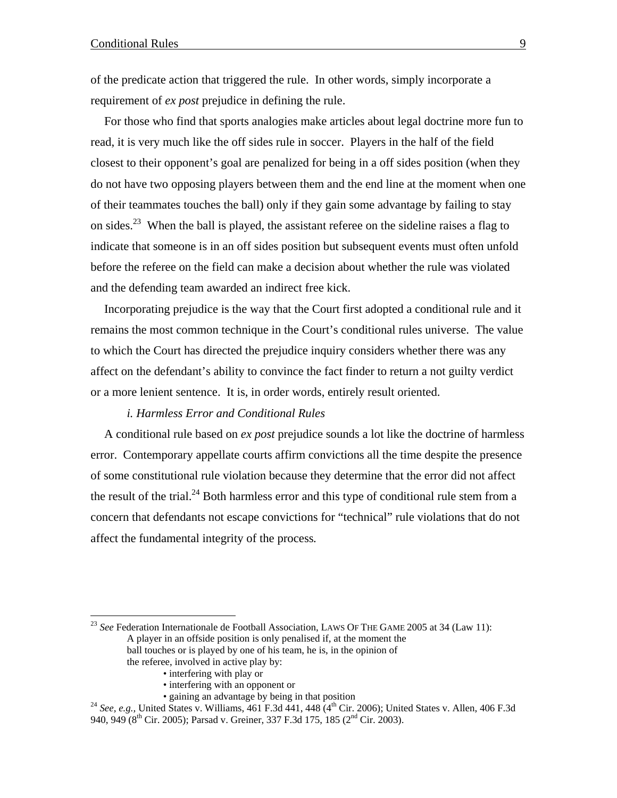of the predicate action that triggered the rule. In other words, simply incorporate a requirement of *ex post* prejudice in defining the rule.

For those who find that sports analogies make articles about legal doctrine more fun to read, it is very much like the off sides rule in soccer. Players in the half of the field closest to their opponent's goal are penalized for being in a off sides position (when they do not have two opposing players between them and the end line at the moment when one of their teammates touches the ball) only if they gain some advantage by failing to stay on sides.<sup>23</sup> When the ball is played, the assistant referee on the sideline raises a flag to indicate that someone is in an off sides position but subsequent events must often unfold before the referee on the field can make a decision about whether the rule was violated and the defending team awarded an indirect free kick.

Incorporating prejudice is the way that the Court first adopted a conditional rule and it remains the most common technique in the Court's conditional rules universe. The value to which the Court has directed the prejudice inquiry considers whether there was any affect on the defendant's ability to convince the fact finder to return a not guilty verdict or a more lenient sentence. It is, in order words, entirely result oriented.

#### *i. Harmless Error and Conditional Rules*

A conditional rule based on *ex post* prejudice sounds a lot like the doctrine of harmless error. Contemporary appellate courts affirm convictions all the time despite the presence of some constitutional rule violation because they determine that the error did not affect the result of the trial.<sup>24</sup> Both harmless error and this type of conditional rule stem from a concern that defendants not escape convictions for "technical" rule violations that do not affect the fundamental integrity of the process*.*

<sup>23</sup> *See* Federation Internationale de Football Association, LAWS OF THE GAME 2005 at 34 (Law 11): A player in an offside position is only penalised if, at the moment the ball touches or is played by one of his team, he is, in the opinion of the referee, involved in active play by:

• interfering with play or

 $\overline{a}$ 

- 
- interfering with an opponent or<br>• gaining an advantage by being in that position

<sup>24</sup> See, e.g., United States v. Williams,  $\overline{461}$  F.3d  $\overline{441}$ , 448 ( $\overline{4}$ <sup>th</sup> Cir. 2006); United States v. Allen, 406 F.3d 940, 949 (8<sup>th</sup> Cir. 2005); Parsad v. Greiner, 337 F.3d 175, 185 (2<sup>nd</sup> Cir. 2003).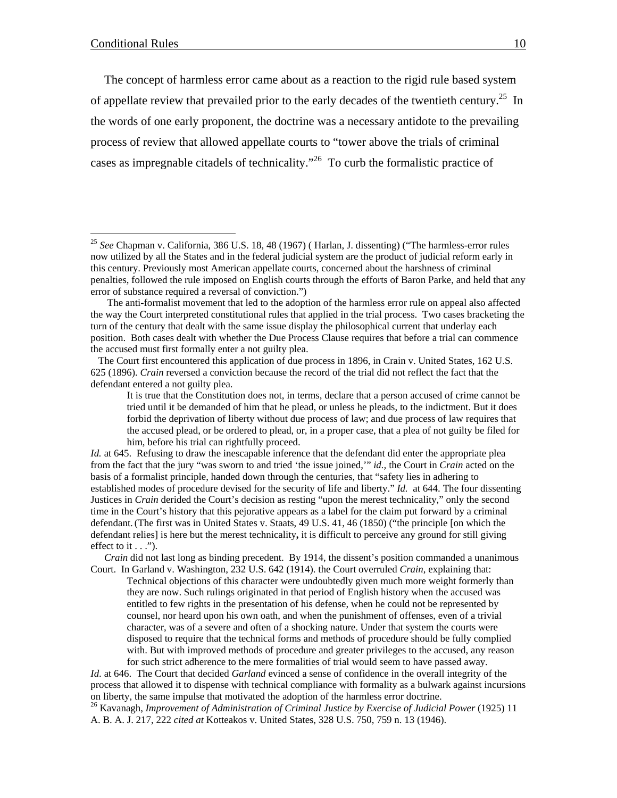<u>.</u>

The concept of harmless error came about as a reaction to the rigid rule based system of appellate review that prevailed prior to the early decades of the twentieth century.<sup>25</sup> In the words of one early proponent, the doctrine was a necessary antidote to the prevailing process of review that allowed appellate courts to "tower above the trials of criminal cases as impregnable citadels of technicality."26 To curb the formalistic practice of

*Id.* at 645. Refusing to draw the inescapable inference that the defendant did enter the appropriate plea from the fact that the jury "was sworn to and tried 'the issue joined,'" *id.,* the Court in *Crain* acted on the basis of a formalist principle, handed down through the centuries, that "safety lies in adhering to established modes of procedure devised for the security of life and liberty." *Id.* at 644. The four dissenting Justices in *Crain* derided the Court's decision as resting "upon the merest technicality," only the second time in the Court's history that this pejorative appears as a label for the claim put forward by a criminal defendant.(The first was in United States v. Staats, 49 U.S. 41, 46 (1850) ("the principle [on which the defendant relies] is here but the merest technicality**,** it is difficult to perceive any ground for still giving effect to it  $\dots$ ").

*Crain* did not last long as binding precedent. By 1914, the dissent's position commanded a unanimous Court. In Garland v. Washington, 232 U.S. 642 (1914). the Court overruled *Crain*, explaining that:

Technical objections of this character were undoubtedly given much more weight formerly than they are now. Such rulings originated in that period of English history when the accused was entitled to few rights in the presentation of his defense, when he could not be represented by counsel, nor heard upon his own oath, and when the punishment of offenses, even of a trivial character, was of a severe and often of a shocking nature. Under that system the courts were disposed to require that the technical forms and methods of procedure should be fully complied with. But with improved methods of procedure and greater privileges to the accused, any reason for such strict adherence to the mere formalities of trial would seem to have passed away.

*Id*. at 646. The Court that decided *Garland* evinced a sense of confidence in the overall integrity of the process that allowed it to dispense with technical compliance with formality as a bulwark against incursions on liberty, the same impulse that motivated the adoption of the harmless error doctrine.

26 Kavanagh, *Improvement of Administration of Criminal Justice by Exercise of Judicial Power* (1925) 11 A. B. A. J. 217, 222 *cited at* Kotteakos v. United States, 328 U.S. 750, 759 n. 13 (1946).

<sup>25</sup> *See* Chapman v. California, 386 U.S. 18, 48 (1967) ( Harlan, J. dissenting) ("The harmless-error rules now utilized by all the States and in the federal judicial system are the product of judicial reform early in this century. Previously most American appellate courts, concerned about the harshness of criminal penalties, followed the rule imposed on English courts through the efforts of Baron Parke, and held that any error of substance required a reversal of conviction.")

The anti-formalist movement that led to the adoption of the harmless error rule on appeal also affected the way the Court interpreted constitutional rules that applied in the trial process. Two cases bracketing the turn of the century that dealt with the same issue display the philosophical current that underlay each position. Both cases dealt with whether the Due Process Clause requires that before a trial can commence the accused must first formally enter a not guilty plea.

The Court first encountered this application of due process in 1896, in Crain v. United States, 162 U.S. 625 (1896). *Crain* reversed a conviction because the record of the trial did not reflect the fact that the defendant entered a not guilty plea.

It is true that the Constitution does not, in terms, declare that a person accused of crime cannot be tried until it be demanded of him that he plead, or unless he pleads, to the indictment. But it does forbid the deprivation of liberty without due process of law; and due process of law requires that the accused plead, or be ordered to plead, or, in a proper case, that a plea of not guilty be filed for him, before his trial can rightfully proceed.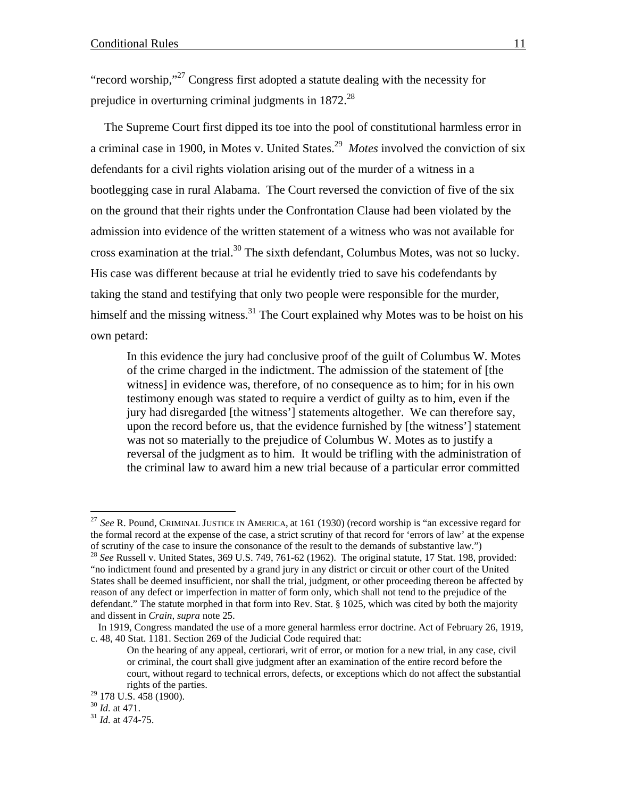"record worship,"27 Congress first adopted a statute dealing with the necessity for prejudice in overturning criminal judgments in  $1872<sup>28</sup>$ 

The Supreme Court first dipped its toe into the pool of constitutional harmless error in a criminal case in 1900, in Motes v. United States.29 *Motes* involved the conviction of six defendants for a civil rights violation arising out of the murder of a witness in a bootlegging case in rural Alabama. The Court reversed the conviction of five of the six on the ground that their rights under the Confrontation Clause had been violated by the admission into evidence of the written statement of a witness who was not available for cross examination at the trial.<sup>30</sup> The sixth defendant, Columbus Motes, was not so lucky. His case was different because at trial he evidently tried to save his codefendants by taking the stand and testifying that only two people were responsible for the murder, himself and the missing witness.<sup>31</sup> The Court explained why Motes was to be hoist on his own petard:

In this evidence the jury had conclusive proof of the guilt of Columbus W. Motes of the crime charged in the indictment. The admission of the statement of [the witness] in evidence was, therefore, of no consequence as to him; for in his own testimony enough was stated to require a verdict of guilty as to him, even if the jury had disregarded [the witness'] statements altogether. We can therefore say, upon the record before us, that the evidence furnished by [the witness'] statement was not so materially to the prejudice of Columbus W. Motes as to justify a reversal of the judgment as to him. It would be trifling with the administration of the criminal law to award him a new trial because of a particular error committed

<sup>27</sup> *See* R. Pound, CRIMINAL JUSTICE IN AMERICA, at 161 (1930) (record worship is "an excessive regard for the formal record at the expense of the case, a strict scrutiny of that record for 'errors of law' at the expense of scrutiny of the case to insure the consonance of the result to the demands of substantive law.")

<sup>28</sup> *See* Russell v. United States, 369 U.S. 749, 761-62 (1962). The original statute, 17 Stat. 198, provided: "no indictment found and presented by a grand jury in any district or circuit or other court of the United States shall be deemed insufficient, nor shall the trial, judgment, or other proceeding thereon be affected by reason of any defect or imperfection in matter of form only, which shall not tend to the prejudice of the defendant." The statute morphed in that form into Rev. Stat. § 1025, which was cited by both the majority and dissent in *Crain, supra* note 25.

In 1919, Congress mandated the use of a more general harmless error doctrine. Act of February 26, 1919, c. 48, 40 Stat. 1181. Section 269 of the Judicial Code required that:

On the hearing of any appeal, certiorari, writ of error, or motion for a new trial, in any case, civil or criminal, the court shall give judgment after an examination of the entire record before the court, without regard to technical errors, defects, or exceptions which do not affect the substantial rights of the parties.

<sup>&</sup>lt;sup>29</sup> 178 U.S. 458 (1900).

<sup>30</sup> *Id.* at 471. 31 *Id.* at 474-75.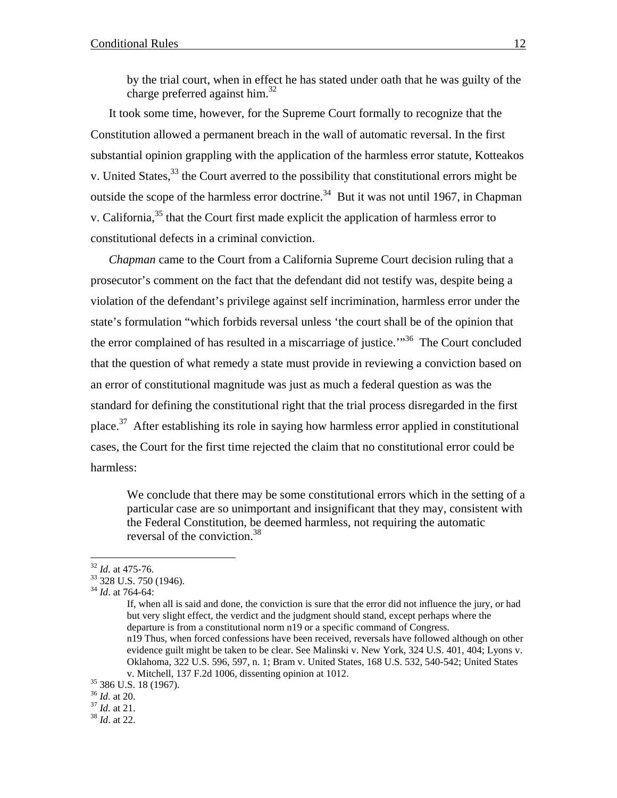by the trial court, when in effect he has stated under oath that he was guilty of the charge preferred against him.32

It took some time, however, for the Supreme Court formally to recognize that the Constitution allowed a permanent breach in the wall of automatic reversal. In the first substantial opinion grappling with the application of the harmless error statute, Kotteakos v. United States,<sup>33</sup> the Court averred to the possibility that constitutional errors might be outside the scope of the harmless error doctrine.<sup>34</sup> But it was not until 1967, in Chapman v. California,<sup>35</sup> that the Court first made explicit the application of harmless error to constitutional defects in a criminal conviction.

*Chapman* came to the Court from a California Supreme Court decision ruling that a prosecutor's comment on the fact that the defendant did not testify was, despite being a violation of the defendant's privilege against self incrimination, harmless error under the state's formulation "which forbids reversal unless 'the court shall be of the opinion that the error complained of has resulted in a miscarriage of justice.<sup>"36</sup> The Court concluded that the question of what remedy a state must provide in reviewing a conviction based on an error of constitutional magnitude was just as much a federal question as was the standard for defining the constitutional right that the trial process disregarded in the first place.<sup>37</sup> After establishing its role in saying how harmless error applied in constitutional cases, the Court for the first time rejected the claim that no constitutional error could be harmless:

We conclude that there may be some constitutional errors which in the setting of a particular case are so unimportant and insignificant that they may, consistent with the Federal Constitution, be deemed harmless, not requiring the automatic reversal of the conviction.<sup>38</sup>

<sup>36</sup> *Id.* at 20. 37 *Id.* at 21. 38 *Id*. at 22.

 $32$  *Id.* at 475-76.

<sup>&</sup>lt;sup>33</sup> 328 U.S. 750 (1946).

<sup>34</sup> *Id*. at 764-64:

If, when all is said and done, the conviction is sure that the error did not influence the jury, or had but very slight effect, the verdict and the judgment should stand, except perhaps where the departure is from a constitutional norm n19 or a specific command of Congress. n19 Thus, when forced confessions have been received, reversals have followed although on other evidence guilt might be taken to be clear. See Malinski v. New York, 324 U.S. 401, 404; Lyons v. Oklahoma, 322 U.S. 596, 597, n. 1; Bram v. United States, 168 U.S. 532, 540-542; United States v. Mitchell, 137 F.2d 1006, dissenting opinion at 1012.<br><sup>35</sup> 386 U.S. 18 (1967).<br><sup>36</sup> Id. at 20.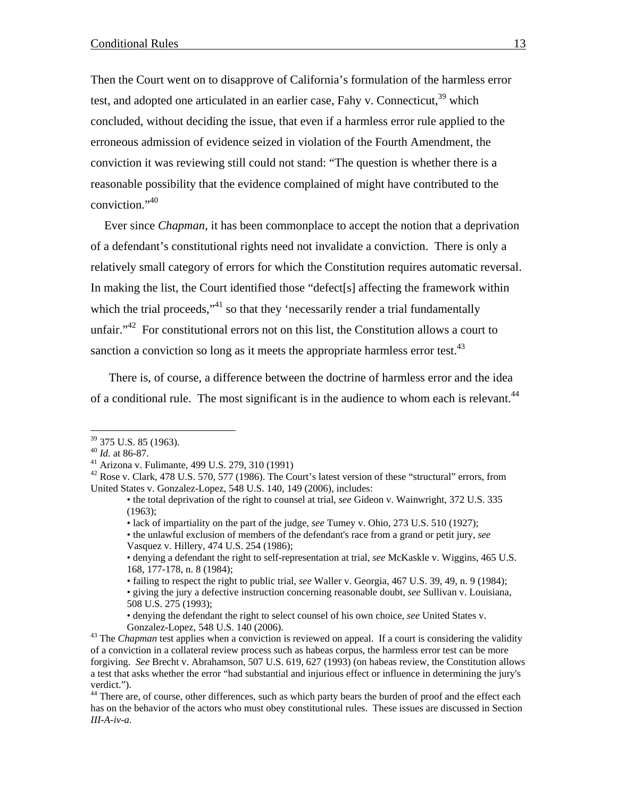Then the Court went on to disapprove of California's formulation of the harmless error test, and adopted one articulated in an earlier case, Fahy v. Connecticut,  $39$  which concluded, without deciding the issue, that even if a harmless error rule applied to the erroneous admission of evidence seized in violation of the Fourth Amendment, the conviction it was reviewing still could not stand: "The question is whether there is a reasonable possibility that the evidence complained of might have contributed to the conviction."40

Ever since *Chapman*, it has been commonplace to accept the notion that a deprivation of a defendant's constitutional rights need not invalidate a conviction. There is only a relatively small category of errors for which the Constitution requires automatic reversal. In making the list, the Court identified those "defect[s] affecting the framework within which the trial proceeds,"<sup>41</sup> so that they 'necessarily render a trial fundamentally unfair."<sup>42</sup> For constitutional errors not on this list, the Constitution allows a court to sanction a conviction so long as it meets the appropriate harmless error test.<sup>43</sup>

There is, of course, a difference between the doctrine of harmless error and the idea of a conditional rule. The most significant is in the audience to whom each is relevant.  $44$ 

 $\overline{a}$ 

• giving the jury a defective instruction concerning reasonable doubt, *see* Sullivan v. Louisiana, 508 U.S. 275 (1993);

of a conviction in a collateral review process such as habeas corpus, the harmless error test can be more forgiving. *See* Brecht v. Abrahamson, 507 U.S. 619, 627 (1993) (on habeas review, the Constitution allows a test that asks whether the error "had substantial and injurious effect or influence in determining the jury's verdict.").

<sup>44</sup> There are, of course, other differences, such as which party bears the burden of proof and the effect each has on the behavior of the actors who must obey constitutional rules. These issues are discussed in Section *III-A-iv-a.*

 $39$  375 U.S. 85 (1963).

<sup>40</sup> *Id.* at 86-87. 41 Arizona v. Fulimante, 499 U.S. 279, 310 (1991)

 $^{42}$  Rose v. Clark, 478 U.S. 570, 577 (1986). The Court's latest version of these "structural" errors, from United States v. Gonzalez-Lopez, 548 U.S. 140, 149 (2006), includes:

<sup>•</sup> the total deprivation of the right to counsel at trial, *see* Gideon v. Wainwright, 372 U.S. 335 (1963);

<sup>•</sup> lack of impartiality on the part of the judge, *see* Tumey v. Ohio, 273 U.S. 510 (1927);

<sup>•</sup> the unlawful exclusion of members of the defendant's race from a grand or petit jury, *see*  Vasquez v. Hillery, 474 U.S. 254 (1986);

<sup>•</sup> denying a defendant the right to self-representation at trial, *see* McKaskle v. Wiggins, 465 U.S. 168, 177-178, n. 8 (1984);

<sup>•</sup> failing to respect the right to public trial, *see* Waller v. Georgia, 467 U.S. 39, 49, n. 9 (1984);

<sup>•</sup> denying the defendant the right to select counsel of his own choice, *see* United States v. Gonzalez-Lopez, 548 U.S. 140 (2006). 43 The *Chapman* test applies when a conviction is reviewed on appeal. If a court is considering the validity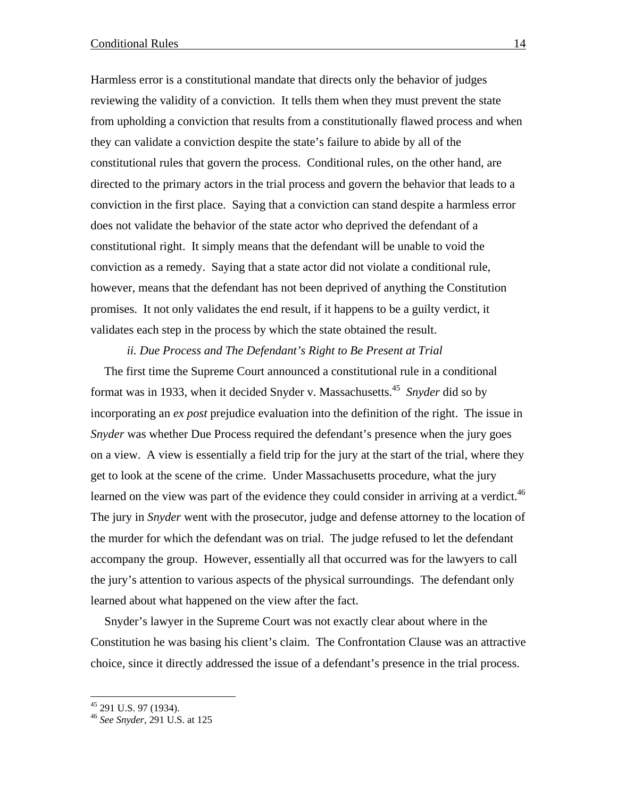Harmless error is a constitutional mandate that directs only the behavior of judges reviewing the validity of a conviction. It tells them when they must prevent the state from upholding a conviction that results from a constitutionally flawed process and when they can validate a conviction despite the state's failure to abide by all of the constitutional rules that govern the process. Conditional rules, on the other hand, are directed to the primary actors in the trial process and govern the behavior that leads to a conviction in the first place. Saying that a conviction can stand despite a harmless error does not validate the behavior of the state actor who deprived the defendant of a constitutional right. It simply means that the defendant will be unable to void the conviction as a remedy. Saying that a state actor did not violate a conditional rule, however, means that the defendant has not been deprived of anything the Constitution promises. It not only validates the end result, if it happens to be a guilty verdict, it validates each step in the process by which the state obtained the result.

*ii. Due Process and The Defendant's Right to Be Present at Trial* 

The first time the Supreme Court announced a constitutional rule in a conditional format was in 1933, when it decided Snyder v. Massachusetts.45 *Snyder* did so by incorporating an *ex post* prejudice evaluation into the definition of the right. The issue in *Snyder* was whether Due Process required the defendant's presence when the jury goes on a view. A view is essentially a field trip for the jury at the start of the trial, where they get to look at the scene of the crime. Under Massachusetts procedure, what the jury learned on the view was part of the evidence they could consider in arriving at a verdict.<sup>46</sup> The jury in *Snyder* went with the prosecutor, judge and defense attorney to the location of the murder for which the defendant was on trial. The judge refused to let the defendant accompany the group. However, essentially all that occurred was for the lawyers to call the jury's attention to various aspects of the physical surroundings. The defendant only learned about what happened on the view after the fact.

Snyder's lawyer in the Supreme Court was not exactly clear about where in the Constitution he was basing his client's claim. The Confrontation Clause was an attractive choice, since it directly addressed the issue of a defendant's presence in the trial process.

1

<sup>&</sup>lt;sup>45</sup> 291 U.S. 97 (1934).

<sup>46</sup> *See Snyder*, 291 U.S. at 125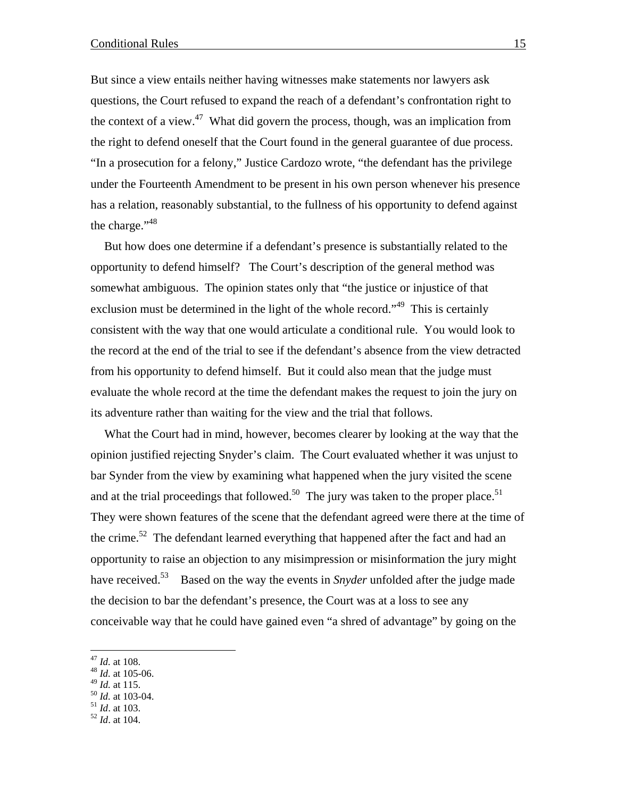But since a view entails neither having witnesses make statements nor lawyers ask questions, the Court refused to expand the reach of a defendant's confrontation right to the context of a view.<sup>47</sup> What did govern the process, though, was an implication from the right to defend oneself that the Court found in the general guarantee of due process. "In a prosecution for a felony," Justice Cardozo wrote, "the defendant has the privilege under the Fourteenth Amendment to be present in his own person whenever his presence has a relation, reasonably substantial, to the fullness of his opportunity to defend against the charge."<sup>48</sup>

But how does one determine if a defendant's presence is substantially related to the opportunity to defend himself? The Court's description of the general method was somewhat ambiguous. The opinion states only that "the justice or injustice of that exclusion must be determined in the light of the whole record."<sup>49</sup> This is certainly consistent with the way that one would articulate a conditional rule. You would look to the record at the end of the trial to see if the defendant's absence from the view detracted from his opportunity to defend himself. But it could also mean that the judge must evaluate the whole record at the time the defendant makes the request to join the jury on its adventure rather than waiting for the view and the trial that follows.

What the Court had in mind, however, becomes clearer by looking at the way that the opinion justified rejecting Snyder's claim. The Court evaluated whether it was unjust to bar Synder from the view by examining what happened when the jury visited the scene and at the trial proceedings that followed.<sup>50</sup> The jury was taken to the proper place.<sup>51</sup> They were shown features of the scene that the defendant agreed were there at the time of the crime.<sup>52</sup> The defendant learned everything that happened after the fact and had an opportunity to raise an objection to any misimpression or misinformation the jury might have received.<sup>53</sup> Based on the way the events in *Snyder* unfolded after the judge made the decision to bar the defendant's presence, the Court was at a loss to see any conceivable way that he could have gained even "a shred of advantage" by going on the

- <sup>49</sup> *Id.* at 115. 50 *Id.* at 103-04. 51 *Id*. at 103. 52 *Id*. at 104.
- 

 $47$  *Id.* at 108.

<sup>&</sup>lt;sup>48</sup> *Id.* at 105-06.<br><sup>49</sup> *Id.* at 115.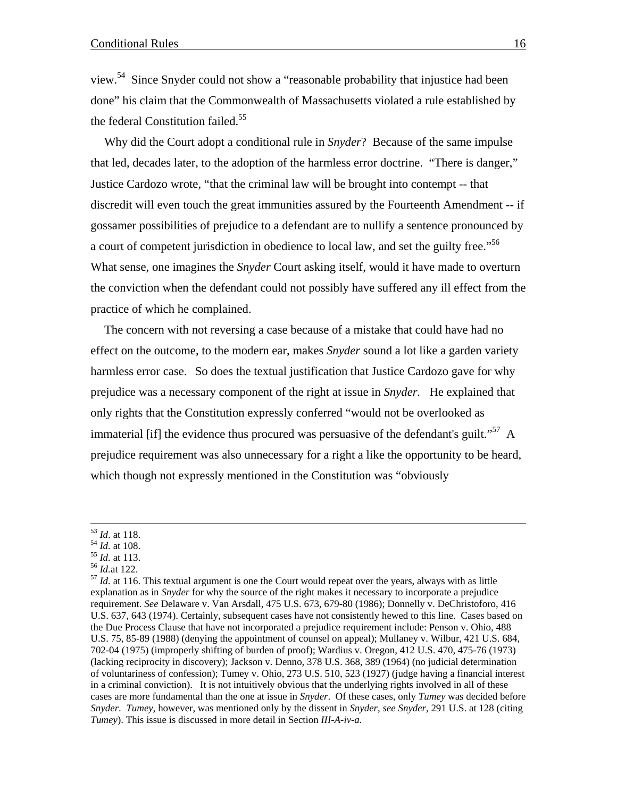view.54 Since Snyder could not show a "reasonable probability that injustice had been done" his claim that the Commonwealth of Massachusetts violated a rule established by the federal Constitution failed.<sup>55</sup>

Why did the Court adopt a conditional rule in *Snyder*? Because of the same impulse that led, decades later, to the adoption of the harmless error doctrine. "There is danger," Justice Cardozo wrote, "that the criminal law will be brought into contempt -- that discredit will even touch the great immunities assured by the Fourteenth Amendment -- if gossamer possibilities of prejudice to a defendant are to nullify a sentence pronounced by a court of competent jurisdiction in obedience to local law, and set the guilty free."<sup>56</sup> What sense, one imagines the *Snyder* Court asking itself, would it have made to overturn the conviction when the defendant could not possibly have suffered any ill effect from the practice of which he complained.

The concern with not reversing a case because of a mistake that could have had no effect on the outcome, to the modern ear, makes *Snyder* sound a lot like a garden variety harmless error case. So does the textual justification that Justice Cardozo gave for why prejudice was a necessary component of the right at issue in *Snyder.* He explained that only rights that the Constitution expressly conferred "would not be overlooked as immaterial [if] the evidence thus procured was persuasive of the defendant's guilt."<sup>57</sup> A prejudice requirement was also unnecessary for a right a like the opportunity to be heard, which though not expressly mentioned in the Constitution was "obviously

<sup>53</sup> *Id.* at 118.<br><sup>54</sup> *Id.* at 108.<br><sup>55</sup> *Id.* at 113.<br><sup>56</sup> *Id.* at 1122.<br><sup>57</sup> *Id.* at 116. This textual argument is one the Court would repeat over the years, always with as little explanation as in *Snyder* for why the source of the right makes it necessary to incorporate a prejudice requirement. *See* Delaware v. Van Arsdall, 475 U.S. 673, 679-80 (1986); Donnelly v. DeChristoforo, 416 U.S. 637, 643 (1974). Certainly, subsequent cases have not consistently hewed to this line. Cases based on the Due Process Clause that have not incorporated a prejudice requirement include: Penson v. Ohio, 488 U.S. 75, 85-89 (1988) (denying the appointment of counsel on appeal); Mullaney v. Wilbur, 421 U.S. 684, 702-04 (1975) (improperly shifting of burden of proof); Wardius v. Oregon, 412 U.S. 470, 475-76 (1973) (lacking reciprocity in discovery); Jackson v. Denno, 378 U.S. 368, 389 (1964) (no judicial determination of voluntariness of confession); Tumey v. Ohio, 273 U.S. 510, 523 (1927) (judge having a financial interest in a criminal conviction). It is not intuitively obvious that the underlying rights involved in all of these cases are more fundamental than the one at issue in *Snyder*. Of these cases, only *Tumey* was decided before *Snyder*. *Tumey*, however, was mentioned only by the dissent in *Snyder*, *see Snyder*, 291 U.S. at 128 (citing *Tumey*). This issue is discussed in more detail in Section *III-A-iv-a.*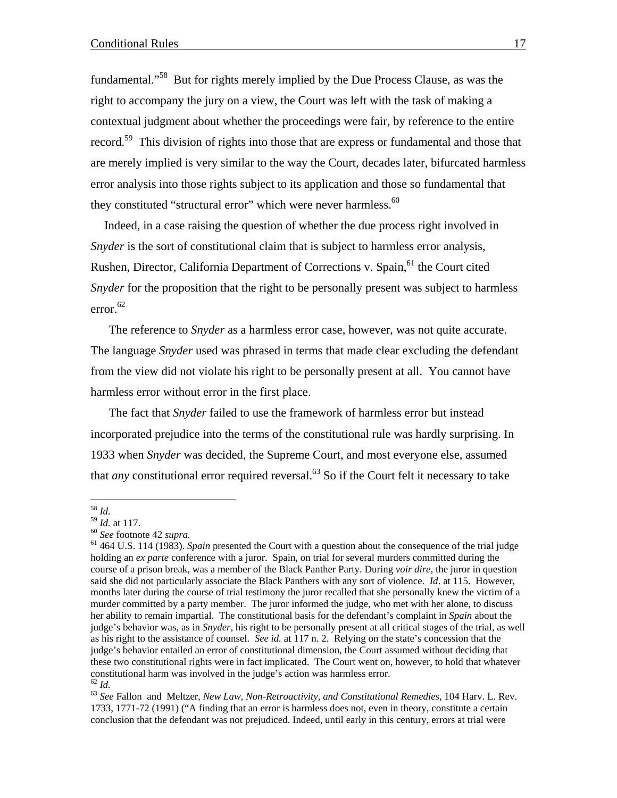fundamental."58 But for rights merely implied by the Due Process Clause, as was the right to accompany the jury on a view, the Court was left with the task of making a contextual judgment about whether the proceedings were fair, by reference to the entire record.<sup>59</sup> This division of rights into those that are express or fundamental and those that are merely implied is very similar to the way the Court, decades later, bifurcated harmless error analysis into those rights subject to its application and those so fundamental that they constituted "structural error" which were never harmless. $60$ 

Indeed, in a case raising the question of whether the due process right involved in *Snyder* is the sort of constitutional claim that is subject to harmless error analysis, Rushen, Director, California Department of Corrections v. Spain,  $61$  the Court cited *Snyder* for the proposition that the right to be personally present was subject to harmless  $error<sup>62</sup>$ 

The reference to *Snyder* as a harmless error case, however, was not quite accurate. The language *Snyder* used was phrased in terms that made clear excluding the defendant from the view did not violate his right to be personally present at all. You cannot have harmless error without error in the first place.

The fact that *Snyder* failed to use the framework of harmless error but instead incorporated prejudice into the terms of the constitutional rule was hardly surprising. In 1933 when *Snyder* was decided, the Supreme Court, and most everyone else, assumed that *any* constitutional error required reversal.<sup>63</sup> So if the Court felt it necessary to take

 $\overline{a}$ <sup>58</sup> *Id.* 

<sup>&</sup>lt;sup>59</sup> *Id.* at 117.<br><sup>60</sup> *See* footnote 42 *supra.*<br><sup>61</sup> 464 U.S. 114 (1983). *Spain* presented the Court with a question about the consequence of the trial judge holding an *ex parte* conference with a juror. Spain, on trial for several murders committed during the course of a prison break, was a member of the Black Panther Party. During *voir dire,* the juror in question said she did not particularly associate the Black Panthers with any sort of violence. *Id*. at 115. However, months later during the course of trial testimony the juror recalled that she personally knew the victim of a murder committed by a party member. The juror informed the judge, who met with her alone, to discuss her ability to remain impartial. The constitutional basis for the defendant's complaint in *Spain* about the judge's behavior was, as in *Snyder,* his right to be personally present at all critical stages of the trial, as well as his right to the assistance of counsel. *See id.* at 117 n. 2. Relying on the state's concession that the judge's behavior entailed an error of constitutional dimension, the Court assumed without deciding that these two constitutional rights were in fact implicated. The Court went on, however, to hold that whatever constitutional harm was involved in the judge's action was harmless error.<br> $\frac{62}{1}$  *Id.* 

<sup>62</sup> *Id.* <sup>63</sup> *See* Fallon and Meltzer, *New Law, Non-Retroactivity, and Constitutional Remedies*, 104 Harv. L. Rev. 1733, 1771-72 (1991) ("A finding that an error is harmless does not, even in theory, constitute a certain conclusion that the defendant was not prejudiced. Indeed, until early in this century, errors at trial were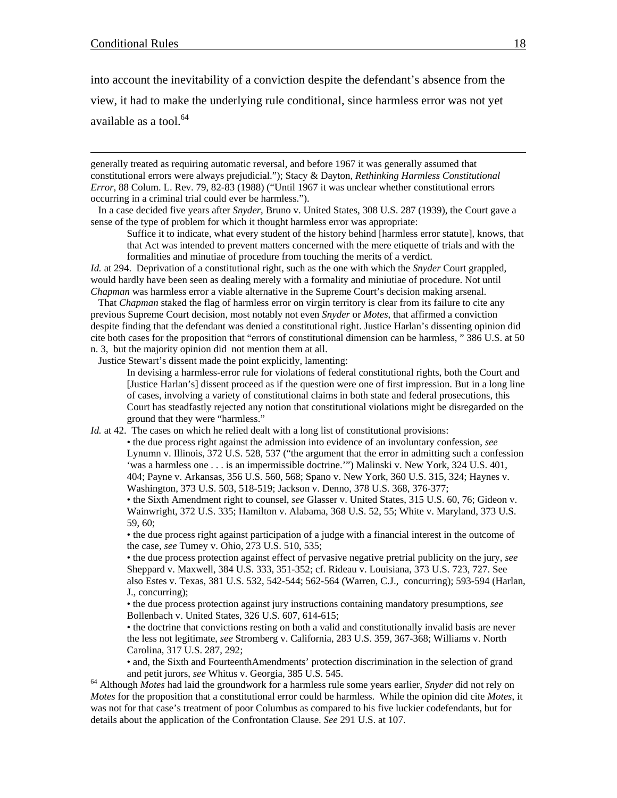into account the inevitability of a conviction despite the defendant's absence from the view, it had to make the underlying rule conditional, since harmless error was not yet available as a tool.<sup>64</sup>

 generally treated as requiring automatic reversal, and before 1967 it was generally assumed that constitutional errors were always prejudicial."); Stacy & Dayton, *Rethinking Harmless Constitutional Error*, 88 Colum. L. Rev. 79, 82-83 (1988) ("Until 1967 it was unclear whether constitutional errors occurring in a criminal trial could ever be harmless.").

 In a case decided five years after *Snyder*, Bruno v. United States, 308 U.S. 287 (1939), the Court gave a sense of the type of problem for which it thought harmless error was appropriate:

Suffice it to indicate, what every student of the history behind [harmless error statute], knows, that that Act was intended to prevent matters concerned with the mere etiquette of trials and with the formalities and minutiae of procedure from touching the merits of a verdict.

*Id.* at 294. Deprivation of a constitutional right, such as the one with which the *Snyder* Court grappled, would hardly have been seen as dealing merely with a formality and miniutiae of procedure. Not until *Chapman* was harmless error a viable alternative in the Supreme Court's decision making arsenal.

 That *Chapman* staked the flag of harmless error on virgin territory is clear from its failure to cite any previous Supreme Court decision, most notably not even *Snyder* or *Motes*, that affirmed a conviction despite finding that the defendant was denied a constitutional right. Justice Harlan's dissenting opinion did cite both cases for the proposition that "errors of constitutional dimension can be harmless, " 386 U.S. at 50 n. 3, but the majority opinion did not mention them at all.

Justice Stewart's dissent made the point explicitly, lamenting:

In devising a harmless-error rule for violations of federal constitutional rights, both the Court and [Justice Harlan's] dissent proceed as if the question were one of first impression. But in a long line of cases, involving a variety of constitutional claims in both state and federal prosecutions, this Court has steadfastly rejected any notion that constitutional violations might be disregarded on the ground that they were "harmless."

*Id.* at 42. The cases on which he relied dealt with a long list of constitutional provisions:

• the due process right against the admission into evidence of an involuntary confession, *see* Lynumn v. Illinois, 372 U.S. 528, 537 ("the argument that the error in admitting such a confession 'was a harmless one . . . is an impermissible doctrine.'") Malinski v. New York, 324 U.S. 401, 404; Payne v. Arkansas, 356 U.S. 560, 568; Spano v. New York, 360 U.S. 315, 324; Haynes v. Washington, 373 U.S. 503, 518-519; Jackson v. Denno, 378 U.S. 368, 376-377;

• the Sixth Amendment right to counsel, *see* Glasser v. United States, 315 U.S. 60, 76; Gideon v. Wainwright, 372 U.S. 335; Hamilton v. Alabama, 368 U.S. 52, 55; White v. Maryland, 373 U.S. 59, 60;

• the due process right against participation of a judge with a financial interest in the outcome of the case, *see* Tumey v. Ohio, 273 U.S. 510, 535;

• the due process protection against effect of pervasive negative pretrial publicity on the jury, *see* Sheppard v. Maxwell, 384 U.S. 333, 351-352; cf. Rideau v. Louisiana, 373 U.S. 723, 727. See also Estes v. Texas, 381 U.S. 532, 542-544; 562-564 (Warren, C.J., concurring); 593-594 (Harlan, J., concurring);

• the due process protection against jury instructions containing mandatory presumptions, *see*  Bollenbach v. United States, 326 U.S. 607, 614-615;

• the doctrine that convictions resting on both a valid and constitutionally invalid basis are never the less not legitimate, *see* Stromberg v. California, 283 U.S. 359, 367-368; Williams v. North Carolina, 317 U.S. 287, 292;

• and, the Sixth and FourteenthAmendments' protection discrimination in the selection of grand and petit jurors, *see* Whitus v. Georgia, 385 U.S. 545. 64 Although *Motes* had laid the groundwork for a harmless rule some years earlier, *Snyder* did not rely on

*Motes* for the proposition that a constitutional error could be harmless. While the opinion did cite *Motes*, it was not for that case's treatment of poor Columbus as compared to his five luckier codefendants, but for details about the application of the Confrontation Clause. *See* 291 U.S. at 107.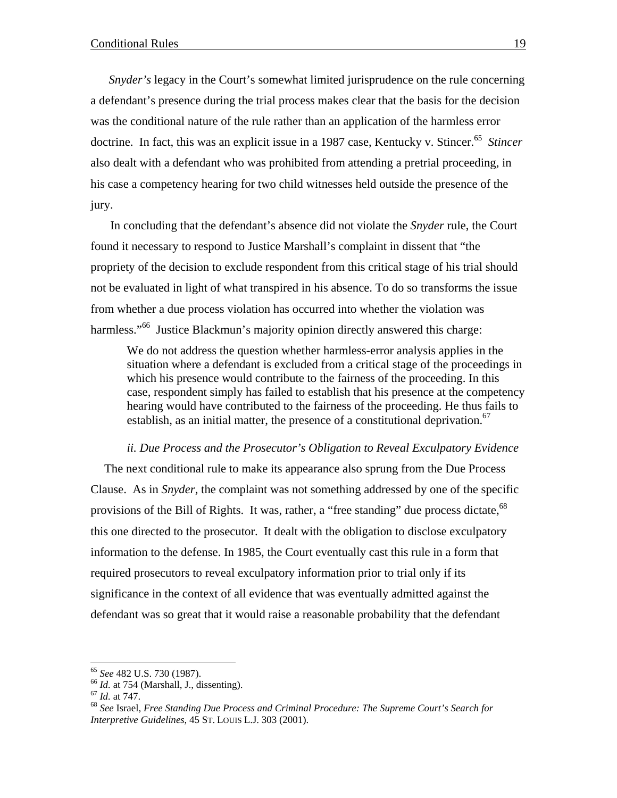*Snyder's* legacy in the Court's somewhat limited jurisprudence on the rule concerning a defendant's presence during the trial process makes clear that the basis for the decision was the conditional nature of the rule rather than an application of the harmless error doctrine. In fact, this was an explicit issue in a 1987 case, Kentucky v. Stincer.<sup>65</sup> Stincer also dealt with a defendant who was prohibited from attending a pretrial proceeding, in his case a competency hearing for two child witnesses held outside the presence of the jury.

 In concluding that the defendant's absence did not violate the *Snyder* rule, the Court found it necessary to respond to Justice Marshall's complaint in dissent that "the propriety of the decision to exclude respondent from this critical stage of his trial should not be evaluated in light of what transpired in his absence. To do so transforms the issue from whether a due process violation has occurred into whether the violation was harmless."<sup>66</sup> Justice Blackmun's majority opinion directly answered this charge:

We do not address the question whether harmless-error analysis applies in the situation where a defendant is excluded from a critical stage of the proceedings in which his presence would contribute to the fairness of the proceeding. In this case, respondent simply has failed to establish that his presence at the competency hearing would have contributed to the fairness of the proceeding. He thus fails to establish, as an initial matter, the presence of a constitutional deprivation.<sup>67</sup>

#### *ii. Due Process and the Prosecutor's Obligation to Reveal Exculpatory Evidence*

The next conditional rule to make its appearance also sprung from the Due Process Clause. As in *Snyder*, the complaint was not something addressed by one of the specific provisions of the Bill of Rights. It was, rather, a "free standing" due process dictate,<sup>68</sup> this one directed to the prosecutor. It dealt with the obligation to disclose exculpatory information to the defense. In 1985, the Court eventually cast this rule in a form that required prosecutors to reveal exculpatory information prior to trial only if its significance in the context of all evidence that was eventually admitted against the defendant was so great that it would raise a reasonable probability that the defendant

1

<sup>&</sup>lt;sup>65</sup> *See* 482 U.S. 730 (1987).<br><sup>66</sup> *Id.* at 754 (Marshall, J., dissenting).<br><sup>67</sup> *Id.* at 747.<br><sup>68</sup> *See* Israel, *Free Standing Due Process and Criminal Procedure: The Supreme Court's Search for Interpretive Guidelines*, 45 ST. LOUIS L.J. 303 (2001).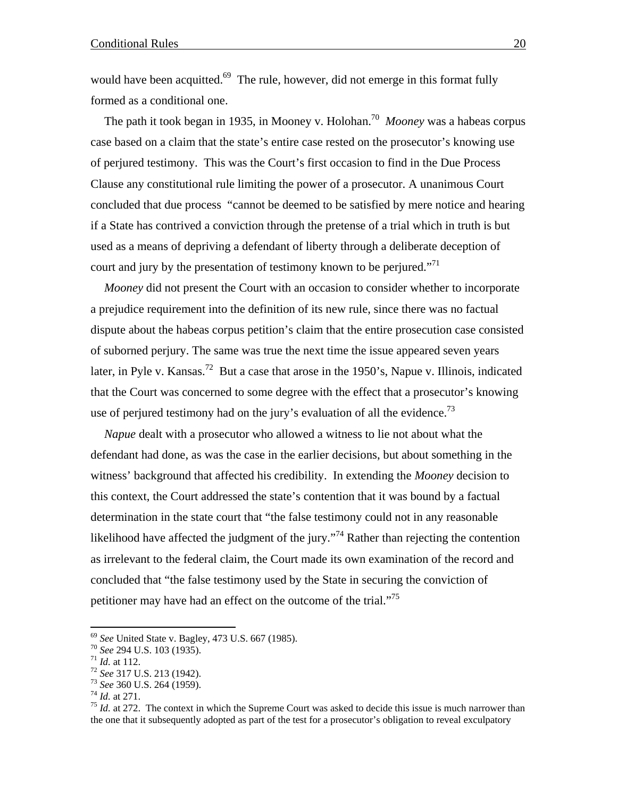would have been acquitted.<sup>69</sup> The rule, however, did not emerge in this format fully formed as a conditional one.

The path it took began in 1935, in Mooney v. Holohan.70 *Mooney* was a habeas corpus case based on a claim that the state's entire case rested on the prosecutor's knowing use of perjured testimony. This was the Court's first occasion to find in the Due Process Clause any constitutional rule limiting the power of a prosecutor. A unanimous Court concluded that due process "cannot be deemed to be satisfied by mere notice and hearing if a State has contrived a conviction through the pretense of a trial which in truth is but used as a means of depriving a defendant of liberty through a deliberate deception of court and jury by the presentation of testimony known to be perjured."<sup>71</sup>

*Mooney* did not present the Court with an occasion to consider whether to incorporate a prejudice requirement into the definition of its new rule, since there was no factual dispute about the habeas corpus petition's claim that the entire prosecution case consisted of suborned perjury. The same was true the next time the issue appeared seven years later, in Pyle v. Kansas.<sup>72</sup> But a case that arose in the 1950's, Napue v. Illinois, indicated that the Court was concerned to some degree with the effect that a prosecutor's knowing use of perjured testimony had on the jury's evaluation of all the evidence.<sup>73</sup>

*Napue* dealt with a prosecutor who allowed a witness to lie not about what the defendant had done, as was the case in the earlier decisions, but about something in the witness' background that affected his credibility. In extending the *Mooney* decision to this context, the Court addressed the state's contention that it was bound by a factual determination in the state court that "the false testimony could not in any reasonable likelihood have affected the judgment of the jury.<sup> $74$ </sup> Rather than rejecting the contention as irrelevant to the federal claim, the Court made its own examination of the record and concluded that "the false testimony used by the State in securing the conviction of petitioner may have had an effect on the outcome of the trial."75

<sup>&</sup>lt;sup>69</sup> See United State v. Bagley, 473 U.S. 667 (1985).<br>
<sup>70</sup> See 294 U.S. 103 (1935).<br>
<sup>71</sup> Id. at 112.<br>
<sup>72</sup> See 317 U.S. 213 (1942).<br>
<sup>73</sup> See 360 U.S. 264 (1959).<br>
<sup>74</sup> Id. at 271.<br>
<sup>75</sup> Id. at 272. The context in which the one that it subsequently adopted as part of the test for a prosecutor's obligation to reveal exculpatory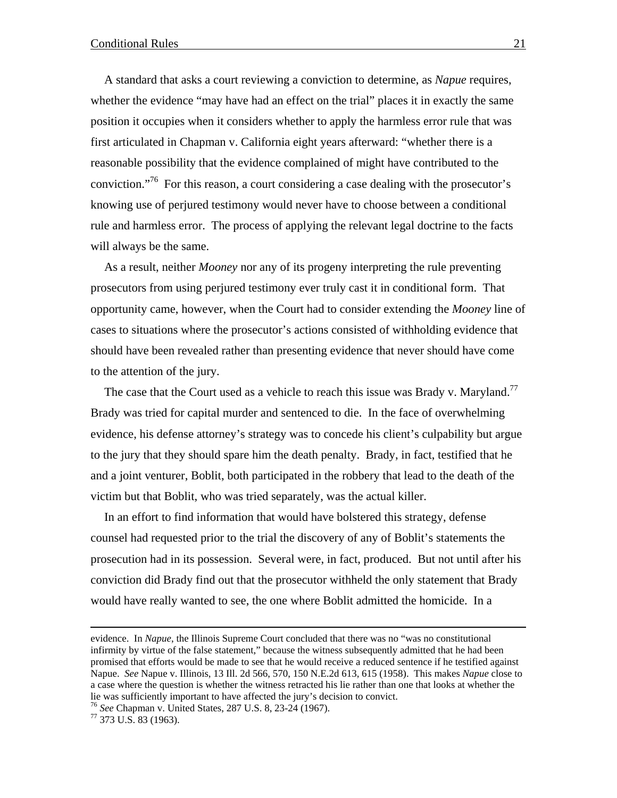A standard that asks a court reviewing a conviction to determine, as *Napue* requires, whether the evidence "may have had an effect on the trial" places it in exactly the same position it occupies when it considers whether to apply the harmless error rule that was first articulated in Chapman v. California eight years afterward: "whether there is a reasonable possibility that the evidence complained of might have contributed to the conviction. $176$  For this reason, a court considering a case dealing with the prosecutor's knowing use of perjured testimony would never have to choose between a conditional rule and harmless error. The process of applying the relevant legal doctrine to the facts will always be the same.

As a result, neither *Mooney* nor any of its progeny interpreting the rule preventing prosecutors from using perjured testimony ever truly cast it in conditional form. That opportunity came, however, when the Court had to consider extending the *Mooney* line of cases to situations where the prosecutor's actions consisted of withholding evidence that should have been revealed rather than presenting evidence that never should have come to the attention of the jury.

The case that the Court used as a vehicle to reach this issue was Brady v. Maryland.<sup>77</sup> Brady was tried for capital murder and sentenced to die. In the face of overwhelming evidence, his defense attorney's strategy was to concede his client's culpability but argue to the jury that they should spare him the death penalty. Brady, in fact, testified that he and a joint venturer, Boblit, both participated in the robbery that lead to the death of the victim but that Boblit, who was tried separately, was the actual killer.

In an effort to find information that would have bolstered this strategy, defense counsel had requested prior to the trial the discovery of any of Boblit's statements the prosecution had in its possession. Several were, in fact, produced. But not until after his conviction did Brady find out that the prosecutor withheld the only statement that Brady would have really wanted to see, the one where Boblit admitted the homicide. In a

<sup>76</sup> *See* Chapman v. United States, 287 U.S. 8, 23-24 (1967). 77 373 U.S. 83 (1963).

evidence. In *Napue*, the Illinois Supreme Court concluded that there was no "was no constitutional infirmity by virtue of the false statement," because the witness subsequently admitted that he had been promised that efforts would be made to see that he would receive a reduced sentence if he testified against Napue. *See* Napue v. Illinois, 13 Ill. 2d 566, 570, 150 N.E.2d 613, 615 (1958). This makes *Napue* close to a case where the question is whether the witness retracted his lie rather than one that looks at whether the lie was sufficiently important to have affected the jury's decision to convict.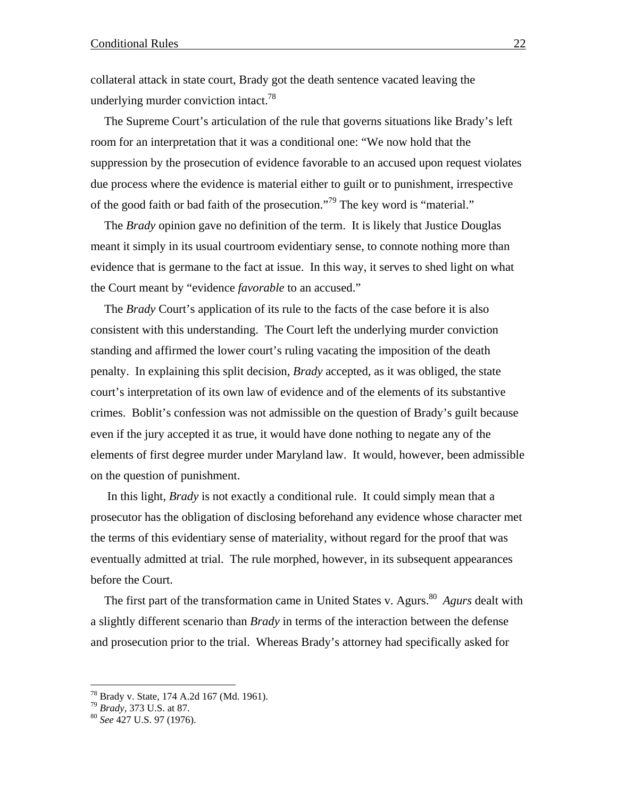collateral attack in state court, Brady got the death sentence vacated leaving the underlying murder conviction intact.<sup>78</sup>

The Supreme Court's articulation of the rule that governs situations like Brady's left room for an interpretation that it was a conditional one: "We now hold that the suppression by the prosecution of evidence favorable to an accused upon request violates due process where the evidence is material either to guilt or to punishment, irrespective of the good faith or bad faith of the prosecution."79 The key word is "material."

The *Brady* opinion gave no definition of the term. It is likely that Justice Douglas meant it simply in its usual courtroom evidentiary sense, to connote nothing more than evidence that is germane to the fact at issue. In this way, it serves to shed light on what the Court meant by "evidence *favorable* to an accused."

The *Brady* Court's application of its rule to the facts of the case before it is also consistent with this understanding. The Court left the underlying murder conviction standing and affirmed the lower court's ruling vacating the imposition of the death penalty. In explaining this split decision, *Brady* accepted, as it was obliged, the state court's interpretation of its own law of evidence and of the elements of its substantive crimes. Boblit's confession was not admissible on the question of Brady's guilt because even if the jury accepted it as true, it would have done nothing to negate any of the elements of first degree murder under Maryland law. It would, however, been admissible on the question of punishment.

 In this light, *Brady* is not exactly a conditional rule. It could simply mean that a prosecutor has the obligation of disclosing beforehand any evidence whose character met the terms of this evidentiary sense of materiality, without regard for the proof that was eventually admitted at trial. The rule morphed, however, in its subsequent appearances before the Court.

The first part of the transformation came in United States v. Agurs.<sup>80</sup> *Agurs* dealt with a slightly different scenario than *Brady* in terms of the interaction between the defense and prosecution prior to the trial. Whereas Brady's attorney had specifically asked for

<sup>78</sup> Brady v. State, 174 A.2d 167 (Md. 1961).

<sup>79</sup> *Brady*, 373 U.S. at 87. 80 *See* 427 U.S. 97 (1976).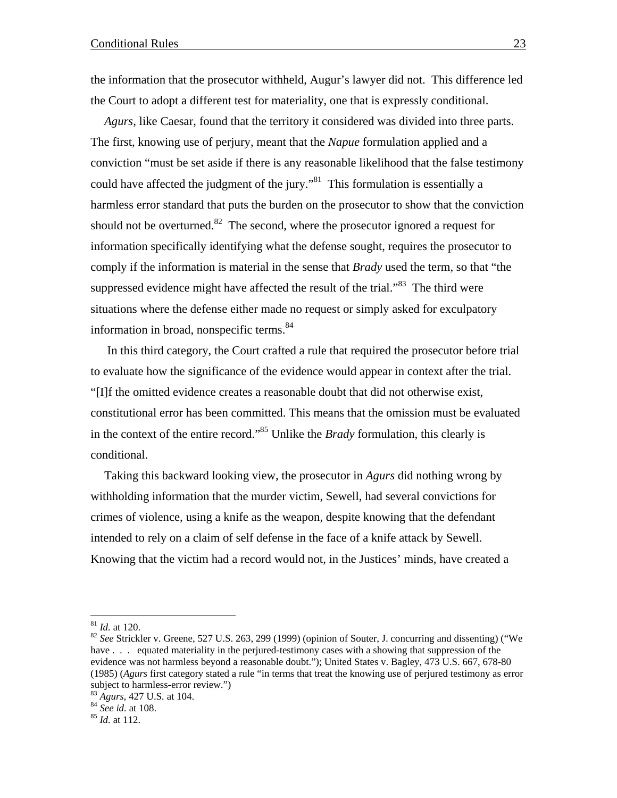the information that the prosecutor withheld, Augur's lawyer did not. This difference led the Court to adopt a different test for materiality, one that is expressly conditional.

*Agurs*, like Caesar, found that the territory it considered was divided into three parts. The first, knowing use of perjury, meant that the *Napue* formulation applied and a conviction "must be set aside if there is any reasonable likelihood that the false testimony could have affected the judgment of the jury."<sup>81</sup> This formulation is essentially a harmless error standard that puts the burden on the prosecutor to show that the conviction should not be overturned.<sup>82</sup> The second, where the prosecutor ignored a request for information specifically identifying what the defense sought, requires the prosecutor to comply if the information is material in the sense that *Brady* used the term, so that "the suppressed evidence might have affected the result of the trial. $10^{83}$  The third were situations where the defense either made no request or simply asked for exculpatory information in broad, nonspecific terms. $84$ 

 In this third category, the Court crafted a rule that required the prosecutor before trial to evaluate how the significance of the evidence would appear in context after the trial. "[I]f the omitted evidence creates a reasonable doubt that did not otherwise exist, constitutional error has been committed. This means that the omission must be evaluated in the context of the entire record."85 Unlike the *Brady* formulation, this clearly is conditional.

Taking this backward looking view, the prosecutor in *Agurs* did nothing wrong by withholding information that the murder victim, Sewell, had several convictions for crimes of violence, using a knife as the weapon, despite knowing that the defendant intended to rely on a claim of self defense in the face of a knife attack by Sewell. Knowing that the victim had a record would not, in the Justices' minds, have created a

 $81$  *Id.* at 120.

<sup>&</sup>lt;sup>82</sup> See Strickler v. Greene, 527 U.S. 263, 299 (1999) (opinion of Souter, J. concurring and dissenting) ("We have . . . equated materiality in the perjured-testimony cases with a showing that suppression of the evidence was not harmless beyond a reasonable doubt."); United States v. Bagley, 473 U.S. 667, 678-80 (1985) (*Agurs* first category stated a rule "in terms that treat the knowing use of perjured testimony as error subject to harmless-error review.")

<sup>83</sup> *Agurs,* 427 U.S*.* at 104. 84 *See id.* at 108. 85 *Id.* at 112.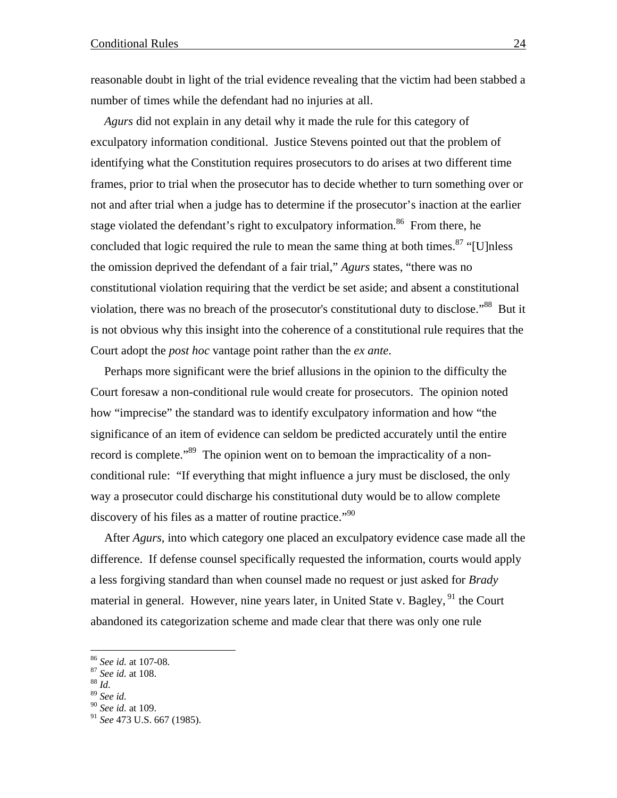reasonable doubt in light of the trial evidence revealing that the victim had been stabbed a number of times while the defendant had no injuries at all.

*Agurs* did not explain in any detail why it made the rule for this category of exculpatory information conditional. Justice Stevens pointed out that the problem of identifying what the Constitution requires prosecutors to do arises at two different time frames, prior to trial when the prosecutor has to decide whether to turn something over or not and after trial when a judge has to determine if the prosecutor's inaction at the earlier stage violated the defendant's right to exculpatory information.<sup>86</sup> From there, he concluded that logic required the rule to mean the same thing at both times.<sup>87</sup> "[U]nless the omission deprived the defendant of a fair trial," *Agurs* states, "there was no constitutional violation requiring that the verdict be set aside; and absent a constitutional violation, there was no breach of the prosecutor's constitutional duty to disclose."<sup>88</sup> But it is not obvious why this insight into the coherence of a constitutional rule requires that the Court adopt the *post hoc* vantage point rather than the *ex ante*.

Perhaps more significant were the brief allusions in the opinion to the difficulty the Court foresaw a non-conditional rule would create for prosecutors. The opinion noted how "imprecise" the standard was to identify exculpatory information and how "the significance of an item of evidence can seldom be predicted accurately until the entire record is complete."<sup>89</sup> The opinion went on to bemoan the impracticality of a nonconditional rule: "If everything that might influence a jury must be disclosed, the only way a prosecutor could discharge his constitutional duty would be to allow complete discovery of his files as a matter of routine practice."<sup>90</sup>

After *Agurs*, into which category one placed an exculpatory evidence case made all the difference. If defense counsel specifically requested the information, courts would apply a less forgiving standard than when counsel made no request or just asked for *Brady* material in general. However, nine years later, in United State v. Bagley,  $91$  the Court abandoned its categorization scheme and made clear that there was only one rule

<sup>86</sup> *See id.* at 107-08. 87 *See id.* at 108. 88 *Id.*

<sup>89</sup> *See id.*

<sup>90</sup> *See id.* at 109.

<sup>91</sup> *See* 473 U.S. 667 (1985).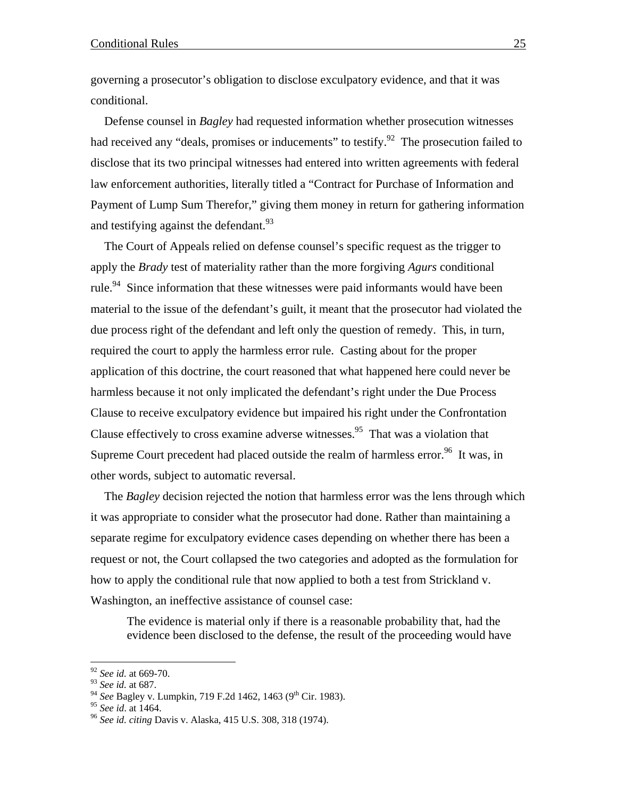governing a prosecutor's obligation to disclose exculpatory evidence, and that it was conditional.

Defense counsel in *Bagley* had requested information whether prosecution witnesses had received any "deals, promises or inducements" to testify. <sup>92</sup> The prosecution failed to disclose that its two principal witnesses had entered into written agreements with federal law enforcement authorities, literally titled a "Contract for Purchase of Information and Payment of Lump Sum Therefor," giving them money in return for gathering information and testifying against the defendant. $93$ 

The Court of Appeals relied on defense counsel's specific request as the trigger to apply the *Brady* test of materiality rather than the more forgiving *Agurs* conditional rule.<sup>94</sup> Since information that these witnesses were paid informants would have been material to the issue of the defendant's guilt, it meant that the prosecutor had violated the due process right of the defendant and left only the question of remedy. This, in turn, required the court to apply the harmless error rule. Casting about for the proper application of this doctrine, the court reasoned that what happened here could never be harmless because it not only implicated the defendant's right under the Due Process Clause to receive exculpatory evidence but impaired his right under the Confrontation Clause effectively to cross examine adverse witnesses.<sup>95</sup> That was a violation that Supreme Court precedent had placed outside the realm of harmless error.<sup>96</sup> It was, in other words, subject to automatic reversal.

The *Bagley* decision rejected the notion that harmless error was the lens through which it was appropriate to consider what the prosecutor had done. Rather than maintaining a separate regime for exculpatory evidence cases depending on whether there has been a request or not, the Court collapsed the two categories and adopted as the formulation for how to apply the conditional rule that now applied to both a test from Strickland v. Washington, an ineffective assistance of counsel case:

The evidence is material only if there is a reasonable probability that, had the evidence been disclosed to the defense, the result of the proceeding would have

<sup>92</sup> *See id.* at 669-70.

<sup>93</sup> *See id.* at 687.

<sup>&</sup>lt;sup>94</sup> *See* Bagley v. Lumpkin, 719 F.2d 1462, 1463 (9<sup>th</sup> Cir. 1983).<br><sup>95</sup> *See id.* at 1464.

<sup>&</sup>lt;sup>96</sup> See *id. citing* Davis v. Alaska, 415 U.S. 308, 318 (1974).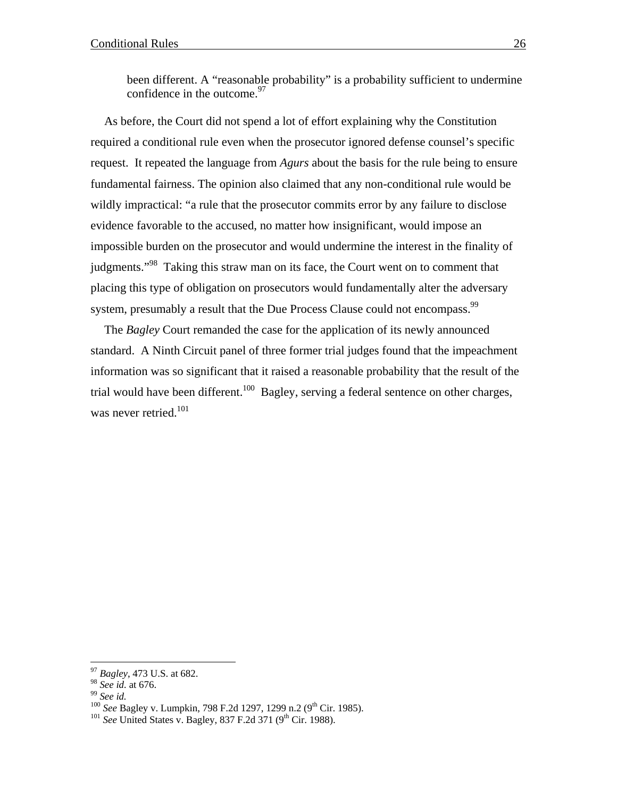been different. A "reasonable probability" is a probability sufficient to undermine confidence in the outcome. $97$ 

As before, the Court did not spend a lot of effort explaining why the Constitution required a conditional rule even when the prosecutor ignored defense counsel's specific request. It repeated the language from *Agurs* about the basis for the rule being to ensure fundamental fairness. The opinion also claimed that any non-conditional rule would be wildly impractical: "a rule that the prosecutor commits error by any failure to disclose evidence favorable to the accused, no matter how insignificant, would impose an impossible burden on the prosecutor and would undermine the interest in the finality of judgments."98 Taking this straw man on its face, the Court went on to comment that placing this type of obligation on prosecutors would fundamentally alter the adversary system, presumably a result that the Due Process Clause could not encompass.<sup>99</sup>

The *Bagley* Court remanded the case for the application of its newly announced standard. A Ninth Circuit panel of three former trial judges found that the impeachment information was so significant that it raised a reasonable probability that the result of the trial would have been different.<sup>100</sup> Bagley, serving a federal sentence on other charges, was never retried. $101$ 

1

<sup>97</sup> *Bagley*, 473 U.S. at 682.

<sup>&</sup>lt;sup>98</sup> *See id.* at 676.<br><sup>99</sup> *See id.* <br><sup>100</sup> *See* Bagley v. Lumpkin, 798 F.2d 1297, 1299 n.2 (9<sup>th</sup> Cir. 1985).<br><sup>101</sup> *See* United States v. Bagley, 837 F.2d 371 (9<sup>th</sup> Cir. 1988).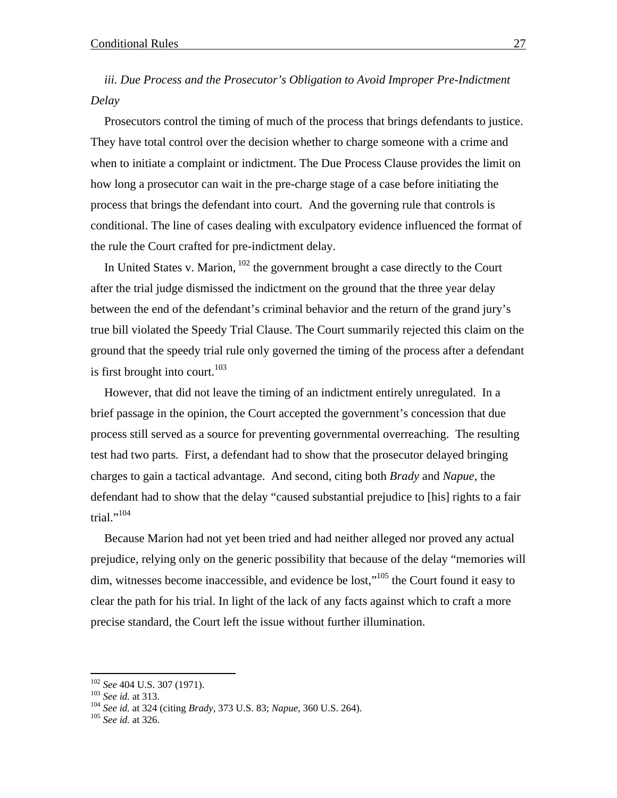*iii. Due Process and the Prosecutor's Obligation to Avoid Improper Pre-Indictment Delay* 

Prosecutors control the timing of much of the process that brings defendants to justice. They have total control over the decision whether to charge someone with a crime and when to initiate a complaint or indictment. The Due Process Clause provides the limit on how long a prosecutor can wait in the pre-charge stage of a case before initiating the process that brings the defendant into court. And the governing rule that controls is conditional. The line of cases dealing with exculpatory evidence influenced the format of the rule the Court crafted for pre-indictment delay.

In United States v. Marion,  $102$  the government brought a case directly to the Court after the trial judge dismissed the indictment on the ground that the three year delay between the end of the defendant's criminal behavior and the return of the grand jury's true bill violated the Speedy Trial Clause. The Court summarily rejected this claim on the ground that the speedy trial rule only governed the timing of the process after a defendant is first brought into court.<sup>103</sup>

However, that did not leave the timing of an indictment entirely unregulated. In a brief passage in the opinion, the Court accepted the government's concession that due process still served as a source for preventing governmental overreaching. The resulting test had two parts. First, a defendant had to show that the prosecutor delayed bringing charges to gain a tactical advantage. And second, citing both *Brady* and *Napue*, the defendant had to show that the delay "caused substantial prejudice to [his] rights to a fair trial." $104$ 

Because Marion had not yet been tried and had neither alleged nor proved any actual prejudice, relying only on the generic possibility that because of the delay "memories will  $\dim$ , witnesses become inaccessible, and evidence be lost,"<sup>105</sup> the Court found it easy to clear the path for his trial. In light of the lack of any facts against which to craft a more precise standard, the Court left the issue without further illumination.

<sup>102</sup> *See* 404 U.S. 307 (1971). 103 *See id.* at 313. 104 *See id.* at 324 (citing *Brady*, 373 U.S. 83; *Napue*, 360 U.S. 264). 105 *See id.* at 326.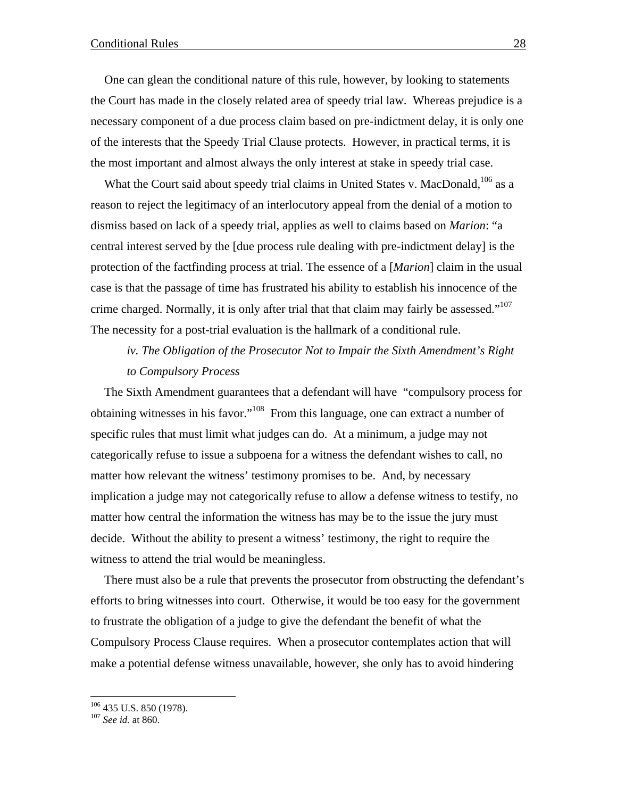One can glean the conditional nature of this rule, however, by looking to statements the Court has made in the closely related area of speedy trial law. Whereas prejudice is a necessary component of a due process claim based on pre-indictment delay, it is only one of the interests that the Speedy Trial Clause protects. However, in practical terms, it is the most important and almost always the only interest at stake in speedy trial case.

What the Court said about speedy trial claims in United States v. MacDonald,  $106$  as a reason to reject the legitimacy of an interlocutory appeal from the denial of a motion to dismiss based on lack of a speedy trial, applies as well to claims based on *Marion*: "a central interest served by the [due process rule dealing with pre-indictment delay] is the protection of the factfinding process at trial. The essence of a [*Marion*] claim in the usual case is that the passage of time has frustrated his ability to establish his innocence of the crime charged. Normally, it is only after trial that that claim may fairly be assessed."<sup>107</sup> The necessity for a post-trial evaluation is the hallmark of a conditional rule.

*iv. The Obligation of the Prosecutor Not to Impair the Sixth Amendment's Right to Compulsory Process* 

The Sixth Amendment guarantees that a defendant will have "compulsory process for obtaining witnesses in his favor."108 From this language, one can extract a number of specific rules that must limit what judges can do. At a minimum, a judge may not categorically refuse to issue a subpoena for a witness the defendant wishes to call, no matter how relevant the witness' testimony promises to be. And, by necessary implication a judge may not categorically refuse to allow a defense witness to testify, no matter how central the information the witness has may be to the issue the jury must decide. Without the ability to present a witness' testimony, the right to require the witness to attend the trial would be meaningless.

There must also be a rule that prevents the prosecutor from obstructing the defendant's efforts to bring witnesses into court. Otherwise, it would be too easy for the government to frustrate the obligation of a judge to give the defendant the benefit of what the Compulsory Process Clause requires. When a prosecutor contemplates action that will make a potential defense witness unavailable, however, she only has to avoid hindering

<sup>106 435</sup> U.S. 850 (1978). 107 *See id.* at 860.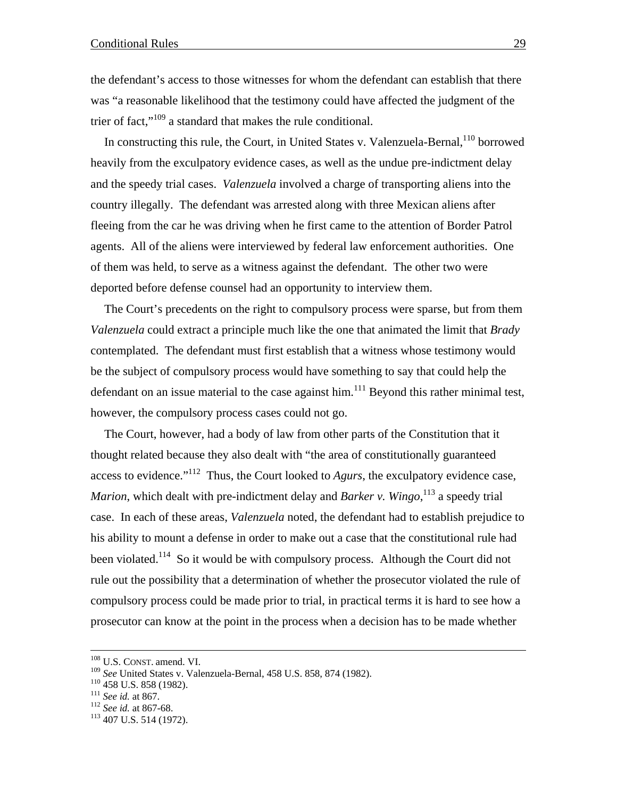the defendant's access to those witnesses for whom the defendant can establish that there was "a reasonable likelihood that the testimony could have affected the judgment of the trier of fact,"<sup>109</sup> a standard that makes the rule conditional.

In constructing this rule, the Court, in United States v. Valenzuela-Bernal,<sup>110</sup> borrowed heavily from the exculpatory evidence cases, as well as the undue pre-indictment delay and the speedy trial cases. *Valenzuela* involved a charge of transporting aliens into the country illegally. The defendant was arrested along with three Mexican aliens after fleeing from the car he was driving when he first came to the attention of Border Patrol agents. All of the aliens were interviewed by federal law enforcement authorities. One of them was held, to serve as a witness against the defendant. The other two were deported before defense counsel had an opportunity to interview them.

The Court's precedents on the right to compulsory process were sparse, but from them *Valenzuela* could extract a principle much like the one that animated the limit that *Brady* contemplated. The defendant must first establish that a witness whose testimony would be the subject of compulsory process would have something to say that could help the defendant on an issue material to the case against him.<sup>111</sup> Beyond this rather minimal test, however, the compulsory process cases could not go.

The Court, however, had a body of law from other parts of the Constitution that it thought related because they also dealt with "the area of constitutionally guaranteed access to evidence."112 Thus, the Court looked to *Agurs*, the exculpatory evidence case, *Marion*, which dealt with pre-indictment delay and *Barker v. Wingo*,<sup>113</sup> a speedy trial case. In each of these areas, *Valenzuela* noted, the defendant had to establish prejudice to his ability to mount a defense in order to make out a case that the constitutional rule had been violated.<sup>114</sup> So it would be with compulsory process. Although the Court did not rule out the possibility that a determination of whether the prosecutor violated the rule of compulsory process could be made prior to trial, in practical terms it is hard to see how a prosecutor can know at the point in the process when a decision has to be made whether

 <sup>108</sup> U.S. CONST. amend. VI.

<sup>109</sup> *See* United States v. Valenzuela-Bernal, 458 U.S. 858, 874 (1982).<br>
<sup>110</sup> 458 U.S. 858 (1982).<br>
<sup>111</sup> *See id.* at 867.<br>
<sup>112</sup> *See id.* at 867-68.<br>
<sup>113</sup> 407 U.S. 514 (1972).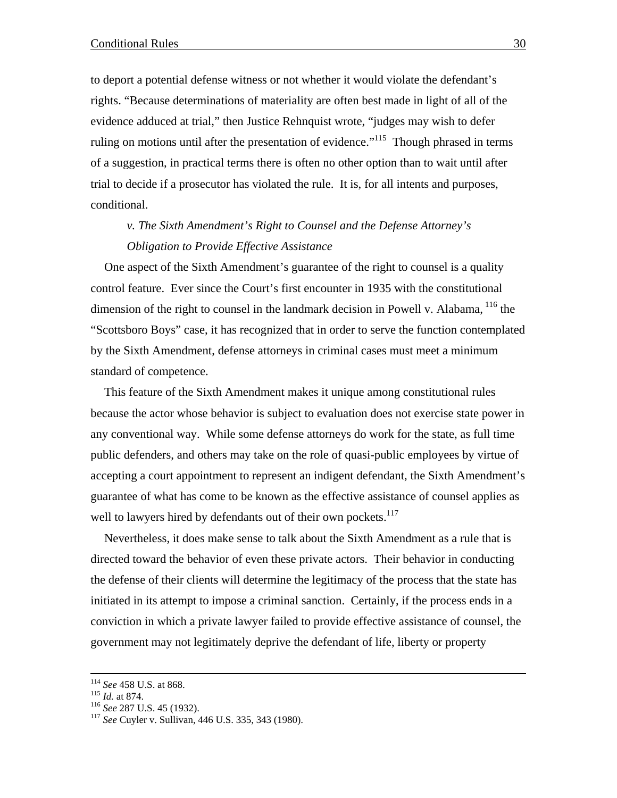to deport a potential defense witness or not whether it would violate the defendant's rights. "Because determinations of materiality are often best made in light of all of the evidence adduced at trial," then Justice Rehnquist wrote, "judges may wish to defer ruling on motions until after the presentation of evidence.<sup> $115$ </sup> Though phrased in terms of a suggestion, in practical terms there is often no other option than to wait until after trial to decide if a prosecutor has violated the rule. It is, for all intents and purposes, conditional.

### *v. The Sixth Amendment's Right to Counsel and the Defense Attorney's Obligation to Provide Effective Assistance*

One aspect of the Sixth Amendment's guarantee of the right to counsel is a quality control feature. Ever since the Court's first encounter in 1935 with the constitutional dimension of the right to counsel in the landmark decision in Powell v. Alabama,  $^{116}$  the "Scottsboro Boys" case, it has recognized that in order to serve the function contemplated by the Sixth Amendment, defense attorneys in criminal cases must meet a minimum standard of competence.

This feature of the Sixth Amendment makes it unique among constitutional rules because the actor whose behavior is subject to evaluation does not exercise state power in any conventional way. While some defense attorneys do work for the state, as full time public defenders, and others may take on the role of quasi-public employees by virtue of accepting a court appointment to represent an indigent defendant, the Sixth Amendment's guarantee of what has come to be known as the effective assistance of counsel applies as well to lawyers hired by defendants out of their own pockets.<sup>117</sup>

Nevertheless, it does make sense to talk about the Sixth Amendment as a rule that is directed toward the behavior of even these private actors. Their behavior in conducting the defense of their clients will determine the legitimacy of the process that the state has initiated in its attempt to impose a criminal sanction. Certainly, if the process ends in a conviction in which a private lawyer failed to provide effective assistance of counsel, the government may not legitimately deprive the defendant of life, liberty or property

<sup>&</sup>lt;sup>114</sup> *See* 458 U.S. at 868.<br><sup>115</sup> *Id.* at 874.<br><sup>116</sup> *See* 287 U.S. 45 (1932).<br><sup>117</sup> *See* Cuyler v. Sullivan, 446 U.S. 335, 343 (1980).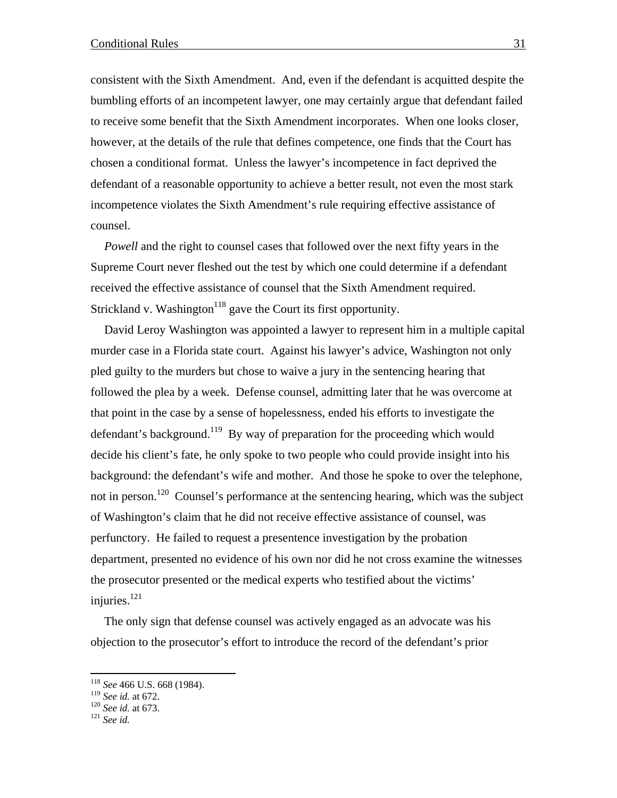consistent with the Sixth Amendment. And, even if the defendant is acquitted despite the bumbling efforts of an incompetent lawyer, one may certainly argue that defendant failed to receive some benefit that the Sixth Amendment incorporates. When one looks closer, however, at the details of the rule that defines competence, one finds that the Court has chosen a conditional format. Unless the lawyer's incompetence in fact deprived the defendant of a reasonable opportunity to achieve a better result, not even the most stark incompetence violates the Sixth Amendment's rule requiring effective assistance of counsel.

*Powell* and the right to counsel cases that followed over the next fifty years in the Supreme Court never fleshed out the test by which one could determine if a defendant received the effective assistance of counsel that the Sixth Amendment required. Strickland v. Washington<sup>118</sup> gave the Court its first opportunity.

David Leroy Washington was appointed a lawyer to represent him in a multiple capital murder case in a Florida state court. Against his lawyer's advice, Washington not only pled guilty to the murders but chose to waive a jury in the sentencing hearing that followed the plea by a week. Defense counsel, admitting later that he was overcome at that point in the case by a sense of hopelessness, ended his efforts to investigate the defendant's background.<sup>119</sup> By way of preparation for the proceeding which would decide his client's fate, he only spoke to two people who could provide insight into his background: the defendant's wife and mother. And those he spoke to over the telephone, not in person.<sup>120</sup> Counsel's performance at the sentencing hearing, which was the subject of Washington's claim that he did not receive effective assistance of counsel, was perfunctory. He failed to request a presentence investigation by the probation department, presented no evidence of his own nor did he not cross examine the witnesses the prosecutor presented or the medical experts who testified about the victims' injuries. $121$ 

The only sign that defense counsel was actively engaged as an advocate was his objection to the prosecutor's effort to introduce the record of the defendant's prior

1

<sup>118</sup> *See* 466 U.S. 668 (1984).

<sup>119</sup> *See id.* at 672. 120 *See id.* at 673. 121 *See id.*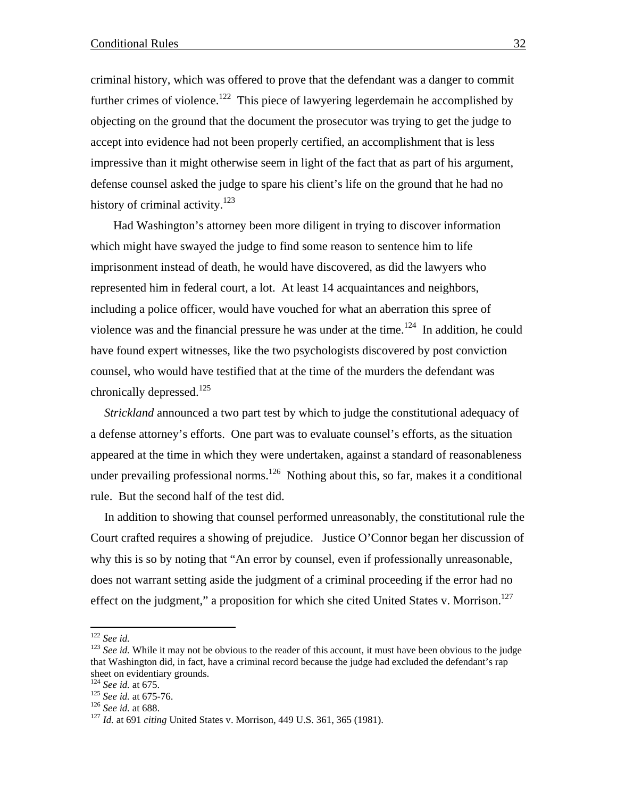criminal history, which was offered to prove that the defendant was a danger to commit further crimes of violence.<sup>122</sup> This piece of lawyering legerdemain he accomplished by objecting on the ground that the document the prosecutor was trying to get the judge to accept into evidence had not been properly certified, an accomplishment that is less impressive than it might otherwise seem in light of the fact that as part of his argument, defense counsel asked the judge to spare his client's life on the ground that he had no history of criminal activity.<sup>123</sup>

 Had Washington's attorney been more diligent in trying to discover information which might have swayed the judge to find some reason to sentence him to life imprisonment instead of death, he would have discovered, as did the lawyers who represented him in federal court, a lot. At least 14 acquaintances and neighbors, including a police officer, would have vouched for what an aberration this spree of violence was and the financial pressure he was under at the time.<sup>124</sup> In addition, he could have found expert witnesses, like the two psychologists discovered by post conviction counsel, who would have testified that at the time of the murders the defendant was chronically depressed. $125$ 

*Strickland* announced a two part test by which to judge the constitutional adequacy of a defense attorney's efforts. One part was to evaluate counsel's efforts, as the situation appeared at the time in which they were undertaken, against a standard of reasonableness under prevailing professional norms.<sup>126</sup> Nothing about this, so far, makes it a conditional rule. But the second half of the test did.

In addition to showing that counsel performed unreasonably, the constitutional rule the Court crafted requires a showing of prejudice. Justice O'Connor began her discussion of why this is so by noting that "An error by counsel, even if professionally unreasonable, does not warrant setting aside the judgment of a criminal proceeding if the error had no effect on the judgment," a proposition for which she cited United States v. Morrison.<sup>127</sup>

 $122$  See id.

<sup>&</sup>lt;sup>123</sup> See id. While it may not be obvious to the reader of this account, it must have been obvious to the judge that Washington did, in fact, have a criminal record because the judge had excluded the defendant's rap sheet on evidentiary grounds.<br> $^{124}$  See id. at 675.

*note id.* at 675-76.<br>
<sup>125</sup> *See id.* at 675-76.<br>
<sup>127</sup> *Id.* at 688.<br>
<sup>127</sup> *Id.* at 691 *citing* United States v. Morrison, 449 U.S. 361, 365 (1981).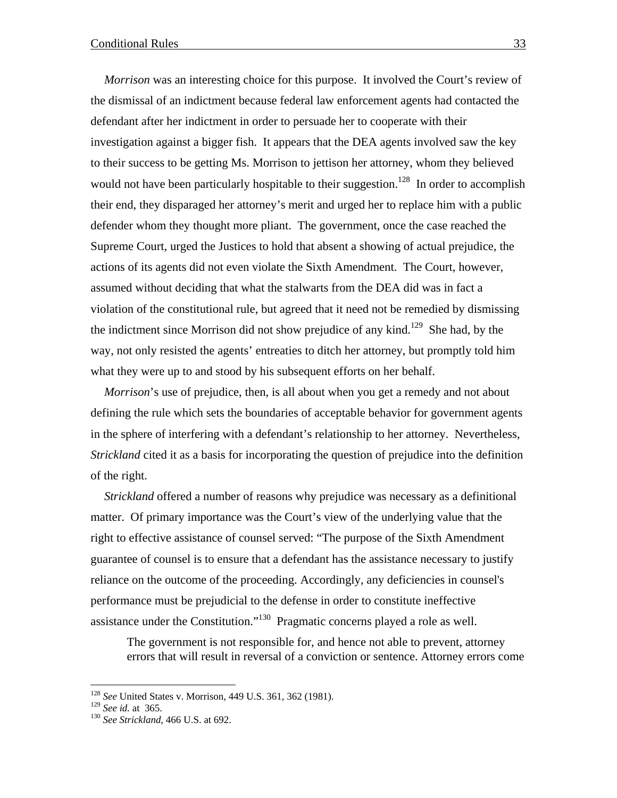*Morrison* was an interesting choice for this purpose. It involved the Court's review of the dismissal of an indictment because federal law enforcement agents had contacted the defendant after her indictment in order to persuade her to cooperate with their investigation against a bigger fish. It appears that the DEA agents involved saw the key to their success to be getting Ms. Morrison to jettison her attorney, whom they believed would not have been particularly hospitable to their suggestion.<sup>128</sup> In order to accomplish their end, they disparaged her attorney's merit and urged her to replace him with a public defender whom they thought more pliant. The government, once the case reached the Supreme Court, urged the Justices to hold that absent a showing of actual prejudice, the actions of its agents did not even violate the Sixth Amendment. The Court, however, assumed without deciding that what the stalwarts from the DEA did was in fact a violation of the constitutional rule, but agreed that it need not be remedied by dismissing the indictment since Morrison did not show prejudice of any kind.<sup>129</sup> She had, by the way, not only resisted the agents' entreaties to ditch her attorney, but promptly told him what they were up to and stood by his subsequent efforts on her behalf.

*Morrison*'s use of prejudice, then, is all about when you get a remedy and not about defining the rule which sets the boundaries of acceptable behavior for government agents in the sphere of interfering with a defendant's relationship to her attorney. Nevertheless, *Strickland* cited it as a basis for incorporating the question of prejudice into the definition of the right.

*Strickland* offered a number of reasons why prejudice was necessary as a definitional matter. Of primary importance was the Court's view of the underlying value that the right to effective assistance of counsel served: "The purpose of the Sixth Amendment guarantee of counsel is to ensure that a defendant has the assistance necessary to justify reliance on the outcome of the proceeding. Accordingly, any deficiencies in counsel's performance must be prejudicial to the defense in order to constitute ineffective assistance under the Constitution."130 Pragmatic concerns played a role as well.

The government is not responsible for, and hence not able to prevent, attorney errors that will result in reversal of a conviction or sentence. Attorney errors come

<sup>128</sup> *See* United States v. Morrison, 449 U.S. 361, 362 (1981).

<sup>129</sup> *See id.* at 365. 130 *See Strickland*, 466 U.S. at 692.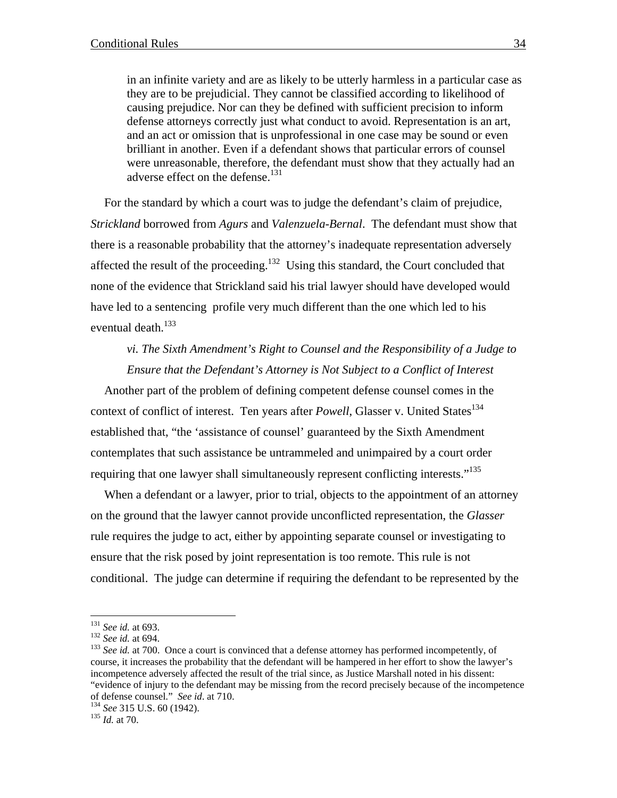in an infinite variety and are as likely to be utterly harmless in a particular case as they are to be prejudicial. They cannot be classified according to likelihood of causing prejudice. Nor can they be defined with sufficient precision to inform defense attorneys correctly just what conduct to avoid. Representation is an art, and an act or omission that is unprofessional in one case may be sound or even brilliant in another. Even if a defendant shows that particular errors of counsel were unreasonable, therefore, the defendant must show that they actually had an adverse effect on the defense.<sup>131</sup>

For the standard by which a court was to judge the defendant's claim of prejudice, *Strickland* borrowed from *Agurs* and *Valenzuela-Bernal*. The defendant must show that there is a reasonable probability that the attorney's inadequate representation adversely affected the result of the proceeding.<sup>132</sup> Using this standard, the Court concluded that none of the evidence that Strickland said his trial lawyer should have developed would have led to a sentencing profile very much different than the one which led to his eventual death.<sup>133</sup>

### *vi. The Sixth Amendment's Right to Counsel and the Responsibility of a Judge to Ensure that the Defendant's Attorney is Not Subject to a Conflict of Interest*

Another part of the problem of defining competent defense counsel comes in the context of conflict of interest. Ten years after *Powell*, Glasser v. United States<sup>134</sup> established that, "the 'assistance of counsel' guaranteed by the Sixth Amendment contemplates that such assistance be untrammeled and unimpaired by a court order requiring that one lawyer shall simultaneously represent conflicting interests."<sup>135</sup>

When a defendant or a lawyer, prior to trial, objects to the appointment of an attorney on the ground that the lawyer cannot provide unconflicted representation, the *Glasser* rule requires the judge to act, either by appointing separate counsel or investigating to ensure that the risk posed by joint representation is too remote. This rule is not conditional. The judge can determine if requiring the defendant to be represented by the

 $131$  See id. at 693.

<sup>131</sup> *See id.* at 693. 132 *See id.* at 694. 133 *See id.* at 700. Once a court is convinced that a defense attorney has performed incompetently, of course, it increases the probability that the defendant will be hampered in her effort to show the lawyer's incompetence adversely affected the result of the trial since, as Justice Marshall noted in his dissent: "evidence of injury to the defendant may be missing from the record precisely because of the incompetence of defense counsel." *See id*. at 710. 134 *See* 315 U.S. 60 (1942). 135 *Id.* at 70.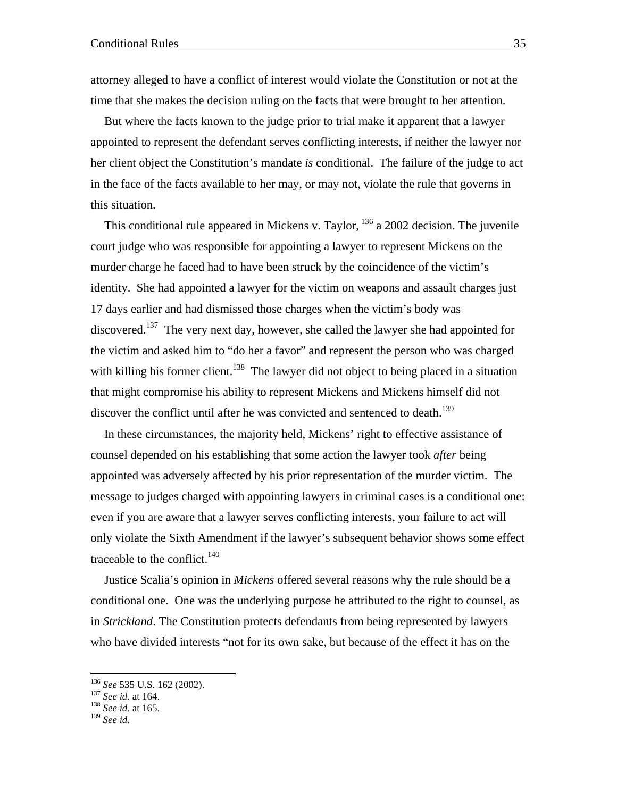attorney alleged to have a conflict of interest would violate the Constitution or not at the time that she makes the decision ruling on the facts that were brought to her attention.

But where the facts known to the judge prior to trial make it apparent that a lawyer appointed to represent the defendant serves conflicting interests, if neither the lawyer nor her client object the Constitution's mandate *is* conditional. The failure of the judge to act in the face of the facts available to her may, or may not, violate the rule that governs in this situation.

This conditional rule appeared in Mickens v. Taylor,  $^{136}$  a 2002 decision. The juvenile court judge who was responsible for appointing a lawyer to represent Mickens on the murder charge he faced had to have been struck by the coincidence of the victim's identity. She had appointed a lawyer for the victim on weapons and assault charges just 17 days earlier and had dismissed those charges when the victim's body was discovered.<sup>137</sup> The very next day, however, she called the lawyer she had appointed for the victim and asked him to "do her a favor" and represent the person who was charged with killing his former client.<sup>138</sup> The lawyer did not object to being placed in a situation that might compromise his ability to represent Mickens and Mickens himself did not discover the conflict until after he was convicted and sentenced to death.<sup>139</sup>

In these circumstances, the majority held, Mickens' right to effective assistance of counsel depended on his establishing that some action the lawyer took *after* being appointed was adversely affected by his prior representation of the murder victim. The message to judges charged with appointing lawyers in criminal cases is a conditional one: even if you are aware that a lawyer serves conflicting interests, your failure to act will only violate the Sixth Amendment if the lawyer's subsequent behavior shows some effect traceable to the conflict. $140$ 

Justice Scalia's opinion in *Mickens* offered several reasons why the rule should be a conditional one. One was the underlying purpose he attributed to the right to counsel, as in *Strickland*. The Constitution protects defendants from being represented by lawyers who have divided interests "not for its own sake, but because of the effect it has on the

<sup>136</sup> *See* 535 U.S. 162 (2002). 137 *See id*. at 164. 138 *See id*. at 165.

<sup>139</sup> *See id*.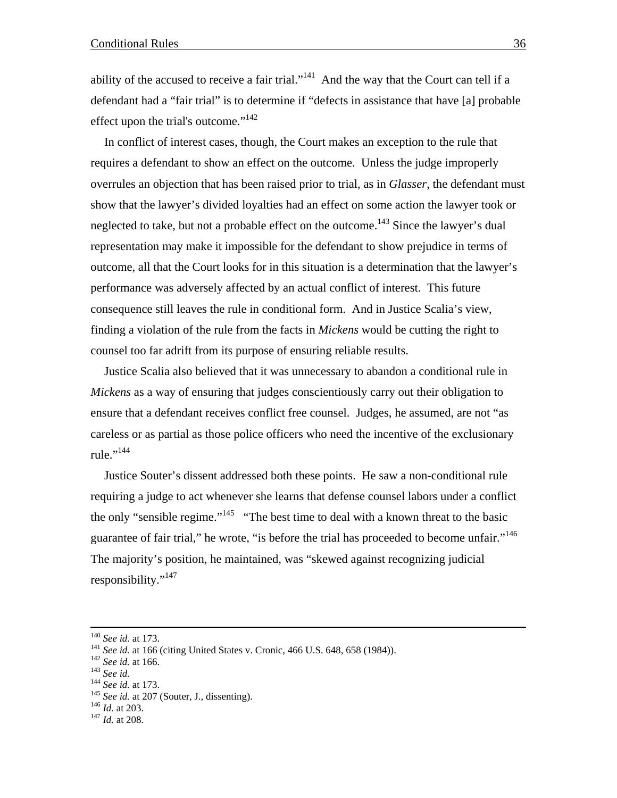ability of the accused to receive a fair trial."<sup>141</sup> And the way that the Court can tell if a defendant had a "fair trial" is to determine if "defects in assistance that have [a] probable effect upon the trial's outcome."<sup>142</sup>

In conflict of interest cases, though, the Court makes an exception to the rule that requires a defendant to show an effect on the outcome. Unless the judge improperly overrules an objection that has been raised prior to trial, as in *Glasser*, the defendant must show that the lawyer's divided loyalties had an effect on some action the lawyer took or neglected to take, but not a probable effect on the outcome.<sup>143</sup> Since the lawyer's dual representation may make it impossible for the defendant to show prejudice in terms of outcome, all that the Court looks for in this situation is a determination that the lawyer's performance was adversely affected by an actual conflict of interest. This future consequence still leaves the rule in conditional form. And in Justice Scalia's view, finding a violation of the rule from the facts in *Mickens* would be cutting the right to counsel too far adrift from its purpose of ensuring reliable results.

Justice Scalia also believed that it was unnecessary to abandon a conditional rule in *Mickens* as a way of ensuring that judges conscientiously carry out their obligation to ensure that a defendant receives conflict free counsel. Judges, he assumed, are not "as careless or as partial as those police officers who need the incentive of the exclusionary rule." $144$ 

Justice Souter's dissent addressed both these points. He saw a non-conditional rule requiring a judge to act whenever she learns that defense counsel labors under a conflict the only "sensible regime."<sup>145</sup> "The best time to deal with a known threat to the basic guarantee of fair trial," he wrote, "is before the trial has proceeded to become unfair."<sup>146</sup> The majority's position, he maintained, was "skewed against recognizing judicial responsibility."<sup>147</sup>

<sup>&</sup>lt;sup>140</sup> See id. at 166 (citing United States v. Cronic, 466 U.S. 648, 658 (1984)).<br><sup>142</sup> See id. at 166.<br><sup>142</sup> See id. at 166.<br><sup>143</sup> See id. at 173.<br><sup>144</sup> See id. at 207 (Souter, J., dissenting).<br><sup>145</sup> Id. at 203.<br><sup>145</sup> Id.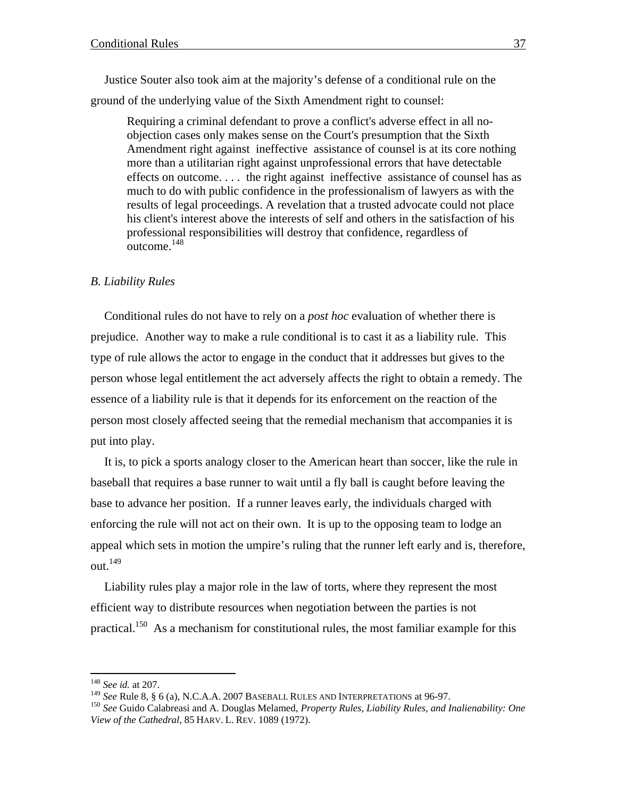Justice Souter also took aim at the majority's defense of a conditional rule on the ground of the underlying value of the Sixth Amendment right to counsel:

Requiring a criminal defendant to prove a conflict's adverse effect in all noobjection cases only makes sense on the Court's presumption that the Sixth Amendment right against ineffective assistance of counsel is at its core nothing more than a utilitarian right against unprofessional errors that have detectable effects on outcome. . . . the right against ineffective assistance of counsel has as much to do with public confidence in the professionalism of lawyers as with the results of legal proceedings. A revelation that a trusted advocate could not place his client's interest above the interests of self and others in the satisfaction of his professional responsibilities will destroy that confidence, regardless of  $\frac{148}{\text{outcome}}$ 

### *B. Liability Rules*

Conditional rules do not have to rely on a *post hoc* evaluation of whether there is prejudice. Another way to make a rule conditional is to cast it as a liability rule. This type of rule allows the actor to engage in the conduct that it addresses but gives to the person whose legal entitlement the act adversely affects the right to obtain a remedy. The essence of a liability rule is that it depends for its enforcement on the reaction of the person most closely affected seeing that the remedial mechanism that accompanies it is put into play.

It is, to pick a sports analogy closer to the American heart than soccer, like the rule in baseball that requires a base runner to wait until a fly ball is caught before leaving the base to advance her position. If a runner leaves early, the individuals charged with enforcing the rule will not act on their own. It is up to the opposing team to lodge an appeal which sets in motion the umpire's ruling that the runner left early and is, therefore, out.149

Liability rules play a major role in the law of torts, where they represent the most efficient way to distribute resources when negotiation between the parties is not practical.<sup>150</sup> As a mechanism for constitutional rules, the most familiar example for this

<sup>148</sup> *See id.* at 207.

<sup>&</sup>lt;sup>149</sup> *See* Rule 8, § 6 (a), N.C.A.A. 2007 BASEBALL RULES AND INTERPRETATIONS at 96-97.<br><sup>150</sup> *See* Guido Calabreasi and A. Douglas Melamed, *Property Rules, Liability Rules, and Inalienability: One View of the Cathedral*, 85 HARV. L. REV. 1089 (1972).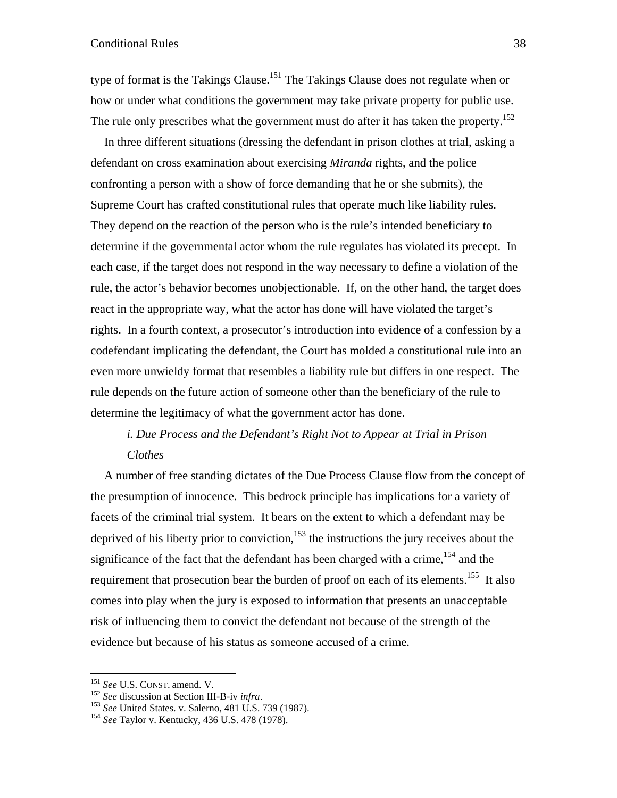type of format is the Takings Clause.<sup>151</sup> The Takings Clause does not regulate when or how or under what conditions the government may take private property for public use. The rule only prescribes what the government must do after it has taken the property.<sup>152</sup>

In three different situations (dressing the defendant in prison clothes at trial, asking a defendant on cross examination about exercising *Miranda* rights, and the police confronting a person with a show of force demanding that he or she submits), the Supreme Court has crafted constitutional rules that operate much like liability rules. They depend on the reaction of the person who is the rule's intended beneficiary to determine if the governmental actor whom the rule regulates has violated its precept. In each case, if the target does not respond in the way necessary to define a violation of the rule, the actor's behavior becomes unobjectionable. If, on the other hand, the target does react in the appropriate way, what the actor has done will have violated the target's rights. In a fourth context, a prosecutor's introduction into evidence of a confession by a codefendant implicating the defendant, the Court has molded a constitutional rule into an even more unwieldy format that resembles a liability rule but differs in one respect. The rule depends on the future action of someone other than the beneficiary of the rule to determine the legitimacy of what the government actor has done.

## *i. Due Process and the Defendant's Right Not to Appear at Trial in Prison Clothes*

A number of free standing dictates of the Due Process Clause flow from the concept of the presumption of innocence. This bedrock principle has implications for a variety of facets of the criminal trial system. It bears on the extent to which a defendant may be deprived of his liberty prior to conviction,  $153$  the instructions the jury receives about the significance of the fact that the defendant has been charged with a crime,  $154$  and the requirement that prosecution bear the burden of proof on each of its elements.<sup>155</sup> It also comes into play when the jury is exposed to information that presents an unacceptable risk of influencing them to convict the defendant not because of the strength of the evidence but because of his status as someone accused of a crime.

<sup>&</sup>lt;sup>151</sup> *See* U.S. CONST. amend. V.<br><sup>152</sup> *See* discussion at Section III-B-iv *infra*.<br><sup>153</sup> *See* United States. v. Salerno, 481 U.S. 739 (1987).<br><sup>154</sup> *See* Taylor v. Kentucky, 436 U.S. 478 (1978).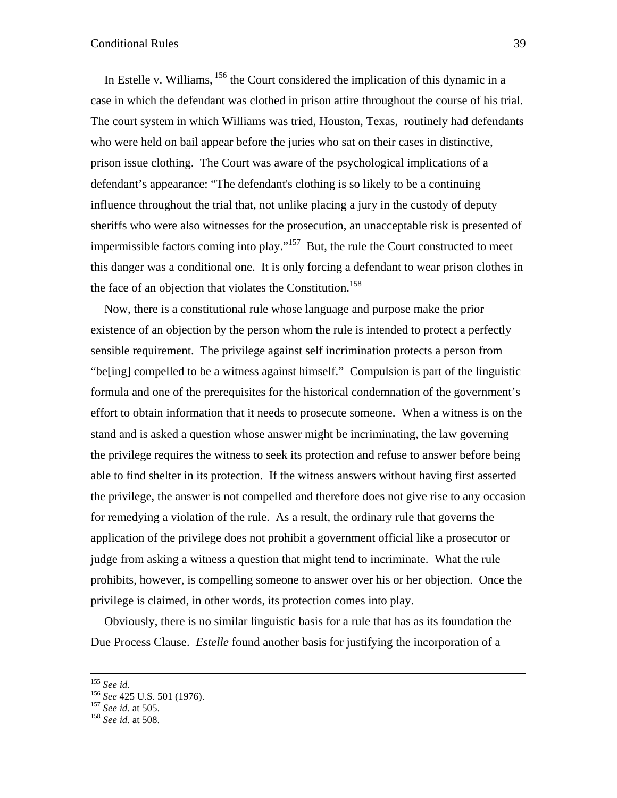In Estelle v. Williams, 156 the Court considered the implication of this dynamic in a case in which the defendant was clothed in prison attire throughout the course of his trial. The court system in which Williams was tried, Houston, Texas, routinely had defendants who were held on bail appear before the juries who sat on their cases in distinctive, prison issue clothing. The Court was aware of the psychological implications of a defendant's appearance: "The defendant's clothing is so likely to be a continuing influence throughout the trial that, not unlike placing a jury in the custody of deputy sheriffs who were also witnesses for the prosecution, an unacceptable risk is presented of impermissible factors coming into play."<sup>157</sup> But, the rule the Court constructed to meet this danger was a conditional one. It is only forcing a defendant to wear prison clothes in the face of an objection that violates the Constitution.<sup>158</sup>

Now, there is a constitutional rule whose language and purpose make the prior existence of an objection by the person whom the rule is intended to protect a perfectly sensible requirement. The privilege against self incrimination protects a person from "be[ing] compelled to be a witness against himself." Compulsion is part of the linguistic formula and one of the prerequisites for the historical condemnation of the government's effort to obtain information that it needs to prosecute someone. When a witness is on the stand and is asked a question whose answer might be incriminating, the law governing the privilege requires the witness to seek its protection and refuse to answer before being able to find shelter in its protection. If the witness answers without having first asserted the privilege, the answer is not compelled and therefore does not give rise to any occasion for remedying a violation of the rule. As a result, the ordinary rule that governs the application of the privilege does not prohibit a government official like a prosecutor or judge from asking a witness a question that might tend to incriminate. What the rule prohibits, however, is compelling someone to answer over his or her objection. Once the privilege is claimed, in other words, its protection comes into play.

Obviously, there is no similar linguistic basis for a rule that has as its foundation the Due Process Clause. *Estelle* found another basis for justifying the incorporation of a

<sup>155</sup> *See id*. 156 *See* 425 U.S. 501 (1976). 157 *See id.* at 505. 158 *See id.* at 508.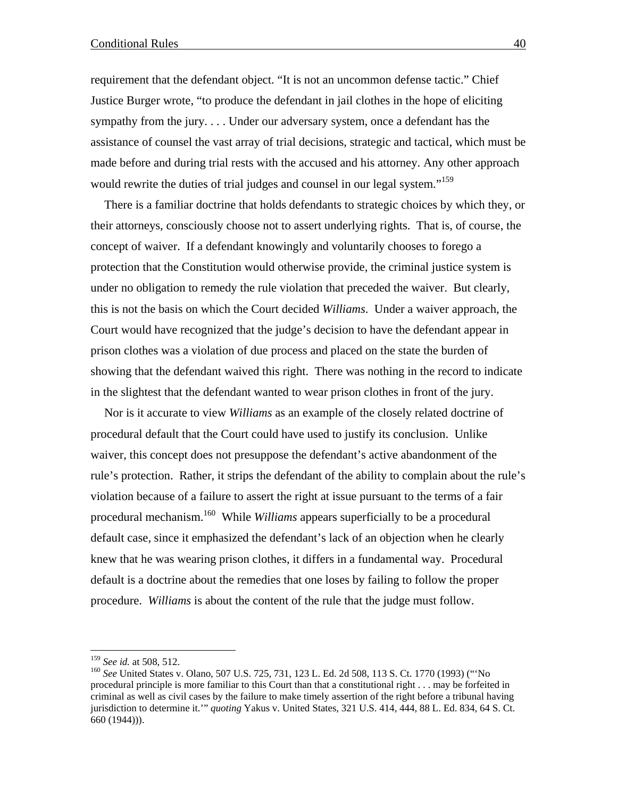requirement that the defendant object. "It is not an uncommon defense tactic." Chief Justice Burger wrote, "to produce the defendant in jail clothes in the hope of eliciting sympathy from the jury. . . . Under our adversary system, once a defendant has the assistance of counsel the vast array of trial decisions, strategic and tactical, which must be made before and during trial rests with the accused and his attorney. Any other approach would rewrite the duties of trial judges and counsel in our legal system."<sup>159</sup>

There is a familiar doctrine that holds defendants to strategic choices by which they, or their attorneys, consciously choose not to assert underlying rights. That is, of course, the concept of waiver. If a defendant knowingly and voluntarily chooses to forego a protection that the Constitution would otherwise provide, the criminal justice system is under no obligation to remedy the rule violation that preceded the waiver. But clearly, this is not the basis on which the Court decided *Williams*. Under a waiver approach, the Court would have recognized that the judge's decision to have the defendant appear in prison clothes was a violation of due process and placed on the state the burden of showing that the defendant waived this right. There was nothing in the record to indicate in the slightest that the defendant wanted to wear prison clothes in front of the jury.

Nor is it accurate to view *Williams* as an example of the closely related doctrine of procedural default that the Court could have used to justify its conclusion. Unlike waiver, this concept does not presuppose the defendant's active abandonment of the rule's protection. Rather, it strips the defendant of the ability to complain about the rule's violation because of a failure to assert the right at issue pursuant to the terms of a fair procedural mechanism.160 While *Williams* appears superficially to be a procedural default case, since it emphasized the defendant's lack of an objection when he clearly knew that he was wearing prison clothes, it differs in a fundamental way. Procedural default is a doctrine about the remedies that one loses by failing to follow the proper procedure. *Williams* is about the content of the rule that the judge must follow.

<sup>&</sup>lt;sup>159</sup> See id. at 508, 512.

<sup>&</sup>lt;sup>160</sup> See United States v. Olano, 507 U.S. 725, 731, 123 L. Ed. 2d 508, 113 S. Ct. 1770 (1993) ("'No procedural principle is more familiar to this Court than that a constitutional right . . . may be forfeited in criminal as well as civil cases by the failure to make timely assertion of the right before a tribunal having jurisdiction to determine it.'" *quoting* Yakus v. United States, 321 U.S. 414, 444, 88 L. Ed. 834, 64 S. Ct. 660 (1944))).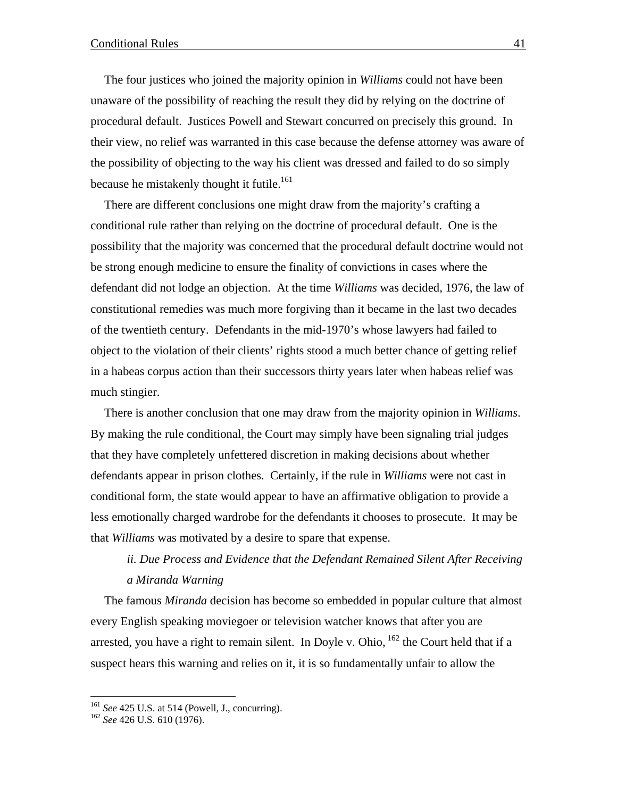The four justices who joined the majority opinion in *Williams* could not have been unaware of the possibility of reaching the result they did by relying on the doctrine of procedural default. Justices Powell and Stewart concurred on precisely this ground. In their view, no relief was warranted in this case because the defense attorney was aware of the possibility of objecting to the way his client was dressed and failed to do so simply because he mistakenly thought it futile.<sup>161</sup>

There are different conclusions one might draw from the majority's crafting a conditional rule rather than relying on the doctrine of procedural default. One is the possibility that the majority was concerned that the procedural default doctrine would not be strong enough medicine to ensure the finality of convictions in cases where the defendant did not lodge an objection. At the time *Williams* was decided, 1976, the law of constitutional remedies was much more forgiving than it became in the last two decades of the twentieth century. Defendants in the mid-1970's whose lawyers had failed to object to the violation of their clients' rights stood a much better chance of getting relief in a habeas corpus action than their successors thirty years later when habeas relief was much stingier.

There is another conclusion that one may draw from the majority opinion in *Williams*. By making the rule conditional, the Court may simply have been signaling trial judges that they have completely unfettered discretion in making decisions about whether defendants appear in prison clothes. Certainly, if the rule in *Williams* were not cast in conditional form, the state would appear to have an affirmative obligation to provide a less emotionally charged wardrobe for the defendants it chooses to prosecute. It may be that *Williams* was motivated by a desire to spare that expense.

# *ii. Due Process and Evidence that the Defendant Remained Silent After Receiving a Miranda Warning*

The famous *Miranda* decision has become so embedded in popular culture that almost every English speaking moviegoer or television watcher knows that after you are arrested, you have a right to remain silent. In Doyle v. Ohio,  $^{162}$  the Court held that if a suspect hears this warning and relies on it, it is so fundamentally unfair to allow the

<sup>161</sup> *See* 425 U.S. at 514 (Powell, J., concurring). 162 *See* 426 U.S. 610 (1976).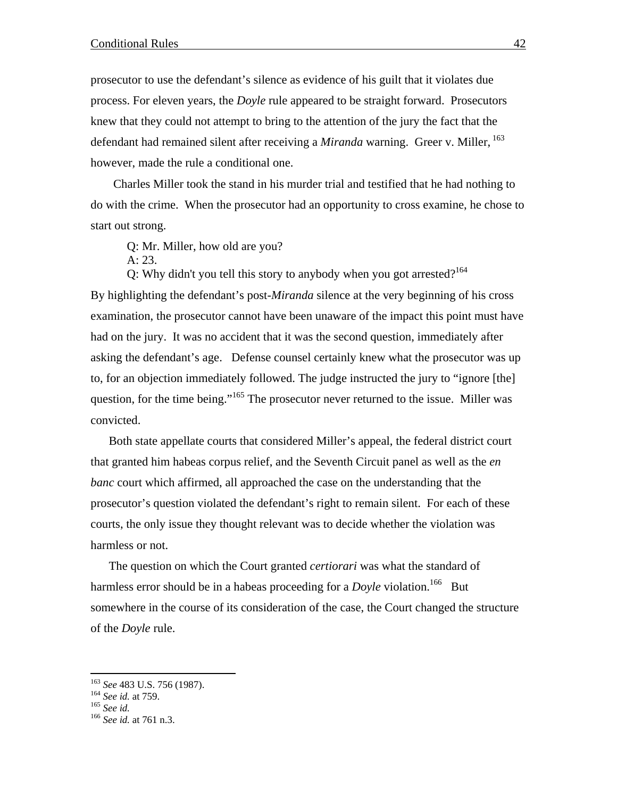prosecutor to use the defendant's silence as evidence of his guilt that it violates due process. For eleven years, the *Doyle* rule appeared to be straight forward. Prosecutors knew that they could not attempt to bring to the attention of the jury the fact that the defendant had remained silent after receiving a *Miranda* warning. Greer v. Miller.<sup>163</sup> however, made the rule a conditional one.

Charles Miller took the stand in his murder trial and testified that he had nothing to do with the crime. When the prosecutor had an opportunity to cross examine, he chose to start out strong.

Q: Mr. Miller, how old are you?

A: 23.

Q: Why didn't you tell this story to anybody when you got arrested?<sup>164</sup>

By highlighting the defendant's post-*Miranda* silence at the very beginning of his cross examination, the prosecutor cannot have been unaware of the impact this point must have had on the jury. It was no accident that it was the second question, immediately after asking the defendant's age. Defense counsel certainly knew what the prosecutor was up to, for an objection immediately followed. The judge instructed the jury to "ignore [the] question, for the time being."<sup>165</sup> The prosecutor never returned to the issue. Miller was convicted.

Both state appellate courts that considered Miller's appeal, the federal district court that granted him habeas corpus relief, and the Seventh Circuit panel as well as the *en banc* court which affirmed, all approached the case on the understanding that the prosecutor's question violated the defendant's right to remain silent. For each of these courts, the only issue they thought relevant was to decide whether the violation was harmless or not.

The question on which the Court granted *certiorari* was what the standard of harmless error should be in a habeas proceeding for a *Doyle* violation.<sup>166</sup> But somewhere in the course of its consideration of the case, the Court changed the structure of the *Doyle* rule.

<sup>163</sup> *See* 483 U.S. 756 (1987). 164 *See id.* at 759. 165 *See id.* <sup>166</sup> *See id.* at 761 n.3.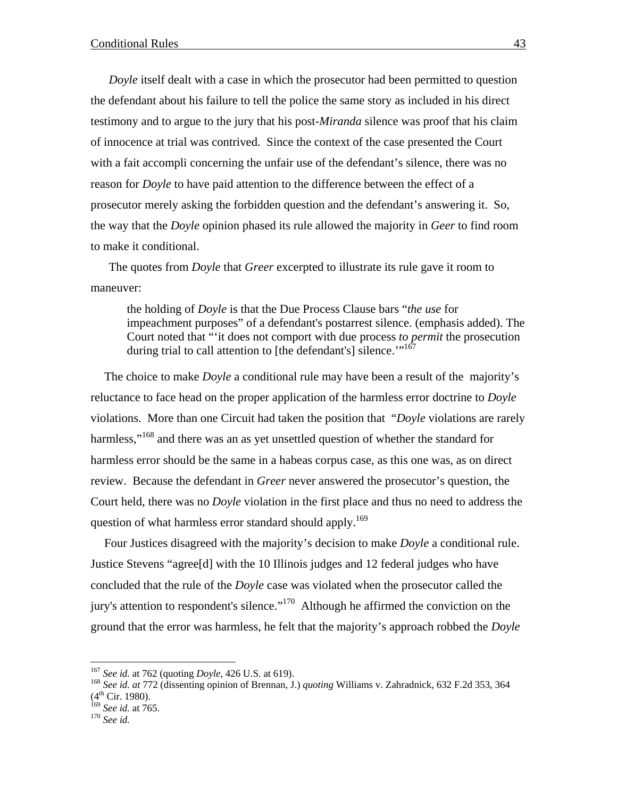*Doyle* itself dealt with a case in which the prosecutor had been permitted to question the defendant about his failure to tell the police the same story as included in his direct testimony and to argue to the jury that his post-*Miranda* silence was proof that his claim of innocence at trial was contrived. Since the context of the case presented the Court with a fait accompli concerning the unfair use of the defendant's silence, there was no reason for *Doyle* to have paid attention to the difference between the effect of a prosecutor merely asking the forbidden question and the defendant's answering it. So, the way that the *Doyle* opinion phased its rule allowed the majority in *Geer* to find room to make it conditional.

The quotes from *Doyle* that *Greer* excerpted to illustrate its rule gave it room to maneuver:

the holding of *Doyle* is that the Due Process Clause bars "*the use* for impeachment purposes" of a defendant's postarrest silence. (emphasis added). The Court noted that "'it does not comport with due process *to permit* the prosecution during trial to call attention to [the defendant's] silence.'"<sup>167</sup>

The choice to make *Doyle* a conditional rule may have been a result of the majority's reluctance to face head on the proper application of the harmless error doctrine to *Doyle* violations. More than one Circuit had taken the position that "*Doyle* violations are rarely harmless,"<sup>168</sup> and there was an as yet unsettled question of whether the standard for harmless error should be the same in a habeas corpus case, as this one was, as on direct review. Because the defendant in *Greer* never answered the prosecutor's question, the Court held, there was no *Doyle* violation in the first place and thus no need to address the question of what harmless error standard should apply.<sup>169</sup>

Four Justices disagreed with the majority's decision to make *Doyle* a conditional rule. Justice Stevens "agree[d] with the 10 Illinois judges and 12 federal judges who have concluded that the rule of the *Doyle* case was violated when the prosecutor called the jury's attention to respondent's silence."<sup>170</sup> Although he affirmed the conviction on the ground that the error was harmless, he felt that the majority's approach robbed the *Doyle*

 $167$  See id. at 762 (quoting Doyle, 426 U.S. at 619).

<sup>&</sup>lt;sup>168</sup> See id. at 772 (dissenting opinion of Brennan, J.) *quoting* Williams v. Zahradnick, 632 F.2d 353, 364  $(4^{th}$  Cir. 1980).

<sup>169</sup> *See id.* at 765. 170 *See id.*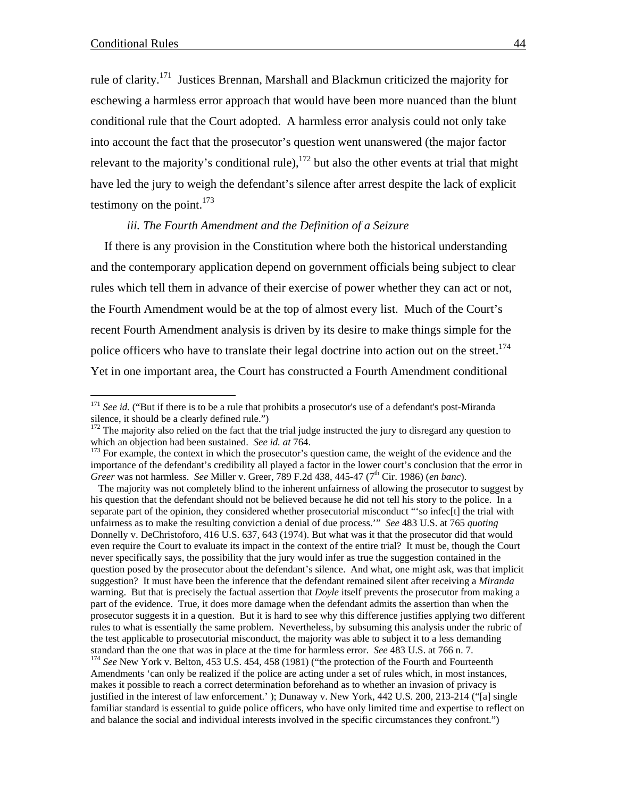1

rule of clarity.171 Justices Brennan, Marshall and Blackmun criticized the majority for eschewing a harmless error approach that would have been more nuanced than the blunt conditional rule that the Court adopted. A harmless error analysis could not only take into account the fact that the prosecutor's question went unanswered (the major factor relevant to the majority's conditional rule),  $172$  but also the other events at trial that might have led the jury to weigh the defendant's silence after arrest despite the lack of explicit testimony on the point. $173$ 

#### *iii. The Fourth Amendment and the Definition of a Seizure*

If there is any provision in the Constitution where both the historical understanding and the contemporary application depend on government officials being subject to clear rules which tell them in advance of their exercise of power whether they can act or not, the Fourth Amendment would be at the top of almost every list. Much of the Court's recent Fourth Amendment analysis is driven by its desire to make things simple for the police officers who have to translate their legal doctrine into action out on the street.<sup>174</sup> Yet in one important area, the Court has constructed a Fourth Amendment conditional

 The majority was not completely blind to the inherent unfairness of allowing the prosecutor to suggest by his question that the defendant should not be believed because he did not tell his story to the police. In a separate part of the opinion, they considered whether prosecutorial misconduct "'so infec[t] the trial with unfairness as to make the resulting conviction a denial of due process.'" *See* 483 U.S. at 765 *quoting*  Donnelly v. DeChristoforo, 416 U.S. 637, 643 (1974). But what was it that the prosecutor did that would even require the Court to evaluate its impact in the context of the entire trial? It must be, though the Court never specifically says, the possibility that the jury would infer as true the suggestion contained in the question posed by the prosecutor about the defendant's silence. And what, one might ask, was that implicit suggestion? It must have been the inference that the defendant remained silent after receiving a *Miranda* warning. But that is precisely the factual assertion that *Doyle* itself prevents the prosecutor from making a part of the evidence. True, it does more damage when the defendant admits the assertion than when the prosecutor suggests it in a question. But it is hard to see why this difference justifies applying two different rules to what is essentially the same problem. Nevertheless, by subsuming this analysis under the rubric of the test applicable to prosecutorial misconduct, the majority was able to subject it to a less demanding standard than the one that was in place at the time for harmless error. *See* 483 U.S. at 766 n. 7. <sup>174</sup> *See* New York v. Belton, 453 U.S. 454, 458 (1981) ("the protection of the Fourth and Fourteenth Amendments 'can only be realized if the police are acting under a set of rules which, in most instances, makes it possible to reach a correct determination beforehand as to whether an invasion of privacy is justified in the interest of law enforcement.' ); Dunaway v. New York, 442 U.S. 200, 213-214 ("[a] single familiar standard is essential to guide police officers, who have only limited time and expertise to reflect on

and balance the social and individual interests involved in the specific circumstances they confront.")

<sup>&</sup>lt;sup>171</sup> *See id.* ("But if there is to be a rule that prohibits a prosecutor's use of a defendant's post-Miranda silence, it should be a clearly defined rule.")

<sup>&</sup>lt;sup>172</sup> The majority also relied on the fact that the trial judge instructed the jury to disregard any question to which an objection had been sustained. *See id. at* 764.

<sup>&</sup>lt;sup>173</sup> For example, the context in which the prosecutor's question came, the weight of the evidence and the importance of the defendant's credibility all played a factor in the lower court's conclusion that the error in *Greer* was not harmless. *See* Miller v. Greer, 789 F.2d 438, 445-47 (7th Cir. 1986) (*en banc*).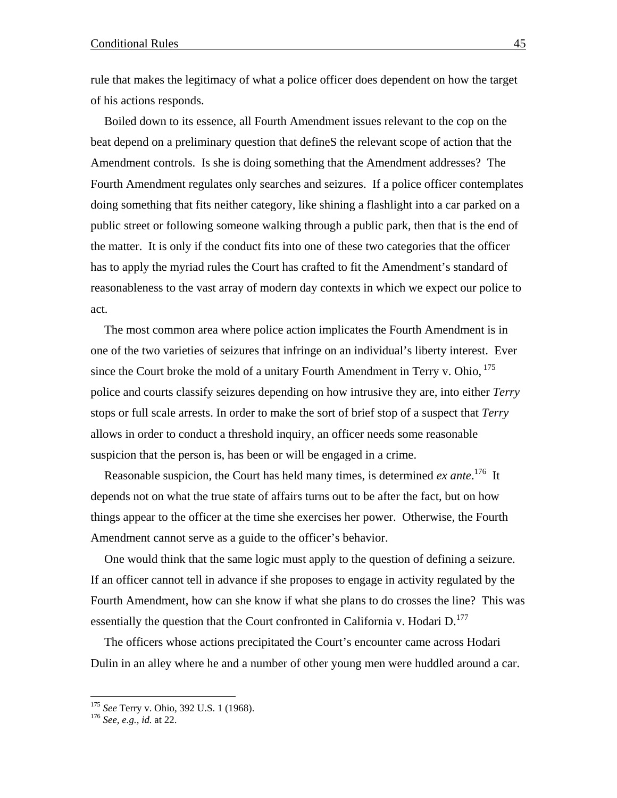rule that makes the legitimacy of what a police officer does dependent on how the target of his actions responds.

Boiled down to its essence, all Fourth Amendment issues relevant to the cop on the beat depend on a preliminary question that defineS the relevant scope of action that the Amendment controls. Is she is doing something that the Amendment addresses? The Fourth Amendment regulates only searches and seizures. If a police officer contemplates doing something that fits neither category, like shining a flashlight into a car parked on a public street or following someone walking through a public park, then that is the end of the matter. It is only if the conduct fits into one of these two categories that the officer has to apply the myriad rules the Court has crafted to fit the Amendment's standard of reasonableness to the vast array of modern day contexts in which we expect our police to act.

The most common area where police action implicates the Fourth Amendment is in one of the two varieties of seizures that infringe on an individual's liberty interest. Ever since the Court broke the mold of a unitary Fourth Amendment in Terry v. Ohio,  $^{175}$ police and courts classify seizures depending on how intrusive they are, into either *Terry* stops or full scale arrests. In order to make the sort of brief stop of a suspect that *Terry* allows in order to conduct a threshold inquiry, an officer needs some reasonable suspicion that the person is, has been or will be engaged in a crime.

Reasonable suspicion, the Court has held many times, is determined *ex ante*. 176 It depends not on what the true state of affairs turns out to be after the fact, but on how things appear to the officer at the time she exercises her power. Otherwise, the Fourth Amendment cannot serve as a guide to the officer's behavior.

One would think that the same logic must apply to the question of defining a seizure. If an officer cannot tell in advance if she proposes to engage in activity regulated by the Fourth Amendment, how can she know if what she plans to do crosses the line? This was essentially the question that the Court confronted in California v. Hodari  $D<sup>177</sup>$ 

The officers whose actions precipitated the Court's encounter came across Hodari Dulin in an alley where he and a number of other young men were huddled around a car.

<sup>175</sup> *See* Terry v. Ohio, 392 U.S. 1 (1968). 176 *See, e.g., id.* at 22.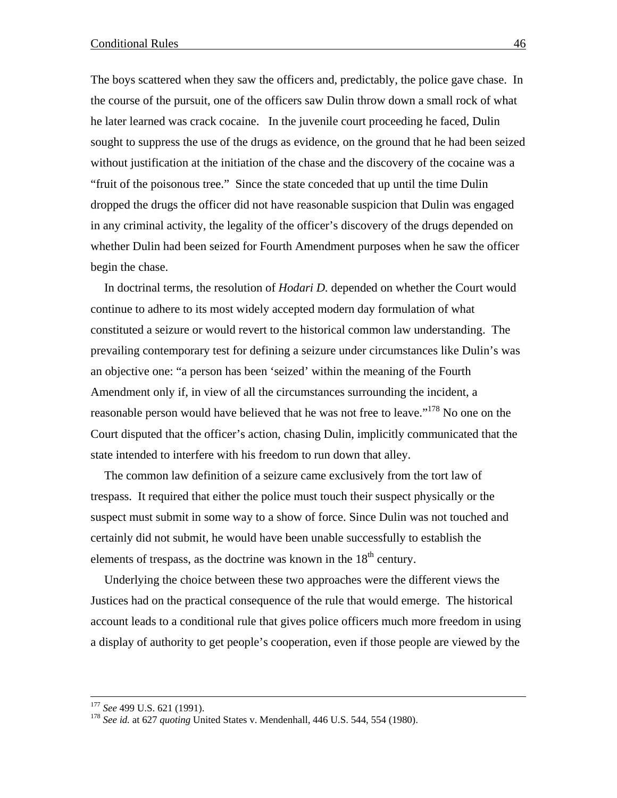The boys scattered when they saw the officers and, predictably, the police gave chase. In the course of the pursuit, one of the officers saw Dulin throw down a small rock of what he later learned was crack cocaine. In the juvenile court proceeding he faced, Dulin sought to suppress the use of the drugs as evidence, on the ground that he had been seized without justification at the initiation of the chase and the discovery of the cocaine was a "fruit of the poisonous tree." Since the state conceded that up until the time Dulin dropped the drugs the officer did not have reasonable suspicion that Dulin was engaged in any criminal activity, the legality of the officer's discovery of the drugs depended on whether Dulin had been seized for Fourth Amendment purposes when he saw the officer begin the chase.

In doctrinal terms, the resolution of *Hodari D.* depended on whether the Court would continue to adhere to its most widely accepted modern day formulation of what constituted a seizure or would revert to the historical common law understanding. The prevailing contemporary test for defining a seizure under circumstances like Dulin's was an objective one: "a person has been 'seized' within the meaning of the Fourth Amendment only if, in view of all the circumstances surrounding the incident, a reasonable person would have believed that he was not free to leave."<sup>178</sup> No one on the Court disputed that the officer's action, chasing Dulin, implicitly communicated that the state intended to interfere with his freedom to run down that alley.

The common law definition of a seizure came exclusively from the tort law of trespass. It required that either the police must touch their suspect physically or the suspect must submit in some way to a show of force. Since Dulin was not touched and certainly did not submit, he would have been unable successfully to establish the elements of trespass, as the doctrine was known in the  $18<sup>th</sup>$  century.

Underlying the choice between these two approaches were the different views the Justices had on the practical consequence of the rule that would emerge. The historical account leads to a conditional rule that gives police officers much more freedom in using a display of authority to get people's cooperation, even if those people are viewed by the

<sup>&</sup>lt;sup>177</sup> *See* 499 U.S. 621 (1991).<br><sup>178</sup> *See id.* at 627 *quoting* United States v. Mendenhall, 446 U.S. 544, 554 (1980).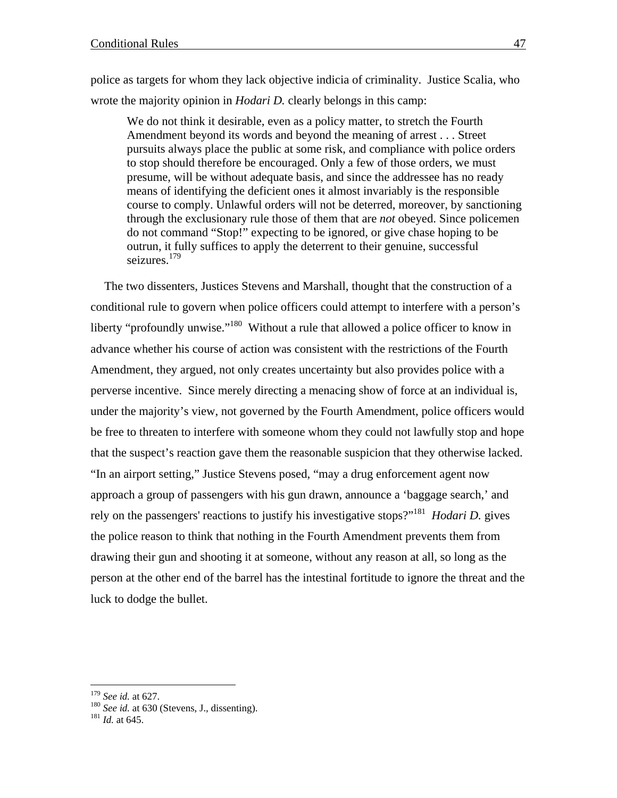police as targets for whom they lack objective indicia of criminality. Justice Scalia, who wrote the majority opinion in *Hodari D.* clearly belongs in this camp:

We do not think it desirable, even as a policy matter, to stretch the Fourth Amendment beyond its words and beyond the meaning of arrest . . . Street pursuits always place the public at some risk, and compliance with police orders to stop should therefore be encouraged. Only a few of those orders, we must presume, will be without adequate basis, and since the addressee has no ready means of identifying the deficient ones it almost invariably is the responsible course to comply. Unlawful orders will not be deterred, moreover, by sanctioning through the exclusionary rule those of them that are *not* obeyed. Since policemen do not command "Stop!" expecting to be ignored, or give chase hoping to be outrun, it fully suffices to apply the deterrent to their genuine, successful seizures.<sup>179</sup>

The two dissenters, Justices Stevens and Marshall, thought that the construction of a conditional rule to govern when police officers could attempt to interfere with a person's liberty "profoundly unwise."<sup>180</sup> Without a rule that allowed a police officer to know in advance whether his course of action was consistent with the restrictions of the Fourth Amendment, they argued, not only creates uncertainty but also provides police with a perverse incentive. Since merely directing a menacing show of force at an individual is, under the majority's view, not governed by the Fourth Amendment, police officers would be free to threaten to interfere with someone whom they could not lawfully stop and hope that the suspect's reaction gave them the reasonable suspicion that they otherwise lacked. "In an airport setting," Justice Stevens posed, "may a drug enforcement agent now approach a group of passengers with his gun drawn, announce a 'baggage search,' and rely on the passengers' reactions to justify his investigative stops?"181 *Hodari D.* gives the police reason to think that nothing in the Fourth Amendment prevents them from drawing their gun and shooting it at someone, without any reason at all, so long as the person at the other end of the barrel has the intestinal fortitude to ignore the threat and the luck to dodge the bullet.

<sup>&</sup>lt;sup>179</sup> *See id.* at 627.<br><sup>180</sup> *See id.* at 630 (Stevens, J., dissenting). <sup>181</sup> *Id.* at 645.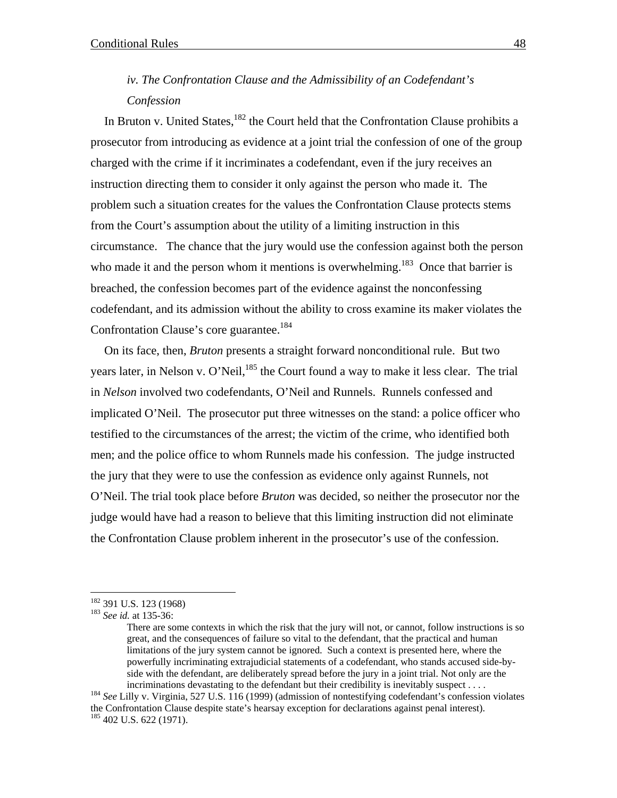## *iv. The Confrontation Clause and the Admissibility of an Codefendant's Confession*

In Bruton v. United States,<sup>182</sup> the Court held that the Confrontation Clause prohibits a prosecutor from introducing as evidence at a joint trial the confession of one of the group charged with the crime if it incriminates a codefendant, even if the jury receives an instruction directing them to consider it only against the person who made it. The problem such a situation creates for the values the Confrontation Clause protects stems from the Court's assumption about the utility of a limiting instruction in this circumstance. The chance that the jury would use the confession against both the person who made it and the person whom it mentions is overwhelming.<sup>183</sup> Once that barrier is breached, the confession becomes part of the evidence against the nonconfessing codefendant, and its admission without the ability to cross examine its maker violates the Confrontation Clause's core guarantee.<sup>184</sup>

On its face, then, *Bruton* presents a straight forward nonconditional rule. But two years later, in Nelson v. O'Neil, $^{185}$  the Court found a way to make it less clear. The trial in *Nelson* involved two codefendants, O'Neil and Runnels. Runnels confessed and implicated O'Neil. The prosecutor put three witnesses on the stand: a police officer who testified to the circumstances of the arrest; the victim of the crime, who identified both men; and the police office to whom Runnels made his confession. The judge instructed the jury that they were to use the confession as evidence only against Runnels, not O'Neil. The trial took place before *Bruton* was decided, so neither the prosecutor nor the judge would have had a reason to believe that this limiting instruction did not eliminate the Confrontation Clause problem inherent in the prosecutor's use of the confession.

<sup>&</sup>lt;sup>182</sup> 391 U.S. 123 (1968)

<sup>&</sup>lt;sup>183</sup> See id. at 135-36:

There are some contexts in which the risk that the jury will not, or cannot, follow instructions is so great, and the consequences of failure so vital to the defendant, that the practical and human limitations of the jury system cannot be ignored. Such a context is presented here, where the powerfully incriminating extrajudicial statements of a codefendant, who stands accused side-byside with the defendant, are deliberately spread before the jury in a joint trial. Not only are the

incriminations devastating to the defendant but their credibility is inevitably suspect . . . . 184 *See* Lilly v. Virginia, 527 U.S. 116 (1999) (admission of nontestifying codefendant's confession violates the Confrontation Clause despite state's hearsay exception for declarations against penal interest). <sup>185</sup> 402 U.S. 622 (1971).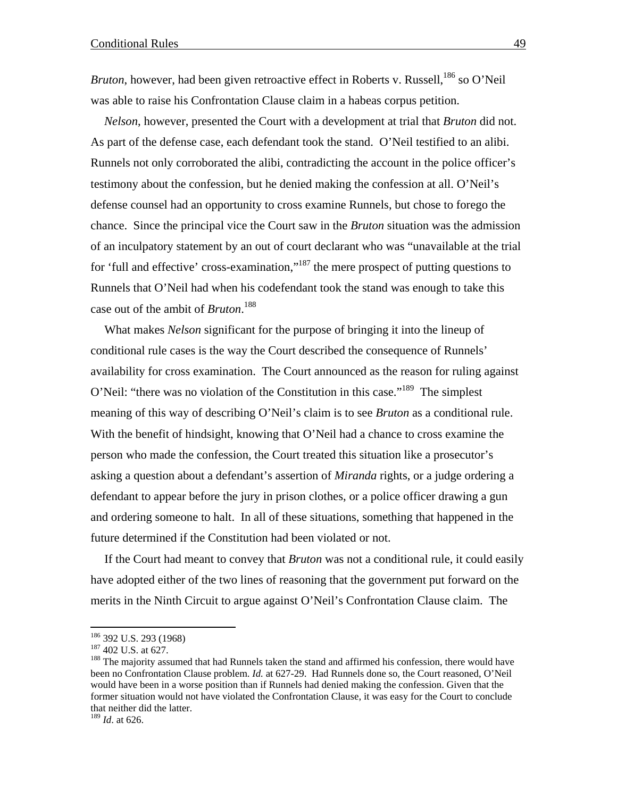*Bruton*, however, had been given retroactive effect in Roberts v. Russell,<sup>186</sup> so O'Neil was able to raise his Confrontation Clause claim in a habeas corpus petition.

*Nelson*, however, presented the Court with a development at trial that *Bruton* did not. As part of the defense case, each defendant took the stand. O'Neil testified to an alibi. Runnels not only corroborated the alibi, contradicting the account in the police officer's testimony about the confession, but he denied making the confession at all. O'Neil's defense counsel had an opportunity to cross examine Runnels, but chose to forego the chance. Since the principal vice the Court saw in the *Bruton* situation was the admission of an inculpatory statement by an out of court declarant who was "unavailable at the trial for 'full and effective' cross-examination,"<sup>187</sup> the mere prospect of putting questions to Runnels that O'Neil had when his codefendant took the stand was enough to take this case out of the ambit of *Bruton*. 188

What makes *Nelson* significant for the purpose of bringing it into the lineup of conditional rule cases is the way the Court described the consequence of Runnels' availability for cross examination. The Court announced as the reason for ruling against O'Neil: "there was no violation of the Constitution in this case."<sup>189</sup> The simplest meaning of this way of describing O'Neil's claim is to see *Bruton* as a conditional rule. With the benefit of hindsight, knowing that O'Neil had a chance to cross examine the person who made the confession, the Court treated this situation like a prosecutor's asking a question about a defendant's assertion of *Miranda* rights, or a judge ordering a defendant to appear before the jury in prison clothes, or a police officer drawing a gun and ordering someone to halt. In all of these situations, something that happened in the future determined if the Constitution had been violated or not.

If the Court had meant to convey that *Bruton* was not a conditional rule, it could easily have adopted either of the two lines of reasoning that the government put forward on the merits in the Ninth Circuit to argue against O'Neil's Confrontation Clause claim. The

1

<sup>&</sup>lt;sup>186</sup> 392 U.S. 293 (1968)<br><sup>187</sup> 402 U.S. at 627.<br><sup>188</sup> The majority assumed that had Runnels taken the stand and affirmed his confession, there would have been no Confrontation Clause problem. *Id.* at 627-29. Had Runnels done so, the Court reasoned, O'Neil would have been in a worse position than if Runnels had denied making the confession. Given that the former situation would not have violated the Confrontation Clause, it was easy for the Court to conclude that neither did the latter.

<sup>189</sup> *Id*. at 626.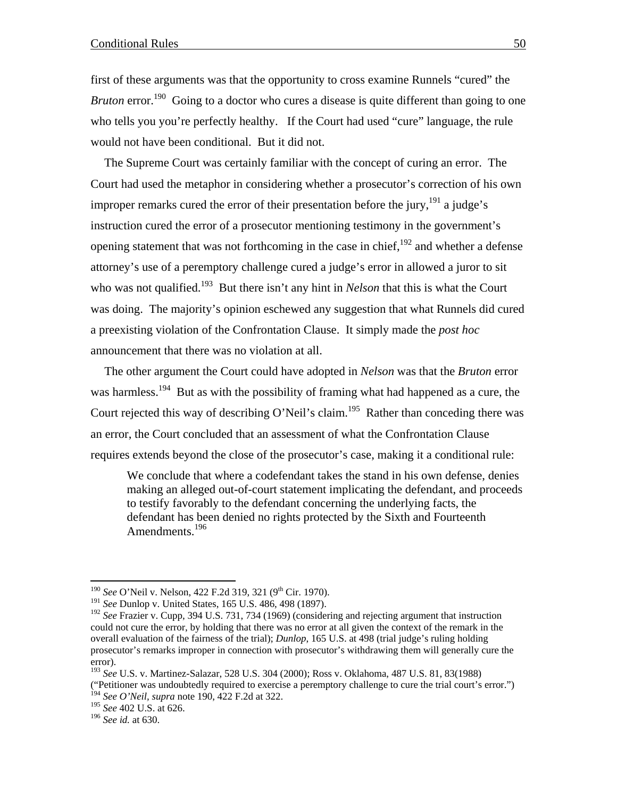first of these arguments was that the opportunity to cross examine Runnels "cured" the *Bruton* error.<sup>190</sup> Going to a doctor who cures a disease is quite different than going to one who tells you you're perfectly healthy. If the Court had used "cure" language, the rule would not have been conditional. But it did not.

The Supreme Court was certainly familiar with the concept of curing an error. The Court had used the metaphor in considering whether a prosecutor's correction of his own improper remarks cured the error of their presentation before the jury,  $191$  a judge's instruction cured the error of a prosecutor mentioning testimony in the government's opening statement that was not forthcoming in the case in chief,  $192$  and whether a defense attorney's use of a peremptory challenge cured a judge's error in allowed a juror to sit who was not qualified.<sup>193</sup> But there isn't any hint in *Nelson* that this is what the Court was doing. The majority's opinion eschewed any suggestion that what Runnels did cured a preexisting violation of the Confrontation Clause. It simply made the *post hoc* announcement that there was no violation at all.

The other argument the Court could have adopted in *Nelson* was that the *Bruton* error was harmless.<sup>194</sup> But as with the possibility of framing what had happened as a cure, the Court rejected this way of describing O'Neil's claim.<sup>195</sup> Rather than conceding there was an error, the Court concluded that an assessment of what the Confrontation Clause requires extends beyond the close of the prosecutor's case, making it a conditional rule:

We conclude that where a codefendant takes the stand in his own defense, denies making an alleged out-of-court statement implicating the defendant, and proceeds to testify favorably to the defendant concerning the underlying facts, the defendant has been denied no rights protected by the Sixth and Fourteenth Amendments.<sup>196</sup>

("Petitioner was undoubtedly required to exercise a peremptory challenge to cure the trial court's error.") <sup>194</sup> *See O'Neil, supra* note 190, 422 F.2d at 322.

 $\overline{a}$ <sup>190</sup> *See* O'Neil v. Nelson, 422 F.2d 319, 321 (9<sup>th</sup> Cir. 1970).

<sup>191</sup> *See* Dunlop v. United States, 165 U.S. 486, 498 (1897).

<sup>&</sup>lt;sup>192</sup> See Frazier v. Cupp, 394 U.S. 731, 734 (1969) (considering and rejecting argument that instruction could not cure the error, by holding that there was no error at all given the context of the remark in the overall evaluation of the fairness of the trial); *Dunlop*, 165 U.S. at 498 (trial judge's ruling holding prosecutor's remarks improper in connection with prosecutor's withdrawing them will generally cure the error).

<sup>193</sup> *See* U.S. v. Martinez-Salazar, 528 U.S. 304 (2000); Ross v. Oklahoma, 487 U.S. 81, 83(1988)

<sup>195</sup> *See* 402 U.S. at 626.

<sup>196</sup> *See id.* at 630.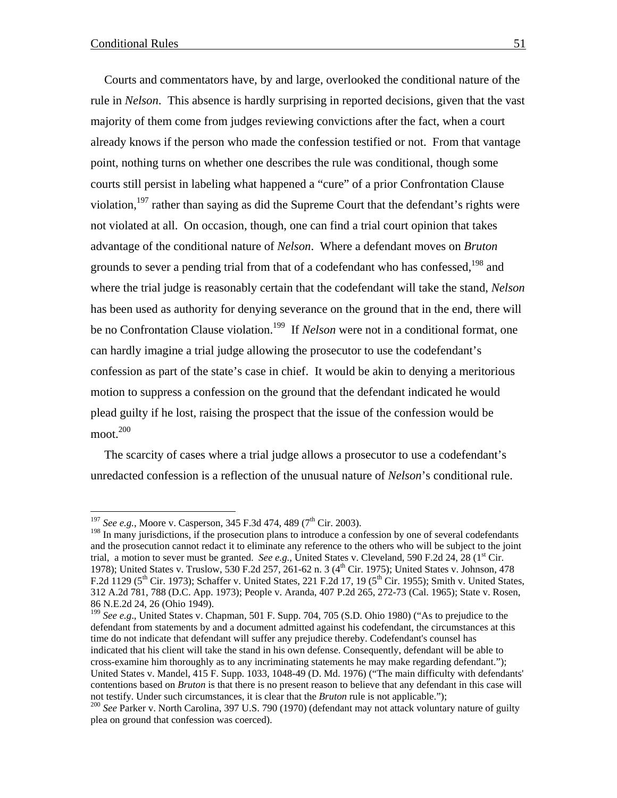Courts and commentators have, by and large, overlooked the conditional nature of the rule in *Nelson*. This absence is hardly surprising in reported decisions, given that the vast majority of them come from judges reviewing convictions after the fact, when a court already knows if the person who made the confession testified or not. From that vantage point, nothing turns on whether one describes the rule was conditional, though some courts still persist in labeling what happened a "cure" of a prior Confrontation Clause violation,  $197$  rather than saying as did the Supreme Court that the defendant's rights were not violated at all. On occasion, though, one can find a trial court opinion that takes advantage of the conditional nature of *Nelson*. Where a defendant moves on *Bruton* grounds to sever a pending trial from that of a codefendant who has confessed,<sup>198</sup> and where the trial judge is reasonably certain that the codefendant will take the stand, *Nelson* has been used as authority for denying severance on the ground that in the end, there will be no Confrontation Clause violation.<sup>199</sup> If *Nelson* were not in a conditional format, one can hardly imagine a trial judge allowing the prosecutor to use the codefendant's confession as part of the state's case in chief. It would be akin to denying a meritorious motion to suppress a confession on the ground that the defendant indicated he would plead guilty if he lost, raising the prospect that the issue of the confession would be  $m$ oot. $200$ 

The scarcity of cases where a trial judge allows a prosecutor to use a codefendant's unredacted confession is a reflection of the unusual nature of *Nelson*'s conditional rule.

<sup>&</sup>lt;sup>197</sup> *See e.g.*, Moore v. Casperson, 345 F.3d 474, 489 (7<sup>th</sup> Cir. 2003).

<sup>&</sup>lt;sup>198</sup> In many jurisdictions, if the prosecution plans to introduce a confession by one of several codefendants and the prosecution cannot redact it to eliminate any reference to the others who will be subject to the joint trial, a motion to sever must be granted. *See e.g.*, United States v. Cleveland, 590 F.2d 24, 28 (1st Cir. 1978); United States v. Truslow, 530 F.2d 257, 261-62 n. 3 (4<sup>th</sup> Cir. 1975); United States v. Johnson, 478 F.2d 1129 (5<sup>th</sup> Cir. 1973); Schaffer v. United States, 221 F.2d 17, 19 (5<sup>th</sup> Cir. 1955); Smith v. United States, 312 A.2d 781, 788 (D.C. App. 1973); People v. Aranda, 407 P.2d 265, 272-73 (Cal. 1965); State v. Rosen, 86 N.E.2d 24, 26 (Ohio 1949).

<sup>199</sup> *See e.g*., United States v. Chapman, 501 F. Supp. 704, 705 (S.D. Ohio 1980) ("As to prejudice to the defendant from statements by and a document admitted against his codefendant, the circumstances at this time do not indicate that defendant will suffer any prejudice thereby. Codefendant's counsel has indicated that his client will take the stand in his own defense. Consequently, defendant will be able to cross-examine him thoroughly as to any incriminating statements he may make regarding defendant."); United States v. Mandel, 415 F. Supp. 1033, 1048-49 (D. Md. 1976) ("The main difficulty with defendants' contentions based on *Bruton* is that there is no present reason to believe that any defendant in this case will not testify. Under such circumstances, it is clear that the *Bruton* rule is not applicable."); 200 *See* Parker v. North Carolina, 397 U.S. 790 (1970) (defendant may not attack voluntary nature of guilty

plea on ground that confession was coerced).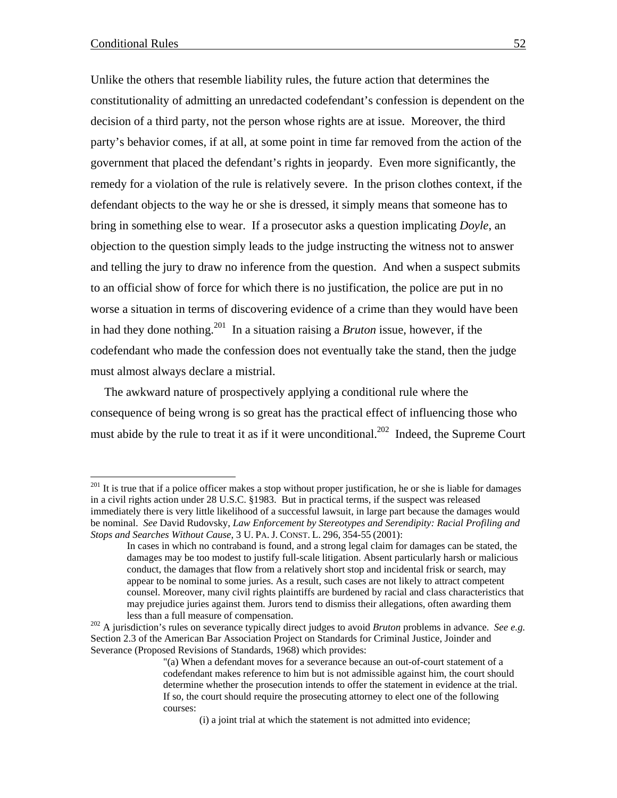$\overline{a}$ 

Unlike the others that resemble liability rules, the future action that determines the constitutionality of admitting an unredacted codefendant's confession is dependent on the decision of a third party, not the person whose rights are at issue. Moreover, the third party's behavior comes, if at all, at some point in time far removed from the action of the government that placed the defendant's rights in jeopardy. Even more significantly, the remedy for a violation of the rule is relatively severe. In the prison clothes context, if the defendant objects to the way he or she is dressed, it simply means that someone has to bring in something else to wear. If a prosecutor asks a question implicating *Doyle*, an objection to the question simply leads to the judge instructing the witness not to answer and telling the jury to draw no inference from the question. And when a suspect submits to an official show of force for which there is no justification, the police are put in no worse a situation in terms of discovering evidence of a crime than they would have been in had they done nothing.201 In a situation raising a *Bruton* issue, however, if the codefendant who made the confession does not eventually take the stand, then the judge must almost always declare a mistrial.

The awkward nature of prospectively applying a conditional rule where the consequence of being wrong is so great has the practical effect of influencing those who must abide by the rule to treat it as if it were unconditional.<sup>202</sup> Indeed, the Supreme Court

<sup>&</sup>lt;sup>201</sup> It is true that if a police officer makes a stop without proper justification, he or she is liable for damages in a civil rights action under 28 U.S.C. §1983. But in practical terms, if the suspect was released immediately there is very little likelihood of a successful lawsuit, in large part because the damages would be nominal. *See* David Rudovsky, *Law Enforcement by Stereotypes and Serendipity: Racial Profiling and Stops and Searches Without Cause*, 3 U. PA.J. CONST. L. 296, 354-55 (2001):

In cases in which no contraband is found, and a strong legal claim for damages can be stated, the damages may be too modest to justify full-scale litigation. Absent particularly harsh or malicious conduct, the damages that flow from a relatively short stop and incidental frisk or search, may appear to be nominal to some juries. As a result, such cases are not likely to attract competent counsel. Moreover, many civil rights plaintiffs are burdened by racial and class characteristics that may prejudice juries against them. Jurors tend to dismiss their allegations, often awarding them

less than a full measure of compensation. 202 A jurisdiction's rules on severance typically direct judges to avoid *Bruton* problems in advance. *See e.g.* Section 2.3 of the American Bar Association Project on Standards for Criminal Justice, Joinder and Severance (Proposed Revisions of Standards, 1968) which provides:

<sup>&</sup>quot;(a) When a defendant moves for a severance because an out-of-court statement of a codefendant makes reference to him but is not admissible against him, the court should determine whether the prosecution intends to offer the statement in evidence at the trial. If so, the court should require the prosecuting attorney to elect one of the following courses:

<sup>(</sup>i) a joint trial at which the statement is not admitted into evidence;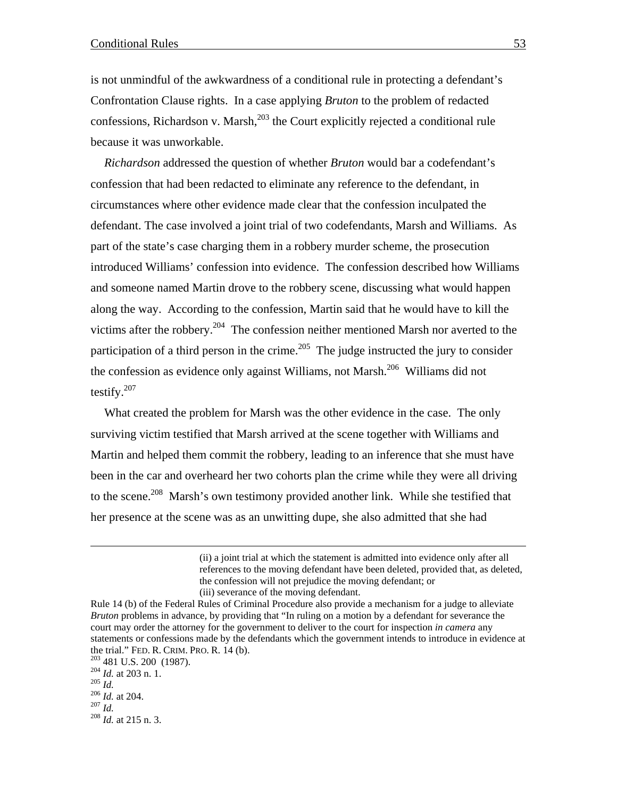is not unmindful of the awkwardness of a conditional rule in protecting a defendant's Confrontation Clause rights. In a case applying *Bruton* to the problem of redacted confessions, Richardson v. Marsh, $^{203}$  the Court explicitly rejected a conditional rule because it was unworkable.

*Richardson* addressed the question of whether *Bruton* would bar a codefendant's confession that had been redacted to eliminate any reference to the defendant, in circumstances where other evidence made clear that the confession inculpated the defendant. The case involved a joint trial of two codefendants, Marsh and Williams. As part of the state's case charging them in a robbery murder scheme, the prosecution introduced Williams' confession into evidence. The confession described how Williams and someone named Martin drove to the robbery scene, discussing what would happen along the way. According to the confession, Martin said that he would have to kill the victims after the robbery.204 The confession neither mentioned Marsh nor averted to the participation of a third person in the crime.<sup>205</sup> The judge instructed the jury to consider the confession as evidence only against Williams, not Marsh.<sup>206</sup> Williams did not testify. $207$ 

What created the problem for Marsh was the other evidence in the case. The only surviving victim testified that Marsh arrived at the scene together with Williams and Martin and helped them commit the robbery, leading to an inference that she must have been in the car and overheard her two cohorts plan the crime while they were all driving to the scene.<sup>208</sup> Marsh's own testimony provided another link. While she testified that her presence at the scene was as an unwitting dupe, she also admitted that she had

- 
- 
- 
- 

 <sup>(</sup>ii) a joint trial at which the statement is admitted into evidence only after all references to the moving defendant have been deleted, provided that, as deleted, the confession will not prejudice the moving defendant; or (iii) severance of the moving defendant.

Rule 14 (b) of the Federal Rules of Criminal Procedure also provide a mechanism for a judge to alleviate *Bruton* problems in advance, by providing that "In ruling on a motion by a defendant for severance the court may order the attorney for the government to deliver to the court for inspection *in camera* any statements or confessions made by the defendants which the government intends to introduce in evidence at the trial." FED. R. CRIM. PRO. R. 14 (b).<br>
<sup>203</sup> 481 U.S. 200 (1987).<br>
<sup>204</sup> *Id.* at 203 n. 1.<br>
<sup>206</sup> *Id.* at 204.<br>
<sup>207</sup> *Id.* <sup>208</sup> *Id.* at 215 n. 3.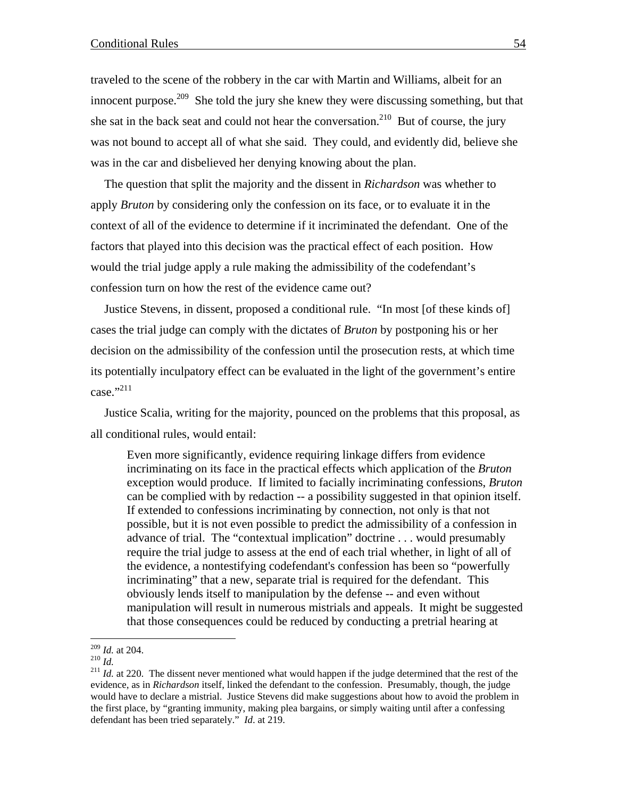traveled to the scene of the robbery in the car with Martin and Williams, albeit for an innocent purpose.<sup>209</sup> She told the jury she knew they were discussing something, but that she sat in the back seat and could not hear the conversation.<sup>210</sup> But of course, the jury was not bound to accept all of what she said. They could, and evidently did, believe she was in the car and disbelieved her denying knowing about the plan.

The question that split the majority and the dissent in *Richardson* was whether to apply *Bruton* by considering only the confession on its face, or to evaluate it in the context of all of the evidence to determine if it incriminated the defendant. One of the factors that played into this decision was the practical effect of each position. How would the trial judge apply a rule making the admissibility of the codefendant's confession turn on how the rest of the evidence came out?

Justice Stevens, in dissent, proposed a conditional rule. "In most [of these kinds of] cases the trial judge can comply with the dictates of *Bruton* by postponing his or her decision on the admissibility of the confession until the prosecution rests, at which time its potentially inculpatory effect can be evaluated in the light of the government's entire case." $^{211}$ 

Justice Scalia, writing for the majority, pounced on the problems that this proposal, as all conditional rules, would entail:

Even more significantly, evidence requiring linkage differs from evidence incriminating on its face in the practical effects which application of the *Bruton* exception would produce. If limited to facially incriminating confessions, *Bruton* can be complied with by redaction -- a possibility suggested in that opinion itself. If extended to confessions incriminating by connection, not only is that not possible, but it is not even possible to predict the admissibility of a confession in advance of trial. The "contextual implication" doctrine . . . would presumably require the trial judge to assess at the end of each trial whether, in light of all of the evidence, a nontestifying codefendant's confession has been so "powerfully incriminating" that a new, separate trial is required for the defendant. This obviously lends itself to manipulation by the defense -- and even without manipulation will result in numerous mistrials and appeals. It might be suggested that those consequences could be reduced by conducting a pretrial hearing at

 $209$  *Id.* at 204.

<sup>&</sup>lt;sup>210</sup> *Id.* at 204.<br><sup>210</sup> *Id.*<br><sup>211</sup> *Id.* at 220. The dissent never mentioned what would happen if the judge determined that the rest of the evidence, as in *Richardson* itself, linked the defendant to the confession. Presumably, though, the judge would have to declare a mistrial. Justice Stevens did make suggestions about how to avoid the problem in the first place, by "granting immunity, making plea bargains, or simply waiting until after a confessing defendant has been tried separately." *Id*. at 219.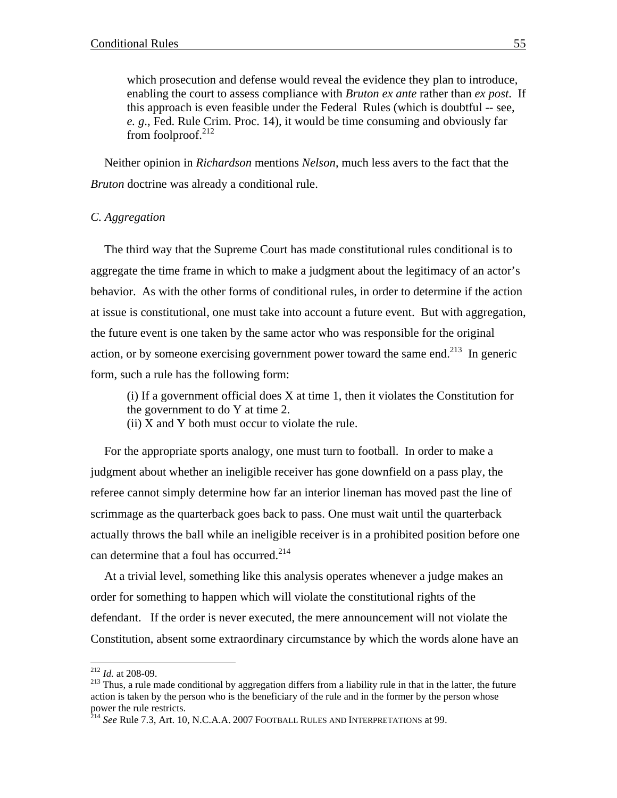which prosecution and defense would reveal the evidence they plan to introduce, enabling the court to assess compliance with *Bruton ex ante* rather than *ex post*. If this approach is even feasible under the Federal Rules (which is doubtful -- see, *e. g*., Fed. Rule Crim. Proc. 14), it would be time consuming and obviously far from foolproof. $212$ 

Neither opinion in *Richardson* mentions *Nelson*, much less avers to the fact that the *Bruton* doctrine was already a conditional rule.

### *C. Aggregation*

The third way that the Supreme Court has made constitutional rules conditional is to aggregate the time frame in which to make a judgment about the legitimacy of an actor's behavior. As with the other forms of conditional rules, in order to determine if the action at issue is constitutional, one must take into account a future event. But with aggregation, the future event is one taken by the same actor who was responsible for the original action, or by someone exercising government power toward the same end.<sup>213</sup> In generic form, such a rule has the following form:

(i) If a government official does X at time 1, then it violates the Constitution for the government to do Y at time 2.

 $(ii)$  X and Y both must occur to violate the rule.

For the appropriate sports analogy, one must turn to football. In order to make a judgment about whether an ineligible receiver has gone downfield on a pass play, the referee cannot simply determine how far an interior lineman has moved past the line of scrimmage as the quarterback goes back to pass. One must wait until the quarterback actually throws the ball while an ineligible receiver is in a prohibited position before one can determine that a foul has occurred.<sup>214</sup>

At a trivial level, something like this analysis operates whenever a judge makes an order for something to happen which will violate the constitutional rights of the defendant. If the order is never executed, the mere announcement will not violate the Constitution, absent some extraordinary circumstance by which the words alone have an

 $212$  *Id.* at 208-09.

<sup>&</sup>lt;sup>213</sup> Thus, a rule made conditional by aggregation differs from a liability rule in that in the latter, the future action is taken by the person who is the beneficiary of the rule and in the former by the person whose power the rule restricts.

<sup>214</sup> *See* Rule 7.3, Art. 10, N.C.A.A. 2007 FOOTBALL RULES AND INTERPRETATIONS at 99.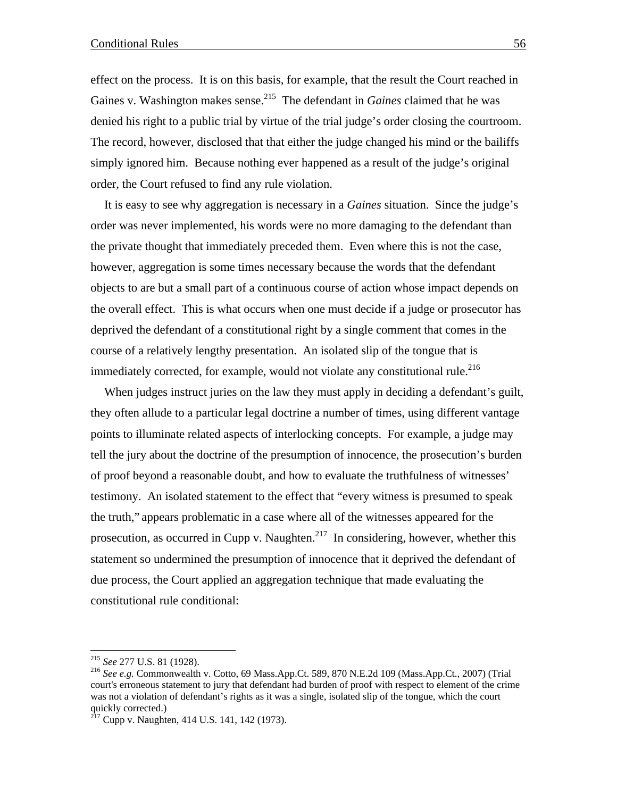effect on the process. It is on this basis, for example, that the result the Court reached in Gaines v. Washington makes sense.<sup>215</sup> The defendant in *Gaines* claimed that he was denied his right to a public trial by virtue of the trial judge's order closing the courtroom. The record, however, disclosed that that either the judge changed his mind or the bailiffs simply ignored him. Because nothing ever happened as a result of the judge's original order, the Court refused to find any rule violation.

It is easy to see why aggregation is necessary in a *Gaines* situation. Since the judge's order was never implemented, his words were no more damaging to the defendant than the private thought that immediately preceded them. Even where this is not the case, however, aggregation is some times necessary because the words that the defendant objects to are but a small part of a continuous course of action whose impact depends on the overall effect. This is what occurs when one must decide if a judge or prosecutor has deprived the defendant of a constitutional right by a single comment that comes in the course of a relatively lengthy presentation. An isolated slip of the tongue that is immediately corrected, for example, would not violate any constitutional rule.<sup>216</sup>

When judges instruct juries on the law they must apply in deciding a defendant's guilt, they often allude to a particular legal doctrine a number of times, using different vantage points to illuminate related aspects of interlocking concepts. For example, a judge may tell the jury about the doctrine of the presumption of innocence, the prosecution's burden of proof beyond a reasonable doubt, and how to evaluate the truthfulness of witnesses' testimony. An isolated statement to the effect that "every witness is presumed to speak the truth," appears problematic in a case where all of the witnesses appeared for the prosecution, as occurred in Cupp v. Naughten.<sup>217</sup> In considering, however, whether this statement so undermined the presumption of innocence that it deprived the defendant of due process, the Court applied an aggregation technique that made evaluating the constitutional rule conditional:

<sup>&</sup>lt;sup>215</sup> See 277 U.S. 81 (1928).

<sup>&</sup>lt;sup>216</sup> See e.g. Commonwealth v. Cotto, 69 Mass.App.Ct. 589, 870 N.E.2d 109 (Mass.App.Ct., 2007) (Trial court's erroneous statement to jury that defendant had burden of proof with respect to element of the crime was not a violation of defendant's rights as it was a single, isolated slip of the tongue, which the court quickly corrected.)

 $^{217}$  Cupp v. Naughten, 414 U.S. 141, 142 (1973).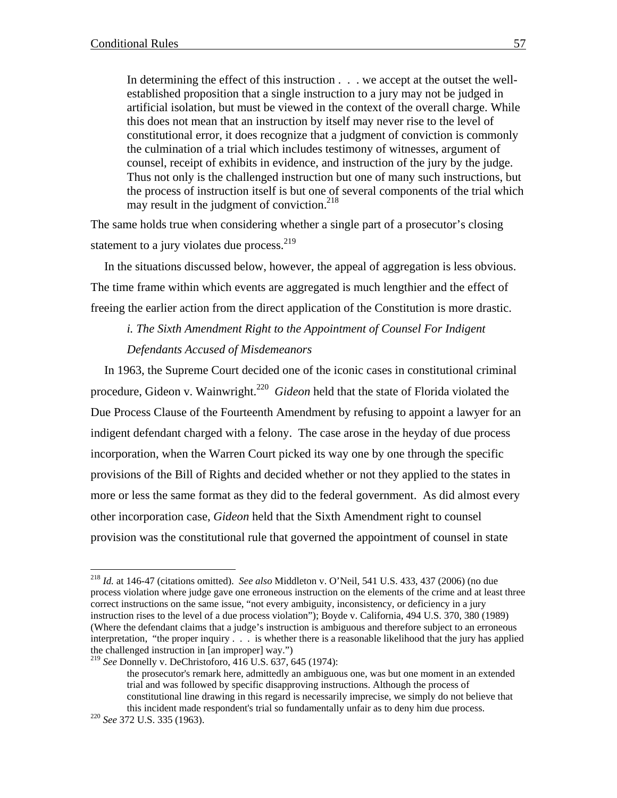In determining the effect of this instruction . . . we accept at the outset the wellestablished proposition that a single instruction to a jury may not be judged in artificial isolation, but must be viewed in the context of the overall charge. While this does not mean that an instruction by itself may never rise to the level of constitutional error, it does recognize that a judgment of conviction is commonly the culmination of a trial which includes testimony of witnesses, argument of counsel, receipt of exhibits in evidence, and instruction of the jury by the judge. Thus not only is the challenged instruction but one of many such instructions, but the process of instruction itself is but one of several components of the trial which may result in the judgment of conviction.<sup>218</sup>

The same holds true when considering whether a single part of a prosecutor's closing statement to a jury violates due process. $^{219}$ 

In the situations discussed below, however, the appeal of aggregation is less obvious. The time frame within which events are aggregated is much lengthier and the effect of freeing the earlier action from the direct application of the Constitution is more drastic.

## *i. The Sixth Amendment Right to the Appointment of Counsel For Indigent Defendants Accused of Misdemeanors*

In 1963, the Supreme Court decided one of the iconic cases in constitutional criminal procedure, Gideon v. Wainwright.<sup>220</sup> *Gideon* held that the state of Florida violated the Due Process Clause of the Fourteenth Amendment by refusing to appoint a lawyer for an indigent defendant charged with a felony. The case arose in the heyday of due process incorporation, when the Warren Court picked its way one by one through the specific provisions of the Bill of Rights and decided whether or not they applied to the states in more or less the same format as they did to the federal government. As did almost every other incorporation case, *Gideon* held that the Sixth Amendment right to counsel provision was the constitutional rule that governed the appointment of counsel in state

<sup>218</sup> *Id.* at 146-47 (citations omitted). *See also* Middleton v. O'Neil, 541 U.S. 433, 437 (2006) (no due process violation where judge gave one erroneous instruction on the elements of the crime and at least three correct instructions on the same issue, "not every ambiguity, inconsistency, or deficiency in a jury instruction rises to the level of a due process violation"); Boyde v. California, 494 U.S. 370, 380 (1989) (Where the defendant claims that a judge's instruction is ambiguous and therefore subject to an erroneous interpretation, "the proper inquiry . . . is whether there is a reasonable likelihood that the jury has applied the challenged instruction in [an improper] way.")

<sup>219</sup> *See* Donnelly v. DeChristoforo, 416 U.S. 637, 645 (1974):

the prosecutor's remark here, admittedly an ambiguous one, was but one moment in an extended trial and was followed by specific disapproving instructions. Although the process of constitutional line drawing in this regard is necessarily imprecise, we simply do not believe that this incident made respondent's trial so fundamentally unfair as to deny him due process. 220 *See* 372 U.S. 335 (1963).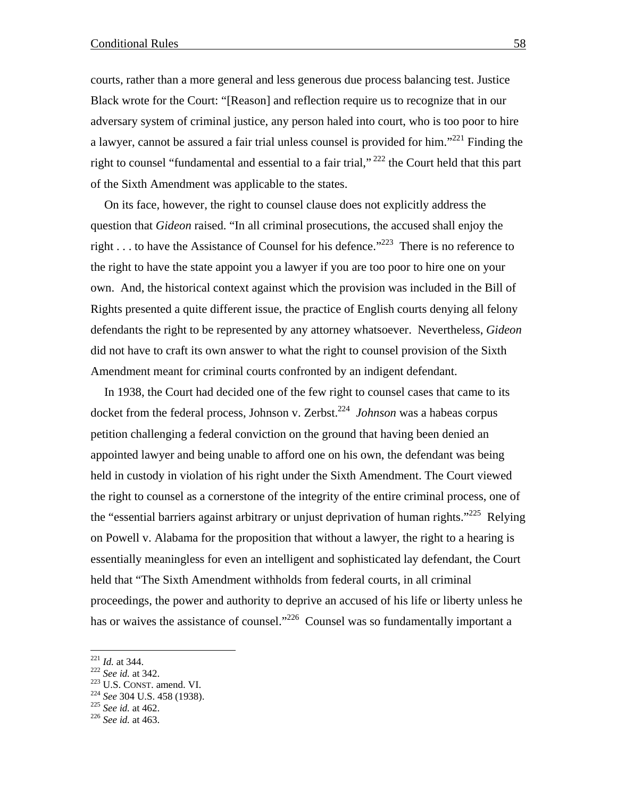courts, rather than a more general and less generous due process balancing test. Justice Black wrote for the Court: "[Reason] and reflection require us to recognize that in our adversary system of criminal justice, any person haled into court, who is too poor to hire a lawyer, cannot be assured a fair trial unless counsel is provided for him.<sup> $221$ </sup> Finding the right to counsel "fundamental and essential to a fair trial,"  $^{222}$  the Court held that this part of the Sixth Amendment was applicable to the states.

On its face, however, the right to counsel clause does not explicitly address the question that *Gideon* raised. "In all criminal prosecutions, the accused shall enjoy the right . . . to have the Assistance of Counsel for his defence."<sup>223</sup> There is no reference to the right to have the state appoint you a lawyer if you are too poor to hire one on your own. And, the historical context against which the provision was included in the Bill of Rights presented a quite different issue, the practice of English courts denying all felony defendants the right to be represented by any attorney whatsoever. Nevertheless, *Gideon* did not have to craft its own answer to what the right to counsel provision of the Sixth Amendment meant for criminal courts confronted by an indigent defendant.

In 1938, the Court had decided one of the few right to counsel cases that came to its docket from the federal process, Johnson v. Zerbst.<sup>224</sup> *Johnson* was a habeas corpus petition challenging a federal conviction on the ground that having been denied an appointed lawyer and being unable to afford one on his own, the defendant was being held in custody in violation of his right under the Sixth Amendment. The Court viewed the right to counsel as a cornerstone of the integrity of the entire criminal process, one of the "essential barriers against arbitrary or unjust deprivation of human rights."<sup>225</sup> Relying on Powell v. Alabama for the proposition that without a lawyer, the right to a hearing is essentially meaningless for even an intelligent and sophisticated lay defendant, the Court held that "The Sixth Amendment withholds from federal courts, in all criminal proceedings, the power and authority to deprive an accused of his life or liberty unless he has or waives the assistance of counsel."<sup>226</sup> Counsel was so fundamentally important a

 $^{221}$  *Id.* at 344.

<sup>&</sup>lt;sup>222</sup> *See id.* at 342.<br><sup>223</sup> U.S. CONST. amend. VI.<br><sup>224</sup> *See* 304 U.S. 458 (1938).<br><sup>225</sup> *See id.* at 462.<br><sup>226</sup> *See id.* at 463.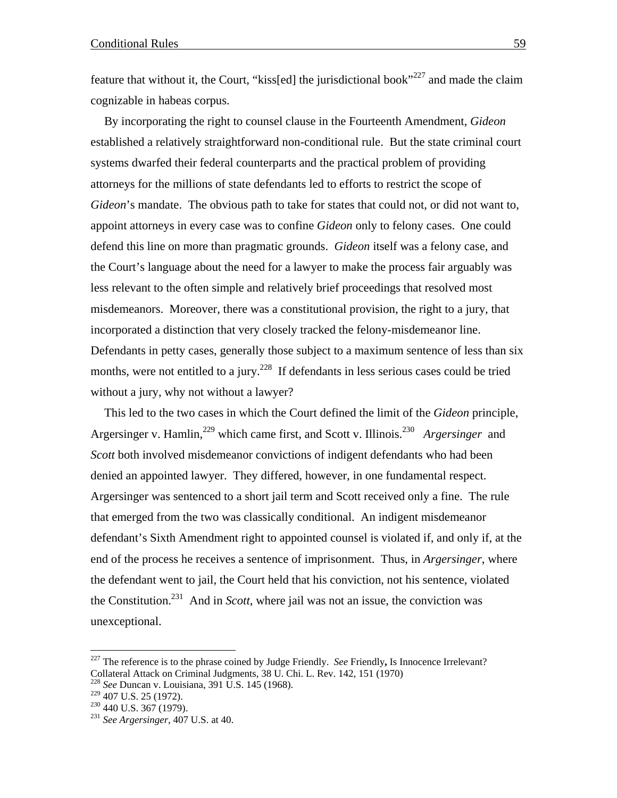feature that without it, the Court, "kiss[ed] the jurisdictional book"<sup>227</sup> and made the claim cognizable in habeas corpus.

By incorporating the right to counsel clause in the Fourteenth Amendment, *Gideon* established a relatively straightforward non-conditional rule. But the state criminal court systems dwarfed their federal counterparts and the practical problem of providing attorneys for the millions of state defendants led to efforts to restrict the scope of *Gideon*'s mandate. The obvious path to take for states that could not, or did not want to, appoint attorneys in every case was to confine *Gideon* only to felony cases. One could defend this line on more than pragmatic grounds. *Gideon* itself was a felony case, and the Court's language about the need for a lawyer to make the process fair arguably was less relevant to the often simple and relatively brief proceedings that resolved most misdemeanors. Moreover, there was a constitutional provision, the right to a jury, that incorporated a distinction that very closely tracked the felony-misdemeanor line. Defendants in petty cases, generally those subject to a maximum sentence of less than six months, were not entitled to a jury.<sup>228</sup> If defendants in less serious cases could be tried without a jury, why not without a lawyer?

This led to the two cases in which the Court defined the limit of the *Gideon* principle, Argersinger v. Hamlin,<sup>229</sup> which came first, and Scott v. Illinois.<sup>230</sup> *Argersinger* and *Scott* both involved misdemeanor convictions of indigent defendants who had been denied an appointed lawyer. They differed, however, in one fundamental respect. Argersinger was sentenced to a short jail term and Scott received only a fine. The rule that emerged from the two was classically conditional. An indigent misdemeanor defendant's Sixth Amendment right to appointed counsel is violated if, and only if, at the end of the process he receives a sentence of imprisonment. Thus, in *Argersinger*, where the defendant went to jail, the Court held that his conviction, not his sentence, violated the Constitution.231 And in *Scott*, where jail was not an issue, the conviction was unexceptional.

<u>.</u>

<sup>227</sup> The reference is to the phrase coined by Judge Friendly. *See* Friendly**,** Is Innocence Irrelevant? Collateral Attack on Criminal Judgments, 38 U. Chi. L. Rev. 142, 151 (1970)

<sup>228</sup> *See* Duncan v. Louisiana, 391 U.S. 145 (1968).

<sup>229 407</sup> U.S. 25 (1972). 230 440 U.S. 367 (1979). 231 *See Argersinger*, 407 U.S. at 40.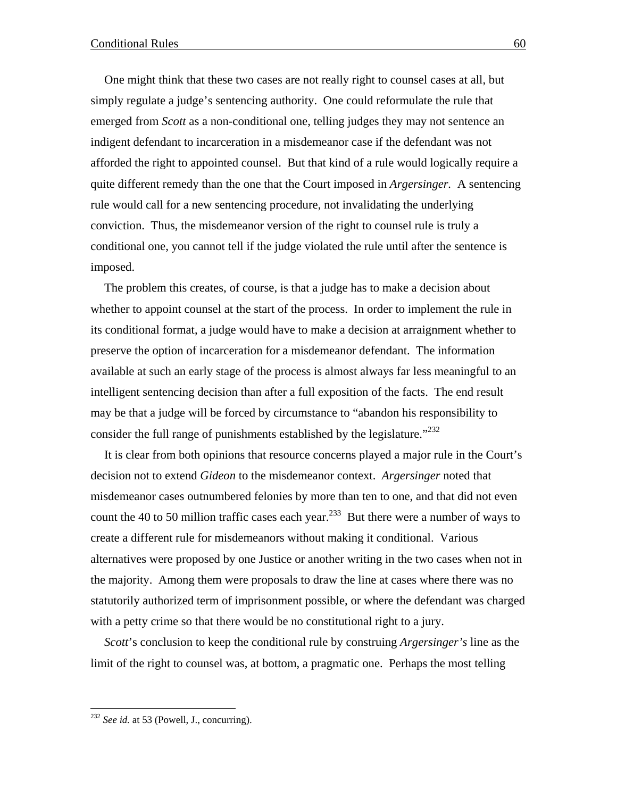One might think that these two cases are not really right to counsel cases at all, but simply regulate a judge's sentencing authority. One could reformulate the rule that emerged from *Scott* as a non-conditional one, telling judges they may not sentence an indigent defendant to incarceration in a misdemeanor case if the defendant was not afforded the right to appointed counsel. But that kind of a rule would logically require a quite different remedy than the one that the Court imposed in *Argersinger.* A sentencing rule would call for a new sentencing procedure, not invalidating the underlying conviction. Thus, the misdemeanor version of the right to counsel rule is truly a conditional one, you cannot tell if the judge violated the rule until after the sentence is imposed.

The problem this creates, of course, is that a judge has to make a decision about whether to appoint counsel at the start of the process. In order to implement the rule in its conditional format, a judge would have to make a decision at arraignment whether to preserve the option of incarceration for a misdemeanor defendant. The information available at such an early stage of the process is almost always far less meaningful to an intelligent sentencing decision than after a full exposition of the facts. The end result may be that a judge will be forced by circumstance to "abandon his responsibility to consider the full range of punishments established by the legislature."<sup>232</sup>

It is clear from both opinions that resource concerns played a major rule in the Court's decision not to extend *Gideon* to the misdemeanor context. *Argersinger* noted that misdemeanor cases outnumbered felonies by more than ten to one, and that did not even count the 40 to 50 million traffic cases each year.<sup>233</sup> But there were a number of ways to create a different rule for misdemeanors without making it conditional. Various alternatives were proposed by one Justice or another writing in the two cases when not in the majority. Among them were proposals to draw the line at cases where there was no statutorily authorized term of imprisonment possible, or where the defendant was charged with a petty crime so that there would be no constitutional right to a jury.

*Scott*'s conclusion to keep the conditional rule by construing *Argersinger's* line as the limit of the right to counsel was, at bottom, a pragmatic one. Perhaps the most telling

1

<sup>232</sup> *See id.* at 53 (Powell, J., concurring).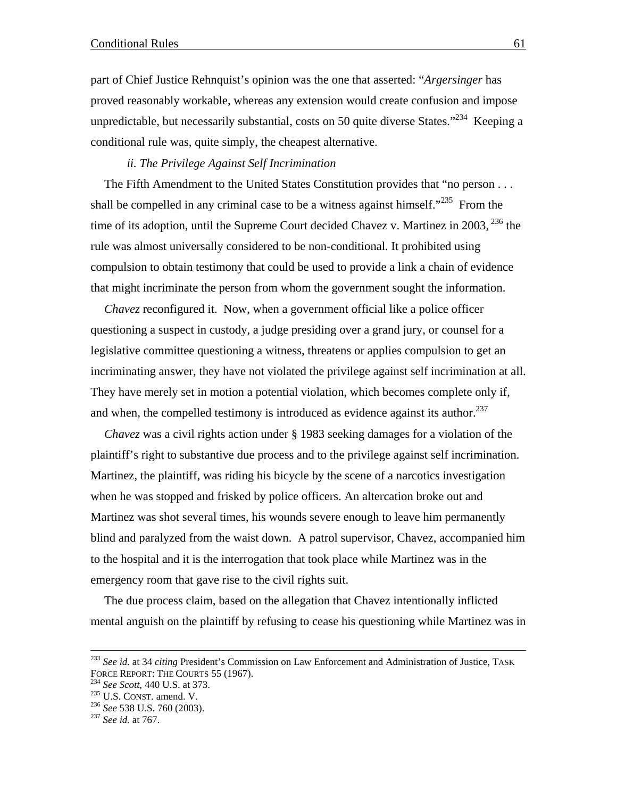part of Chief Justice Rehnquist's opinion was the one that asserted: "*Argersinger* has proved reasonably workable, whereas any extension would create confusion and impose unpredictable, but necessarily substantial, costs on 50 quite diverse States."<sup>234</sup> Keeping a conditional rule was, quite simply, the cheapest alternative.

### *ii. The Privilege Against Self Incrimination*

The Fifth Amendment to the United States Constitution provides that "no person . . . shall be compelled in any criminal case to be a witness against himself."<sup>235</sup> From the time of its adoption, until the Supreme Court decided Chavez v. Martinez in 2003,  $^{236}$  the rule was almost universally considered to be non-conditional. It prohibited using compulsion to obtain testimony that could be used to provide a link a chain of evidence that might incriminate the person from whom the government sought the information.

*Chavez* reconfigured it. Now, when a government official like a police officer questioning a suspect in custody, a judge presiding over a grand jury, or counsel for a legislative committee questioning a witness, threatens or applies compulsion to get an incriminating answer, they have not violated the privilege against self incrimination at all. They have merely set in motion a potential violation, which becomes complete only if, and when, the compelled testimony is introduced as evidence against its author.<sup>237</sup>

*Chavez* was a civil rights action under § 1983 seeking damages for a violation of the plaintiff's right to substantive due process and to the privilege against self incrimination. Martinez, the plaintiff, was riding his bicycle by the scene of a narcotics investigation when he was stopped and frisked by police officers. An altercation broke out and Martinez was shot several times, his wounds severe enough to leave him permanently blind and paralyzed from the waist down. A patrol supervisor, Chavez, accompanied him to the hospital and it is the interrogation that took place while Martinez was in the emergency room that gave rise to the civil rights suit.

The due process claim, based on the allegation that Chavez intentionally inflicted mental anguish on the plaintiff by refusing to cease his questioning while Martinez was in

<sup>&</sup>lt;sup>233</sup> *See id.* at 34 *citing* President's Commission on Law Enforcement and Administration of Justice, TASK FORCE REPORT: THE COURTS 55 (1967).

<sup>&</sup>lt;sup>234</sup> *See Scott*, 440 U.S. at 373.<br><sup>235</sup> U.S. CONST. amend. V.<br><sup>236</sup> *See* 538 U.S. 760 (2003).<br><sup>237</sup> *See id.* at 767.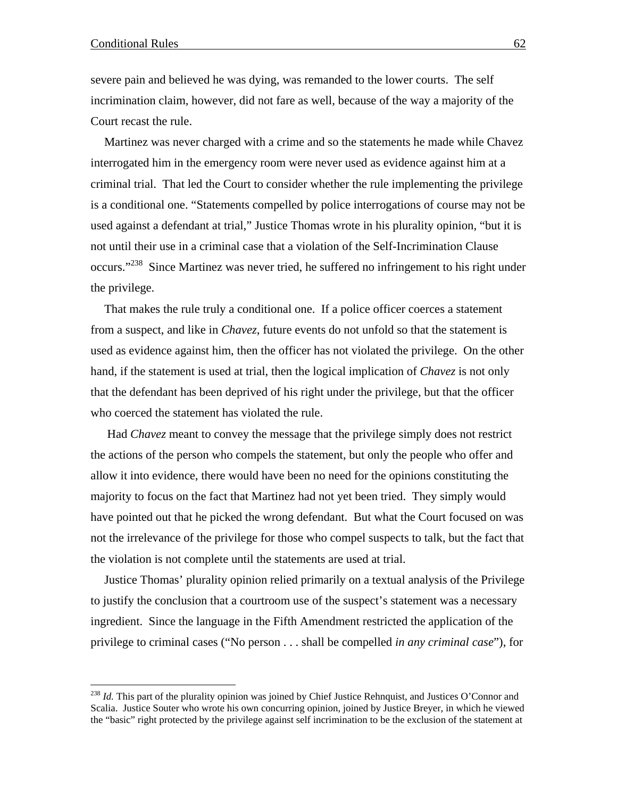$\overline{a}$ 

severe pain and believed he was dying, was remanded to the lower courts. The self incrimination claim, however, did not fare as well, because of the way a majority of the Court recast the rule.

Martinez was never charged with a crime and so the statements he made while Chavez interrogated him in the emergency room were never used as evidence against him at a criminal trial. That led the Court to consider whether the rule implementing the privilege is a conditional one. "Statements compelled by police interrogations of course may not be used against a defendant at trial," Justice Thomas wrote in his plurality opinion, "but it is not until their use in a criminal case that a violation of the Self-Incrimination Clause occurs."<sup>238</sup> Since Martinez was never tried, he suffered no infringement to his right under the privilege.

That makes the rule truly a conditional one. If a police officer coerces a statement from a suspect, and like in *Chavez*, future events do not unfold so that the statement is used as evidence against him, then the officer has not violated the privilege. On the other hand, if the statement is used at trial, then the logical implication of *Chavez* is not only that the defendant has been deprived of his right under the privilege, but that the officer who coerced the statement has violated the rule.

 Had *Chavez* meant to convey the message that the privilege simply does not restrict the actions of the person who compels the statement, but only the people who offer and allow it into evidence, there would have been no need for the opinions constituting the majority to focus on the fact that Martinez had not yet been tried. They simply would have pointed out that he picked the wrong defendant. But what the Court focused on was not the irrelevance of the privilege for those who compel suspects to talk, but the fact that the violation is not complete until the statements are used at trial.

Justice Thomas' plurality opinion relied primarily on a textual analysis of the Privilege to justify the conclusion that a courtroom use of the suspect's statement was a necessary ingredient. Since the language in the Fifth Amendment restricted the application of the privilege to criminal cases ("No person . . . shall be compelled *in any criminal case*"), for

<sup>&</sup>lt;sup>238</sup> *Id.* This part of the plurality opinion was joined by Chief Justice Rehnquist, and Justices O'Connor and Scalia. Justice Souter who wrote his own concurring opinion, joined by Justice Breyer, in which he viewed the "basic" right protected by the privilege against self incrimination to be the exclusion of the statement at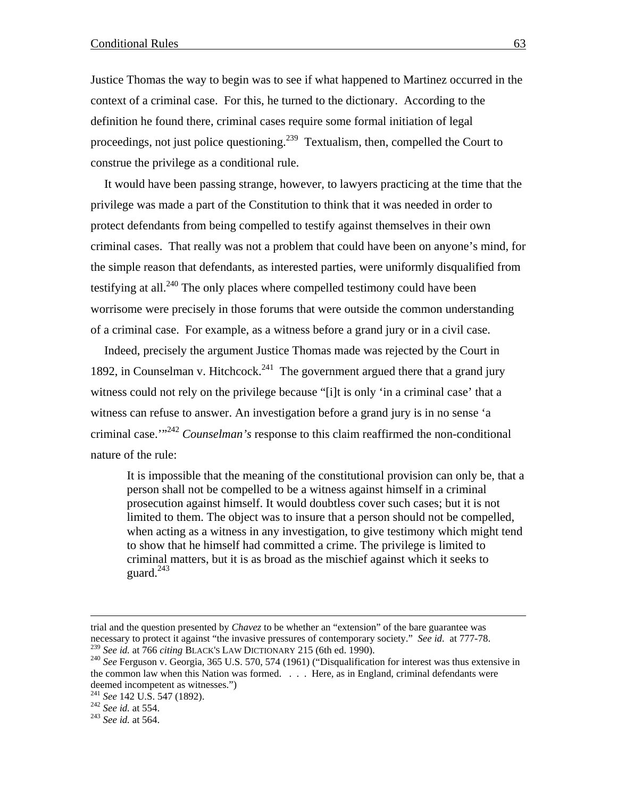Justice Thomas the way to begin was to see if what happened to Martinez occurred in the context of a criminal case. For this, he turned to the dictionary. According to the definition he found there, criminal cases require some formal initiation of legal proceedings, not just police questioning.<sup>239</sup> Textualism, then, compelled the Court to construe the privilege as a conditional rule.

It would have been passing strange, however, to lawyers practicing at the time that the privilege was made a part of the Constitution to think that it was needed in order to protect defendants from being compelled to testify against themselves in their own criminal cases. That really was not a problem that could have been on anyone's mind, for the simple reason that defendants, as interested parties, were uniformly disqualified from testifying at all.<sup>240</sup> The only places where compelled testimony could have been worrisome were precisely in those forums that were outside the common understanding of a criminal case. For example, as a witness before a grand jury or in a civil case.

Indeed, precisely the argument Justice Thomas made was rejected by the Court in 1892, in Counselman v. Hitchcock.<sup>241</sup> The government argued there that a grand jury witness could not rely on the privilege because "[i]t is only 'in a criminal case' that a witness can refuse to answer. An investigation before a grand jury is in no sense 'a criminal case.'"242 *Counselman's* response to this claim reaffirmed the non-conditional nature of the rule:

It is impossible that the meaning of the constitutional provision can only be, that a person shall not be compelled to be a witness against himself in a criminal prosecution against himself. It would doubtless cover such cases; but it is not limited to them. The object was to insure that a person should not be compelled, when acting as a witness in any investigation, to give testimony which might tend to show that he himself had committed a crime. The privilege is limited to criminal matters, but it is as broad as the mischief against which it seeks to guard.<sup>243</sup>

trial and the question presented by *Chavez* to be whether an "extension" of the bare guarantee was necessary to protect it against "the invasive pressures of contemporary society." *See id.* at 777-78.<br><sup>239</sup> *See id.* at 766 *citing* BLACK'S LAW DICTIONARY 215 (6th ed. 1990).

<sup>&</sup>lt;sup>240</sup> *See* Ferguson v. Georgia, 365 U.S. 570, 574 (1961) ("Disqualification for interest was thus extensive in the common law when this Nation was formed. . . . Here, as in England, criminal defendants were deemed incompetent as witnesses.")

<sup>&</sup>lt;sup>241</sup> *See* 142 U.S. 547 (1892).<br><sup>242</sup> *See id.* at 554. <sup>243</sup> *See id.* at 564.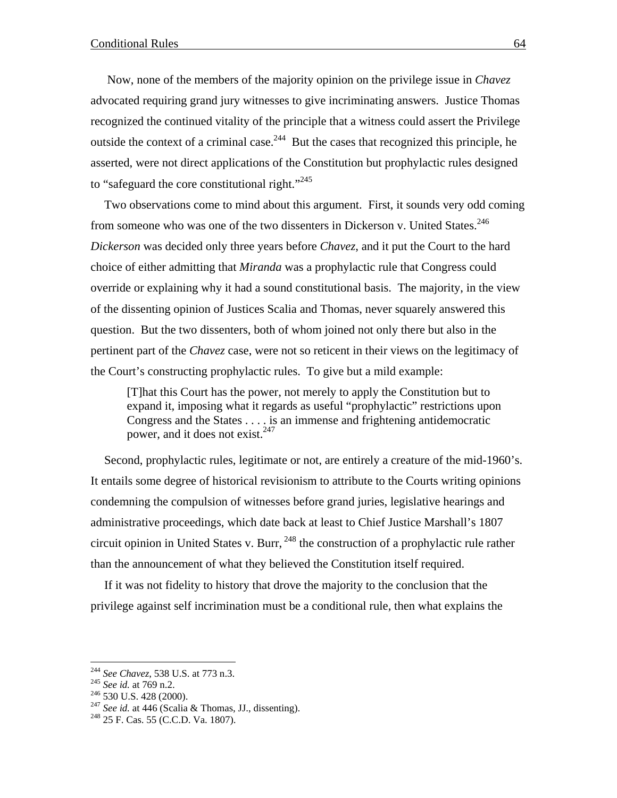Now, none of the members of the majority opinion on the privilege issue in *Chavez* advocated requiring grand jury witnesses to give incriminating answers. Justice Thomas recognized the continued vitality of the principle that a witness could assert the Privilege outside the context of a criminal case.<sup>244</sup> But the cases that recognized this principle, he asserted, were not direct applications of the Constitution but prophylactic rules designed to "safeguard the core constitutional right."<sup>245</sup>

Two observations come to mind about this argument. First, it sounds very odd coming from someone who was one of the two dissenters in Dickerson v. United States.<sup>246</sup> *Dickerson* was decided only three years before *Chavez*, and it put the Court to the hard choice of either admitting that *Miranda* was a prophylactic rule that Congress could override or explaining why it had a sound constitutional basis. The majority, in the view of the dissenting opinion of Justices Scalia and Thomas, never squarely answered this question. But the two dissenters, both of whom joined not only there but also in the pertinent part of the *Chavez* case, were not so reticent in their views on the legitimacy of the Court's constructing prophylactic rules. To give but a mild example:

[T]hat this Court has the power, not merely to apply the Constitution but to expand it, imposing what it regards as useful "prophylactic" restrictions upon Congress and the States . . . . is an immense and frightening antidemocratic power, and it does not exist.<sup>247</sup>

Second, prophylactic rules, legitimate or not, are entirely a creature of the mid-1960's. It entails some degree of historical revisionism to attribute to the Courts writing opinions condemning the compulsion of witnesses before grand juries, legislative hearings and administrative proceedings, which date back at least to Chief Justice Marshall's 1807 circuit opinion in United States v. Burr,  $^{248}$  the construction of a prophylactic rule rather than the announcement of what they believed the Constitution itself required.

If it was not fidelity to history that drove the majority to the conclusion that the privilege against self incrimination must be a conditional rule, then what explains the

<sup>&</sup>lt;sup>244</sup> See Chavez, 538 U.S. at 773 n.3.

<sup>&</sup>lt;sup>245</sup> *See id.* at 769 n.2.<br><sup>246</sup> 530 U.S. 428 (2000).<br><sup>247</sup> *See id.* at 446 (Scalia & Thomas, JJ., dissenting). <sup>248</sup> 25 F. Cas. 55 (C.C.D. Va. 1807).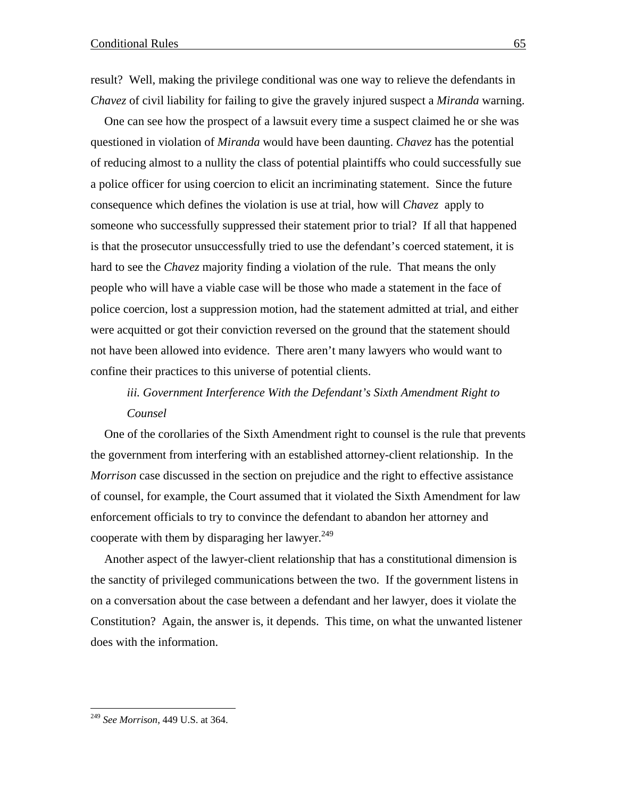result? Well, making the privilege conditional was one way to relieve the defendants in *Chavez* of civil liability for failing to give the gravely injured suspect a *Miranda* warning.

One can see how the prospect of a lawsuit every time a suspect claimed he or she was questioned in violation of *Miranda* would have been daunting. *Chavez* has the potential of reducing almost to a nullity the class of potential plaintiffs who could successfully sue a police officer for using coercion to elicit an incriminating statement. Since the future consequence which defines the violation is use at trial, how will *Chavez* apply to someone who successfully suppressed their statement prior to trial? If all that happened is that the prosecutor unsuccessfully tried to use the defendant's coerced statement, it is hard to see the *Chavez* majority finding a violation of the rule. That means the only people who will have a viable case will be those who made a statement in the face of police coercion, lost a suppression motion, had the statement admitted at trial, and either were acquitted or got their conviction reversed on the ground that the statement should not have been allowed into evidence. There aren't many lawyers who would want to confine their practices to this universe of potential clients.

*iii. Government Interference With the Defendant's Sixth Amendment Right to Counsel*

One of the corollaries of the Sixth Amendment right to counsel is the rule that prevents the government from interfering with an established attorney-client relationship. In the *Morrison* case discussed in the section on prejudice and the right to effective assistance of counsel, for example, the Court assumed that it violated the Sixth Amendment for law enforcement officials to try to convince the defendant to abandon her attorney and cooperate with them by disparaging her lawyer.<sup>249</sup>

Another aspect of the lawyer-client relationship that has a constitutional dimension is the sanctity of privileged communications between the two. If the government listens in on a conversation about the case between a defendant and her lawyer, does it violate the Constitution? Again, the answer is, it depends. This time, on what the unwanted listener does with the information.

<sup>249</sup> *See Morrison*, 449 U.S. at 364.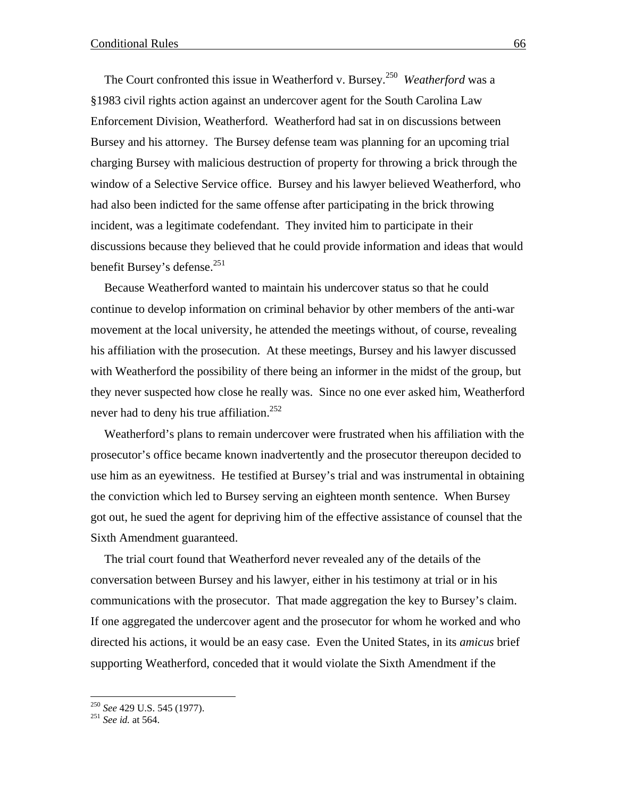The Court confronted this issue in Weatherford v. Bursey.250 *Weatherford* was a §1983 civil rights action against an undercover agent for the South Carolina Law Enforcement Division, Weatherford. Weatherford had sat in on discussions between Bursey and his attorney. The Bursey defense team was planning for an upcoming trial charging Bursey with malicious destruction of property for throwing a brick through the window of a Selective Service office. Bursey and his lawyer believed Weatherford, who had also been indicted for the same offense after participating in the brick throwing incident, was a legitimate codefendant. They invited him to participate in their discussions because they believed that he could provide information and ideas that would benefit Bursey's defense.<sup>251</sup>

Because Weatherford wanted to maintain his undercover status so that he could continue to develop information on criminal behavior by other members of the anti-war movement at the local university, he attended the meetings without, of course, revealing his affiliation with the prosecution. At these meetings, Bursey and his lawyer discussed with Weatherford the possibility of there being an informer in the midst of the group, but they never suspected how close he really was. Since no one ever asked him, Weatherford never had to deny his true affiliation.<sup>252</sup>

Weatherford's plans to remain undercover were frustrated when his affiliation with the prosecutor's office became known inadvertently and the prosecutor thereupon decided to use him as an eyewitness. He testified at Bursey's trial and was instrumental in obtaining the conviction which led to Bursey serving an eighteen month sentence. When Bursey got out, he sued the agent for depriving him of the effective assistance of counsel that the Sixth Amendment guaranteed.

The trial court found that Weatherford never revealed any of the details of the conversation between Bursey and his lawyer, either in his testimony at trial or in his communications with the prosecutor. That made aggregation the key to Bursey's claim. If one aggregated the undercover agent and the prosecutor for whom he worked and who directed his actions, it would be an easy case. Even the United States, in its *amicus* brief supporting Weatherford, conceded that it would violate the Sixth Amendment if the

1

<sup>250</sup> *See* 429 U.S. 545 (1977). 251 *See id.* at 564.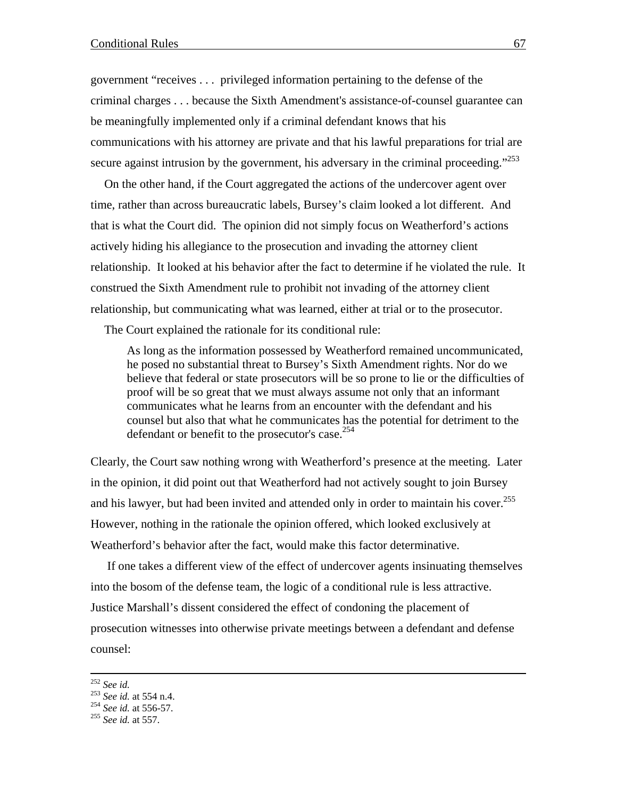government "receives . . . privileged information pertaining to the defense of the criminal charges . . . because the Sixth Amendment's assistance-of-counsel guarantee can be meaningfully implemented only if a criminal defendant knows that his communications with his attorney are private and that his lawful preparations for trial are secure against intrusion by the government, his adversary in the criminal proceeding."<sup>253</sup>

On the other hand, if the Court aggregated the actions of the undercover agent over time, rather than across bureaucratic labels, Bursey's claim looked a lot different. And that is what the Court did. The opinion did not simply focus on Weatherford's actions actively hiding his allegiance to the prosecution and invading the attorney client relationship. It looked at his behavior after the fact to determine if he violated the rule. It construed the Sixth Amendment rule to prohibit not invading of the attorney client relationship, but communicating what was learned, either at trial or to the prosecutor.

The Court explained the rationale for its conditional rule:

As long as the information possessed by Weatherford remained uncommunicated, he posed no substantial threat to Bursey's Sixth Amendment rights. Nor do we believe that federal or state prosecutors will be so prone to lie or the difficulties of proof will be so great that we must always assume not only that an informant communicates what he learns from an encounter with the defendant and his counsel but also that what he communicates has the potential for detriment to the defendant or benefit to the prosecutor's case. $254$ 

Clearly, the Court saw nothing wrong with Weatherford's presence at the meeting. Later in the opinion, it did point out that Weatherford had not actively sought to join Bursey and his lawyer, but had been invited and attended only in order to maintain his cover.<sup>255</sup> However, nothing in the rationale the opinion offered, which looked exclusively at Weatherford's behavior after the fact, would make this factor determinative.

 If one takes a different view of the effect of undercover agents insinuating themselves into the bosom of the defense team, the logic of a conditional rule is less attractive. Justice Marshall's dissent considered the effect of condoning the placement of prosecution witnesses into otherwise private meetings between a defendant and defense counsel:

<sup>252</sup> *See id.* <sup>253</sup> *See id.* at 554 n.4. 254 *See id.* at 556-57. 255 *See id.* at 557.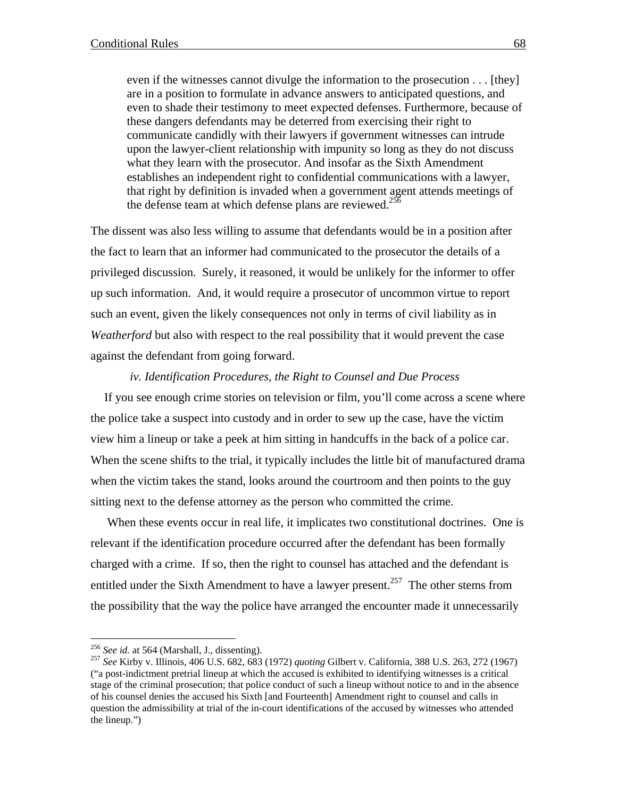even if the witnesses cannot divulge the information to the prosecution . . . [they] are in a position to formulate in advance answers to anticipated questions, and even to shade their testimony to meet expected defenses. Furthermore, because of these dangers defendants may be deterred from exercising their right to communicate candidly with their lawyers if government witnesses can intrude upon the lawyer-client relationship with impunity so long as they do not discuss what they learn with the prosecutor. And insofar as the Sixth Amendment establishes an independent right to confidential communications with a lawyer, that right by definition is invaded when a government agent attends meetings of the defense team at which defense plans are reviewed.<sup>256</sup>

The dissent was also less willing to assume that defendants would be in a position after the fact to learn that an informer had communicated to the prosecutor the details of a privileged discussion. Surely, it reasoned, it would be unlikely for the informer to offer up such information. And, it would require a prosecutor of uncommon virtue to report such an event, given the likely consequences not only in terms of civil liability as in *Weatherford* but also with respect to the real possibility that it would prevent the case against the defendant from going forward.

### *iv. Identification Procedures, the Right to Counsel and Due Process*

If you see enough crime stories on television or film, you'll come across a scene where the police take a suspect into custody and in order to sew up the case, have the victim view him a lineup or take a peek at him sitting in handcuffs in the back of a police car. When the scene shifts to the trial, it typically includes the little bit of manufactured drama when the victim takes the stand, looks around the courtroom and then points to the guy sitting next to the defense attorney as the person who committed the crime.

 When these events occur in real life, it implicates two constitutional doctrines. One is relevant if the identification procedure occurred after the defendant has been formally charged with a crime. If so, then the right to counsel has attached and the defendant is entitled under the Sixth Amendment to have a lawyer present.<sup>257</sup> The other stems from the possibility that the way the police have arranged the encounter made it unnecessarily

 $256$  See id. at 564 (Marshall, J., dissenting).

<sup>&</sup>lt;sup>257</sup> See Kirby v. Illinois, 406 U.S. 682, 683 (1972) *quoting Gilbert v. California*, 388 U.S. 263, 272 (1967) ("a post-indictment pretrial lineup at which the accused is exhibited to identifying witnesses is a critical stage of the criminal prosecution; that police conduct of such a lineup without notice to and in the absence of his counsel denies the accused his Sixth [and Fourteenth] Amendment right to counsel and calls in question the admissibility at trial of the in-court identifications of the accused by witnesses who attended the lineup.")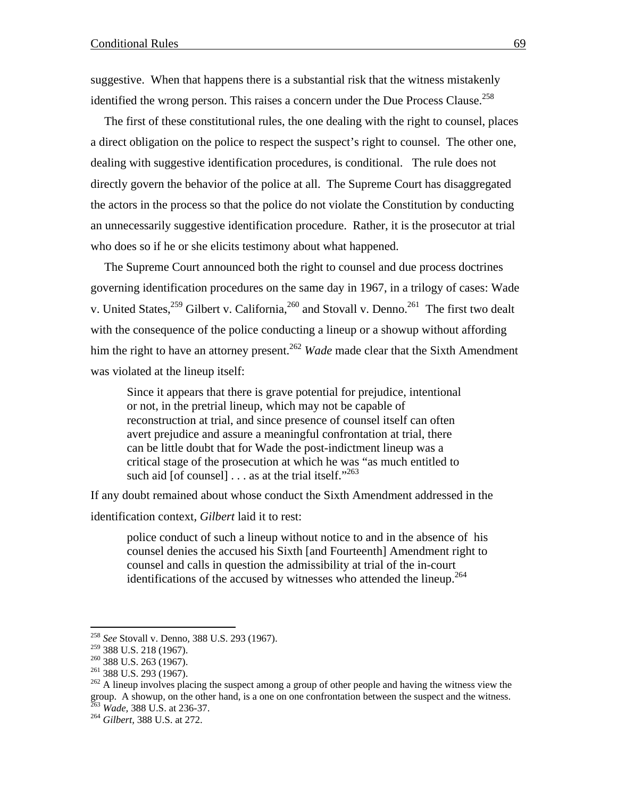suggestive. When that happens there is a substantial risk that the witness mistakenly identified the wrong person. This raises a concern under the Due Process Clause.<sup>258</sup>

The first of these constitutional rules, the one dealing with the right to counsel, places a direct obligation on the police to respect the suspect's right to counsel. The other one, dealing with suggestive identification procedures, is conditional. The rule does not directly govern the behavior of the police at all. The Supreme Court has disaggregated the actors in the process so that the police do not violate the Constitution by conducting an unnecessarily suggestive identification procedure. Rather, it is the prosecutor at trial who does so if he or she elicits testimony about what happened.

The Supreme Court announced both the right to counsel and due process doctrines governing identification procedures on the same day in 1967, in a trilogy of cases: Wade v. United States,  $259$  Gilbert v. California,  $260$  and Stovall v. Denno.  $261$  The first two dealt with the consequence of the police conducting a lineup or a showup without affording him the right to have an attorney present.<sup>262</sup> *Wade* made clear that the Sixth Amendment was violated at the lineup itself:

Since it appears that there is grave potential for prejudice, intentional or not, in the pretrial lineup, which may not be capable of reconstruction at trial, and since presence of counsel itself can often avert prejudice and assure a meaningful confrontation at trial, there can be little doubt that for Wade the post-indictment lineup was a critical stage of the prosecution at which he was "as much entitled to such aid [of counsel]  $\ldots$  as at the trial itself."<sup>263</sup>

If any doubt remained about whose conduct the Sixth Amendment addressed in the identification context, *Gilbert* laid it to rest:

police conduct of such a lineup without notice to and in the absence of his counsel denies the accused his Sixth [and Fourteenth] Amendment right to counsel and calls in question the admissibility at trial of the in-court identifications of the accused by witnesses who attended the lineup.<sup>264</sup>

1

<sup>258</sup> *See* Stovall v. Denno*,* 388 U.S. 293 (1967).

<sup>&</sup>lt;sup>259</sup> 388 U.S. 218 (1967).<br>
<sup>260</sup> 388 U.S. 263 (1967).<br>
<sup>261</sup> 388 U.S. 293 (1967).<br>
<sup>262</sup> A lineup involves placing the suspect among a group of other people and having the witness view the group. A showup, on the other hand, is a one on one confrontation between the suspect and the witness. <sup>263</sup> *Wade, 388 U.S. at 236-37.*<br><sup>264</sup> *Gilbert, 388 U.S. at 272.*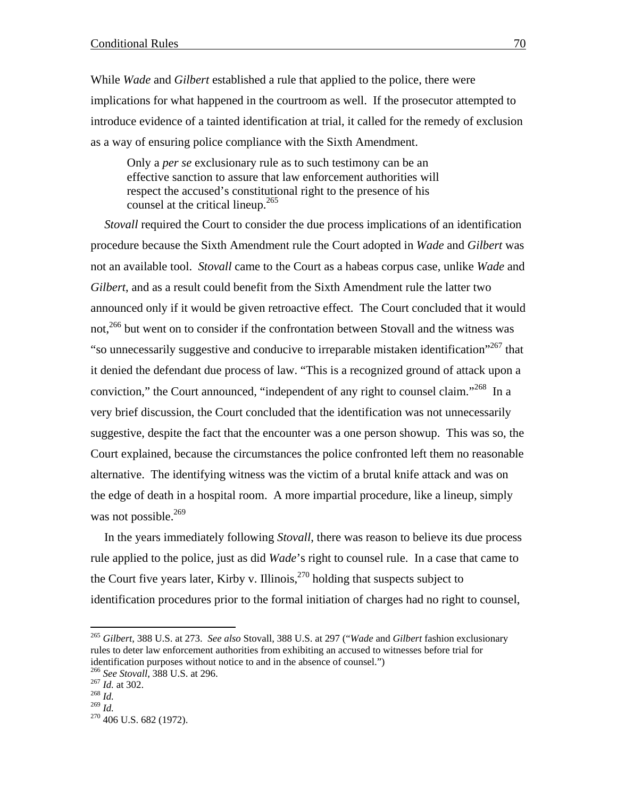While *Wade* and *Gilbert* established a rule that applied to the police, there were implications for what happened in the courtroom as well. If the prosecutor attempted to introduce evidence of a tainted identification at trial, it called for the remedy of exclusion as a way of ensuring police compliance with the Sixth Amendment.

Only a *per se* exclusionary rule as to such testimony can be an effective sanction to assure that law enforcement authorities will respect the accused's constitutional right to the presence of his counsel at the critical lineup. $265$ 

*Stovall* required the Court to consider the due process implications of an identification procedure because the Sixth Amendment rule the Court adopted in *Wade* and *Gilbert* was not an available tool. *Stovall* came to the Court as a habeas corpus case, unlike *Wade* and *Gilbert*, and as a result could benefit from the Sixth Amendment rule the latter two announced only if it would be given retroactive effect. The Court concluded that it would not,<sup>266</sup> but went on to consider if the confrontation between Stovall and the witness was "so unnecessarily suggestive and conducive to irreparable mistaken identification"<sup>267</sup> that it denied the defendant due process of law. "This is a recognized ground of attack upon a conviction," the Court announced, "independent of any right to counsel claim."268 In a very brief discussion, the Court concluded that the identification was not unnecessarily suggestive, despite the fact that the encounter was a one person showup. This was so, the Court explained, because the circumstances the police confronted left them no reasonable alternative. The identifying witness was the victim of a brutal knife attack and was on the edge of death in a hospital room. A more impartial procedure, like a lineup, simply was not possible. $269$ 

In the years immediately following *Stovall*, there was reason to believe its due process rule applied to the police, just as did *Wade*'s right to counsel rule. In a case that came to the Court five years later, Kirby v. Illinois,  $270$  holding that suspects subject to identification procedures prior to the formal initiation of charges had no right to counsel,

1

<sup>265</sup> *Gilbert*, 388 U.S. at 273. *See also* Stovall, 388 U.S. at 297 ("*Wade* and *Gilbert* fashion exclusionary rules to deter law enforcement authorities from exhibiting an accused to witnesses before trial for identification purposes without notice to and in the absence of counsel.")

<sup>266</sup> *See Stovall*, 388 U.S. at 296. 267 *Id.* at 302. 268 *Id.* 

<sup>&</sup>lt;sup>270</sup> 406 U.S. 682 (1972).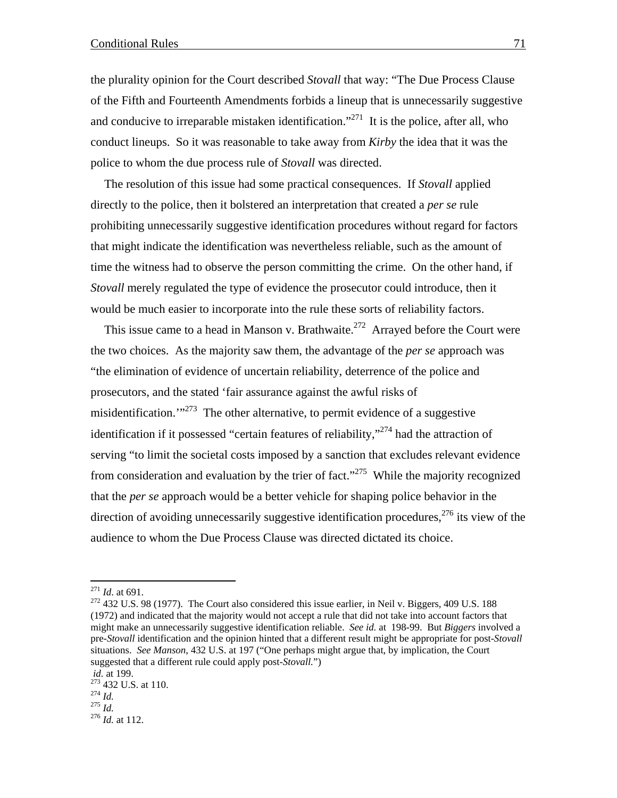the plurality opinion for the Court described *Stovall* that way: "The Due Process Clause of the Fifth and Fourteenth Amendments forbids a lineup that is unnecessarily suggestive and conducive to irreparable mistaken identification."<sup>271</sup> It is the police, after all, who conduct lineups. So it was reasonable to take away from *Kirby* the idea that it was the police to whom the due process rule of *Stovall* was directed.

The resolution of this issue had some practical consequences. If *Stovall* applied directly to the police, then it bolstered an interpretation that created a *per se* rule prohibiting unnecessarily suggestive identification procedures without regard for factors that might indicate the identification was nevertheless reliable, such as the amount of time the witness had to observe the person committing the crime. On the other hand, if *Stovall* merely regulated the type of evidence the prosecutor could introduce, then it would be much easier to incorporate into the rule these sorts of reliability factors.

This issue came to a head in Manson v. Brathwaite.<sup>272</sup> Arrayed before the Court were the two choices. As the majority saw them, the advantage of the *per se* approach was "the elimination of evidence of uncertain reliability, deterrence of the police and prosecutors, and the stated 'fair assurance against the awful risks of misidentification. $\frac{1}{273}$  The other alternative, to permit evidence of a suggestive identification if it possessed "certain features of reliability,"<sup>274</sup> had the attraction of serving "to limit the societal costs imposed by a sanction that excludes relevant evidence from consideration and evaluation by the trier of fact."<sup>275</sup> While the majority recognized that the *per se* approach would be a better vehicle for shaping police behavior in the direction of avoiding unnecessarily suggestive identification procedures,  $276$  its view of the audience to whom the Due Process Clause was directed dictated its choice.

<sup>272</sup> 432 U.S. 98 (1977). The Court also considered this issue earlier, in Neil v. Biggers, 409 U.S. 188 (1972) and indicated that the majority would not accept a rule that did not take into account factors that might make an unnecessarily suggestive identification reliable. *See id.* at 198-99. But *Biggers* involved a pre-*Stovall* identification and the opinion hinted that a different result might be appropriate for post-*Stovall* situations. *See Manson*, 432 U.S. at 197 ("One perhaps might argue that, by implication, the Court suggested that a different rule could apply post-*Stovall.*")

 $^{271}$  *Id.* at 691.

*id.* at 199.<br>
<sup>273</sup> 432 U.S. at 110.<br>
<sup>274</sup> *Id.*<br>
<sup>275</sup> *Id.* at 112.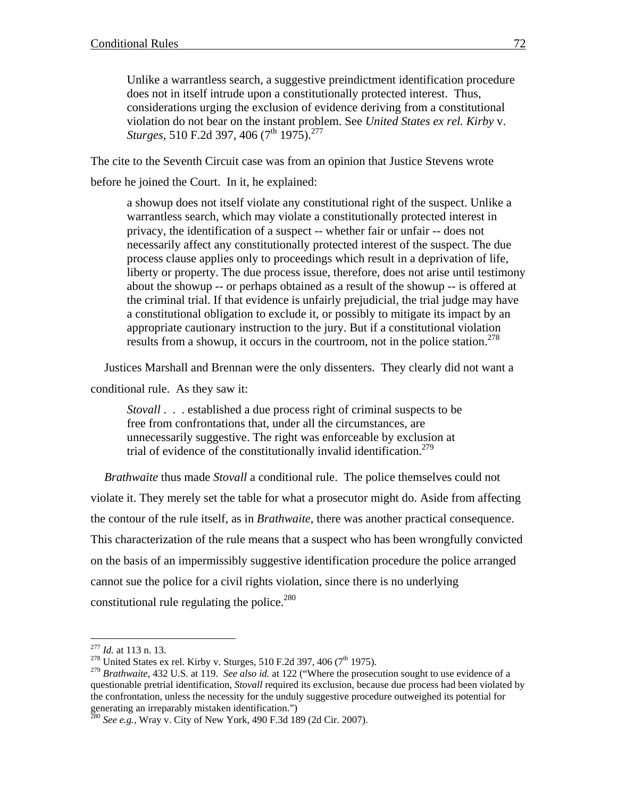Unlike a warrantless search, a suggestive preindictment identification procedure does not in itself intrude upon a constitutionally protected interest. Thus, considerations urging the exclusion of evidence deriving from a constitutional violation do not bear on the instant problem. See *United States ex rel. Kirby* v. *Sturges,* 510 F.2d 397, 406 (7<sup>th</sup> 1975).<sup>277</sup>

The cite to the Seventh Circuit case was from an opinion that Justice Stevens wrote before he joined the Court. In it, he explained:

a showup does not itself violate any constitutional right of the suspect. Unlike a warrantless search, which may violate a constitutionally protected interest in privacy, the identification of a suspect -- whether fair or unfair -- does not necessarily affect any constitutionally protected interest of the suspect. The due process clause applies only to proceedings which result in a deprivation of life, liberty or property. The due process issue, therefore, does not arise until testimony about the showup -- or perhaps obtained as a result of the showup -- is offered at the criminal trial. If that evidence is unfairly prejudicial, the trial judge may have a constitutional obligation to exclude it, or possibly to mitigate its impact by an appropriate cautionary instruction to the jury. But if a constitutional violation results from a showup, it occurs in the courtroom, not in the police station.<sup>278</sup>

Justices Marshall and Brennan were the only dissenters. They clearly did not want a

conditional rule. As they saw it:

*Stovall* . . . established a due process right of criminal suspects to be free from confrontations that, under all the circumstances, are unnecessarily suggestive. The right was enforceable by exclusion at trial of evidence of the constitutionally invalid identification.<sup>279</sup>

*Brathwaite* thus made *Stovall* a conditional rule. The police themselves could not violate it. They merely set the table for what a prosecutor might do. Aside from affecting the contour of the rule itself, as in *Brathwaite*, there was another practical consequence. This characterization of the rule means that a suspect who has been wrongfully convicted on the basis of an impermissibly suggestive identification procedure the police arranged cannot sue the police for a civil rights violation, since there is no underlying constitutional rule regulating the police. $280$ 

 $^{277}$  *Id.* at 113 n. 13.

<sup>&</sup>lt;sup>278</sup> United States ex rel. Kirby v. Sturges, 510 F.2d 397, 406 (7<sup>th</sup> 1975).

<sup>279</sup> *Brathwaite*, 432 U.S. at 119. *See also id.* at 122 ("Where the prosecution sought to use evidence of a questionable pretrial identification, *Stovall* required its exclusion, because due process had been violated by the confrontation, unless the necessity for the unduly suggestive procedure outweighed its potential for generating an irreparably mistaken identification.")

<sup>280</sup> *See e.g.*, Wray v. City of New York, 490 F.3d 189 (2d Cir. 2007).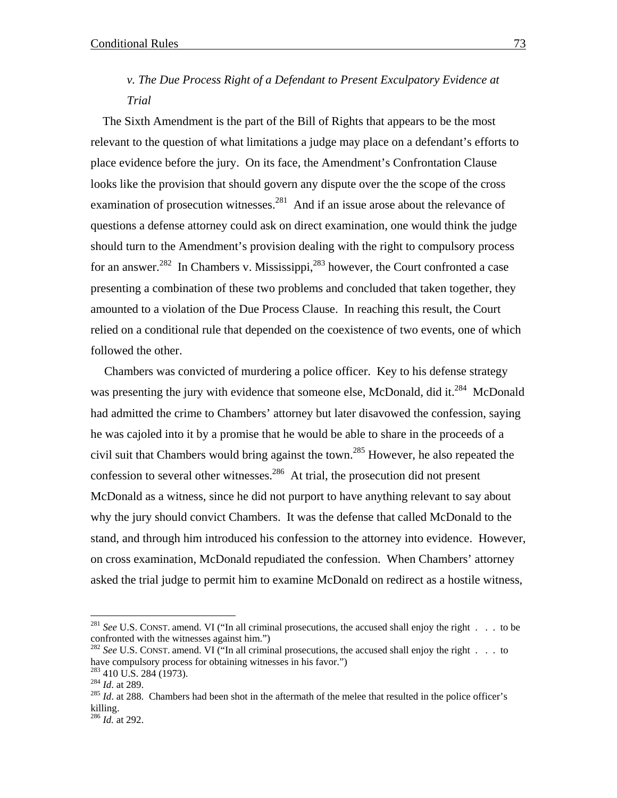# *v. The Due Process Right of a Defendant to Present Exculpatory Evidence at Trial*

 The Sixth Amendment is the part of the Bill of Rights that appears to be the most relevant to the question of what limitations a judge may place on a defendant's efforts to place evidence before the jury. On its face, the Amendment's Confrontation Clause looks like the provision that should govern any dispute over the the scope of the cross examination of prosecution witnesses.<sup>281</sup> And if an issue arose about the relevance of questions a defense attorney could ask on direct examination, one would think the judge should turn to the Amendment's provision dealing with the right to compulsory process for an answer.<sup>282</sup> In Chambers v. Mississippi,<sup>283</sup> however, the Court confronted a case presenting a combination of these two problems and concluded that taken together, they amounted to a violation of the Due Process Clause. In reaching this result, the Court relied on a conditional rule that depended on the coexistence of two events, one of which followed the other.

Chambers was convicted of murdering a police officer. Key to his defense strategy was presenting the jury with evidence that someone else, McDonald, did it.<sup>284</sup> McDonald had admitted the crime to Chambers' attorney but later disavowed the confession, saying he was cajoled into it by a promise that he would be able to share in the proceeds of a civil suit that Chambers would bring against the town.<sup>285</sup> However, he also repeated the confession to several other witnesses.<sup>286</sup> At trial, the prosecution did not present McDonald as a witness, since he did not purport to have anything relevant to say about why the jury should convict Chambers. It was the defense that called McDonald to the stand, and through him introduced his confession to the attorney into evidence. However, on cross examination, McDonald repudiated the confession. When Chambers' attorney asked the trial judge to permit him to examine McDonald on redirect as a hostile witness,

<u>.</u>

<sup>&</sup>lt;sup>281</sup> See U.S. CONST. amend. VI ("In all criminal prosecutions, the accused shall enjoy the right . . . to be confronted with the witnesses against him.")<br><sup>282</sup> *See* U.S. CONST. amend. VI ("In all criminal prosecutions, the accused shall enjoy the right . . . to

have compulsory process for obtaining witnesses in his favor.")

<sup>&</sup>lt;sup>283</sup> 410 U.S. 284 (1973).<br><sup>284</sup> *Id*. at 289.<br><sup>285</sup> *Id*. at 288. Chambers had been shot in the aftermath of the melee that resulted in the police officer's killing.

<sup>286</sup> *Id.* at 292.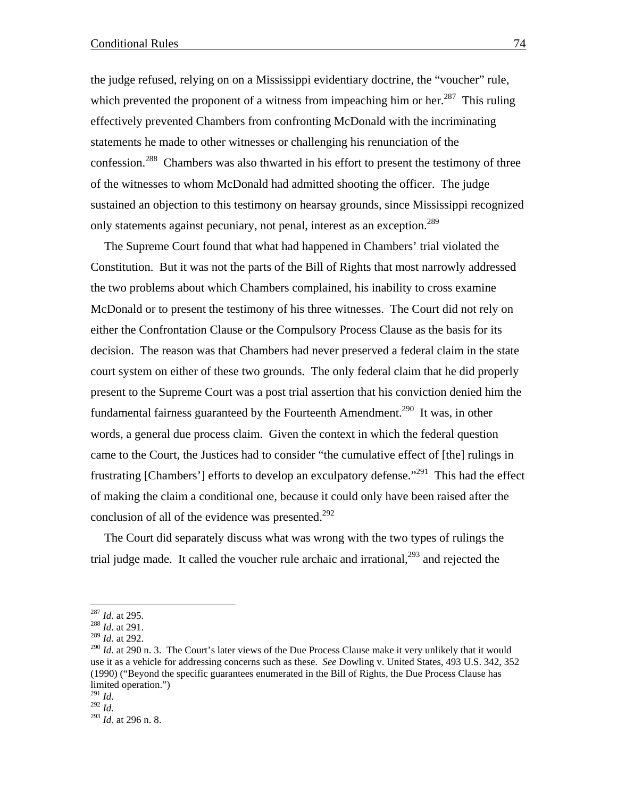the judge refused, relying on on a Mississippi evidentiary doctrine, the "voucher" rule, which prevented the proponent of a witness from impeaching him or her.<sup>287</sup> This ruling effectively prevented Chambers from confronting McDonald with the incriminating statements he made to other witnesses or challenging his renunciation of the confession.<sup>288</sup> Chambers was also thwarted in his effort to present the testimony of three of the witnesses to whom McDonald had admitted shooting the officer. The judge sustained an objection to this testimony on hearsay grounds, since Mississippi recognized only statements against pecuniary, not penal, interest as an exception.<sup>289</sup>

The Supreme Court found that what had happened in Chambers' trial violated the Constitution. But it was not the parts of the Bill of Rights that most narrowly addressed the two problems about which Chambers complained, his inability to cross examine McDonald or to present the testimony of his three witnesses. The Court did not rely on either the Confrontation Clause or the Compulsory Process Clause as the basis for its decision. The reason was that Chambers had never preserved a federal claim in the state court system on either of these two grounds. The only federal claim that he did properly present to the Supreme Court was a post trial assertion that his conviction denied him the fundamental fairness guaranteed by the Fourteenth Amendment.<sup>290</sup> It was, in other words, a general due process claim. Given the context in which the federal question came to the Court, the Justices had to consider "the cumulative effect of [the] rulings in frustrating [Chambers'] efforts to develop an exculpatory defense."<sup>291</sup> This had the effect of making the claim a conditional one, because it could only have been raised after the conclusion of all of the evidence was presented.<sup>292</sup>

The Court did separately discuss what was wrong with the two types of rulings the trial judge made. It called the voucher rule archaic and irrational,  $293$  and rejected the

 $^{287}$  *Id.* at 295.

<sup>&</sup>lt;sup>288</sup> *Id.* at 291.

<sup>289</sup> *Id*. at 292.

<sup>&</sup>lt;sup>290</sup> *Id.* at 290 n. 3. The Court's later views of the Due Process Clause make it very unlikely that it would use it as a vehicle for addressing concerns such as these. *See* Dowling v. United States, 493 U.S. 342, 352 (1990) ("Beyond the specific guarantees enumerated in the Bill of Rights, the Due Process Clause has limited operation.")

<sup>291</sup> *Id.* 

<sup>292</sup> *Id.* 

<sup>293</sup> *Id.* at 296 n. 8.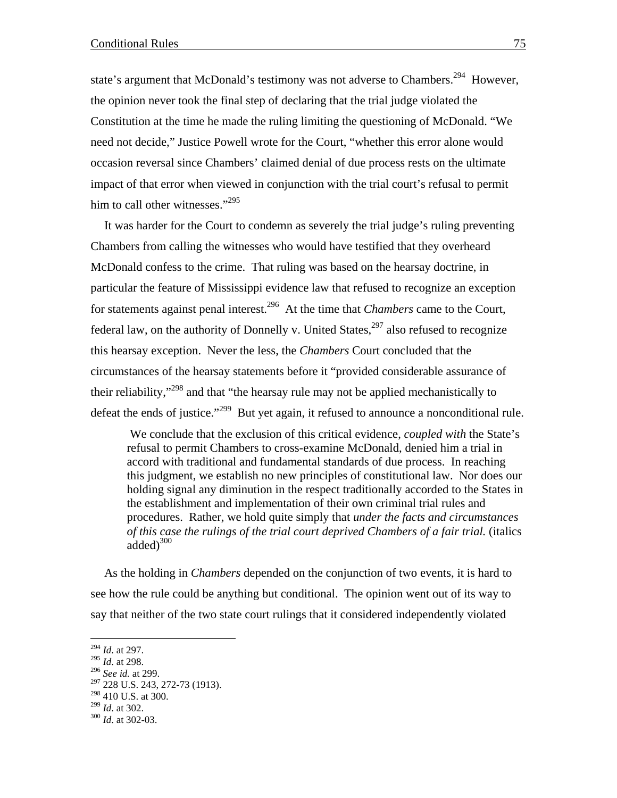state's argument that McDonald's testimony was not adverse to Chambers.<sup>294</sup> However, the opinion never took the final step of declaring that the trial judge violated the Constitution at the time he made the ruling limiting the questioning of McDonald. "We need not decide," Justice Powell wrote for the Court, "whether this error alone would occasion reversal since Chambers' claimed denial of due process rests on the ultimate impact of that error when viewed in conjunction with the trial court's refusal to permit him to call other witnesses."<sup>295</sup>

It was harder for the Court to condemn as severely the trial judge's ruling preventing Chambers from calling the witnesses who would have testified that they overheard McDonald confess to the crime. That ruling was based on the hearsay doctrine, in particular the feature of Mississippi evidence law that refused to recognize an exception for statements against penal interest.296 At the time that *Chambers* came to the Court, federal law, on the authority of Donnelly v. United States,  $297$  also refused to recognize this hearsay exception. Never the less, the *Chambers* Court concluded that the circumstances of the hearsay statements before it "provided considerable assurance of their reliability,<sup>3298</sup> and that "the hearsay rule may not be applied mechanistically to defeat the ends of justice."<sup>299</sup> But yet again, it refused to announce a nonconditional rule.

 We conclude that the exclusion of this critical evidence, *coupled with* the State's refusal to permit Chambers to cross-examine McDonald, denied him a trial in accord with traditional and fundamental standards of due process. In reaching this judgment, we establish no new principles of constitutional law. Nor does our holding signal any diminution in the respect traditionally accorded to the States in the establishment and implementation of their own criminal trial rules and procedures. Rather, we hold quite simply that *under the facts and circumstances of this case the rulings of the trial court deprived Chambers of a fair trial.* (italics added) $300$ 

As the holding in *Chambers* depended on the conjunction of two events, it is hard to see how the rule could be anything but conditional. The opinion went out of its way to say that neither of the two state court rulings that it considered independently violated

1

<sup>294</sup> *Id*. at 297.

<sup>295</sup> *Id*. at 298.

<sup>296</sup> *See id.* at 299.

<sup>&</sup>lt;sup>297</sup> 228 U.S. 243, 272-73 (1913).

 $^{298}_{299}$  410 U.S. at 300.<br> $^{299}_{1d.}$  at 302.

<sup>&</sup>lt;sup>300</sup> *Id.* at 302-03.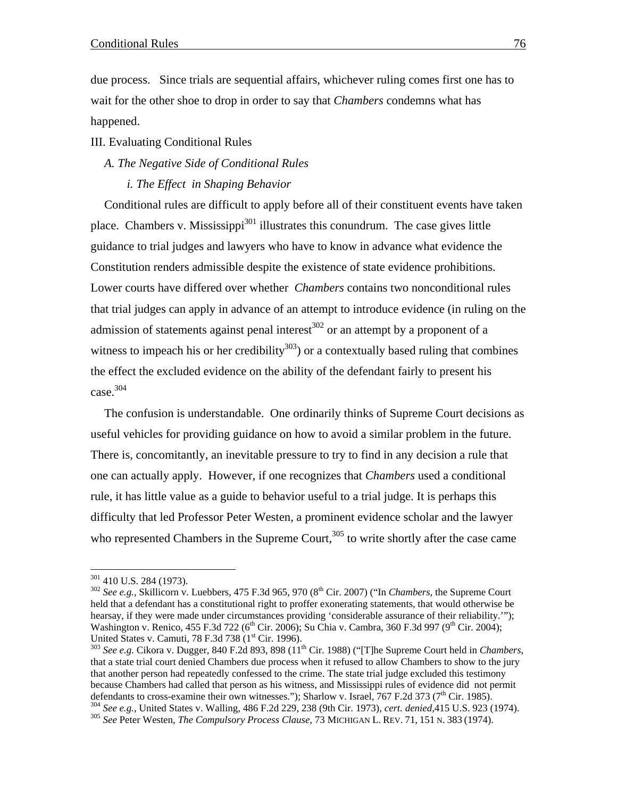due process. Since trials are sequential affairs, whichever ruling comes first one has to wait for the other shoe to drop in order to say that *Chambers* condemns what has happened.

III. Evaluating Conditional Rules

*A. The Negative Side of Conditional Rules* 

*i. The Effect in Shaping Behavior* 

Conditional rules are difficult to apply before all of their constituent events have taken place. Chambers v. Mississippi $301$  illustrates this conundrum. The case gives little guidance to trial judges and lawyers who have to know in advance what evidence the Constitution renders admissible despite the existence of state evidence prohibitions. Lower courts have differed over whether *Chambers* contains two nonconditional rules that trial judges can apply in advance of an attempt to introduce evidence (in ruling on the admission of statements against penal interest<sup>302</sup> or an attempt by a proponent of a witness to impeach his or her credibility<sup>303</sup>) or a contextually based ruling that combines the effect the excluded evidence on the ability of the defendant fairly to present his  $case.<sup>304</sup>$ 

The confusion is understandable. One ordinarily thinks of Supreme Court decisions as useful vehicles for providing guidance on how to avoid a similar problem in the future. There is, concomitantly, an inevitable pressure to try to find in any decision a rule that one can actually apply. However, if one recognizes that *Chambers* used a conditional rule, it has little value as a guide to behavior useful to a trial judge. It is perhaps this difficulty that led Professor Peter Westen, a prominent evidence scholar and the lawyer who represented Chambers in the Supreme Court,  $305$  to write shortly after the case came

<sup>&</sup>lt;sup>301</sup> 410 U.S. 284 (1973).<br><sup>302</sup> *See e.g.*, Skillicorn v. Luebbers, 475 F.3d 965, 970 (8<sup>th</sup> Cir. 2007) ("In *Chambers*, the Supreme Court held that a defendant has a constitutional right to proffer exonerating statements, that would otherwise be hearsay, if they were made under circumstances providing 'considerable assurance of their reliability.'"); Washington v. Renico, 455 F.3d 722 (6<sup>th</sup> Cir. 2006); Su Chia v. Cambra, 360 F.3d 997 (9<sup>th</sup> Cir. 2004); United States v. Camuti, 78 F.3d 738 (1<sup>st</sup> Cir. 1996).

United States v. Camuti, 78 F.3d 738 (1st Cir. 1996). 303 *See e.g.* Cikora v. Dugger, 840 F.2d 893, 898 (11th Cir. 1988) ("[T]he Supreme Court held in *Chambers*, that a state trial court denied Chambers due process when it refused to allow Chambers to show to the jury that another person had repeatedly confessed to the crime. The state trial judge excluded this testimony because Chambers had called that person as his witness, and Mississippi rules of evidence did not permit defendants to cross-examine their own witnesses."); Sharlow v. Israel, 767 F.2d 373 (7<sup>th</sup> Cir. 1985).<br><sup>304</sup> See e.g., United States v. Walling, 486 F.2d 229, 238 (9th Cir. 1973), cert. denied, 415 U.S. 923 (1974).<br><sup>305</sup>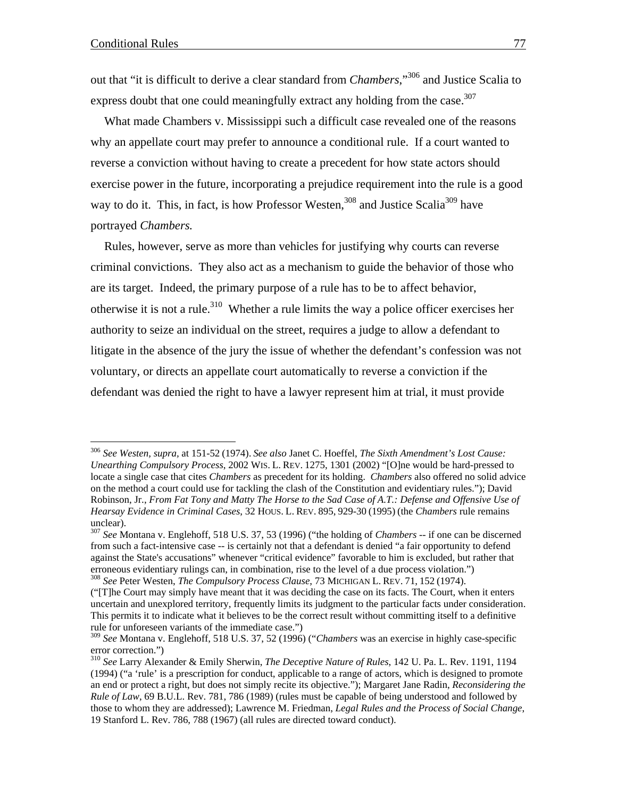$\overline{a}$ 

out that "it is difficult to derive a clear standard from *Chambers*,"306 and Justice Scalia to express doubt that one could meaningfully extract any holding from the case.<sup>307</sup>

What made Chambers v. Mississippi such a difficult case revealed one of the reasons why an appellate court may prefer to announce a conditional rule. If a court wanted to reverse a conviction without having to create a precedent for how state actors should exercise power in the future, incorporating a prejudice requirement into the rule is a good way to do it. This, in fact, is how Professor Westen,  $308$  and Justice Scalia  $309$  have portrayed *Chambers.*

Rules, however, serve as more than vehicles for justifying why courts can reverse criminal convictions. They also act as a mechanism to guide the behavior of those who are its target. Indeed, the primary purpose of a rule has to be to affect behavior, otherwise it is not a rule.<sup>310</sup> Whether a rule limits the way a police officer exercises her authority to seize an individual on the street, requires a judge to allow a defendant to litigate in the absence of the jury the issue of whether the defendant's confession was not voluntary, or directs an appellate court automatically to reverse a conviction if the defendant was denied the right to have a lawyer represent him at trial, it must provide

<sup>306</sup> *See Westen, supra,* at 151-52 (1974). *See also* Janet C. Hoeffel, *The Sixth Amendment's Lost Cause: Unearthing Compulsory Process*, 2002 WIS. L. REV. 1275, 1301 (2002) "[O]ne would be hard-pressed to locate a single case that cites *Chambers* as precedent for its holding. *Chambers* also offered no solid advice on the method a court could use for tackling the clash of the Constitution and evidentiary rules."); David Robinson, Jr., *From Fat Tony and Matty The Horse to the Sad Case of A.T.: Defense and Offensive Use of Hearsay Evidence in Criminal Cases*, 32 HOUS. L. REV. 895, 929-30 (1995) (the *Chambers* rule remains unclear).

<sup>307</sup> *See* Montana v. Englehoff, 518 U.S. 37, 53 (1996) ("the holding of *Chambers* -- if one can be discerned from such a fact-intensive case -- is certainly not that a defendant is denied "a fair opportunity to defend against the State's accusations" whenever "critical evidence" favorable to him is excluded, but rather that erroneous evidentiary rulings can, in combination, rise to the level of a due process violation.") 308 *See* Peter Westen, *The Compulsory Process Clause*, 73 MICHIGAN L. REV. 71, <sup>152</sup> (1974).

<sup>(&</sup>quot;[T]he Court may simply have meant that it was deciding the case on its facts. The Court, when it enters uncertain and unexplored territory, frequently limits its judgment to the particular facts under consideration. This permits it to indicate what it believes to be the correct result without committing itself to a definitive rule for unforeseen variants of the immediate case.")

<sup>309</sup> *See* Montana v. Englehoff, 518 U.S. 37, 52 (1996) ("*Chambers* was an exercise in highly case-specific error correction.")

<sup>310</sup> *See* Larry Alexander & Emily Sherwin, *The Deceptive Nature of Rules*, 142 U. Pa. L. Rev. 1191, 1194 (1994) ("a 'rule' is a prescription for conduct, applicable to a range of actors, which is designed to promote an end or protect a right, but does not simply recite its objective."); Margaret Jane Radin, *Reconsidering the Rule of Law*, 69 B.U.L. Rev. 781, 786 (1989) (rules must be capable of being understood and followed by those to whom they are addressed); Lawrence M. Friedman, *Legal Rules and the Process of Social Change*, 19 Stanford L. Rev. 786, 788 (1967) (all rules are directed toward conduct).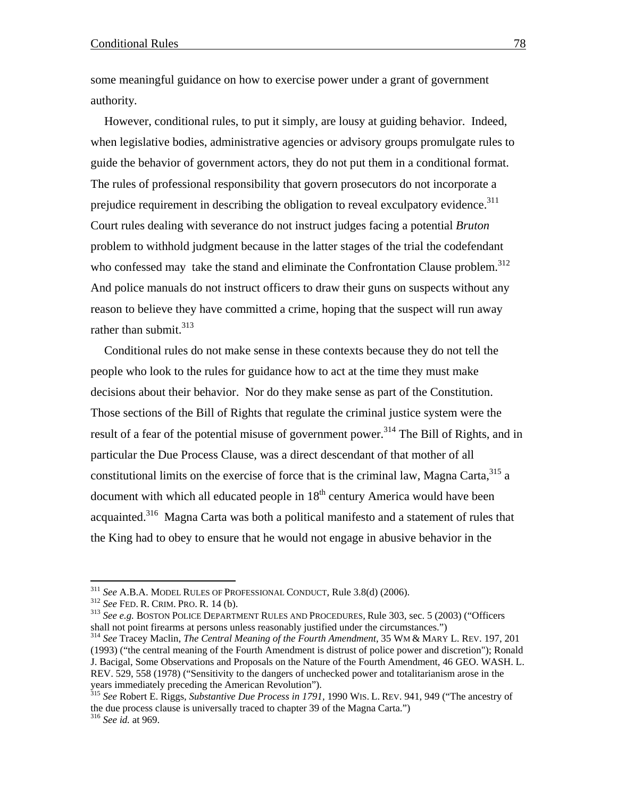some meaningful guidance on how to exercise power under a grant of government authority*.* 

However, conditional rules, to put it simply, are lousy at guiding behavior. Indeed, when legislative bodies, administrative agencies or advisory groups promulgate rules to guide the behavior of government actors, they do not put them in a conditional format. The rules of professional responsibility that govern prosecutors do not incorporate a prejudice requirement in describing the obligation to reveal exculpatory evidence.<sup>311</sup> Court rules dealing with severance do not instruct judges facing a potential *Bruton* problem to withhold judgment because in the latter stages of the trial the codefendant who confessed may take the stand and eliminate the Confrontation Clause problem.<sup>312</sup> And police manuals do not instruct officers to draw their guns on suspects without any reason to believe they have committed a crime, hoping that the suspect will run away rather than submit.<sup>313</sup>

Conditional rules do not make sense in these contexts because they do not tell the people who look to the rules for guidance how to act at the time they must make decisions about their behavior. Nor do they make sense as part of the Constitution. Those sections of the Bill of Rights that regulate the criminal justice system were the result of a fear of the potential misuse of government power.<sup>314</sup> The Bill of Rights, and in particular the Due Process Clause, was a direct descendant of that mother of all constitutional limits on the exercise of force that is the criminal law, Magna Carta, 315 a document with which all educated people in 18<sup>th</sup> century America would have been acquainted.<sup>316</sup> Magna Carta was both a political manifesto and a statement of rules that the King had to obey to ensure that he would not engage in abusive behavior in the

<sup>&</sup>lt;sup>311</sup> See A.B.A. MODEL RULES OF PROFESSIONAL CONDUCT, Rule 3.8(d) (2006).

 $312$  See FED. R. CRIM. PRO. R. 14 (b).<br> $313$  See e.g. BOSTON POLICE DEPARTMENT RULES AND PROCEDURES, Rule 303, sec. 5 (2003) ("Officers shall not point firearms at persons unless reasonably justified under the circumstances.")

<sup>314</sup> *See* Tracey Maclin, *The Central Meaning of the Fourth Amendment*, 35 WM & MARY L. REV. 197, 201 (1993) ("the central meaning of the Fourth Amendment is distrust of police power and discretion"); Ronald J. Bacigal, Some Observations and Proposals on the Nature of the Fourth Amendment, 46 GEO. WASH. L. REV. 529, 558 (1978) ("Sensitivity to the dangers of unchecked power and totalitarianism arose in the years immediately preceding the American Revolution").

<sup>315</sup> *See* Robert E. Riggs*, Substantive Due Process in 1791,* 1990 WIS. L. REV. 941, 949 ("The ancestry of the due process clause is universally traced to chapter 39 of the Magna Carta.") 316 *See id.* at 969.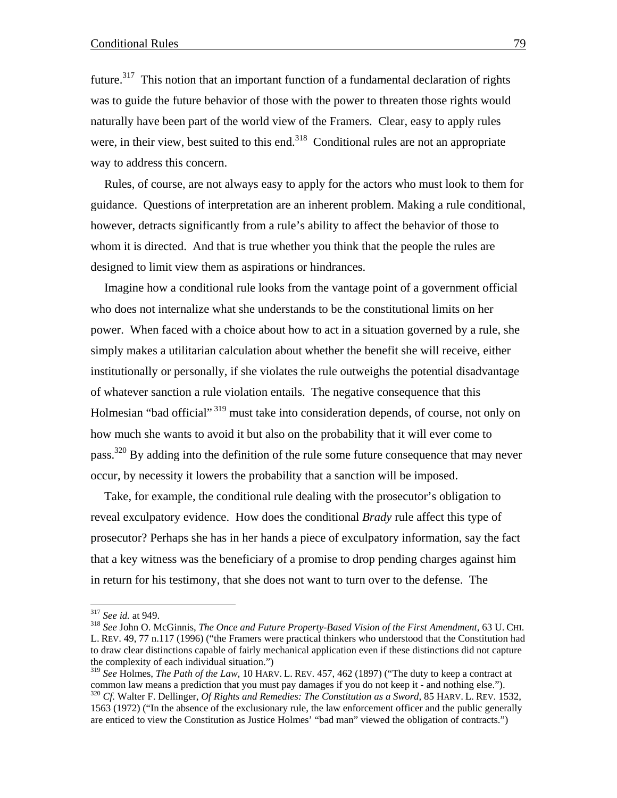future.<sup>317</sup> This notion that an important function of a fundamental declaration of rights was to guide the future behavior of those with the power to threaten those rights would naturally have been part of the world view of the Framers. Clear, easy to apply rules were, in their view, best suited to this end.<sup>318</sup> Conditional rules are not an appropriate way to address this concern.

Rules, of course, are not always easy to apply for the actors who must look to them for guidance. Questions of interpretation are an inherent problem. Making a rule conditional, however, detracts significantly from a rule's ability to affect the behavior of those to whom it is directed. And that is true whether you think that the people the rules are designed to limit view them as aspirations or hindrances.

Imagine how a conditional rule looks from the vantage point of a government official who does not internalize what she understands to be the constitutional limits on her power. When faced with a choice about how to act in a situation governed by a rule, she simply makes a utilitarian calculation about whether the benefit she will receive, either institutionally or personally, if she violates the rule outweighs the potential disadvantage of whatever sanction a rule violation entails. The negative consequence that this Holmesian "bad official"<sup>319</sup> must take into consideration depends, of course, not only on how much she wants to avoid it but also on the probability that it will ever come to pass.320 By adding into the definition of the rule some future consequence that may never occur, by necessity it lowers the probability that a sanction will be imposed.

Take, for example, the conditional rule dealing with the prosecutor's obligation to reveal exculpatory evidence. How does the conditional *Brady* rule affect this type of prosecutor? Perhaps she has in her hands a piece of exculpatory information, say the fact that a key witness was the beneficiary of a promise to drop pending charges against him in return for his testimony, that she does not want to turn over to the defense. The

1

<sup>317</sup> *See id.* at 949. 318 *See* John O. McGinnis, *The Once and Future Property-Based Vision of the First Amendment*, 63 U. CHI. L. REV. 49, 77 n.117 (1996) ("the Framers were practical thinkers who understood that the Constitution had to draw clear distinctions capable of fairly mechanical application even if these distinctions did not capture the complexity of each individual situation.")

<sup>319</sup> *See* Holmes, *The Path of the Law*, 10 HARV. L. REV. 457, 462 (1897) ("The duty to keep a contract at common law means a prediction that you must pay damages if you do not keep it - and nothing else.").

<sup>320</sup> *Cf.* Walter F. Dellinger, *Of Rights and Remedies: The Constitution as a Sword*, 85 HARV. L. REV. 1532, 1563 (1972) ("In the absence of the exclusionary rule, the law enforcement officer and the public generally are enticed to view the Constitution as Justice Holmes' "bad man" viewed the obligation of contracts.")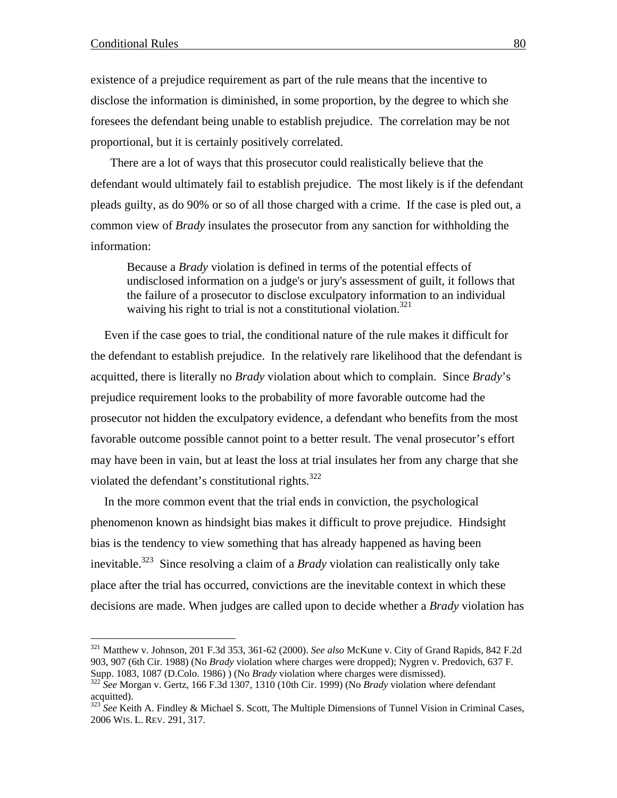$\overline{a}$ 

existence of a prejudice requirement as part of the rule means that the incentive to disclose the information is diminished, in some proportion, by the degree to which she foresees the defendant being unable to establish prejudice. The correlation may be not proportional, but it is certainly positively correlated.

 There are a lot of ways that this prosecutor could realistically believe that the defendant would ultimately fail to establish prejudice. The most likely is if the defendant pleads guilty, as do 90% or so of all those charged with a crime. If the case is pled out, a common view of *Brady* insulates the prosecutor from any sanction for withholding the information:

Because a *Brady* violation is defined in terms of the potential effects of undisclosed information on a judge's or jury's assessment of guilt, it follows that the failure of a prosecutor to disclose exculpatory information to an individual waiving his right to trial is not a constitutional violation.<sup>321</sup>

Even if the case goes to trial, the conditional nature of the rule makes it difficult for the defendant to establish prejudice. In the relatively rare likelihood that the defendant is acquitted, there is literally no *Brady* violation about which to complain. Since *Brady*'s prejudice requirement looks to the probability of more favorable outcome had the prosecutor not hidden the exculpatory evidence, a defendant who benefits from the most favorable outcome possible cannot point to a better result. The venal prosecutor's effort may have been in vain, but at least the loss at trial insulates her from any charge that she violated the defendant's constitutional rights.<sup>322</sup>

In the more common event that the trial ends in conviction, the psychological phenomenon known as hindsight bias makes it difficult to prove prejudice. Hindsight bias is the tendency to view something that has already happened as having been inevitable.323 Since resolving a claim of a *Brady* violation can realistically only take place after the trial has occurred, convictions are the inevitable context in which these decisions are made. When judges are called upon to decide whether a *Brady* violation has

<sup>321</sup> Matthew v. Johnson, 201 F.3d 353, 361-62 (2000). *See also* McKune v. City of Grand Rapids, 842 F.2d 903, 907 (6th Cir. 1988) (No *Brady* violation where charges were dropped); Nygren v. Predovich, 637 F. Supp. 1083, 1087 (D.Colo. 1986) ) (No *Brady* violation where charges were dismissed). 322 *See* Morgan v. Gertz, 166 F.3d 1307, 1310 (10th Cir. 1999) (No *Brady* violation where defendant

acquitted).

<sup>&</sup>lt;sup>323</sup> See Keith A. Findley & Michael S. Scott, The Multiple Dimensions of Tunnel Vision in Criminal Cases, 2006 WIS. L. REV. 291, 317.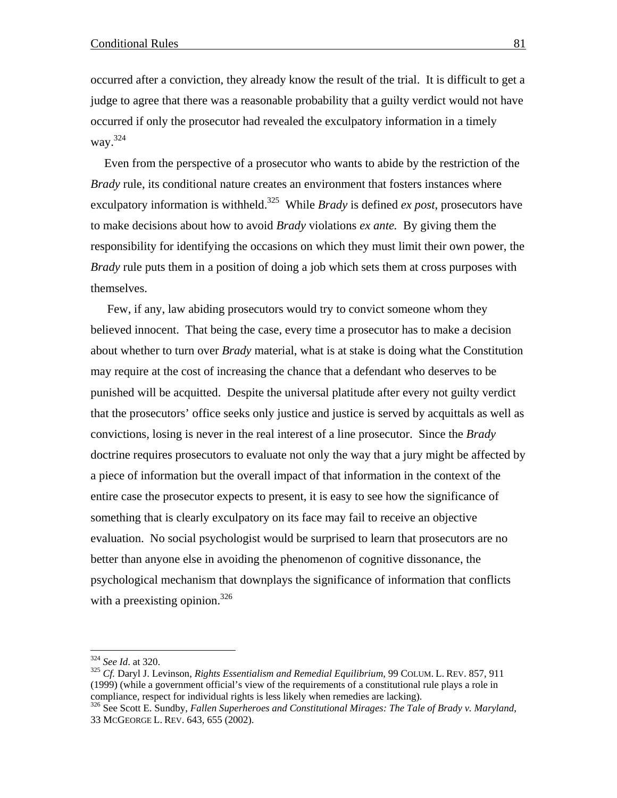occurred after a conviction, they already know the result of the trial. It is difficult to get a judge to agree that there was a reasonable probability that a guilty verdict would not have occurred if only the prosecutor had revealed the exculpatory information in a timely way.324

Even from the perspective of a prosecutor who wants to abide by the restriction of the *Brady* rule, its conditional nature creates an environment that fosters instances where exculpatory information is withheld.<sup>325</sup> While *Brady* is defined *ex post*, prosecutors have to make decisions about how to avoid *Brady* violations *ex ante.* By giving them the responsibility for identifying the occasions on which they must limit their own power, the *Brady* rule puts them in a position of doing a job which sets them at cross purposes with themselves.

 Few, if any, law abiding prosecutors would try to convict someone whom they believed innocent. That being the case, every time a prosecutor has to make a decision about whether to turn over *Brady* material, what is at stake is doing what the Constitution may require at the cost of increasing the chance that a defendant who deserves to be punished will be acquitted. Despite the universal platitude after every not guilty verdict that the prosecutors' office seeks only justice and justice is served by acquittals as well as convictions, losing is never in the real interest of a line prosecutor. Since the *Brady*  doctrine requires prosecutors to evaluate not only the way that a jury might be affected by a piece of information but the overall impact of that information in the context of the entire case the prosecutor expects to present, it is easy to see how the significance of something that is clearly exculpatory on its face may fail to receive an objective evaluation. No social psychologist would be surprised to learn that prosecutors are no better than anyone else in avoiding the phenomenon of cognitive dissonance, the psychological mechanism that downplays the significance of information that conflicts with a preexisting opinion.<sup>326</sup>

<sup>&</sup>lt;sup>324</sup> See Id. at 320.

<sup>&</sup>lt;sup>325</sup> *Cf. Daryl J. Levinson, Rights Essentialism and Remedial Equilibrium, 99 COLUM. L. REV. 857, 911* (1999) (while a government official's view of the requirements of a constitutional rule plays a role in compliance, respect for individual rights is less likely when remedies are lacking). 326 See Scott E. Sundby, *Fallen Superheroes and Constitutional Mirages: The Tale of Brady v. Maryland*,

<sup>33</sup> MCGEORGE L. REV. 643, 655 (2002).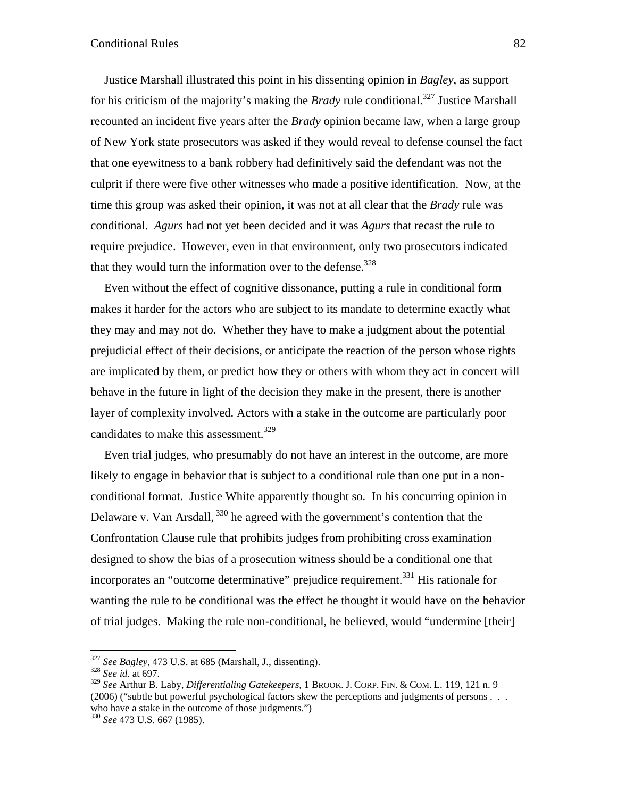Justice Marshall illustrated this point in his dissenting opinion in *Bagley*, as support for his criticism of the majority's making the *Brady* rule conditional.<sup>327</sup> Justice Marshall recounted an incident five years after the *Brady* opinion became law, when a large group of New York state prosecutors was asked if they would reveal to defense counsel the fact that one eyewitness to a bank robbery had definitively said the defendant was not the culprit if there were five other witnesses who made a positive identification. Now, at the time this group was asked their opinion, it was not at all clear that the *Brady* rule was conditional. *Agurs* had not yet been decided and it was *Agurs* that recast the rule to require prejudice. However, even in that environment, only two prosecutors indicated that they would turn the information over to the defense.<sup>328</sup>

Even without the effect of cognitive dissonance, putting a rule in conditional form makes it harder for the actors who are subject to its mandate to determine exactly what they may and may not do. Whether they have to make a judgment about the potential prejudicial effect of their decisions, or anticipate the reaction of the person whose rights are implicated by them, or predict how they or others with whom they act in concert will behave in the future in light of the decision they make in the present, there is another layer of complexity involved. Actors with a stake in the outcome are particularly poor candidates to make this assessment.<sup>329</sup>

Even trial judges, who presumably do not have an interest in the outcome, are more likely to engage in behavior that is subject to a conditional rule than one put in a nonconditional format. Justice White apparently thought so. In his concurring opinion in Delaware v. Van Arsdall, <sup>330</sup> he agreed with the government's contention that the Confrontation Clause rule that prohibits judges from prohibiting cross examination designed to show the bias of a prosecution witness should be a conditional one that incorporates an "outcome determinative" prejudice requirement.<sup>331</sup> His rationale for wanting the rule to be conditional was the effect he thought it would have on the behavior of trial judges. Making the rule non-conditional, he believed, would "undermine [their]

<u>.</u>

<sup>327</sup> *See Bagley*, 473 U.S. at 685 (Marshall, J., dissenting). 328 *See id.* at 697.

<sup>329</sup> *See* Arthur B. Laby, *Differentialing Gatekeepers,* 1 BROOK. J. CORP. FIN. & COM. L. 119, 121 n. 9 (2006) ("subtle but powerful psychological factors skew the perceptions and judgments of persons . . . who have a stake in the outcome of those judgments.")

<sup>330</sup> *See* 473 U.S. 667 (1985).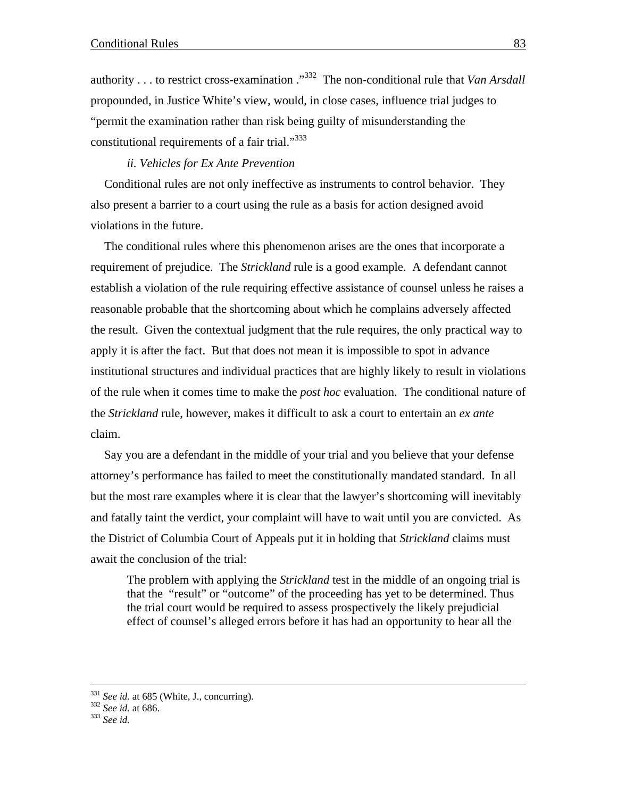authority . . . to restrict cross-examination ."332 The non-conditional rule that *Van Arsdall* propounded, in Justice White's view, would, in close cases, influence trial judges to "permit the examination rather than risk being guilty of misunderstanding the constitutional requirements of a fair trial."<sup>333</sup>

## *ii. Vehicles for Ex Ante Prevention*

Conditional rules are not only ineffective as instruments to control behavior. They also present a barrier to a court using the rule as a basis for action designed avoid violations in the future.

The conditional rules where this phenomenon arises are the ones that incorporate a requirement of prejudice. The *Strickland* rule is a good example. A defendant cannot establish a violation of the rule requiring effective assistance of counsel unless he raises a reasonable probable that the shortcoming about which he complains adversely affected the result. Given the contextual judgment that the rule requires, the only practical way to apply it is after the fact. But that does not mean it is impossible to spot in advance institutional structures and individual practices that are highly likely to result in violations of the rule when it comes time to make the *post hoc* evaluation. The conditional nature of the *Strickland* rule, however, makes it difficult to ask a court to entertain an *ex ante*  claim.

Say you are a defendant in the middle of your trial and you believe that your defense attorney's performance has failed to meet the constitutionally mandated standard. In all but the most rare examples where it is clear that the lawyer's shortcoming will inevitably and fatally taint the verdict, your complaint will have to wait until you are convicted. As the District of Columbia Court of Appeals put it in holding that *Strickland* claims must await the conclusion of the trial:

The problem with applying the *Strickland* test in the middle of an ongoing trial is that the "result" or "outcome" of the proceeding has yet to be determined. Thus the trial court would be required to assess prospectively the likely prejudicial effect of counsel's alleged errors before it has had an opportunity to hear all the

<sup>331</sup> *See id.* at 685 (White, J., concurring). 332 *See id.* at 686. 333 *See id.*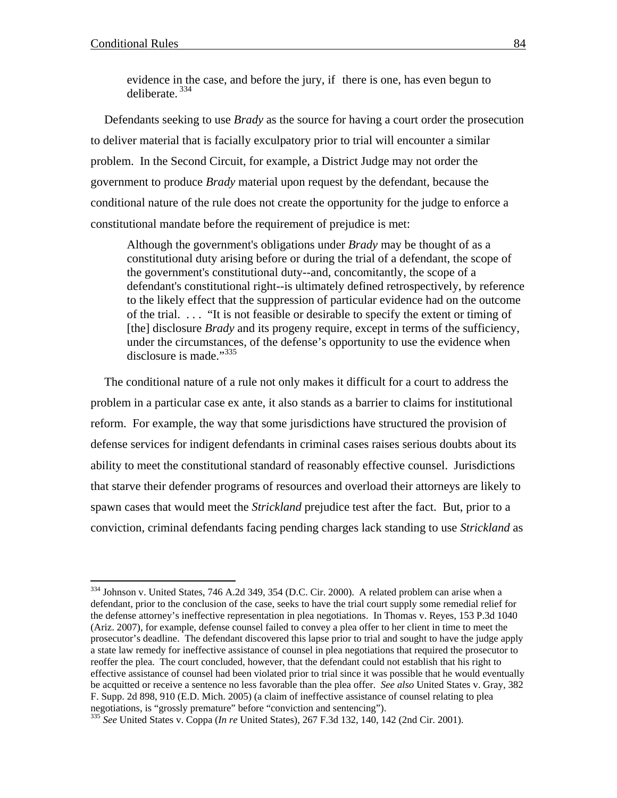$\overline{a}$ 

evidence in the case, and before the jury, if there is one, has even begun to deliberate. 334

Defendants seeking to use *Brady* as the source for having a court order the prosecution to deliver material that is facially exculpatory prior to trial will encounter a similar problem. In the Second Circuit, for example, a District Judge may not order the government to produce *Brady* material upon request by the defendant, because the conditional nature of the rule does not create the opportunity for the judge to enforce a constitutional mandate before the requirement of prejudice is met:

Although the government's obligations under *Brady* may be thought of as a constitutional duty arising before or during the trial of a defendant, the scope of the government's constitutional duty--and, concomitantly, the scope of a defendant's constitutional right--is ultimately defined retrospectively, by reference to the likely effect that the suppression of particular evidence had on the outcome of the trial. . . . "It is not feasible or desirable to specify the extent or timing of [the] disclosure *Brady* and its progeny require, except in terms of the sufficiency, under the circumstances, of the defense's opportunity to use the evidence when disclosure is made."<sup>335</sup>

The conditional nature of a rule not only makes it difficult for a court to address the problem in a particular case ex ante, it also stands as a barrier to claims for institutional reform. For example, the way that some jurisdictions have structured the provision of defense services for indigent defendants in criminal cases raises serious doubts about its ability to meet the constitutional standard of reasonably effective counsel. Jurisdictions that starve their defender programs of resources and overload their attorneys are likely to spawn cases that would meet the *Strickland* prejudice test after the fact. But, prior to a conviction, criminal defendants facing pending charges lack standing to use *Strickland* as

<sup>&</sup>lt;sup>334</sup> Johnson v. United States, 746 A.2d 349, 354 (D.C. Cir. 2000). A related problem can arise when a defendant, prior to the conclusion of the case, seeks to have the trial court supply some remedial relief for the defense attorney's ineffective representation in plea negotiations. In Thomas v. Reyes, 153 P.3d 1040 (Ariz. 2007), for example, defense counsel failed to convey a plea offer to her client in time to meet the prosecutor's deadline. The defendant discovered this lapse prior to trial and sought to have the judge apply a state law remedy for ineffective assistance of counsel in plea negotiations that required the prosecutor to reoffer the plea. The court concluded, however, that the defendant could not establish that his right to effective assistance of counsel had been violated prior to trial since it was possible that he would eventually be acquitted or receive a sentence no less favorable than the plea offer. *See also* United States v. Gray, 382 F. Supp. 2d 898, 910 (E.D. Mich. 2005) (a claim of ineffective assistance of counsel relating to plea negotiations, is "grossly premature" before "conviction and sentencing").

<sup>335</sup> *See* United States v. Coppa (*In re* United States), 267 F.3d 132, 140, 142 (2nd Cir. 2001).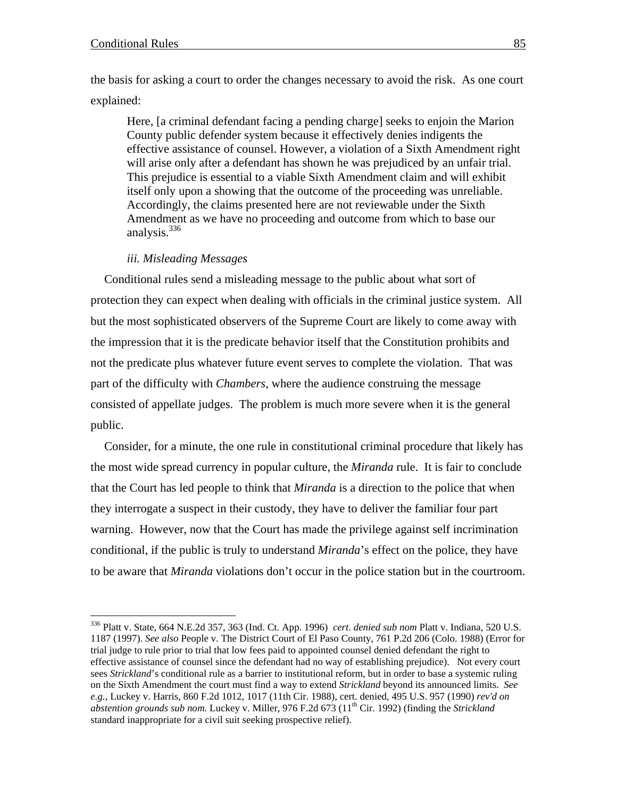$\overline{a}$ 

the basis for asking a court to order the changes necessary to avoid the risk. As one court explained:

Here, [a criminal defendant facing a pending charge] seeks to enjoin the Marion County public defender system because it effectively denies indigents the effective assistance of counsel. However, a violation of a Sixth Amendment right will arise only after a defendant has shown he was prejudiced by an unfair trial. This prejudice is essential to a viable Sixth Amendment claim and will exhibit itself only upon a showing that the outcome of the proceeding was unreliable. Accordingly, the claims presented here are not reviewable under the Sixth Amendment as we have no proceeding and outcome from which to base our analysis. $336$ 

#### *iii. Misleading Messages*

Conditional rules send a misleading message to the public about what sort of protection they can expect when dealing with officials in the criminal justice system. All but the most sophisticated observers of the Supreme Court are likely to come away with the impression that it is the predicate behavior itself that the Constitution prohibits and not the predicate plus whatever future event serves to complete the violation. That was part of the difficulty with *Chambers,* where the audience construing the message consisted of appellate judges. The problem is much more severe when it is the general public.

Consider, for a minute, the one rule in constitutional criminal procedure that likely has the most wide spread currency in popular culture, the *Miranda* rule. It is fair to conclude that the Court has led people to think that *Miranda* is a direction to the police that when they interrogate a suspect in their custody, they have to deliver the familiar four part warning. However, now that the Court has made the privilege against self incrimination conditional, if the public is truly to understand *Miranda*'s effect on the police, they have to be aware that *Miranda* violations don't occur in the police station but in the courtroom.

<sup>336</sup> Platt v. State, 664 N.E.2d 357, 363 (Ind. Ct. App. 1996) *cert*. *denied sub nom* Platt v. Indiana, 520 U.S. 1187 (1997). *See also* People v. The District Court of El Paso County, 761 P.2d 206 (Colo. 1988) (Error for trial judge to rule prior to trial that low fees paid to appointed counsel denied defendant the right to effective assistance of counsel since the defendant had no way of establishing prejudice). Not every court sees *Strickland*'s conditional rule as a barrier to institutional reform, but in order to base a systemic ruling on the Sixth Amendment the court must find a way to extend *Strickland* beyond its announced limits. *See e.g.*, Luckey v. Harris, 860 F.2d 1012, 1017 (11th Cir. 1988), cert. denied, 495 U.S. 957 (1990) *rev'd on abstention grounds sub nom.* Luckey v. Miller, 976 F.2d 673 (11th Cir. 1992) (finding the *Strickland* standard inappropriate for a civil suit seeking prospective relief).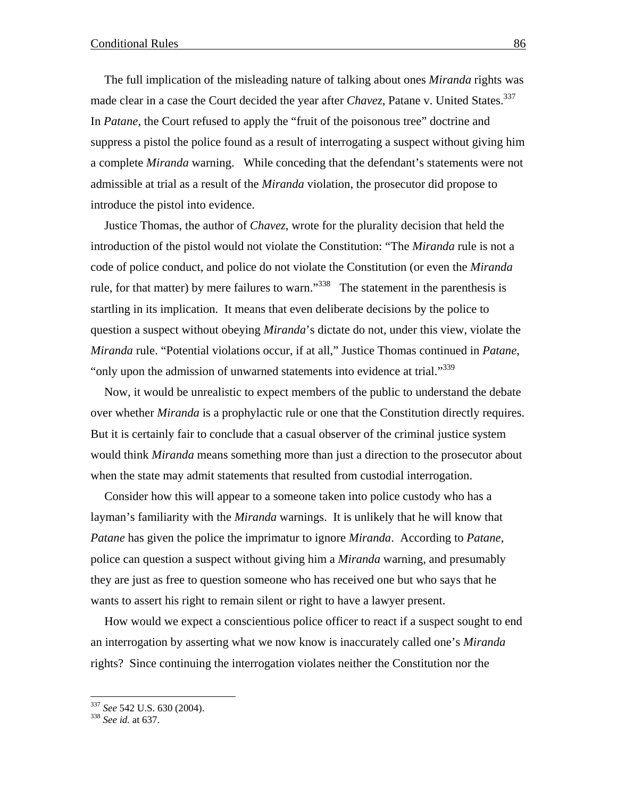The full implication of the misleading nature of talking about ones *Miranda* rights was made clear in a case the Court decided the year after *Chavez*, Patane v. United States.<sup>337</sup> In *Patane*, the Court refused to apply the "fruit of the poisonous tree" doctrine and suppress a pistol the police found as a result of interrogating a suspect without giving him a complete *Miranda* warning. While conceding that the defendant's statements were not admissible at trial as a result of the *Miranda* violation, the prosecutor did propose to introduce the pistol into evidence.

Justice Thomas, the author of *Chavez*, wrote for the plurality decision that held the introduction of the pistol would not violate the Constitution: "The *Miranda* rule is not a code of police conduct, and police do not violate the Constitution (or even the *Miranda* rule, for that matter) by mere failures to warn."<sup>338</sup> The statement in the parenthesis is startling in its implication. It means that even deliberate decisions by the police to question a suspect without obeying *Miranda*'s dictate do not, under this view, violate the *Miranda* rule. "Potential violations occur, if at all," Justice Thomas continued in *Patane*, "only upon the admission of unwarned statements into evidence at trial."<sup>339</sup>

Now, it would be unrealistic to expect members of the public to understand the debate over whether *Miranda* is a prophylactic rule or one that the Constitution directly requires. But it is certainly fair to conclude that a casual observer of the criminal justice system would think *Miranda* means something more than just a direction to the prosecutor about when the state may admit statements that resulted from custodial interrogation.

Consider how this will appear to a someone taken into police custody who has a layman's familiarity with the *Miranda* warnings. It is unlikely that he will know that *Patane* has given the police the imprimatur to ignore *Miranda*. According to *Patane*, police can question a suspect without giving him a *Miranda* warning, and presumably they are just as free to question someone who has received one but who says that he wants to assert his right to remain silent or right to have a lawyer present.

How would we expect a conscientious police officer to react if a suspect sought to end an interrogation by asserting what we now know is inaccurately called one's *Miranda* rights? Since continuing the interrogation violates neither the Constitution nor the

1

<sup>337</sup> *See* 542 U.S. 630 (2004). 338 *See id.* at 637.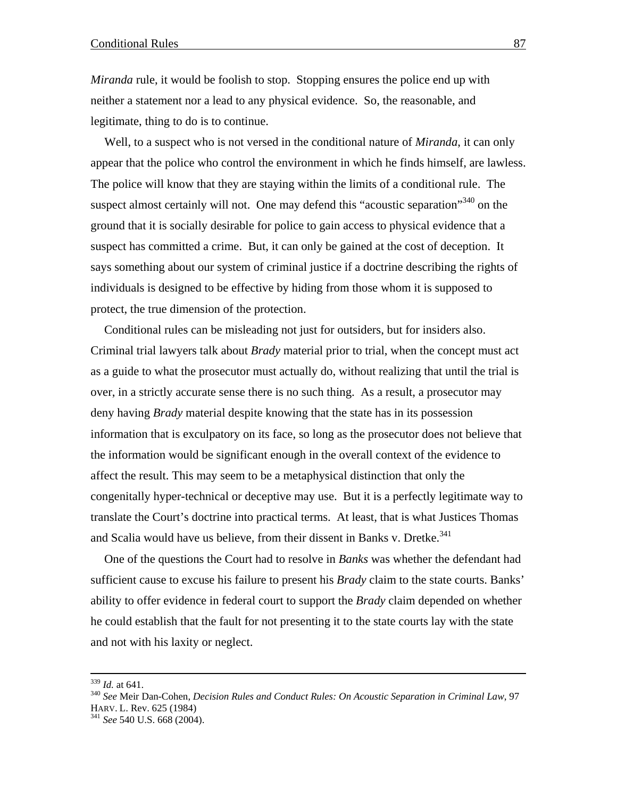*Miranda* rule, it would be foolish to stop. Stopping ensures the police end up with neither a statement nor a lead to any physical evidence. So, the reasonable, and legitimate, thing to do is to continue.

Well, to a suspect who is not versed in the conditional nature of *Miranda*, it can only appear that the police who control the environment in which he finds himself, are lawless. The police will know that they are staying within the limits of a conditional rule. The suspect almost certainly will not. One may defend this "acoustic separation"<sup>340</sup> on the ground that it is socially desirable for police to gain access to physical evidence that a suspect has committed a crime. But, it can only be gained at the cost of deception. It says something about our system of criminal justice if a doctrine describing the rights of individuals is designed to be effective by hiding from those whom it is supposed to protect, the true dimension of the protection.

Conditional rules can be misleading not just for outsiders, but for insiders also. Criminal trial lawyers talk about *Brady* material prior to trial, when the concept must act as a guide to what the prosecutor must actually do, without realizing that until the trial is over, in a strictly accurate sense there is no such thing. As a result, a prosecutor may deny having *Brady* material despite knowing that the state has in its possession information that is exculpatory on its face, so long as the prosecutor does not believe that the information would be significant enough in the overall context of the evidence to affect the result. This may seem to be a metaphysical distinction that only the congenitally hyper-technical or deceptive may use. But it is a perfectly legitimate way to translate the Court's doctrine into practical terms. At least, that is what Justices Thomas and Scalia would have us believe, from their dissent in Banks v. Dretke.<sup>341</sup>

One of the questions the Court had to resolve in *Banks* was whether the defendant had sufficient cause to excuse his failure to present his *Brady* claim to the state courts. Banks' ability to offer evidence in federal court to support the *Brady* claim depended on whether he could establish that the fault for not presenting it to the state courts lay with the state and not with his laxity or neglect.

<sup>&</sup>lt;sup>339</sup> *Id.* at 641.<br><sup>340</sup> *See* Meir Dan-Cohen, *Decision Rules and Conduct Rules: On Acoustic Separation in Criminal Law, 97* HARV. L. Rev. 625 (1984) 341 *See* 540 U.S. 668 (2004).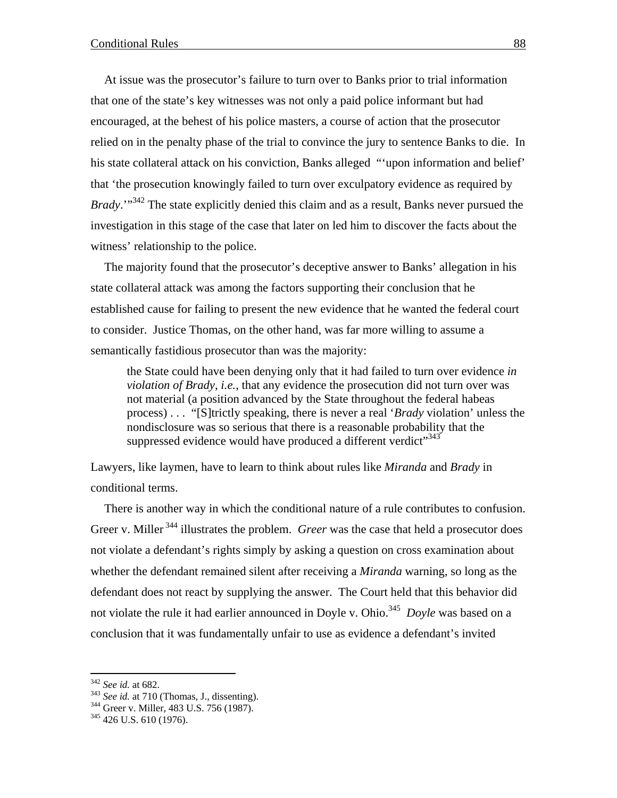At issue was the prosecutor's failure to turn over to Banks prior to trial information that one of the state's key witnesses was not only a paid police informant but had encouraged, at the behest of his police masters, a course of action that the prosecutor relied on in the penalty phase of the trial to convince the jury to sentence Banks to die. In his state collateral attack on his conviction, Banks alleged "'upon information and belief' that 'the prosecution knowingly failed to turn over exculpatory evidence as required by *Brady*.'"342 The state explicitly denied this claim and as a result, Banks never pursued the investigation in this stage of the case that later on led him to discover the facts about the witness' relationship to the police.

The majority found that the prosecutor's deceptive answer to Banks' allegation in his state collateral attack was among the factors supporting their conclusion that he established cause for failing to present the new evidence that he wanted the federal court to consider. Justice Thomas, on the other hand, was far more willing to assume a semantically fastidious prosecutor than was the majority:

the State could have been denying only that it had failed to turn over evidence *in violation of Brady*, *i.e.*, that any evidence the prosecution did not turn over was not material (a position advanced by the State throughout the federal habeas process) . . . "[S]trictly speaking, there is never a real '*Brady* violation' unless the nondisclosure was so serious that there is a reasonable probability that the suppressed evidence would have produced a different verdict"<sup>343</sup>

Lawyers, like laymen, have to learn to think about rules like *Miranda* and *Brady* in conditional terms.

There is another way in which the conditional nature of a rule contributes to confusion. Greer v. Miller 344 illustrates the problem. *Greer* was the case that held a prosecutor does not violate a defendant's rights simply by asking a question on cross examination about whether the defendant remained silent after receiving a *Miranda* warning, so long as the defendant does not react by supplying the answer. The Court held that this behavior did not violate the rule it had earlier announced in Doyle v. Ohio.<sup>345</sup> *Doyle* was based on a conclusion that it was fundamentally unfair to use as evidence a defendant's invited

<sup>&</sup>lt;sup>342</sup> *See id.* at 682.<br><sup>343</sup> *See id.* at 710 (Thomas, J., dissenting).<br><sup>344</sup> Greer v. Miller, 483 U.S. 756 (1987).<br><sup>345</sup> 426 U.S. 610 (1976).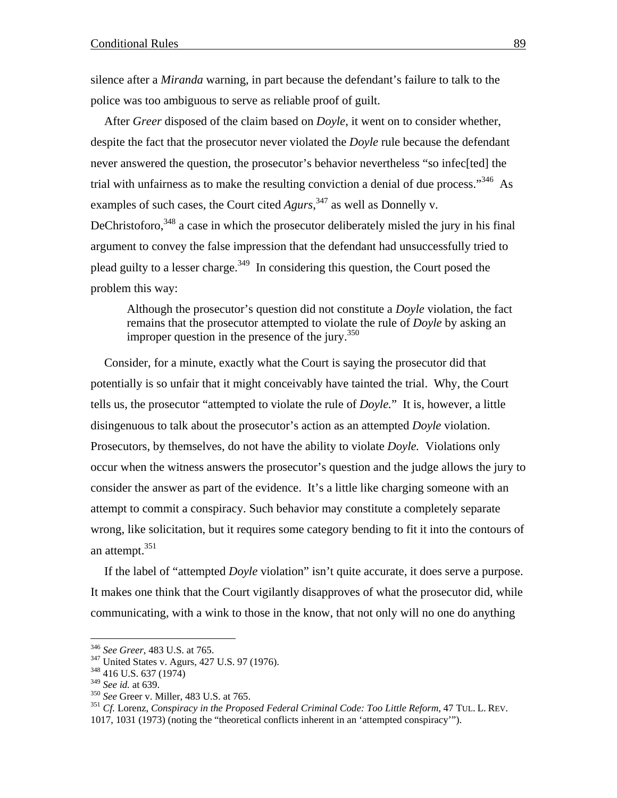silence after a *Miranda* warning, in part because the defendant's failure to talk to the police was too ambiguous to serve as reliable proof of guilt.

After *Greer* disposed of the claim based on *Doyle*, it went on to consider whether, despite the fact that the prosecutor never violated the *Doyle* rule because the defendant never answered the question, the prosecutor's behavior nevertheless "so infec[ted] the trial with unfairness as to make the resulting conviction a denial of due process."<sup>346</sup> As examples of such cases, the Court cited *Agurs*,<sup>347</sup> as well as Donnelly v. DeChristoforo,  $348$  a case in which the prosecutor deliberately misled the jury in his final argument to convey the false impression that the defendant had unsuccessfully tried to plead guilty to a lesser charge.<sup>349</sup> In considering this question, the Court posed the problem this way:

Although the prosecutor's question did not constitute a *Doyle* violation, the fact remains that the prosecutor attempted to violate the rule of *Doyle* by asking an improper question in the presence of the jury.<sup>350</sup>

Consider, for a minute, exactly what the Court is saying the prosecutor did that potentially is so unfair that it might conceivably have tainted the trial. Why, the Court tells us, the prosecutor "attempted to violate the rule of *Doyle.*" It is, however, a little disingenuous to talk about the prosecutor's action as an attempted *Doyle* violation. Prosecutors, by themselves, do not have the ability to violate *Doyle.* Violations only occur when the witness answers the prosecutor's question and the judge allows the jury to consider the answer as part of the evidence. It's a little like charging someone with an attempt to commit a conspiracy. Such behavior may constitute a completely separate wrong, like solicitation, but it requires some category bending to fit it into the contours of an attempt. $351$ 

If the label of "attempted *Doyle* violation" isn't quite accurate, it does serve a purpose. It makes one think that the Court vigilantly disapproves of what the prosecutor did, while communicating, with a wink to those in the know, that not only will no one do anything

<sup>&</sup>lt;sup>346</sup> See Greer, 483 U.S. at 765.

<sup>&</sup>lt;sup>347</sup> United States v. Agurs, 427 U.S. 97 (1976).<br><sup>348</sup> 416 U.S. 637 (1974)<br><sup>349</sup> See id. at 639.

<sup>&</sup>lt;sup>350</sup> *See* Greer v. Miller, 483 U.S. at 765.<br><sup>351</sup> *Cf.* Lorenz, *Conspiracy in the Proposed Federal Criminal Code: Too Little Reform*, 47 TUL. L. REV.

<sup>1017, 1031 (1973) (</sup>noting the "theoretical conflicts inherent in an 'attempted conspiracy'").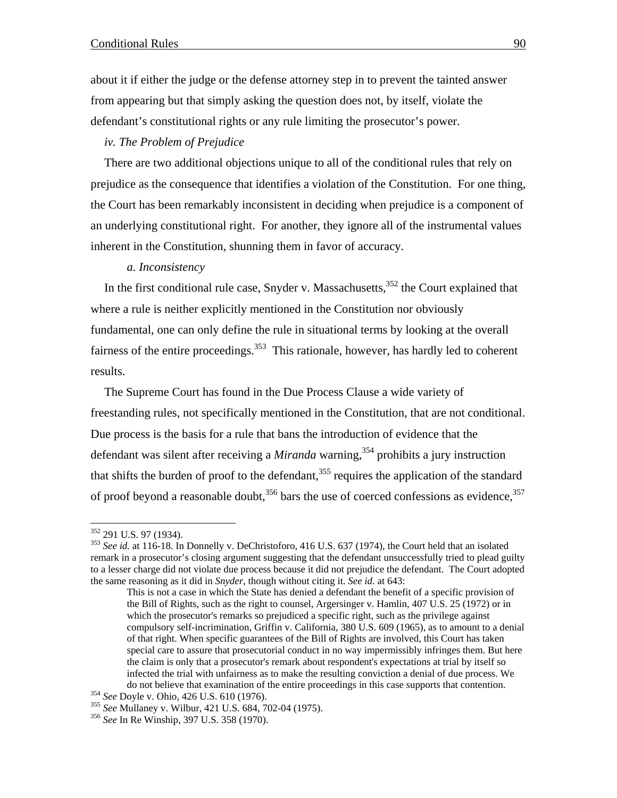about it if either the judge or the defense attorney step in to prevent the tainted answer from appearing but that simply asking the question does not, by itself, violate the defendant's constitutional rights or any rule limiting the prosecutor's power.

## *iv. The Problem of Prejudice*

There are two additional objections unique to all of the conditional rules that rely on prejudice as the consequence that identifies a violation of the Constitution. For one thing, the Court has been remarkably inconsistent in deciding when prejudice is a component of an underlying constitutional right. For another, they ignore all of the instrumental values inherent in the Constitution, shunning them in favor of accuracy.

#### *a. Inconsistency*

In the first conditional rule case, Snyder v. Massachusetts, $352$  the Court explained that where a rule is neither explicitly mentioned in the Constitution nor obviously fundamental, one can only define the rule in situational terms by looking at the overall fairness of the entire proceedings. $353$  This rationale, however, has hardly led to coherent results.

The Supreme Court has found in the Due Process Clause a wide variety of freestanding rules, not specifically mentioned in the Constitution, that are not conditional. Due process is the basis for a rule that bans the introduction of evidence that the defendant was silent after receiving a *Miranda* warning,<sup>354</sup> prohibits a jury instruction that shifts the burden of proof to the defendant,  $355$  requires the application of the standard of proof beyond a reasonable doubt,  $356$  bars the use of coerced confessions as evidence,  $357$ 

<sup>352 291</sup> U.S. 97 (1934).

<sup>&</sup>lt;sup>353</sup> See *id.* at 116-18. In Donnelly v. DeChristoforo, 416 U.S. 637 (1974), the Court held that an isolated remark in a prosecutor's closing argument suggesting that the defendant unsuccessfully tried to plead guilty to a lesser charge did not violate due process because it did not prejudice the defendant. The Court adopted the same reasoning as it did in *Snyder*, though without citing it. *See id.* at 643:

This is not a case in which the State has denied a defendant the benefit of a specific provision of the Bill of Rights, such as the right to counsel, Argersinger v. Hamlin, 407 U.S. 25 (1972) or in which the prosecutor's remarks so prejudiced a specific right, such as the privilege against compulsory self-incrimination, Griffin v. California, 380 U.S. 609 (1965), as to amount to a denial of that right. When specific guarantees of the Bill of Rights are involved, this Court has taken special care to assure that prosecutorial conduct in no way impermissibly infringes them. But here the claim is only that a prosecutor's remark about respondent's expectations at trial by itself so infected the trial with unfairness as to make the resulting conviction a denial of due process. We do not believe that examination of the entire proceedings in this case supports that contention.<br><sup>354</sup> See Doyle v. Ohio, 426 U.S. 610 (1976).<br><sup>355</sup> See Mullaney v. Wilbur, 421 U.S. 684, 702-04 (1975).<br><sup>356</sup> See In Re Wins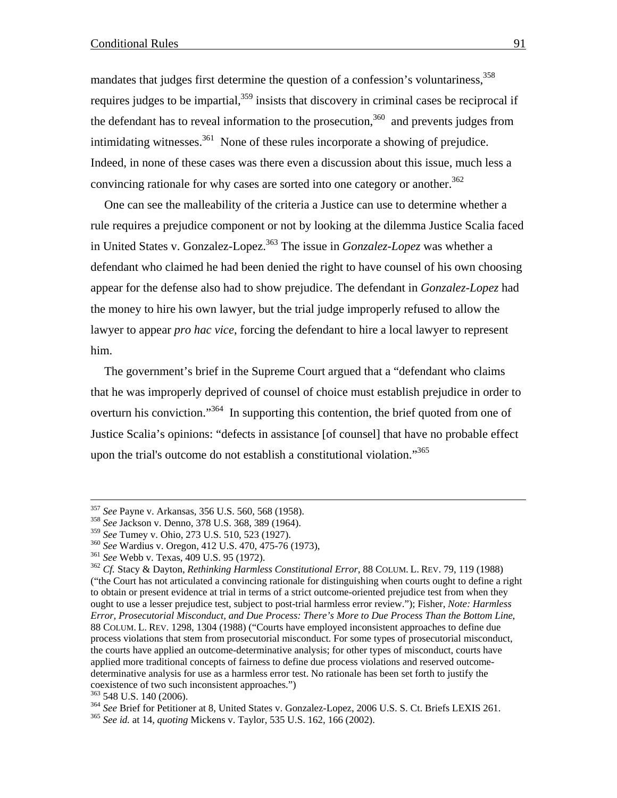mandates that judges first determine the question of a confession's voluntariness,<sup>358</sup> requires judges to be impartial,  $359$  insists that discovery in criminal cases be reciprocal if the defendant has to reveal information to the prosecution,  $360$  and prevents judges from intimidating witnesses.<sup>361</sup> None of these rules incorporate a showing of prejudice. Indeed, in none of these cases was there even a discussion about this issue, much less a convincing rationale for why cases are sorted into one category or another.<sup>362</sup>

One can see the malleability of the criteria a Justice can use to determine whether a rule requires a prejudice component or not by looking at the dilemma Justice Scalia faced in United States v. Gonzalez-Lopez.363 The issue in *Gonzalez-Lopez* was whether a defendant who claimed he had been denied the right to have counsel of his own choosing appear for the defense also had to show prejudice. The defendant in *Gonzalez-Lopez* had the money to hire his own lawyer, but the trial judge improperly refused to allow the lawyer to appear *pro hac vice*, forcing the defendant to hire a local lawyer to represent him.

The government's brief in the Supreme Court argued that a "defendant who claims that he was improperly deprived of counsel of choice must establish prejudice in order to overturn his conviction."<sup>364</sup> In supporting this contention, the brief quoted from one of Justice Scalia's opinions: "defects in assistance [of counsel] that have no probable effect upon the trial's outcome do not establish a constitutional violation."<sup>365</sup>

<sup>&</sup>lt;sup>357</sup> *See* Payne v. Arkansas, 356 U.S. 560, 568 (1958).<br><sup>358</sup> *See* Jackson v. Denno, 378 U.S. 368, 389 (1964).<br><sup>359</sup> *See* Tumey v. Ohio, 273 U.S. 510, 523 (1927).

<sup>&</sup>lt;sup>360</sup> See Wardius v. Oregon, 412 U.S. 470, 475-76 (1973),<br><sup>361</sup> See Webb v. Texas, 409 U.S. 95 (1972).<br><sup>362</sup> Cf. Stacy & Dayton, *Rethinking Harmless Constitutional Error*, 88 COLUM. L. REV. 79, 119 (1988) ("the Court has not articulated a convincing rationale for distinguishing when courts ought to define a right to obtain or present evidence at trial in terms of a strict outcome-oriented prejudice test from when they ought to use a lesser prejudice test, subject to post-trial harmless error review."); Fisher, *Note: Harmless Error, Prosecutorial Misconduct, and Due Process: There's More to Due Process Than the Bottom Line*, 88 COLUM. L. REV. 1298, 1304 (1988) ("Courts have employed inconsistent approaches to define due process violations that stem from prosecutorial misconduct. For some types of prosecutorial misconduct, the courts have applied an outcome-determinative analysis; for other types of misconduct, courts have applied more traditional concepts of fairness to define due process violations and reserved outcomedeterminative analysis for use as a harmless error test. No rationale has been set forth to justify the coexistence of two such inconsistent approaches.")<br>
<sup>363</sup> 548 U.S. 140 (2006).

<sup>&</sup>lt;sup>364</sup> See Brief for Petitioner at 8, United States v. Gonzalez-Lopez, 2006 U.S. S. Ct. Briefs LEXIS 261.<br><sup>365</sup> See id. at 14, *quoting* Mickens v. Taylor, 535 U.S. 162, 166 (2002).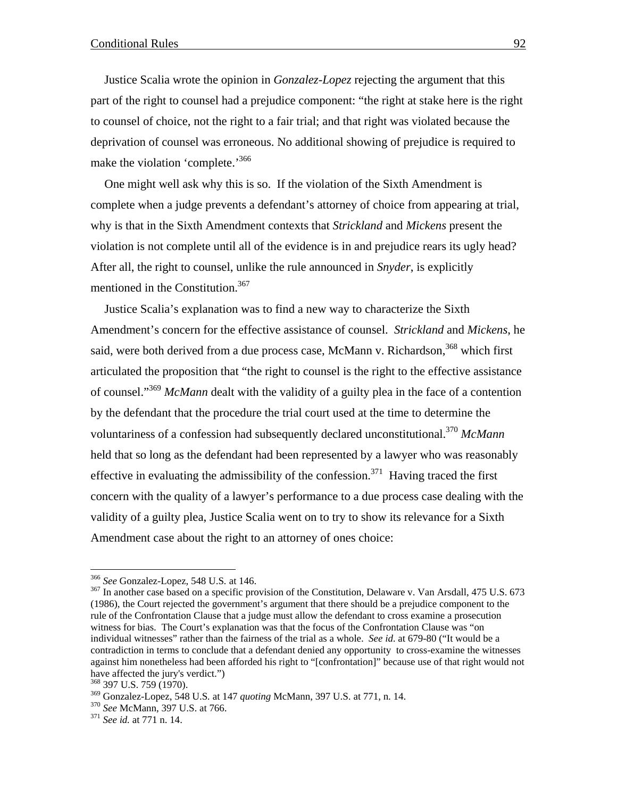Justice Scalia wrote the opinion in *Gonzalez-Lopez* rejecting the argument that this part of the right to counsel had a prejudice component: "the right at stake here is the right to counsel of choice, not the right to a fair trial; and that right was violated because the deprivation of counsel was erroneous. No additional showing of prejudice is required to make the violation 'complete.'<sup>366</sup>

One might well ask why this is so. If the violation of the Sixth Amendment is complete when a judge prevents a defendant's attorney of choice from appearing at trial, why is that in the Sixth Amendment contexts that *Strickland* and *Mickens* present the violation is not complete until all of the evidence is in and prejudice rears its ugly head? After all, the right to counsel, unlike the rule announced in *Snyder*, is explicitly mentioned in the Constitution.<sup>367</sup>

Justice Scalia's explanation was to find a new way to characterize the Sixth Amendment's concern for the effective assistance of counsel. *Strickland* and *Mickens*, he said, were both derived from a due process case, McMann v. Richardson,<sup>368</sup> which first articulated the proposition that "the right to counsel is the right to the effective assistance of counsel."369 *McMann* dealt with the validity of a guilty plea in the face of a contention by the defendant that the procedure the trial court used at the time to determine the voluntariness of a confession had subsequently declared unconstitutional.370 *McMann* held that so long as the defendant had been represented by a lawyer who was reasonably effective in evaluating the admissibility of the confession.<sup>371</sup> Having traced the first concern with the quality of a lawyer's performance to a due process case dealing with the validity of a guilty plea, Justice Scalia went on to try to show its relevance for a Sixth Amendment case about the right to an attorney of ones choice:

<sup>&</sup>lt;sup>366</sup> *See* Gonzalez-Lopez, 548 U.S. at 146.<br><sup>367</sup> In another case based on a specific provision of the Constitution, Delaware v. Van Arsdall, 475 U.S. 673 (1986), the Court rejected the government's argument that there should be a prejudice component to the rule of the Confrontation Clause that a judge must allow the defendant to cross examine a prosecution witness for bias. The Court's explanation was that the focus of the Confrontation Clause was "on individual witnesses" rather than the fairness of the trial as a whole. *See id*. at 679-80 ("It would be a contradiction in terms to conclude that a defendant denied any opportunity to cross-examine the witnesses against him nonetheless had been afforded his right to "[confrontation]" because use of that right would not have affected the jury's verdict.")

<sup>368 397</sup> U.S. 759 (1970).

<sup>369</sup> Gonzalez-Lopez, 548 U.S*.* at 147 *quoting* McMann, 397 U.S. at 771, n. 14. 370 *See* McMann, 397 U.S. at 766. 371 *See id.* at 771 n. 14.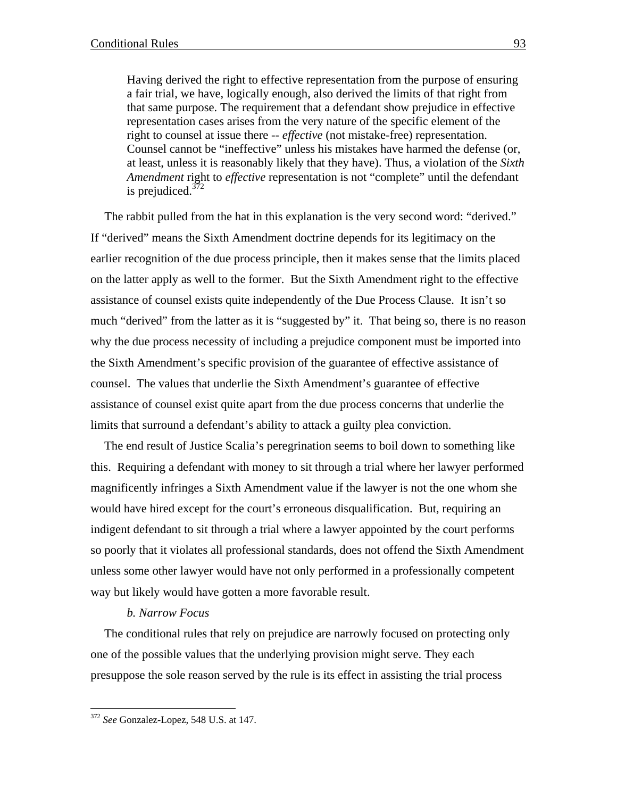Having derived the right to effective representation from the purpose of ensuring a fair trial, we have, logically enough, also derived the limits of that right from that same purpose. The requirement that a defendant show prejudice in effective representation cases arises from the very nature of the specific element of the right to counsel at issue there -- *effective* (not mistake-free) representation. Counsel cannot be "ineffective" unless his mistakes have harmed the defense (or, at least, unless it is reasonably likely that they have). Thus, a violation of the *Sixth Amendment* right to *effective* representation is not "complete" until the defendant is prejudiced. $372$ 

The rabbit pulled from the hat in this explanation is the very second word: "derived." If "derived" means the Sixth Amendment doctrine depends for its legitimacy on the earlier recognition of the due process principle, then it makes sense that the limits placed on the latter apply as well to the former. But the Sixth Amendment right to the effective assistance of counsel exists quite independently of the Due Process Clause. It isn't so much "derived" from the latter as it is "suggested by" it. That being so, there is no reason why the due process necessity of including a prejudice component must be imported into the Sixth Amendment's specific provision of the guarantee of effective assistance of counsel. The values that underlie the Sixth Amendment's guarantee of effective assistance of counsel exist quite apart from the due process concerns that underlie the limits that surround a defendant's ability to attack a guilty plea conviction.

The end result of Justice Scalia's peregrination seems to boil down to something like this. Requiring a defendant with money to sit through a trial where her lawyer performed magnificently infringes a Sixth Amendment value if the lawyer is not the one whom she would have hired except for the court's erroneous disqualification. But, requiring an indigent defendant to sit through a trial where a lawyer appointed by the court performs so poorly that it violates all professional standards, does not offend the Sixth Amendment unless some other lawyer would have not only performed in a professionally competent way but likely would have gotten a more favorable result.

#### *b. Narrow Focus*

The conditional rules that rely on prejudice are narrowly focused on protecting only one of the possible values that the underlying provision might serve. They each presuppose the sole reason served by the rule is its effect in assisting the trial process

1

<sup>372</sup> *See* Gonzalez-Lopez, 548 U.S. at 147.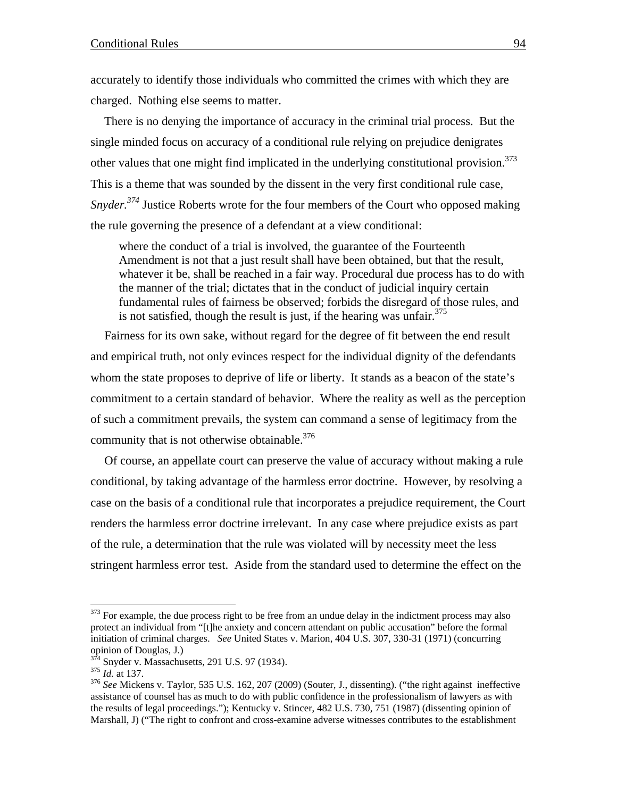accurately to identify those individuals who committed the crimes with which they are charged. Nothing else seems to matter.

There is no denying the importance of accuracy in the criminal trial process. But the single minded focus on accuracy of a conditional rule relying on prejudice denigrates other values that one might find implicated in the underlying constitutional provision.<sup>373</sup> This is a theme that was sounded by the dissent in the very first conditional rule case, *Snyder.*<sup>374</sup> Justice Roberts wrote for the four members of the Court who opposed making the rule governing the presence of a defendant at a view conditional:

where the conduct of a trial is involved, the guarantee of the Fourteenth Amendment is not that a just result shall have been obtained, but that the result, whatever it be, shall be reached in a fair way. Procedural due process has to do with the manner of the trial; dictates that in the conduct of judicial inquiry certain fundamental rules of fairness be observed; forbids the disregard of those rules, and is not satisfied, though the result is just, if the hearing was unfair.<sup>375</sup>

Fairness for its own sake, without regard for the degree of fit between the end result and empirical truth, not only evinces respect for the individual dignity of the defendants whom the state proposes to deprive of life or liberty. It stands as a beacon of the state's commitment to a certain standard of behavior. Where the reality as well as the perception of such a commitment prevails, the system can command a sense of legitimacy from the community that is not otherwise obtainable.<sup>376</sup>

Of course, an appellate court can preserve the value of accuracy without making a rule conditional, by taking advantage of the harmless error doctrine. However, by resolving a case on the basis of a conditional rule that incorporates a prejudice requirement, the Court renders the harmless error doctrine irrelevant. In any case where prejudice exists as part of the rule, a determination that the rule was violated will by necessity meet the less stringent harmless error test. Aside from the standard used to determine the effect on the

1

<sup>&</sup>lt;sup>373</sup> For example, the due process right to be free from an undue delay in the indictment process may also protect an individual from "[t]he anxiety and concern attendant on public accusation" before the formal initiation of criminal charges. *See* United States v. Marion, 404 U.S. 307, 330-31 (1971) (concurring opinion of Douglas, J.)<br><sup>374</sup> Snyder v. Massachusetts, 291 U.S. 97 (1934).

 $\frac{375}{376}$  *Id.* at 137.<br><sup>376</sup> *See* Mickens v. Taylor, 535 U.S. 162, 207 (2009) (Souter, J., dissenting). ("the right against ineffective assistance of counsel has as much to do with public confidence in the professionalism of lawyers as with the results of legal proceedings."); Kentucky v. Stincer, 482 U.S. 730, 751 (1987) (dissenting opinion of Marshall, J) ("The right to confront and cross-examine adverse witnesses contributes to the establishment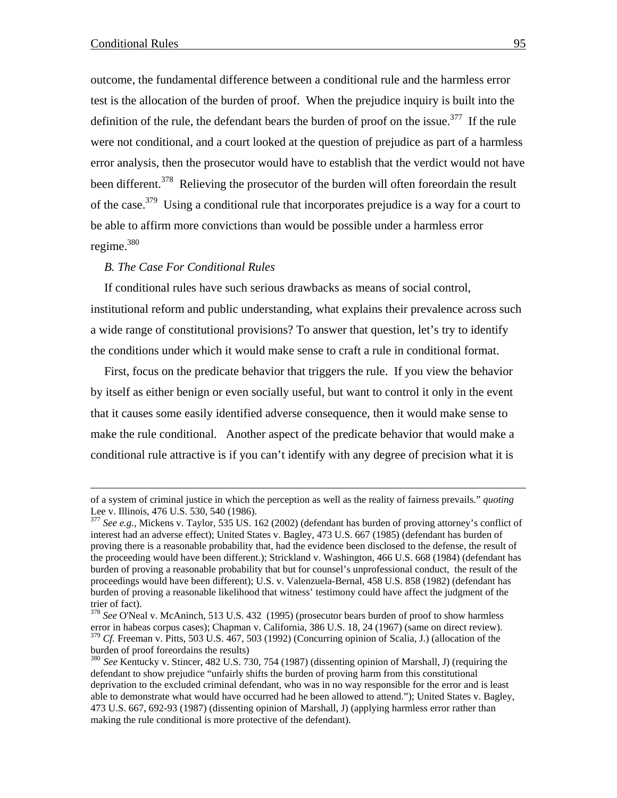outcome, the fundamental difference between a conditional rule and the harmless error test is the allocation of the burden of proof. When the prejudice inquiry is built into the definition of the rule, the defendant bears the burden of proof on the issue.<sup>377</sup> If the rule were not conditional, and a court looked at the question of prejudice as part of a harmless error analysis, then the prosecutor would have to establish that the verdict would not have been different.<sup>378</sup> Relieving the prosecutor of the burden will often foreordain the result of the case.<sup>379</sup> Using a conditional rule that incorporates prejudice is a way for a court to be able to affirm more convictions than would be possible under a harmless error regime.380

### *B. The Case For Conditional Rules*

If conditional rules have such serious drawbacks as means of social control, institutional reform and public understanding, what explains their prevalence across such a wide range of constitutional provisions? To answer that question, let's try to identify the conditions under which it would make sense to craft a rule in conditional format.

First, focus on the predicate behavior that triggers the rule. If you view the behavior by itself as either benign or even socially useful, but want to control it only in the event that it causes some easily identified adverse consequence, then it would make sense to make the rule conditional. Another aspect of the predicate behavior that would make a conditional rule attractive is if you can't identify with any degree of precision what it is

of a system of criminal justice in which the perception as well as the reality of fairness prevails." *quoting* Lee v. Illinois, 476 U.S. 530, 540 (1986).

<sup>377</sup> *See e.g.,* Mickens v. Taylor, 535 US. 162 (2002) (defendant has burden of proving attorney's conflict of interest had an adverse effect); United States v. Bagley, 473 U.S. 667 (1985) (defendant has burden of proving there is a reasonable probability that, had the evidence been disclosed to the defense, the result of the proceeding would have been different.); Strickland v. Washington, 466 U.S. 668 (1984) (defendant has burden of proving a reasonable probability that but for counsel's unprofessional conduct, the result of the proceedings would have been different); U.S. v. Valenzuela-Bernal, 458 U.S. 858 (1982) (defendant has burden of proving a reasonable likelihood that witness' testimony could have affect the judgment of the trier of fact).

<sup>378</sup> *See* O'Neal v. McAninch, 513 U.S. 432 (1995) (prosecutor bears burden of proof to show harmless error in habeas corpus cases); Chapman v. California, 386 U.S. 18, 24 (1967) (same on direct review). <sup>379</sup> *Cf.* Freeman v. Pitts, 503 U.S. 467, 503 (1992) (Concurring opinion of Scalia, J.) (allocation of the burden of proof foreordains the results)

<sup>380</sup> *See* Kentucky v. Stincer, 482 U.S. 730, 754 (1987) (dissenting opinion of Marshall, J) (requiring the defendant to show prejudice "unfairly shifts the burden of proving harm from this constitutional deprivation to the excluded criminal defendant, who was in no way responsible for the error and is least able to demonstrate what would have occurred had he been allowed to attend."); United States v. Bagley, 473 U.S. 667, 692-93 (1987) (dissenting opinion of Marshall, J) (applying harmless error rather than making the rule conditional is more protective of the defendant).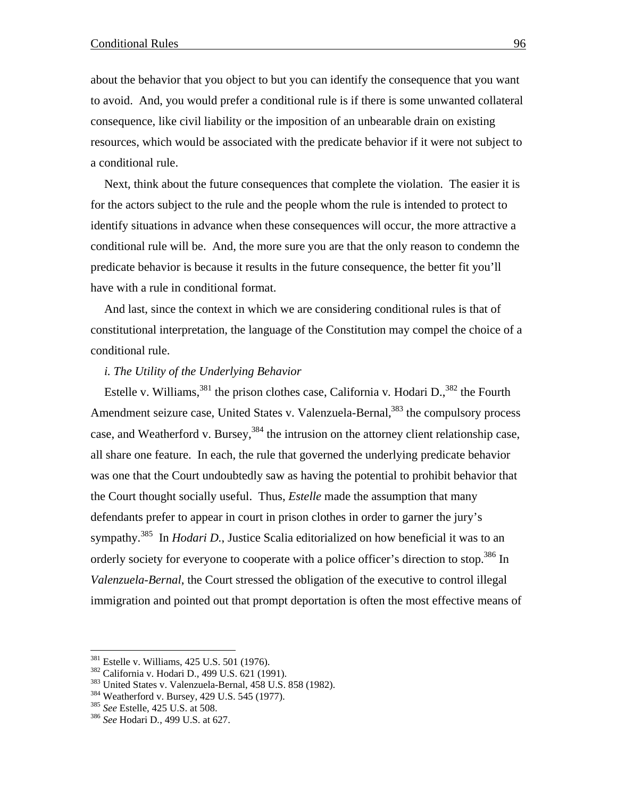about the behavior that you object to but you can identify the consequence that you want to avoid. And, you would prefer a conditional rule is if there is some unwanted collateral consequence, like civil liability or the imposition of an unbearable drain on existing resources, which would be associated with the predicate behavior if it were not subject to a conditional rule.

Next, think about the future consequences that complete the violation. The easier it is for the actors subject to the rule and the people whom the rule is intended to protect to identify situations in advance when these consequences will occur, the more attractive a conditional rule will be. And, the more sure you are that the only reason to condemn the predicate behavior is because it results in the future consequence, the better fit you'll have with a rule in conditional format.

And last, since the context in which we are considering conditional rules is that of constitutional interpretation, the language of the Constitution may compel the choice of a conditional rule.

#### *i. The Utility of the Underlying Behavior*

Estelle v. Williams, <sup>381</sup> the prison clothes case, California v. Hodari D., <sup>382</sup> the Fourth Amendment seizure case, United States v. Valenzuela-Bernal,<sup>383</sup> the compulsory process case, and Weatherford v. Bursey,<sup>384</sup> the intrusion on the attorney client relationship case, all share one feature. In each, the rule that governed the underlying predicate behavior was one that the Court undoubtedly saw as having the potential to prohibit behavior that the Court thought socially useful. Thus, *Estelle* made the assumption that many defendants prefer to appear in court in prison clothes in order to garner the jury's sympathy.<sup>385</sup> In *Hodari D.*, Justice Scalia editorialized on how beneficial it was to an orderly society for everyone to cooperate with a police officer's direction to stop.<sup>386</sup> In *Valenzuela-Bernal*, the Court stressed the obligation of the executive to control illegal immigration and pointed out that prompt deportation is often the most effective means of

<u>.</u>

<sup>&</sup>lt;sup>381</sup> Estelle v. Williams, 425 U.S. 501 (1976).<br><sup>382</sup> California v. Hodari D., 499 U.S. 621 (1991).<br><sup>383</sup> United States v. Valenzuela-Bernal, 458 U.S. 858 (1982).<br><sup>384</sup> Weatherford v. Bursey, 429 U.S. 545 (1977).<br><sup>385</sup> Se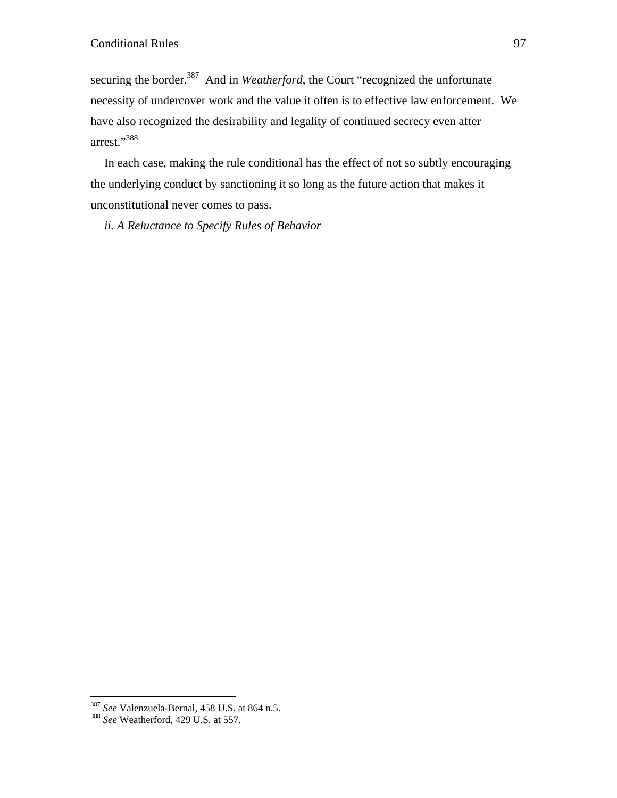securing the border.<sup>387</sup> And in *Weatherford*, the Court "recognized the unfortunate" necessity of undercover work and the value it often is to effective law enforcement. We have also recognized the desirability and legality of continued secrecy even after arrest."<sup>388</sup>

In each case, making the rule conditional has the effect of not so subtly encouraging the underlying conduct by sanctioning it so long as the future action that makes it unconstitutional never comes to pass.

*ii. A Reluctance to Specify Rules of Behavior* 

<sup>&</sup>lt;sup>387</sup> *See* Valenzuela-Bernal, 458 U.S. at 864 n.5.<br><sup>388</sup> *See* Weatherford, 429 U.S. at 557.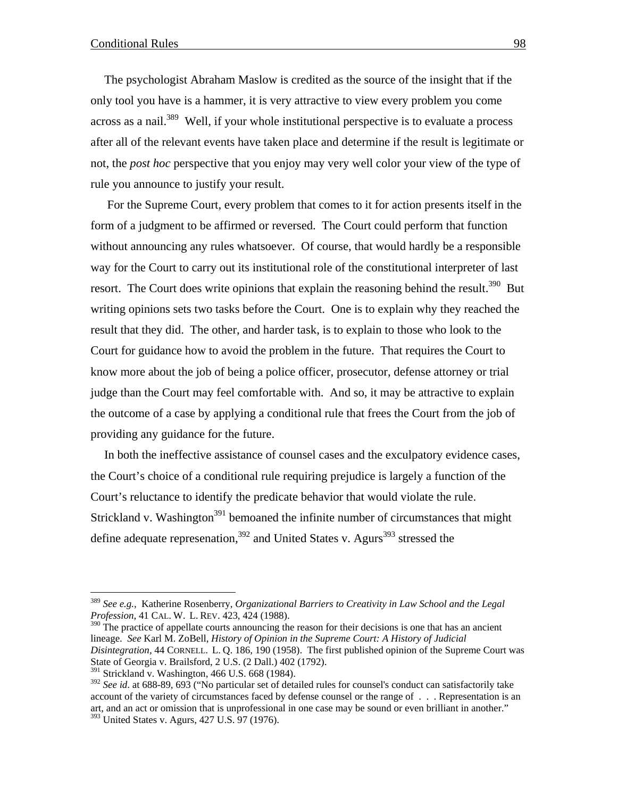The psychologist Abraham Maslow is credited as the source of the insight that if the only tool you have is a hammer, it is very attractive to view every problem you come across as a nail.<sup>389</sup> Well, if your whole institutional perspective is to evaluate a process after all of the relevant events have taken place and determine if the result is legitimate or not, the *post hoc* perspective that you enjoy may very well color your view of the type of rule you announce to justify your result.

 For the Supreme Court, every problem that comes to it for action presents itself in the form of a judgment to be affirmed or reversed. The Court could perform that function without announcing any rules whatsoever. Of course, that would hardly be a responsible way for the Court to carry out its institutional role of the constitutional interpreter of last resort. The Court does write opinions that explain the reasoning behind the result.<sup>390</sup> But writing opinions sets two tasks before the Court. One is to explain why they reached the result that they did. The other, and harder task, is to explain to those who look to the Court for guidance how to avoid the problem in the future. That requires the Court to know more about the job of being a police officer, prosecutor, defense attorney or trial judge than the Court may feel comfortable with. And so, it may be attractive to explain the outcome of a case by applying a conditional rule that frees the Court from the job of providing any guidance for the future.

In both the ineffective assistance of counsel cases and the exculpatory evidence cases, the Court's choice of a conditional rule requiring prejudice is largely a function of the Court's reluctance to identify the predicate behavior that would violate the rule. Strickland v. Washington<sup>391</sup> bemoaned the infinite number of circumstances that might define adequate represenation, $392$  and United States v. Agurs<sup>393</sup> stressed the

 $390$  The practice of appellate courts announcing the reason for their decisions is one that has an ancient lineage. *See* Karl M. ZoBell, *History of Opinion in the Supreme Court: A History of Judicial Disintegration*, 44 CORNELL. L. Q. 186, 190 (1958). The first published opinion of the Supreme Court was State of Georgia v. Brailsford, 2 U.S. (2 Dall.) 402 (1792).

<sup>389</sup> *See e.g.,* Katherine Rosenberry, *Organizational Barriers to Creativity in Law School and the Legal Profession*, 41 CAL. W. L. REV. 423, 424 (1988).

<sup>&</sup>lt;sup>391</sup> Strickland v. Washington, 466 U.S. 668 (1984).

<sup>&</sup>lt;sup>392</sup> *See id.* at 688-89, 693 ("No particular set of detailed rules for counsel's conduct can satisfactorily take account of the variety of circumstances faced by defense counsel or the range of . . . Representation is an art, and an act or omission that is unprofessional in one case may be sound or even brilliant in another." <sup>393</sup> United States v. Agurs, 427 U.S. 97 (1976).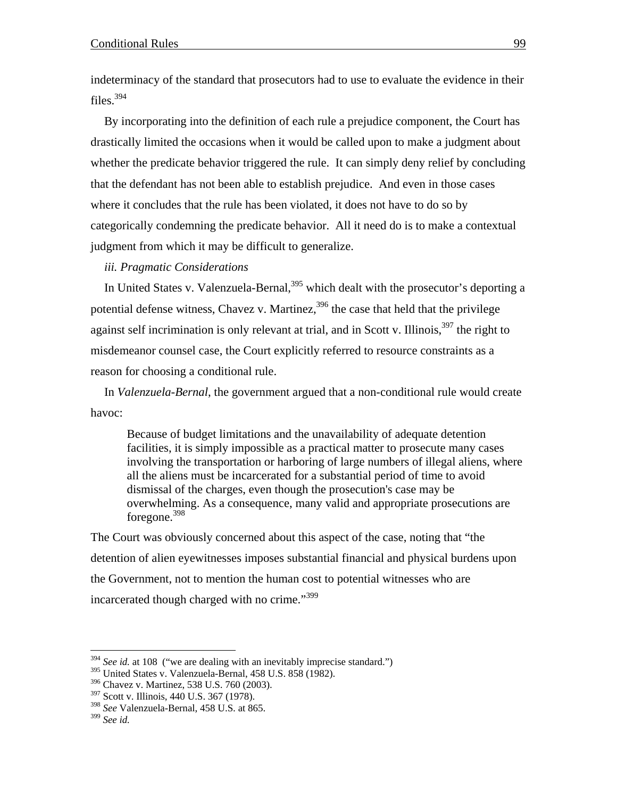indeterminacy of the standard that prosecutors had to use to evaluate the evidence in their files.394

By incorporating into the definition of each rule a prejudice component, the Court has drastically limited the occasions when it would be called upon to make a judgment about whether the predicate behavior triggered the rule. It can simply deny relief by concluding that the defendant has not been able to establish prejudice. And even in those cases where it concludes that the rule has been violated, it does not have to do so by categorically condemning the predicate behavior. All it need do is to make a contextual judgment from which it may be difficult to generalize.

*iii. Pragmatic Considerations* 

In United States v. Valenzuela-Bernal,<sup>395</sup> which dealt with the prosecutor's deporting a potential defense witness, Chavez v. Martinez,  $396$  the case that held that the privilege against self incrimination is only relevant at trial, and in Scott v. Illinois,  $397$  the right to misdemeanor counsel case, the Court explicitly referred to resource constraints as a reason for choosing a conditional rule.

In *Valenzuela-Bernal*, the government argued that a non-conditional rule would create havoc:

Because of budget limitations and the unavailability of adequate detention facilities, it is simply impossible as a practical matter to prosecute many cases involving the transportation or harboring of large numbers of illegal aliens, where all the aliens must be incarcerated for a substantial period of time to avoid dismissal of the charges, even though the prosecution's case may be overwhelming. As a consequence, many valid and appropriate prosecutions are foregone.398

The Court was obviously concerned about this aspect of the case, noting that "the detention of alien eyewitnesses imposes substantial financial and physical burdens upon the Government, not to mention the human cost to potential witnesses who are incarcerated though charged with no crime."<sup>399</sup>

<sup>&</sup>lt;sup>394</sup> *See id.* at 108 ("we are dealing with an inevitably imprecise standard.")

<sup>395</sup> United States v. Valenzuela-Bernal, 458 U.S. 858 (1982).

<sup>396</sup> Chavez v. Martinez, 538 U.S. 760 (2003).

<sup>397</sup> Scott v. Illinois, 440 U.S. 367 (1978).

<sup>398</sup> *See* Valenzuela-Bernal, 458 U.S. at 865.

<sup>399</sup> *See id.*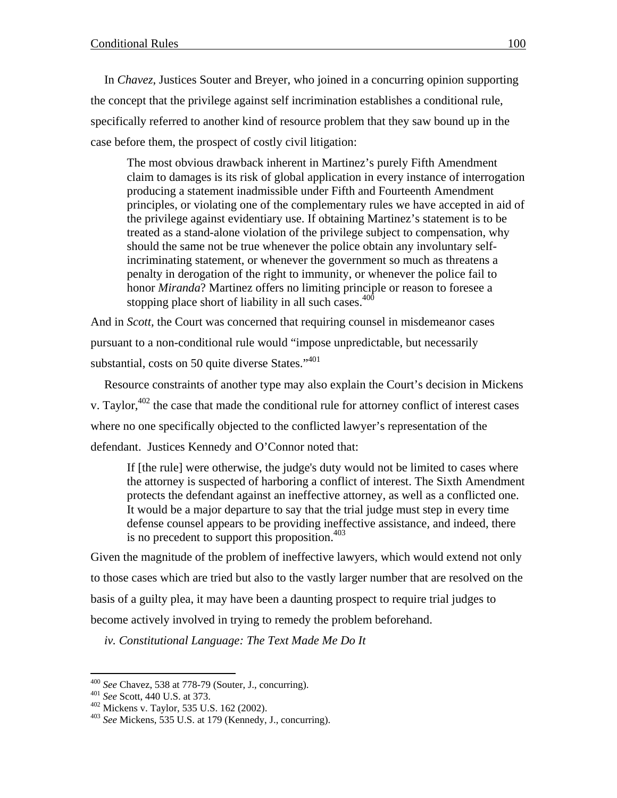In *Chavez*, Justices Souter and Breyer, who joined in a concurring opinion supporting the concept that the privilege against self incrimination establishes a conditional rule, specifically referred to another kind of resource problem that they saw bound up in the case before them, the prospect of costly civil litigation:

The most obvious drawback inherent in Martinez's purely Fifth Amendment claim to damages is its risk of global application in every instance of interrogation producing a statement inadmissible under Fifth and Fourteenth Amendment principles, or violating one of the complementary rules we have accepted in aid of the privilege against evidentiary use. If obtaining Martinez's statement is to be treated as a stand-alone violation of the privilege subject to compensation, why should the same not be true whenever the police obtain any involuntary selfincriminating statement, or whenever the government so much as threatens a penalty in derogation of the right to immunity, or whenever the police fail to honor *Miranda*? Martinez offers no limiting principle or reason to foresee a stopping place short of liability in all such cases. $400$ 

And in *Scott*, the Court was concerned that requiring counsel in misdemeanor cases pursuant to a non-conditional rule would "impose unpredictable, but necessarily substantial, costs on 50 quite diverse States."<sup>401</sup>

Resource constraints of another type may also explain the Court's decision in Mickens v. Taylor, $402$  the case that made the conditional rule for attorney conflict of interest cases where no one specifically objected to the conflicted lawyer's representation of the defendant. Justices Kennedy and O'Connor noted that:

If [the rule] were otherwise, the judge's duty would not be limited to cases where the attorney is suspected of harboring a conflict of interest. The Sixth Amendment protects the defendant against an ineffective attorney, as well as a conflicted one. It would be a major departure to say that the trial judge must step in every time defense counsel appears to be providing ineffective assistance, and indeed, there is no precedent to support this proposition.  $403$ 

Given the magnitude of the problem of ineffective lawyers, which would extend not only to those cases which are tried but also to the vastly larger number that are resolved on the basis of a guilty plea, it may have been a daunting prospect to require trial judges to become actively involved in trying to remedy the problem beforehand.

*iv. Constitutional Language: The Text Made Me Do It* 

 $400$  See Chavez, 538 at 778-79 (Souter, J., concurring).

<sup>401</sup> *See* Scott, 440 U.S. at 373.<br><sup>402</sup> Mickens v. Taylor, 535 U.S. 162 (2002).<br><sup>403</sup> *See* Mickens, 535 U.S. at 179 (Kennedy, J., concurring).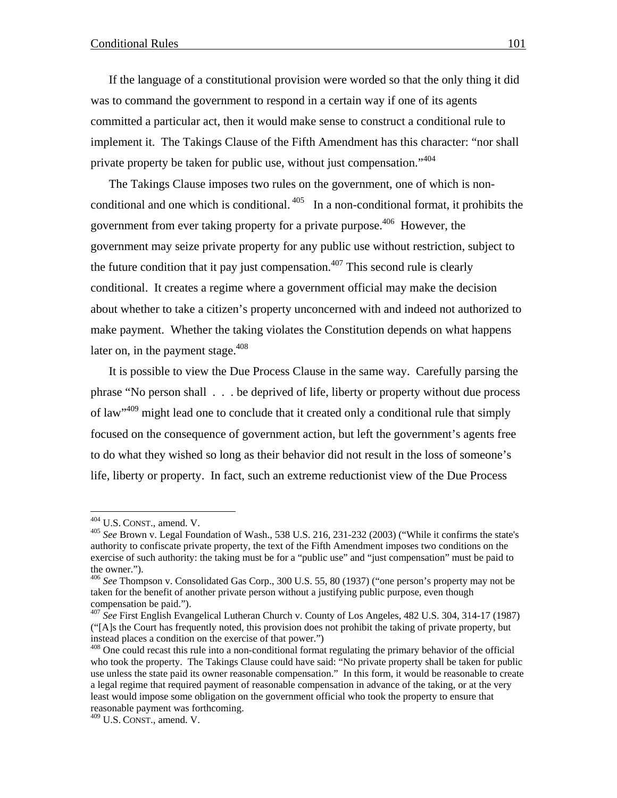If the language of a constitutional provision were worded so that the only thing it did was to command the government to respond in a certain way if one of its agents committed a particular act, then it would make sense to construct a conditional rule to implement it. The Takings Clause of the Fifth Amendment has this character: "nor shall private property be taken for public use, without just compensation."<sup>404</sup>

The Takings Clause imposes two rules on the government, one of which is nonconditional and one which is conditional.  $405$  In a non-conditional format, it prohibits the government from ever taking property for a private purpose.<sup>406</sup> However, the government may seize private property for any public use without restriction, subject to the future condition that it pay just compensation.<sup>407</sup> This second rule is clearly conditional. It creates a regime where a government official may make the decision about whether to take a citizen's property unconcerned with and indeed not authorized to make payment. Whether the taking violates the Constitution depends on what happens later on, in the payment stage.  $408$ 

It is possible to view the Due Process Clause in the same way. Carefully parsing the phrase "No person shall . . . be deprived of life, liberty or property without due process of law"409 might lead one to conclude that it created only a conditional rule that simply focused on the consequence of government action, but left the government's agents free to do what they wished so long as their behavior did not result in the loss of someone's life, liberty or property. In fact, such an extreme reductionist view of the Due Process

<sup>404</sup> U.S. CONST., amend. V.

<sup>&</sup>lt;sup>405</sup> See Brown v. Legal Foundation of Wash., 538 U.S. 216, 231-232 (2003) ("While it confirms the state's authority to confiscate private property, the text of the Fifth Amendment imposes two conditions on the exercise of such authority: the taking must be for a "public use" and "just compensation" must be paid to the owner.").

<sup>406</sup> *See* Thompson v. Consolidated Gas Corp., 300 U.S. 55, 80 (1937) ("one person's property may not be taken for the benefit of another private person without a justifying public purpose, even though compensation be paid.").

<sup>407</sup> *See* First English Evangelical Lutheran Church v. County of Los Angeles, 482 U.S. 304, 314-17 (1987) ("[A]s the Court has frequently noted, this provision does not prohibit the taking of private property, but

 $\frac{408}{90}$  One could recast this rule into a non-conditional format regulating the primary behavior of the official who took the property. The Takings Clause could have said: "No private property shall be taken for public use unless the state paid its owner reasonable compensation." In this form, it would be reasonable to create a legal regime that required payment of reasonable compensation in advance of the taking, or at the very least would impose some obligation on the government official who took the property to ensure that reasonable payment was forthcoming.

<sup>409</sup> U.S. CONST., amend. V.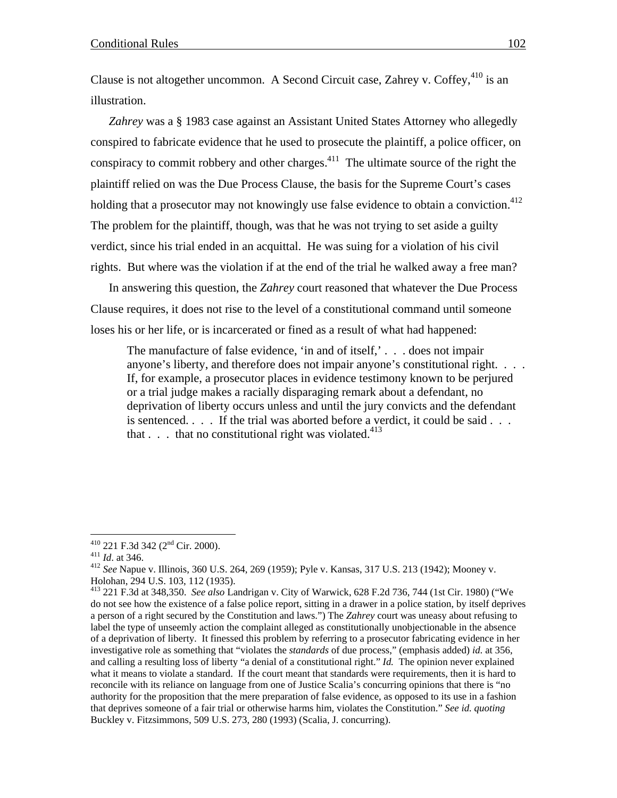Clause is not altogether uncommon. A Second Circuit case, Zahrey v. Coffey,  $410$  is an illustration.

*Zahrey* was a § 1983 case against an Assistant United States Attorney who allegedly conspired to fabricate evidence that he used to prosecute the plaintiff, a police officer, on conspiracy to commit robbery and other charges.<sup>411</sup> The ultimate source of the right the plaintiff relied on was the Due Process Clause, the basis for the Supreme Court's cases holding that a prosecutor may not knowingly use false evidence to obtain a conviction.<sup>412</sup> The problem for the plaintiff, though, was that he was not trying to set aside a guilty verdict, since his trial ended in an acquittal. He was suing for a violation of his civil rights. But where was the violation if at the end of the trial he walked away a free man?

In answering this question, the *Zahrey* court reasoned that whatever the Due Process Clause requires, it does not rise to the level of a constitutional command until someone loses his or her life, or is incarcerated or fined as a result of what had happened:

The manufacture of false evidence, 'in and of itself,' . . . does not impair anyone's liberty, and therefore does not impair anyone's constitutional right. . . . If, for example, a prosecutor places in evidence testimony known to be perjured or a trial judge makes a racially disparaging remark about a defendant, no deprivation of liberty occurs unless and until the jury convicts and the defendant is sentenced. . . . If the trial was aborted before a verdict, it could be said . . . that  $\ldots$  that no constitutional right was violated.<sup>413</sup>

<sup>410 221</sup> F.3d 342 (2<sup>nd</sup> Cir. 2000).

<sup>411</sup> *Id.* at 346.<br><sup>412</sup> *See* Napue v. Illinois, 360 U.S. 264, 269 (1959); Pyle v. Kansas, 317 U.S. 213 (1942); Mooney v. Holohan, 294 U.S. 103, 112 (1935).

<sup>413 221</sup> F.3d at 348,350. *See also* Landrigan v. City of Warwick, 628 F.2d 736, 744 (1st Cir. 1980) ("We do not see how the existence of a false police report, sitting in a drawer in a police station, by itself deprives a person of a right secured by the Constitution and laws.") The *Zahrey* court was uneasy about refusing to label the type of unseemly action the complaint alleged as constitutionally unobjectionable in the absence of a deprivation of liberty. It finessed this problem by referring to a prosecutor fabricating evidence in her investigative role as something that "violates the *standards* of due process," (emphasis added) *id*. at 356, and calling a resulting loss of liberty "a denial of a constitutional right." *Id.* The opinion never explained what it means to violate a standard. If the court meant that standards were requirements, then it is hard to reconcile with its reliance on language from one of Justice Scalia's concurring opinions that there is "no authority for the proposition that the mere preparation of false evidence, as opposed to its use in a fashion that deprives someone of a fair trial or otherwise harms him, violates the Constitution." *See id. quoting* Buckley v. Fitzsimmons, 509 U.S. 273, 280 (1993) (Scalia, J. concurring).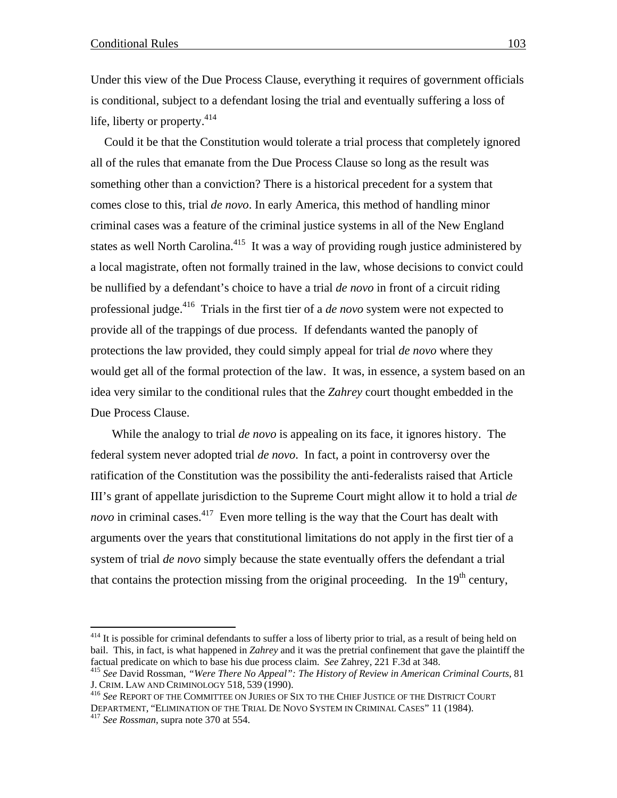$\overline{a}$ 

Under this view of the Due Process Clause, everything it requires of government officials is conditional, subject to a defendant losing the trial and eventually suffering a loss of life, liberty or property. $414$ 

Could it be that the Constitution would tolerate a trial process that completely ignored all of the rules that emanate from the Due Process Clause so long as the result was something other than a conviction? There is a historical precedent for a system that comes close to this, trial *de novo*. In early America, this method of handling minor criminal cases was a feature of the criminal justice systems in all of the New England states as well North Carolina.<sup>415</sup> It was a way of providing rough justice administered by a local magistrate, often not formally trained in the law, whose decisions to convict could be nullified by a defendant's choice to have a trial *de novo* in front of a circuit riding professional judge.416 Trials in the first tier of a *de novo* system were not expected to provide all of the trappings of due process. If defendants wanted the panoply of protections the law provided, they could simply appeal for trial *de novo* where they would get all of the formal protection of the law. It was, in essence, a system based on an idea very similar to the conditional rules that the *Zahrey* court thought embedded in the Due Process Clause.

 While the analogy to trial *de novo* is appealing on its face, it ignores history. The federal system never adopted trial *de novo*. In fact, a point in controversy over the ratification of the Constitution was the possibility the anti-federalists raised that Article III's grant of appellate jurisdiction to the Supreme Court might allow it to hold a trial *de novo* in criminal cases.<sup>417</sup> Even more telling is the way that the Court has dealt with arguments over the years that constitutional limitations do not apply in the first tier of a system of trial *de novo* simply because the state eventually offers the defendant a trial that contains the protection missing from the original proceeding. In the  $19<sup>th</sup>$  century,

<sup>&</sup>lt;sup>414</sup> It is possible for criminal defendants to suffer a loss of liberty prior to trial, as a result of being held on bail. This, in fact, is what happened in *Zahrey* and it was the pretrial confinement that gave the plaintiff the

factual predicate on which to base his due process claim. *See Zahrey*, 221 F.3d at 348.<br><sup>415</sup> *See* David Rossman, *"Were There No Appeal": The History of Review in American Criminal Courts*, 81<br>J. CRIM. LAW AND CRIMINOLO

 $^{416}$  See REPORT OF THE COMMITTEE ON JURIES OF SIX TO THE CHIEF JUSTICE OF THE DISTRICT COURT DEPARTMENT, "ELIMINATION OF THE TRIAL DE NOVO SYSTEM IN CRIMINAL CASES" 11 (1984). <sup>417</sup> *See Rossman*, supra note 370 at 554.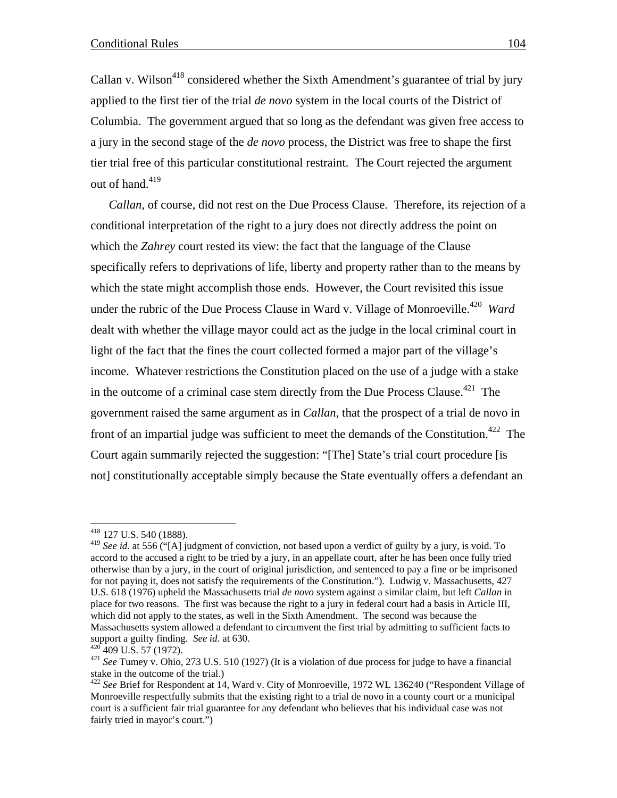Callan v. Wilson<sup>418</sup> considered whether the Sixth Amendment's guarantee of trial by jury applied to the first tier of the trial *de novo* system in the local courts of the District of Columbia. The government argued that so long as the defendant was given free access to a jury in the second stage of the *de novo* process, the District was free to shape the first tier trial free of this particular constitutional restraint. The Court rejected the argument out of hand.<sup>419</sup>

*Callan*, of course, did not rest on the Due Process Clause. Therefore, its rejection of a conditional interpretation of the right to a jury does not directly address the point on which the *Zahrey* court rested its view: the fact that the language of the Clause specifically refers to deprivations of life, liberty and property rather than to the means by which the state might accomplish those ends. However, the Court revisited this issue under the rubric of the Due Process Clause in Ward v. Village of Monroeville.<sup>420</sup> *Ward* dealt with whether the village mayor could act as the judge in the local criminal court in light of the fact that the fines the court collected formed a major part of the village's income. Whatever restrictions the Constitution placed on the use of a judge with a stake in the outcome of a criminal case stem directly from the Due Process Clause.<sup>421</sup> The government raised the same argument as in *Callan*, that the prospect of a trial de novo in front of an impartial judge was sufficient to meet the demands of the Constitution.<sup>422</sup> The Court again summarily rejected the suggestion: "[The] State's trial court procedure [is not] constitutionally acceptable simply because the State eventually offers a defendant an

<u>.</u>

 $418$  127 U.S. 540 (1888).

<sup>&</sup>lt;sup>419</sup> See id. at 556 ("[A] judgment of conviction, not based upon a verdict of guilty by a jury, is void. To accord to the accused a right to be tried by a jury, in an appellate court, after he has been once fully tried otherwise than by a jury, in the court of original jurisdiction, and sentenced to pay a fine or be imprisoned for not paying it, does not satisfy the requirements of the Constitution."). Ludwig v. Massachusetts, 427 U.S. 618 (1976) upheld the Massachusetts trial *de novo* system against a similar claim, but left *Callan* in place for two reasons. The first was because the right to a jury in federal court had a basis in Article III, which did not apply to the states, as well in the Sixth Amendment. The second was because the Massachusetts system allowed a defendant to circumvent the first trial by admitting to sufficient facts to support a guilty finding. *See id.* at 630.<br><sup>420</sup> 400 U S 57 (1072)

<sup>&</sup>lt;sup>420</sup> 409 U.S. 57 (1972).<br><sup>421</sup> *See* Tumey v. Ohio, 273 U.S. 510 (1927) (It is a violation of due process for judge to have a financial stake in the outcome of the trial.)

<sup>422</sup> *See* Brief for Respondent at 14, Ward v. City of Monroeville, 1972 WL 136240 ("Respondent Village of Monroeville respectfully submits that the existing right to a trial de novo in a county court or a municipal court is a sufficient fair trial guarantee for any defendant who believes that his individual case was not fairly tried in mayor's court.")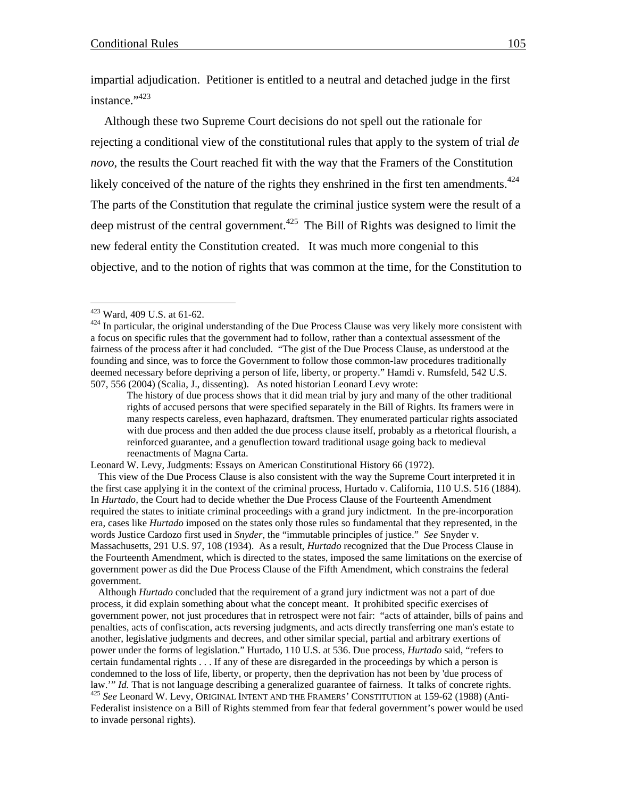impartial adjudication. Petitioner is entitled to a neutral and detached judge in the first instance."<sup>423</sup>

Although these two Supreme Court decisions do not spell out the rationale for rejecting a conditional view of the constitutional rules that apply to the system of trial *de novo*, the results the Court reached fit with the way that the Framers of the Constitution likely conceived of the nature of the rights they enshrined in the first ten amendments.<sup>424</sup> The parts of the Constitution that regulate the criminal justice system were the result of a deep mistrust of the central government.<sup>425</sup> The Bill of Rights was designed to limit the new federal entity the Constitution created. It was much more congenial to this objective, and to the notion of rights that was common at the time, for the Constitution to

<sup>&</sup>lt;sup>423</sup> Ward, 409 U.S. at 61-62.<br><sup>424</sup> In particular, the original understanding of the Due Process Clause was very likely more consistent with a focus on specific rules that the government had to follow, rather than a contextual assessment of the fairness of the process after it had concluded. "The gist of the Due Process Clause, as understood at the founding and since, was to force the Government to follow those common-law procedures traditionally deemed necessary before depriving a person of life, liberty, or property." Hamdi v. Rumsfeld, 542 U.S. 507, 556 (2004) (Scalia, J., dissenting). As noted historian Leonard Levy wrote:

The history of due process shows that it did mean trial by jury and many of the other traditional rights of accused persons that were specified separately in the Bill of Rights. Its framers were in many respects careless, even haphazard, draftsmen. They enumerated particular rights associated with due process and then added the due process clause itself, probably as a rhetorical flourish, a reinforced guarantee, and a genuflection toward traditional usage going back to medieval reenactments of Magna Carta.

Leonard W. Levy, Judgments: Essays on American Constitutional History 66 (1972).

This view of the Due Process Clause is also consistent with the way the Supreme Court interpreted it in the first case applying it in the context of the criminal process, Hurtado v. California, 110 U.S. 516 (1884). In *Hurtado,* the Court had to decide whether the Due Process Clause of the Fourteenth Amendment required the states to initiate criminal proceedings with a grand jury indictment. In the pre-incorporation era, cases like *Hurtado* imposed on the states only those rules so fundamental that they represented, in the words Justice Cardozo first used in *Snyder*, the "immutable principles of justice." *See* Snyder v. Massachusetts, 291 U.S. 97, 108 (1934). As a result, *Hurtado* recognized that the Due Process Clause in the Fourteenth Amendment, which is directed to the states, imposed the same limitations on the exercise of government power as did the Due Process Clause of the Fifth Amendment, which constrains the federal government.

Although *Hurtado* concluded that the requirement of a grand jury indictment was not a part of due process, it did explain something about what the concept meant. It prohibited specific exercises of government power, not just procedures that in retrospect were not fair: "acts of attainder, bills of pains and penalties, acts of confiscation, acts reversing judgments, and acts directly transferring one man's estate to another, legislative judgments and decrees, and other similar special, partial and arbitrary exertions of power under the forms of legislation." Hurtado, 110 U.S. at 536. Due process, *Hurtado* said, "refers to certain fundamental rights . . . If any of these are disregarded in the proceedings by which a person is condemned to the loss of life, liberty, or property, then the deprivation has not been by 'due process of law.'" *Id.* That is not language describing a generalized guarantee of fairness. It talks of concrete rights.  $^{425}$  *See* Leonard W. Levy, ORIGINAL INTENT AND THE FRAMERS' CONSTITUTION at 159-62 (1988) (Anti-Federalist insistence on a Bill of Rights stemmed from fear that federal government's power would be used

to invade personal rights).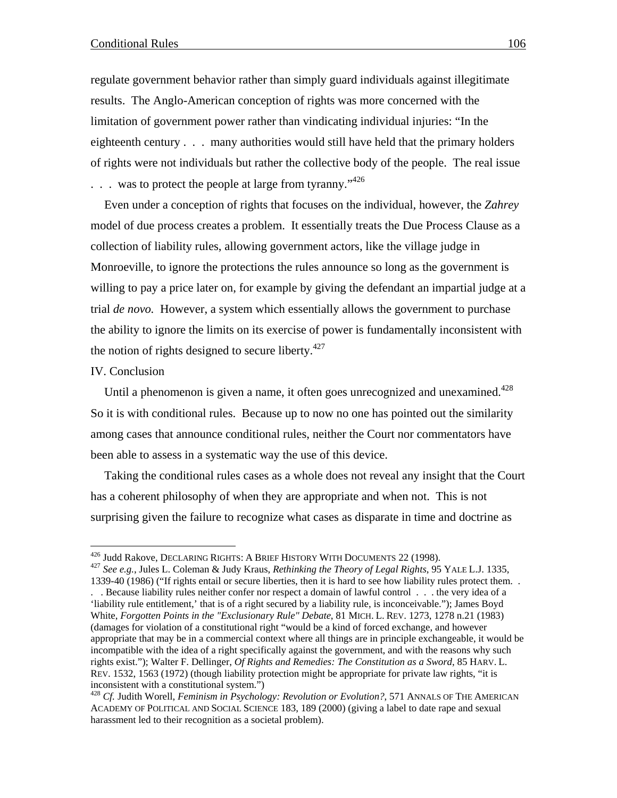regulate government behavior rather than simply guard individuals against illegitimate results. The Anglo-American conception of rights was more concerned with the limitation of government power rather than vindicating individual injuries: "In the eighteenth century . . . many authorities would still have held that the primary holders of rights were not individuals but rather the collective body of the people. The real issue . . . was to protect the people at large from tyranny."<sup>426</sup>

Even under a conception of rights that focuses on the individual, however, the *Zahrey* model of due process creates a problem. It essentially treats the Due Process Clause as a collection of liability rules, allowing government actors, like the village judge in Monroeville, to ignore the protections the rules announce so long as the government is willing to pay a price later on, for example by giving the defendant an impartial judge at a trial *de novo.* However, a system which essentially allows the government to purchase the ability to ignore the limits on its exercise of power is fundamentally inconsistent with the notion of rights designed to secure liberty. $427$ 

## IV. Conclusion

Until a phenomenon is given a name, it often goes unrecognized and unexamined.<sup>428</sup> So it is with conditional rules. Because up to now no one has pointed out the similarity among cases that announce conditional rules, neither the Court nor commentators have been able to assess in a systematic way the use of this device.

Taking the conditional rules cases as a whole does not reveal any insight that the Court has a coherent philosophy of when they are appropriate and when not. This is not surprising given the failure to recognize what cases as disparate in time and doctrine as

<sup>&</sup>lt;sup>426</sup> Judd Rakove, DECLARING RIGHTS: A BRIEF HISTORY WITH DOCUMENTS 22 (1998).

<sup>&</sup>lt;sup>427</sup> See e.g., Jules L. Coleman & Judy Kraus, *Rethinking the Theory of Legal Rights*, 95 YALE L.J. 1335, 1339-40 (1986) ("If rights entail or secure liberties, then it is hard to see how liability rules protect them. .

<sup>. .</sup> Because liability rules neither confer nor respect a domain of lawful control . . . the very idea of a 'liability rule entitlement,' that is of a right secured by a liability rule, is inconceivable."); James Boyd White, *Forgotten Points in the "Exclusionary Rule" Debate*, 81 MICH. L. REV. 1273, 1278 n.21 (1983) (damages for violation of a constitutional right "would be a kind of forced exchange, and however appropriate that may be in a commercial context where all things are in principle exchangeable, it would be incompatible with the idea of a right specifically against the government, and with the reasons why such rights exist."); Walter F. Dellinger, *Of Rights and Remedies: The Constitution as a Sword*, 85 HARV. L. REV. 1532, 1563 (1972) (though liability protection might be appropriate for private law rights, "it is inconsistent with a constitutional system.")

<sup>428</sup> *Cf.* Judith Worell, *Feminism in Psychology: Revolution or Evolution?*, 571 ANNALS OF THE AMERICAN ACADEMY OF POLITICAL AND SOCIAL SCIENCE 183, 189 (2000) (giving a label to date rape and sexual harassment led to their recognition as a societal problem).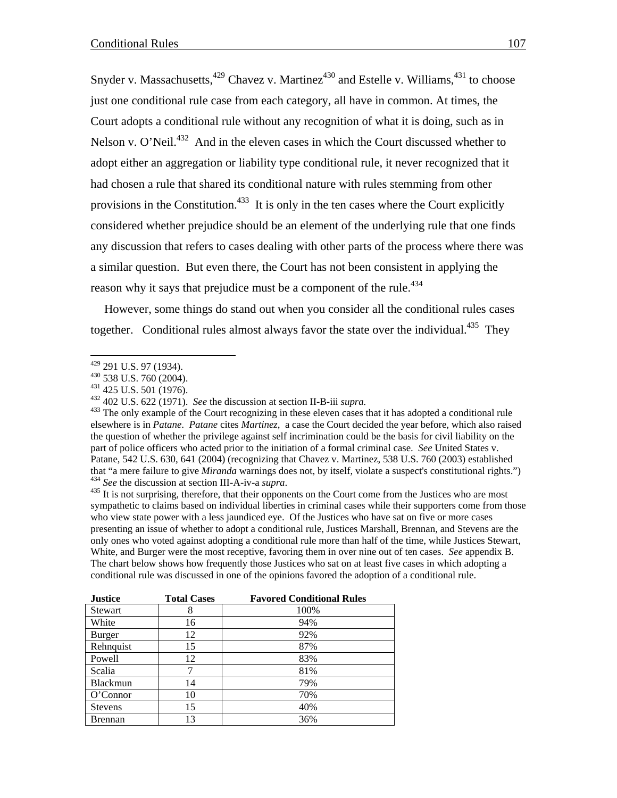Snyder v. Massachusetts,  $429$  Chavez v. Martinez $430$  and Estelle v. Williams,  $431$  to choose just one conditional rule case from each category, all have in common. At times, the Court adopts a conditional rule without any recognition of what it is doing, such as in Nelson v. O'Neil.<sup>432</sup> And in the eleven cases in which the Court discussed whether to adopt either an aggregation or liability type conditional rule, it never recognized that it had chosen a rule that shared its conditional nature with rules stemming from other provisions in the Constitution.<sup>433</sup> It is only in the ten cases where the Court explicitly considered whether prejudice should be an element of the underlying rule that one finds any discussion that refers to cases dealing with other parts of the process where there was a similar question. But even there, the Court has not been consistent in applying the reason why it says that prejudice must be a component of the rule.<sup>434</sup>

However, some things do stand out when you consider all the conditional rules cases together. Conditional rules almost always favor the state over the individual.<sup>435</sup> They

sympathetic to claims based on individual liberties in criminal cases while their supporters come from those who view state power with a less jaundiced eye. Of the Justices who have sat on five or more cases presenting an issue of whether to adopt a conditional rule, Justices Marshall, Brennan, and Stevens are the only ones who voted against adopting a conditional rule more than half of the time, while Justices Stewart, White, and Burger were the most receptive, favoring them in over nine out of ten cases. *See* appendix B. The chart below shows how frequently those Justices who sat on at least five cases in which adopting a conditional rule was discussed in one of the opinions favored the adoption of a conditional rule.

| <b>Justice</b> | <b>Total Cases</b> | <b>Favored Conditional Rules</b> |
|----------------|--------------------|----------------------------------|
| Stewart        | 8                  | 100%                             |
| White          | 16                 | 94%                              |
| <b>Burger</b>  | 12                 | 92%                              |
| Rehnquist      | 15                 | 87%                              |
| Powell         | 12                 | 83%                              |
| Scalia         |                    | 81%                              |
| Blackmun       | 14                 | 79%                              |
| O'Connect      | 10                 | 70%                              |
| <b>Stevens</b> | 15                 | 40%                              |
| <b>Brennan</b> | 13                 | 36%                              |

<sup>429 291</sup> U.S. 97 (1934).

<sup>&</sup>lt;sup>430</sup> 538 U.S. 760 (2004).<br><sup>431</sup> 425 U.S. 501 (1976).<br><sup>432</sup> 402 U.S. 622 (1971). *See* the discussion at section II-B-iii *supra*.<br><sup>433</sup> The only example of the Court recognizing in these eleven cases that it has adopted elsewhere is in *Patane*. *Patane* cites *Martinez*, a case the Court decided the year before, which also raised the question of whether the privilege against self incrimination could be the basis for civil liability on the part of police officers who acted prior to the initiation of a formal criminal case. *See* United States v. Patane, 542 U.S. 630, 641 (2004) (recognizing that Chavez v. Martinez, 538 U.S. 760 (2003) established that "a mere failure to give *Miranda* warnings does not, by itself, violate a suspect's constitutional rights.")<br><sup>434</sup> See the discussion at section III-A-iv-a *supra*.<br><sup>435</sup> It is not surprising, therefore, that their op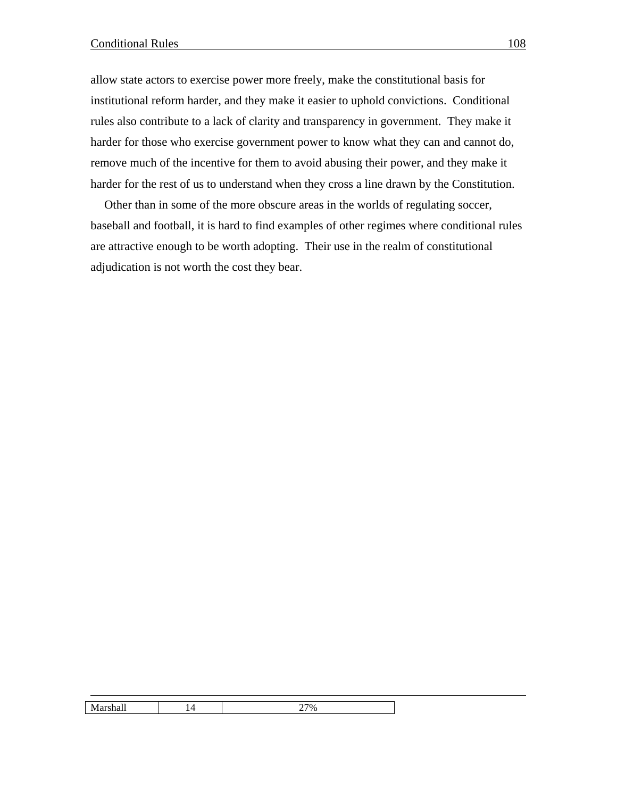allow state actors to exercise power more freely, make the constitutional basis for institutional reform harder, and they make it easier to uphold convictions. Conditional rules also contribute to a lack of clarity and transparency in government. They make it harder for those who exercise government power to know what they can and cannot do, remove much of the incentive for them to avoid abusing their power, and they make it harder for the rest of us to understand when they cross a line drawn by the Constitution.

Other than in some of the more obscure areas in the worlds of regulating soccer, baseball and football, it is hard to find examples of other regimes where conditional rules are attractive enough to be worth adopting. Their use in the realm of constitutional adjudication is not worth the cost they bear.

|  | $\mathbf{u}$ |
|--|--------------|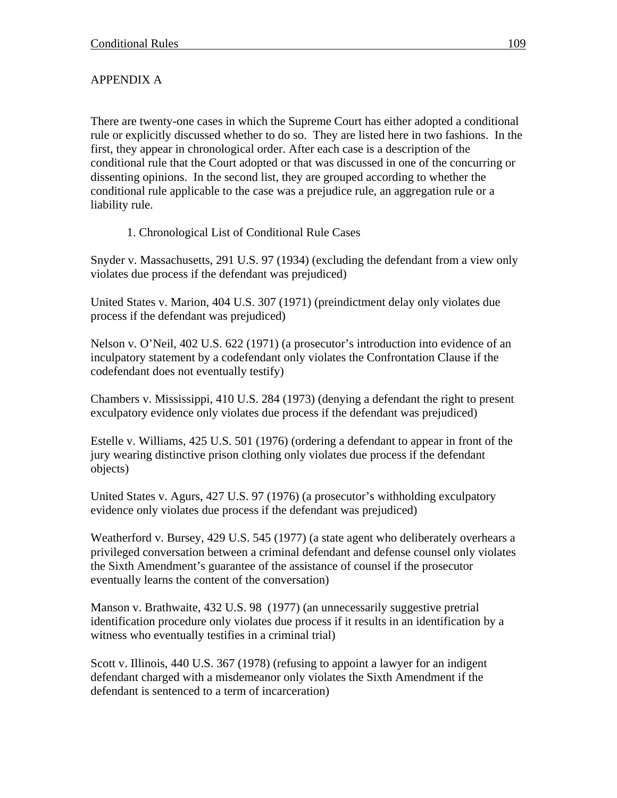## APPENDIX A

There are twenty-one cases in which the Supreme Court has either adopted a conditional rule or explicitly discussed whether to do so. They are listed here in two fashions. In the first, they appear in chronological order. After each case is a description of the conditional rule that the Court adopted or that was discussed in one of the concurring or dissenting opinions. In the second list, they are grouped according to whether the conditional rule applicable to the case was a prejudice rule, an aggregation rule or a liability rule.

#### 1. Chronological List of Conditional Rule Cases

Snyder v. Massachusetts, 291 U.S. 97 (1934) (excluding the defendant from a view only violates due process if the defendant was prejudiced)

United States v. Marion, 404 U.S. 307 (1971) (preindictment delay only violates due process if the defendant was prejudiced)

Nelson v. O'Neil, 402 U.S. 622 (1971) (a prosecutor's introduction into evidence of an inculpatory statement by a codefendant only violates the Confrontation Clause if the codefendant does not eventually testify)

Chambers v. Mississippi, 410 U.S. 284 (1973) (denying a defendant the right to present exculpatory evidence only violates due process if the defendant was prejudiced)

Estelle v. Williams, 425 U.S. 501 (1976) (ordering a defendant to appear in front of the jury wearing distinctive prison clothing only violates due process if the defendant objects)

United States v. Agurs, 427 U.S. 97 (1976) (a prosecutor's withholding exculpatory evidence only violates due process if the defendant was prejudiced)

Weatherford v. Bursey, 429 U.S. 545 (1977) (a state agent who deliberately overhears a privileged conversation between a criminal defendant and defense counsel only violates the Sixth Amendment's guarantee of the assistance of counsel if the prosecutor eventually learns the content of the conversation)

Manson v. Brathwaite, 432 U.S. 98 (1977) (an unnecessarily suggestive pretrial identification procedure only violates due process if it results in an identification by a witness who eventually testifies in a criminal trial)

Scott v. Illinois, 440 U.S. 367 (1978) (refusing to appoint a lawyer for an indigent defendant charged with a misdemeanor only violates the Sixth Amendment if the defendant is sentenced to a term of incarceration)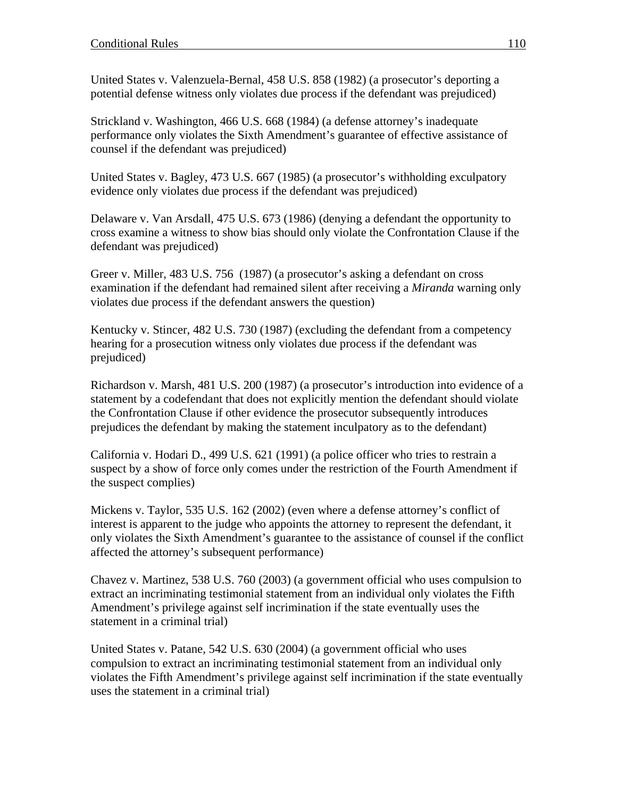United States v. Valenzuela-Bernal, 458 U.S. 858 (1982) (a prosecutor's deporting a potential defense witness only violates due process if the defendant was prejudiced)

Strickland v. Washington, 466 U.S. 668 (1984) (a defense attorney's inadequate performance only violates the Sixth Amendment's guarantee of effective assistance of counsel if the defendant was prejudiced)

United States v. Bagley, 473 U.S. 667 (1985) (a prosecutor's withholding exculpatory evidence only violates due process if the defendant was prejudiced)

Delaware v. Van Arsdall, 475 U.S. 673 (1986) (denying a defendant the opportunity to cross examine a witness to show bias should only violate the Confrontation Clause if the defendant was prejudiced)

Greer v. Miller, 483 U.S. 756 (1987) (a prosecutor's asking a defendant on cross examination if the defendant had remained silent after receiving a *Miranda* warning only violates due process if the defendant answers the question)

Kentucky v. Stincer, 482 U.S. 730 (1987) (excluding the defendant from a competency hearing for a prosecution witness only violates due process if the defendant was prejudiced)

Richardson v. Marsh, 481 U.S. 200 (1987) (a prosecutor's introduction into evidence of a statement by a codefendant that does not explicitly mention the defendant should violate the Confrontation Clause if other evidence the prosecutor subsequently introduces prejudices the defendant by making the statement inculpatory as to the defendant)

California v. Hodari D., 499 U.S. 621 (1991) (a police officer who tries to restrain a suspect by a show of force only comes under the restriction of the Fourth Amendment if the suspect complies)

Mickens v. Taylor, 535 U.S. 162 (2002) (even where a defense attorney's conflict of interest is apparent to the judge who appoints the attorney to represent the defendant, it only violates the Sixth Amendment's guarantee to the assistance of counsel if the conflict affected the attorney's subsequent performance)

Chavez v. Martinez, 538 U.S. 760 (2003) (a government official who uses compulsion to extract an incriminating testimonial statement from an individual only violates the Fifth Amendment's privilege against self incrimination if the state eventually uses the statement in a criminal trial)

United States v. Patane, 542 U.S. 630 (2004) (a government official who uses compulsion to extract an incriminating testimonial statement from an individual only violates the Fifth Amendment's privilege against self incrimination if the state eventually uses the statement in a criminal trial)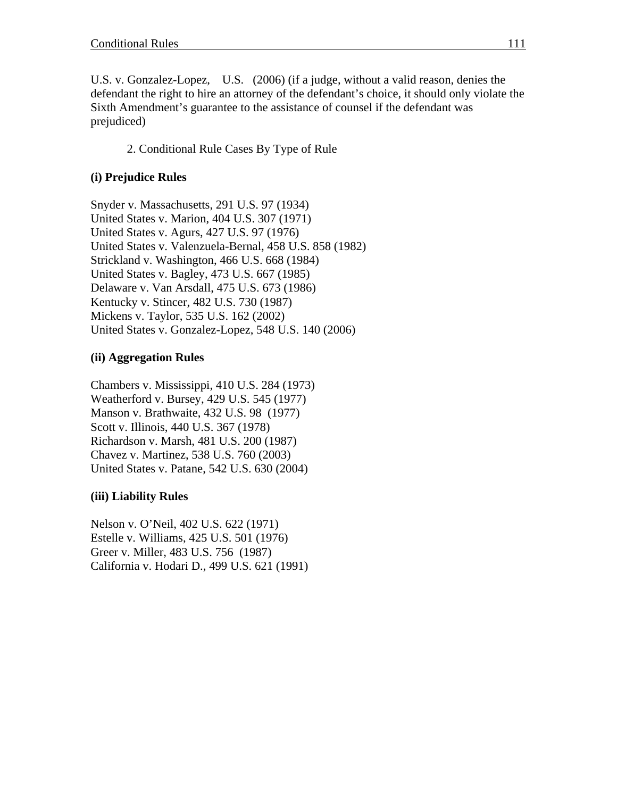U.S. v. Gonzalez-Lopez, U.S. (2006) (if a judge, without a valid reason, denies the defendant the right to hire an attorney of the defendant's choice, it should only violate the Sixth Amendment's guarantee to the assistance of counsel if the defendant was prejudiced)

# 2. Conditional Rule Cases By Type of Rule

# **(i) Prejudice Rules**

Snyder v. Massachusetts, 291 U.S. 97 (1934) United States v. Marion, 404 U.S. 307 (1971) United States v. Agurs, 427 U.S. 97 (1976) United States v. Valenzuela-Bernal, 458 U.S. 858 (1982) Strickland v. Washington, 466 U.S. 668 (1984) United States v. Bagley, 473 U.S. 667 (1985) Delaware v. Van Arsdall, 475 U.S. 673 (1986) Kentucky v. Stincer, 482 U.S. 730 (1987) Mickens v. Taylor, 535 U.S. 162 (2002) United States v. Gonzalez-Lopez, 548 U.S. 140 (2006)

### **(ii) Aggregation Rules**

Chambers v. Mississippi, 410 U.S. 284 (1973) Weatherford v. Bursey, 429 U.S. 545 (1977) Manson v. Brathwaite, 432 U.S. 98 (1977) Scott v. Illinois, 440 U.S. 367 (1978) Richardson v. Marsh, 481 U.S. 200 (1987) Chavez v. Martinez, 538 U.S. 760 (2003) United States v. Patane, 542 U.S. 630 (2004)

### **(iii) Liability Rules**

Nelson v. O'Neil, 402 U.S. 622 (1971) Estelle v. Williams, 425 U.S. 501 (1976) Greer v. Miller, 483 U.S. 756 (1987) California v. Hodari D., 499 U.S. 621 (1991)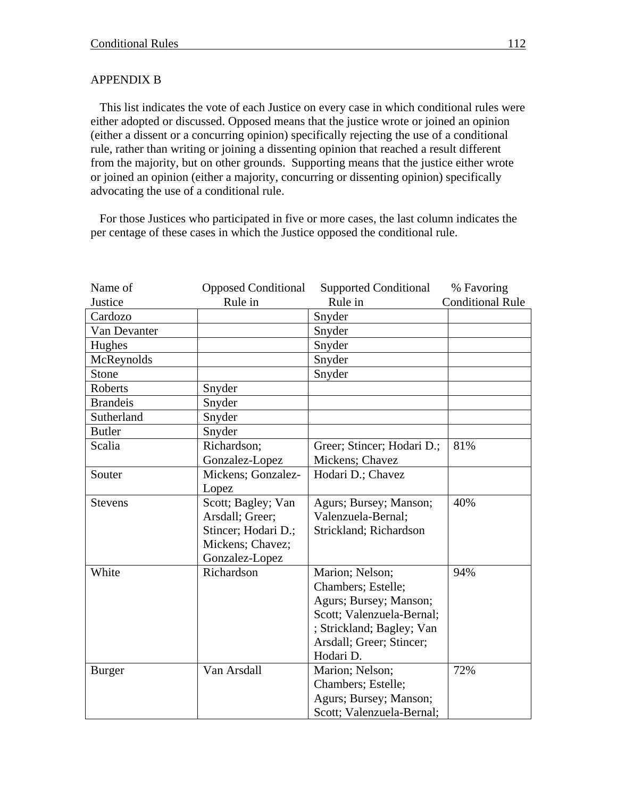## APPENDIX B

 This list indicates the vote of each Justice on every case in which conditional rules were either adopted or discussed. Opposed means that the justice wrote or joined an opinion (either a dissent or a concurring opinion) specifically rejecting the use of a conditional rule, rather than writing or joining a dissenting opinion that reached a result different from the majority, but on other grounds. Supporting means that the justice either wrote or joined an opinion (either a majority, concurring or dissenting opinion) specifically advocating the use of a conditional rule.

 For those Justices who participated in five or more cases, the last column indicates the per centage of these cases in which the Justice opposed the conditional rule.

| Name of         | <b>Opposed Conditional</b> | <b>Supported Conditional</b> | % Favoring              |
|-----------------|----------------------------|------------------------------|-------------------------|
| Justice         | Rule in                    | Rule in                      | <b>Conditional Rule</b> |
| Cardozo         |                            | Snyder                       |                         |
| Van Devanter    |                            | Snyder                       |                         |
| Hughes          |                            | Snyder                       |                         |
| McReynolds      |                            | Snyder                       |                         |
| Stone           |                            | Snyder                       |                         |
| Roberts         | Snyder                     |                              |                         |
| <b>Brandeis</b> | Snyder                     |                              |                         |
| Sutherland      | Snyder                     |                              |                         |
| <b>Butler</b>   | Snyder                     |                              |                         |
| Scalia          | Richardson;                | Greer; Stincer; Hodari D.;   | 81%                     |
|                 | Gonzalez-Lopez             | Mickens; Chavez              |                         |
| Souter          | Mickens; Gonzalez-         | Hodari D.; Chavez            |                         |
|                 | Lopez                      |                              |                         |
| <b>Stevens</b>  | Scott; Bagley; Van         | Agurs; Bursey; Manson;       | 40%                     |
|                 | Arsdall; Greer;            | Valenzuela-Bernal;           |                         |
|                 | Stincer; Hodari D.;        | Strickland; Richardson       |                         |
|                 | Mickens; Chavez;           |                              |                         |
|                 | Gonzalez-Lopez             |                              |                         |
| White           | Richardson                 | Marion; Nelson;              | 94%                     |
|                 |                            | Chambers; Estelle;           |                         |
|                 |                            | Agurs; Bursey; Manson;       |                         |
|                 |                            | Scott; Valenzuela-Bernal;    |                         |
|                 |                            | ; Strickland; Bagley; Van    |                         |
|                 |                            | Arsdall; Greer; Stincer;     |                         |
|                 |                            | Hodari D.                    |                         |
| <b>Burger</b>   | Van Arsdall                | Marion; Nelson;              | 72%                     |
|                 |                            | Chambers; Estelle;           |                         |
|                 |                            | Agurs; Bursey; Manson;       |                         |
|                 |                            | Scott; Valenzuela-Bernal;    |                         |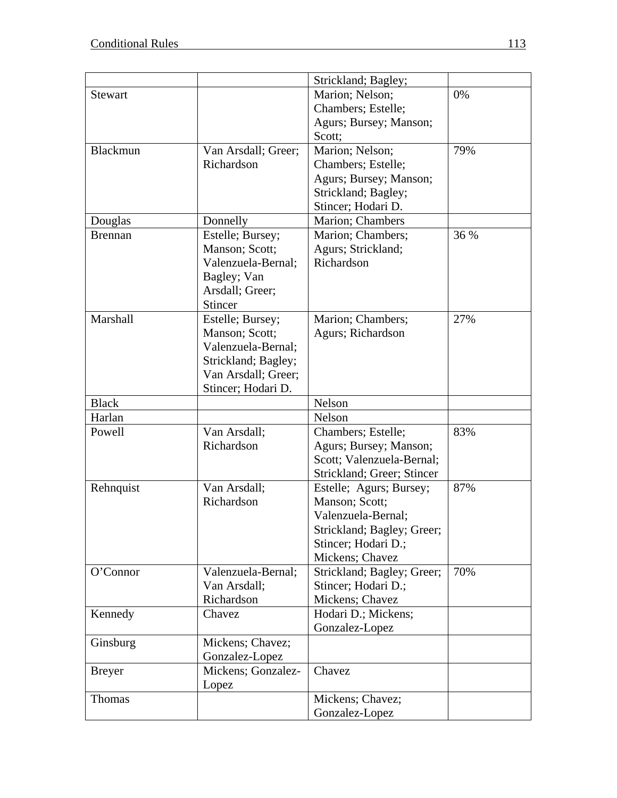|                |                     | Strickland; Bagley;        |      |
|----------------|---------------------|----------------------------|------|
| <b>Stewart</b> |                     | Marion; Nelson;            | 0%   |
|                |                     | Chambers; Estelle;         |      |
|                |                     | Agurs; Bursey; Manson;     |      |
|                |                     | Scott;                     |      |
| Blackmun       | Van Arsdall; Greer; | Marion; Nelson;            | 79%  |
|                | Richardson          | Chambers; Estelle;         |      |
|                |                     | Agurs; Bursey; Manson;     |      |
|                |                     | Strickland; Bagley;        |      |
|                |                     | Stincer; Hodari D.         |      |
| Douglas        | Donnelly            | Marion; Chambers           |      |
| <b>Brennan</b> | Estelle; Bursey;    | Marion; Chambers;          | 36 % |
|                | Manson; Scott;      | Agurs; Strickland;         |      |
|                | Valenzuela-Bernal;  | Richardson                 |      |
|                | Bagley; Van         |                            |      |
|                | Arsdall; Greer;     |                            |      |
|                | <b>Stincer</b>      |                            |      |
| Marshall       | Estelle; Bursey;    | Marion; Chambers;          | 27%  |
|                | Manson; Scott;      | Agurs; Richardson          |      |
|                | Valenzuela-Bernal;  |                            |      |
|                | Strickland; Bagley; |                            |      |
|                | Van Arsdall; Greer; |                            |      |
|                | Stincer; Hodari D.  |                            |      |
| <b>Black</b>   |                     | Nelson                     |      |
| Harlan         |                     | Nelson                     |      |
| Powell         | Van Arsdall;        | Chambers; Estelle;         | 83%  |
|                | Richardson          | Agurs; Bursey; Manson;     |      |
|                |                     | Scott; Valenzuela-Bernal;  |      |
|                |                     | Strickland; Greer; Stincer |      |
| Rehnquist      | Van Arsdall;        | Estelle; Agurs; Bursey;    | 87%  |
|                | Richardson          | Manson; Scott;             |      |
|                |                     | Valenzuela-Bernal;         |      |
|                |                     | Strickland; Bagley; Greer; |      |
|                |                     | Stincer; Hodari D.;        |      |
|                |                     | Mickens; Chavez            |      |
| O'Connor       | Valenzuela-Bernal;  | Strickland; Bagley; Greer; | 70%  |
|                | Van Arsdall;        | Stincer; Hodari D.;        |      |
|                | Richardson          | Mickens; Chavez            |      |
| Kennedy        | Chavez              | Hodari D.; Mickens;        |      |
|                |                     | Gonzalez-Lopez             |      |
| Ginsburg       | Mickens; Chavez;    |                            |      |
|                | Gonzalez-Lopez      |                            |      |
| <b>Breyer</b>  | Mickens; Gonzalez-  | Chavez                     |      |
|                | Lopez               |                            |      |
| Thomas         |                     | Mickens; Chavez;           |      |
|                |                     | Gonzalez-Lopez             |      |